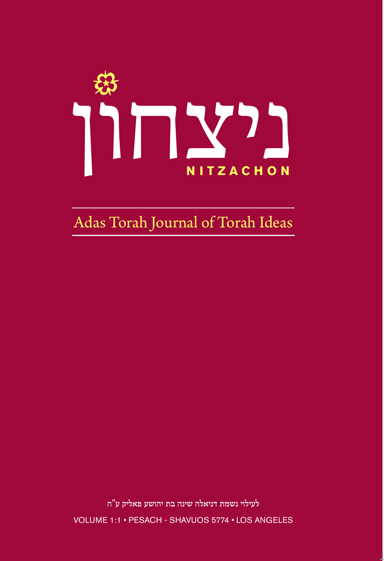

Adas Torah Journal of Torah Ideas Adas Torah Journal of Torah Ideas

**לעילוי נשמת דניאלה שינה בת יהושע פאליק ע"ה**

VOLUME 1:1 • PESACH - SHAVUOS 5774 • LOS ANGELES VOLUME 1:1 • PESACH - SHAVUOS 5774 • LOS ANGELES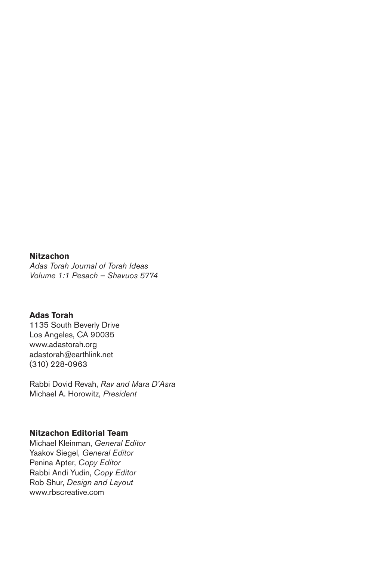#### **Nitzachon**

*Adas Torah Journal of Torah Ideas Volume 1:1 Pesach – Shavuos 5774*

#### **Adas Torah**

1135 South Beverly Drive Los Angeles, CA 90035 www.adastorah.org adastorah@earthlink.net (310) 228-0963

Rabbi Dovid Revah, *Rav and Mara D'Asra* Michael A. Horowitz, *President*

#### **Nitzachon Editorial Team**

Michael Kleinman, *General Editor* Yaakov Siegel, *General Editor* Penina Apter, *Copy Editor* Rabbi Andi Yudin, *Copy Editor* Rob Shur, *Design and Layout* www.rbscreative.com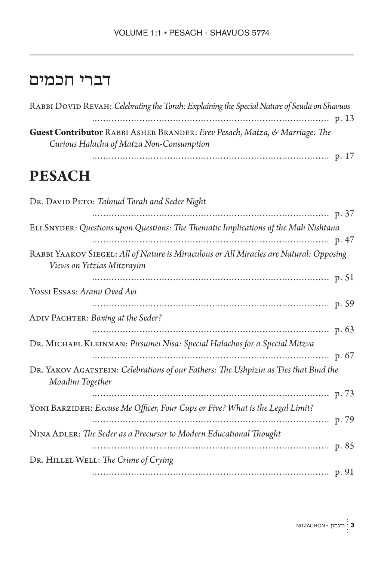## **דברי חכמים**

| RABBI DOVID REVAH: Celebrating the Torah: Explaining the Special Nature of Seuda on Shavuos |  |
|---------------------------------------------------------------------------------------------|--|
|                                                                                             |  |
| Guest Contributor RABBI ASHER BRANDER: Erev Pesach, Matza, & Marriage: The                  |  |
| Curious Halacha of Matza Non-Consumption                                                    |  |
|                                                                                             |  |

## **PESACH**

| DR. DAVID PETO: Talmud Torah and Seder Night                                                                         |  |
|----------------------------------------------------------------------------------------------------------------------|--|
|                                                                                                                      |  |
| ELI SNYDER: Questions upon Questions: The Thematic Implications of the Mah Nishtana                                  |  |
|                                                                                                                      |  |
| RABBI YAAKOV SIEGEL: All of Nature is Miraculous or All Miracles are Natural: Opposing<br>Views on Yetzias Mitzrayim |  |
|                                                                                                                      |  |
| YOSSI ESSAS: Arami Oved Avi                                                                                          |  |
|                                                                                                                      |  |
| ADIV PACHTER: Boxing at the Seder?                                                                                   |  |
|                                                                                                                      |  |
| DR. MICHAEL KLEINMAN: Pirsumei Nisa: Special Halachos for a Special Mitzva                                           |  |
|                                                                                                                      |  |
| DR. YAKOV AGATSTEIN: Celebrations of our Fathers: The Ushpizin as Ties that Bind the<br>Moadim Together              |  |
|                                                                                                                      |  |
| YONI BARZIDEH: Excuse Me Officer, Four Cups or Five? What is the Legal Limit?                                        |  |
|                                                                                                                      |  |
| NINA ADLER: The Seder as a Precursor to Modern Educational Thought                                                   |  |
|                                                                                                                      |  |
| DR. HILLEL WELL: The Crime of Crying                                                                                 |  |
|                                                                                                                      |  |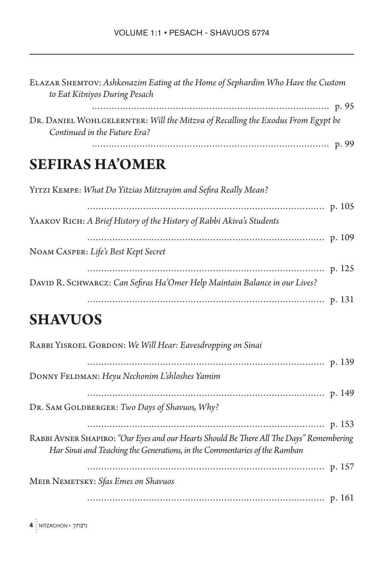| ELAZAR SHEMTOV: Ashkenazim Eating at the Home of Sephardim Who Have the Custom                                  |  |
|-----------------------------------------------------------------------------------------------------------------|--|
| to Eat Kitniyos During Pesach                                                                                   |  |
|                                                                                                                 |  |
| DR. DANIEL WOHLGELERNTER: Will the Mitzva of Recalling the Exodus From Egypt be<br>Continued in the Future Era? |  |
|                                                                                                                 |  |

### **SEFIRAS HA'OMER**

Yitzi Kempe: *What Do Yitzias Mitzrayim and Sefira Really Mean?*

| YAAKOV RICH: A Brief History of the History of Rabbi Akiva's Students      |  |
|----------------------------------------------------------------------------|--|
|                                                                            |  |
| NOAM CASPER: Life's Best Kept Secret                                       |  |
|                                                                            |  |
| DAVID R. SCHWARCZ: Can Sefiras Ha'Omer Help Maintain Balance in our Lives? |  |
|                                                                            |  |

## **SHAVUOS**

Rabbi Yisroel Gordon: *We Will Hear: Eavesdropping on Sinai* ..................................................................................... p. 139 Donny Feldman: *Heyu Nechonim L'shloshes Yamim* ..................................................................................... p. 149 Dr. Sam Goldberger: *Two Days of Shavuos, Why?* ..................................................................................... p. 153 Rabbi Avner Shapiro: *"Our Eyes and our Hearts Should Be There All The Days" Remembering Har Sinai and Teaching the Generations, in the Commentaries of the Ramban* ..................................................................................... p. 157 Meir Nemetsky: *Sfas Emes on Shavuos* ..................................................................................... p. 161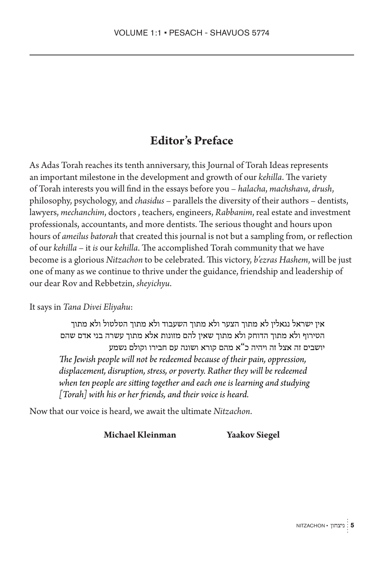### **Editor's Preface**

As Adas Torah reaches its tenth anniversary, this Journal of Torah Ideas represents an important milestone in the development and growth of our *kehilla*. The variety of Torah interests you will find in the essays before you – *halacha*, *machshava*, *drush*, philosophy, psychology, and *chasidus* – parallels the diversity of their authors – dentists, lawyers, *mechanchim*, doctors , teachers, engineers, *Rabbanim*, real estate and investment professionals, accountants, and more dentists. The serious thought and hours upon hours of *ameilus batorah* that created this journal is not but a sampling from, or reflection of our *kehilla* – it *is* our *kehilla*. The accomplished Torah community that we have become is a glorious *Nitzachon* to be celebrated. This victory, *b'ezras Hashem*, will be just one of many as we continue to thrive under the guidance, friendship and leadership of our dear Rov and Rebbetzin, *sheyichyu*.

#### It says in *Tana Divei Eliyahu*:

אין ישראל נגאלין לא מתוך הצער ולא מתוך השעבוד ולא מתוך הטלטול ולא מתוך הטירוף ולא מתוך הדוחק ולא מתוך שאין להם מזונות אלא מתוך עשרה בני אדם שהם יושבים זה אצל זה ויהיה כ"א מהם קורא ושונה עם חבירו וקולם נשמע *The Jewish people will not be redeemed because of their pain, oppression, displacement, disruption, stress, or poverty. Rather they will be redeemed when ten people are sitting together and each one is learning and studying [Torah] with his or her friends, and their voice is heard.*

Now that our voice is heard, we await the ultimate *Nitzachon*.

#### **Michael Kleinman Yaakov Siegel**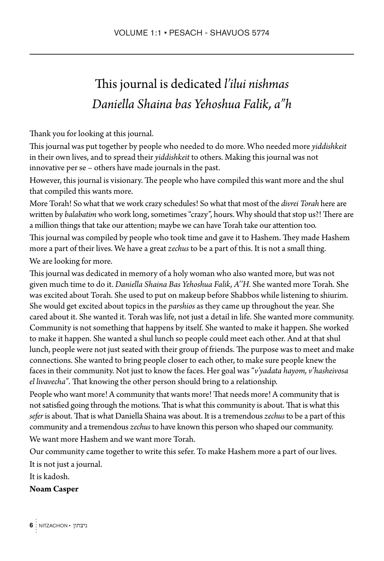## This journal is dedicated *l'ilui nishmas Daniella Shaina bas Yehoshua Falik, a"h*

Thank you for looking at this journal.

This journal was put together by people who needed to do more. Who needed more *yiddishkeit* in their own lives, and to spread their *yiddishkeit* to others. Making this journal was not innovative per se – others have made journals in the past.

However, this journal is visionary. The people who have compiled this want more and the shul that compiled this wants more.

More Torah! So what that we work crazy schedules! So what that most of the *divrei Torah* here are written by *balabatim* who work long, sometimes "crazy", hours. Why should that stop us?! There are a million things that take our attention; maybe we can have Torah take our attention too.

This journal was compiled by people who took time and gave it to Hashem. They made Hashem more a part of their lives. We have a great *zechus* to be a part of this. It is not a small thing.

We are looking for more.

This journal was dedicated in memory of a holy woman who also wanted more, but was not given much time to do it. *Daniella Shaina Bas Yehoshua Falik, A''H.* She wanted more Torah. She was excited about Torah. She used to put on makeup before Shabbos while listening to shiurim. She would get excited about topics in the *parshios* as they came up throughout the year. She cared about it. She wanted it. Torah was life, not just a detail in life. She wanted more community. Community is not something that happens by itself. She wanted to make it happen. She worked to make it happen. She wanted a shul lunch so people could meet each other. And at that shul lunch, people were not just seated with their group of friends. The purpose was to meet and make connections. She wanted to bring people closer to each other, to make sure people knew the faces in their community. Not just to know the faces. Her goal was "*v'yadata hayom, v'hasheivosa el livavecha"*. That knowing the other person should bring to a relationship.

People who want more! A community that wants more! That needs more! A community that is not satisfied going through the motions. That is what this community is about. That is what this *sefer* is about. That is what Daniella Shaina was about. It is a tremendous *zechus* to be a part of this community and a tremendous *zechus* to have known this person who shaped our community. We want more Hashem and we want more Torah.

Our community came together to write this sefer. To make Hashem more a part of our lives. It is not just a journal.

It is kadosh.

**Noam Casper**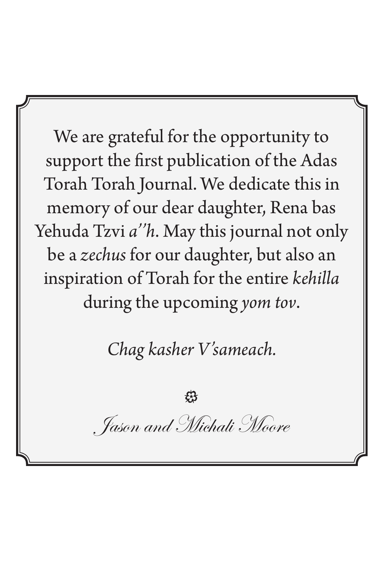We are grateful for the opportunity to support the first publication of the Adas Torah Torah Journal. We dedicate this in memory of our dear daughter, Rena bas Yehuda Tzvi *a''h*. May this journal not only be a *zechus* for our daughter, but also an inspiration of Torah for the entire *kehilla* during the upcoming *yom tov*.

*Chag kasher V'sameach.*

€

Jason and Michali Moore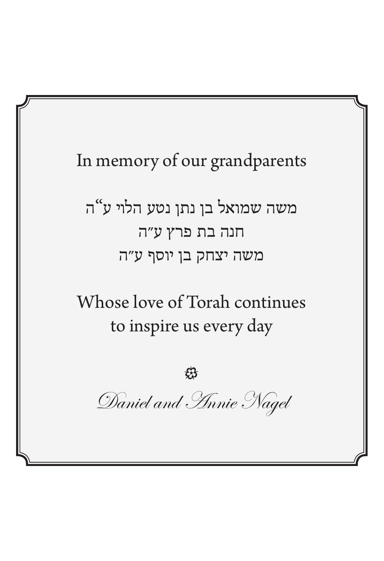In memory of our grandparents

משה שמואל בן נתן נטע הלוי ע"ה חנה בת פרץ ע״ה משה יצחק בן יוסף ע״ה

Whose love of Torah continues to inspire us every day

•

Daniel and Annie Nagel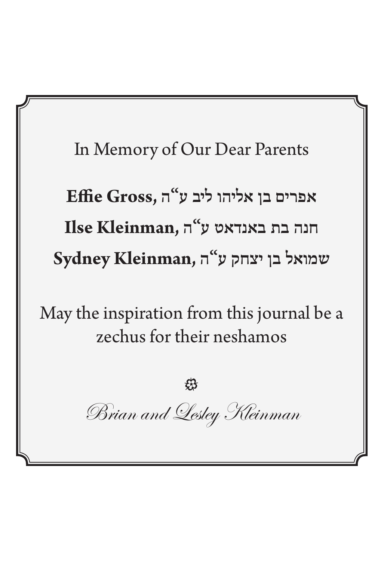In Memory of Our Dear Parents

**אפרים בן אליהו ליב ע"ה ,Gross Effie חנה בת באנדאט ע"ה ,Kleinman Ilse שמואל בן יצחק ע"ה ,Kleinman Sydney**

May the inspiration from this journal be a zechus for their neshamos

€

Brian and Lesley Kleinman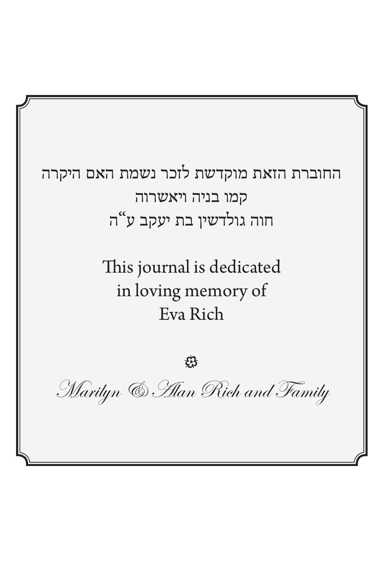החוברת הזאת מוקדשת לזכר נשמת האם היקרה קמו בניה ויאשרוה חוה גולדשין בת יעקב ע"ה

> This journal is dedicated in loving memory of Eva Rich

> > ∰

Marilyn & Han Rich and Family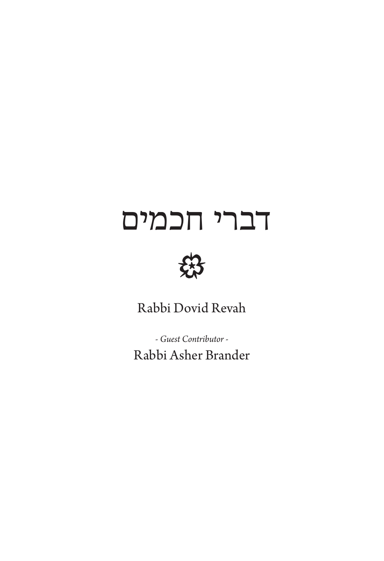## דברי חכמים



Rabbi Dovid Revah

*- Guest Contributor -* Rabbi Asher Brander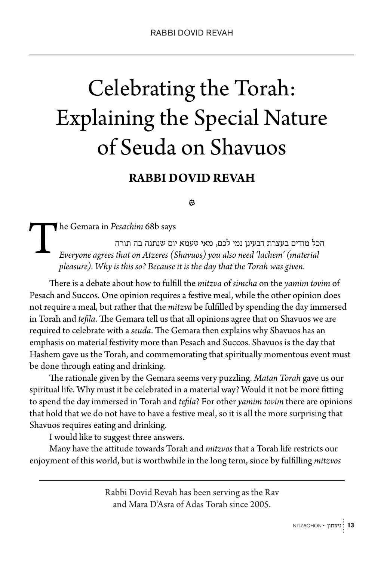# Celebrating the Torah: Explaining the Special Nature of Seuda on Shavuos

### **RABBI DOVID REVAH**

•

The Gemara in *Pesachim* 68b says<br>יום שנתנה בה תורה<br>Everyone agrees that on Atzeres (S הכל מודים בעצרת דבעינן נמי לכם, מאי טעמא יום שנתנה בה תורה *Everyone agrees that on Atzeres (Shavuos) you also need 'lachem' (material pleasure). Why is this so? Because it is the day that the Torah was given.*

There is a debate about how to fulfill the *mitzva* of *simcha* on the *yamim tovim* of Pesach and Succos. One opinion requires a festive meal, while the other opinion does not require a meal, but rather that the *mitzva* be fulfilled by spending the day immersed in Torah and *tefila*. The Gemara tell us that all opinions agree that on Shavuos we are required to celebrate with a *seuda*. The Gemara then explains why Shavuos has an emphasis on material festivity more than Pesach and Succos. Shavuos is the day that Hashem gave us the Torah, and commemorating that spiritually momentous event must be done through eating and drinking.

The rationale given by the Gemara seems very puzzling. *Matan Torah* gave us our spiritual life. Why must it be celebrated in a material way? Would it not be more fitting to spend the day immersed in Torah and *tefila*? For other *yamim tovim* there are opinions that hold that we do not have to have a festive meal, so it is all the more surprising that Shavuos requires eating and drinking.

I would like to suggest three answers.

Many have the attitude towards Torah and *mitzvos* that a Torah life restricts our enjoyment of this world, but is worthwhile in the long term, since by fulfilling *mitzvos* 

> Rabbi Dovid Revah has been serving as the Rav and Mara D'Asra of Adas Torah since 2005.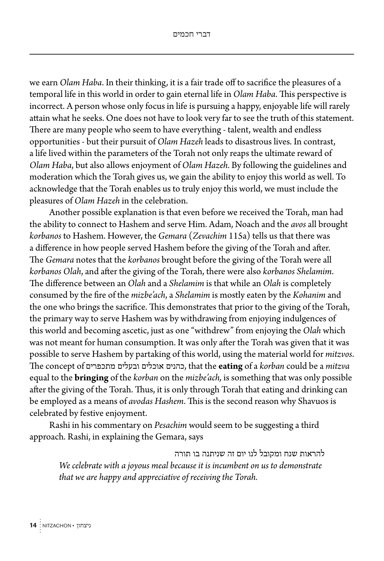we earn *Olam Haba*. In their thinking, it is a fair trade off to sacrifice the pleasures of a temporal life in this world in order to gain eternal life in *Olam Haba*. This perspective is incorrect. A person whose only focus in life is pursuing a happy, enjoyable life will rarely attain what he seeks. One does not have to look very far to see the truth of this statement. There are many people who seem to have everything - talent, wealth and endless opportunities - but their pursuit of *Olam Hazeh* leads to disastrous lives. In contrast, a life lived within the parameters of the Torah not only reaps the ultimate reward of *Olam Haba*, but also allows enjoyment of *Olam Hazeh.* By following the guidelines and moderation which the Torah gives us, we gain the ability to enjoy this world as well. To acknowledge that the Torah enables us to truly enjoy this world, we must include the pleasures of *Olam Hazeh* in the celebration.

Another possible explanation is that even before we received the Torah, man had the ability to connect to Hashem and serve Him. Adam, Noach and the *avos* all brought *korbanos* to Hashem. However, the *Gemara* (*Zevachim* 115a) tells us that there was a difference in how people served Hashem before the giving of the Torah and after. The *Gemara* notes that the *korbanos* brought before the giving of the Torah were all *korbanos Olah*, and after the giving of the Torah, there were also *korbanos Shelamim*. The difference between an *Olah* and a *Shelamim* is that while an *Olah* is completely consumed by the fire of the *mizbe'ach*, a *Shelamim* is mostly eaten by the *Kohanim* and the one who brings the sacrifice. This demonstrates that prior to the giving of the Torah, the primary way to serve Hashem was by withdrawing from enjoying indulgences of this world and becoming ascetic, just as one "withdrew" from enjoying the *Olah* which was not meant for human consumption. It was only after the Torah was given that it was possible to serve Hashem by partaking of this world, using the material world for *mitzvos*. The concept of מתכפרים ובעלים אוכלים כהנים, that the **eating** of a *korban* could be a *mitzva*  equal to the **bringing** of the *korban* on the *mizbe'ach,* is something that was only possible after the giving of the Torah. Thus, it is only through Torah that eating and drinking can be employed as a means of *avodas Hashem*. This is the second reason why Shavuos is celebrated by festive enjoyment.

Rashi in his commentary on *Pesachim* would seem to be suggesting a third approach. Rashi, in explaining the Gemara, says

> להראות שנח ומקובל לנו יום זה שניתנה בו תורה *We celebrate with a joyous meal because it is incumbent on us to demonstrate that we are happy and appreciative of receiving the Torah.*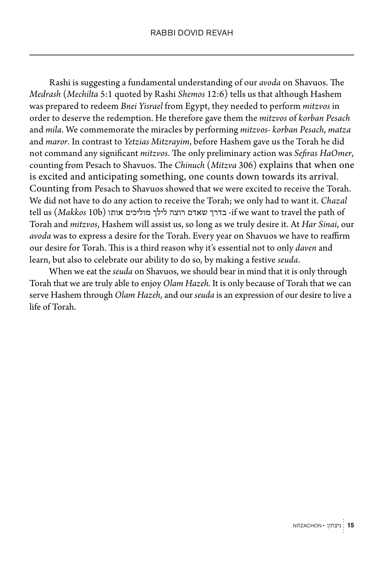Rashi is suggesting a fundamental understanding of our *avoda* on Shavuos. The *Medrash* (*Mechilta* 5:1 quoted by Rashi *Shemos* 12:6) tells us that although Hashem was prepared to redeem *Bnei Yisrael* from Egypt, they needed to perform *mitzvos* in order to deserve the redemption. He therefore gave them the *mitzvos* of *korban Pesach* and *mila*. We commemorate the miracles by performing *mitzvos- korban Pesach*, *matza* and *maror*. In contrast to *Yetzias Mitzrayim*, before Hashem gave us the Torah he did not command any significant *mitzvos*. The only preliminary action was *Sefiras HaOmer*, counting from Pesach to Shavuos. The *Chinuch* (*Mitzva* 306) explains that when one is excited and anticipating something, one counts down towards its arrival. Counting from Pesach to Shavuos showed that we were excited to receive the Torah. We did not have to do any action to receive the Torah; we only had to want it. *Chazal*  tell us (*Makkos* 10b) אותו מוליכים לילך רוצה שאדם בדרך -if we want to travel the path of Torah and *mitzvos*, Hashem will assist us, so long as we truly desire it. At *Har Sinai*, our *avoda* was to express a desire for the Torah. Every year on Shavuos we have to reaffirm our desire for Torah. This is a third reason why it's essential not to only *daven* and learn, but also to celebrate our ability to do so, by making a festive *seuda*.

When we eat the *seuda* on Shavuos, we should bear in mind that it is only through Torah that we are truly able to enjoy *Olam Hazeh.* It is only because of Torah that we can serve Hashem through *Olam Hazeh*, and our *seuda* is an expression of our desire to live a life of Torah.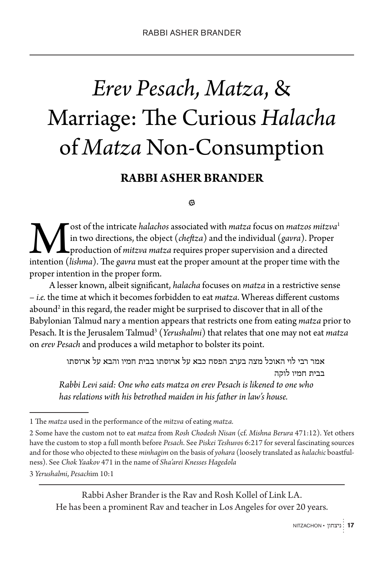# *Erev Pesach, Matza*, & Marriage: The Curious *Halacha* of *Matza* Non-Consumption

### **RABBI ASHER BRANDER**

#### •

**M** ost of the intricate *halachos* associated with *matza* focus on *matzos mitzva*<sup>1</sup> in two directions, the object (*cheftza*) and the individual (*gavra*). Proper production of *mitzva matza* requires proper supervisio in two directions, the object (*cheftza*) and the individual (*gavra*). Proper production of *mitzva matza* requires proper supervision and a directed intention (*lishma*). The *gavra* must eat the proper amount at the proper time with the proper intention in the proper form.

A lesser known, albeit significant, *halacha* focuses on *matza* in a restrictive sense – *i.e.* the time at which it becomes forbidden to eat *matza*. Whereas different customs abound<sup>2</sup> in this regard, the reader might be surprised to discover that in all of the Babylonian Talmud nary a mention appears that restricts one from eating *matza* prior to Pesach. It is the Jerusalem Talmud3 (*Yerushalmi*) that relates that one may not eat *matza*  on *erev Pesach* and produces a wild metaphor to bolster its point.

אמר רבי לוי האוכל מצה בערב הפסח כבא על ארוסתו בבית חמיו והבא על ארוסתו בבית חמיו לוקה *Rabbi Levi said: One who eats matza on erev Pesach is likened to one who has relations with his betrothed maiden in his father in law's house.* 

3 *Yerushalmi*, *Pesach*im 10:1

Rabbi Asher Brander is the Rav and Rosh Kollel of Link LA. He has been a prominent Rav and teacher in Los Angeles for over 20 years.

**17** ניצחון • NITZACHON

<sup>1</sup> The *matza* used in the performance of the *mitzva* of eating *matza.*

<sup>2</sup> Some have the custom not to eat *matza* from *Rosh Chodesh Nisan* (cf. *Mishna Berura* 471:12). Yet others have the custom to stop a full month before *Pesach*. See *Piskei Teshuvos* 6:217 for several fascinating sources and for those who objected to these *minhagim* on the basis of *yohara* (loosely translated as *halachic* boastfulness). See *Chok Yaakov* 471 in the name of *Sha'arei Knesses Hagedola*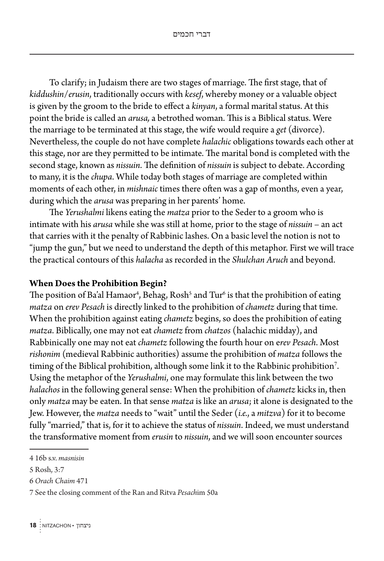To clarify; in Judaism there are two stages of marriage. The first stage, that of *kiddushin*/*erusin*, traditionally occurs with *kesef*, whereby money or a valuable object is given by the groom to the bride to effect a *kinyan*, a formal marital status. At this point the bride is called an *arusa,* a betrothed woman. This is a Biblical status. Were the marriage to be terminated at this stage, the wife would require a *get* (divorce). Nevertheless, the couple do not have complete *halachic* obligations towards each other at this stage, nor are they permitted to be intimate. The marital bond is completed with the second stage, known as *nissuin*. The definition of *nissuin* is subject to debate. According to many, it is the *chupa*. While today both stages of marriage are completed within moments of each other, in *mishnaic* times there often was a gap of months, even a year, during which the *arusa* was preparing in her parents' home.

The *Yerushalmi* likens eating the *matza* prior to the Seder to a groom who is intimate with his *arusa* while she was still at home, prior to the stage of *nissuin* – an act that carries with it the penalty of Rabbinic lashes. On a basic level the notion is not to "jump the gun," but we need to understand the depth of this metaphor. First we will trace the practical contours of this *halacha* as recorded in the *Shulchan Aruch* and beyond.

#### **When Does the Prohibition Begin?**

The position of Ba'al Hamaor $^4$ , Behag, Rosh $^5$  and Tur $^6$  is that the prohibition of eating *matza* on *erev Pesach* is directly linked to the prohibition of *chametz* during that time. When the prohibition against eating *chametz* begins, so does the prohibition of eating *matza*. Biblically, one may not eat *chametz* from *chatzos* (halachic midday), and Rabbinically one may not eat *chametz* following the fourth hour on e*rev Pesach*. Most *rishonim* (medieval Rabbinic authorities) assume the prohibition of *matza* follows the timing of the Biblical prohibition, although some link it to the Rabbinic prohibition<sup>7</sup>. Using the metaphor of the *Yerushalmi*, one may formulate this link between the two *halachos* in the following general sense: When the prohibition of *chametz* kicks in, then only *matza* may be eaten. In that sense *matza* is like an *arusa*; it alone is designated to the Jew. However, the *matza* needs to "wait" until the Seder (*i.e.*, a *mitzva*) for it to become fully "married," that is, for it to achieve the status of *nissuin*. Indeed, we must understand the transformative moment from *erusin* to *nissuin*, and we will soon encounter sources

<sup>4 16</sup>b s.v. *masnisin*

<sup>5</sup> Rosh, 3:7

<sup>6</sup> *Orach Chaim* 471

<sup>7</sup> See the closing comment of the Ran and Ritva *Pesach*im 50a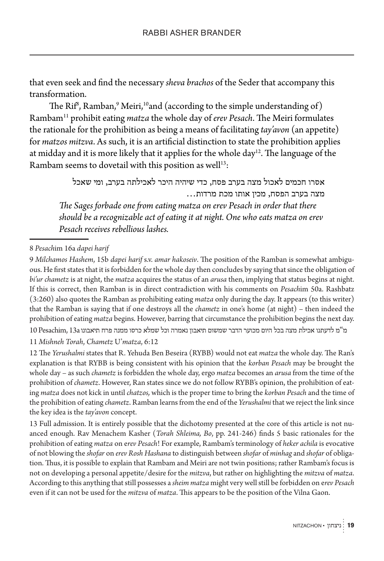that even seek and find the necessary *sheva brachos* of the Seder that accompany this transformation.

The Rif<sup>8</sup>, Ramban, $^9$  Meiri, $^{10}$ and (according to the simple understanding of) Rambam11 prohibit eating *matza* the whole day of *erev Pesach*. The Meiri formulates the rationale for the prohibition as being a means of facilitating *tay'avon* (an appetite) for *matzos mitzva*. As such, it is an artificial distinction to state the prohibition applies at midday and it is more likely that it applies for the whole day<sup>12</sup>. The language of the Rambam seems to dovetail with this position as well $13$ :

```
אסרו חכמים לאכול מצה בערב פסח, כדי שיהיה היכר לאכילתה בערב, ומי שאכל 
                   מצה בערב הפסח, מכין אותו מכת מרדות...
```
*The Sages forbade one from eating matza on erev Pesach in order that there should be a recognizable act of eating it at night. One who eats matza on erev Pesach receives rebellious lashes.*

מ"מ לדעתנו אכילת מצה בכל היום מכוער הדבר שמשום תיאבון נאמרה וכל שמלא כרסו ממנה פרח תיאבונו a13 ,Pesachim 10

11 *Mishneh Torah*, *Chametz* U'*matza*, 6:12

12 The *Yerushalmi* states that R. Yehuda Ben Beseira (RYBB) would not eat *matza* the whole day. The Ran's explanation is that RYBB is being consistent with his opinion that the *korban Pesach* may be brought the whole day – as such *chametz* is forbidden the whole day, ergo *matza* becomes an *arusa* from the time of the prohibition of *chametz*. However, Ran states since we do not follow RYBB's opinion, the prohibition of eating *matza* does not kick in until *chatzos,* which is the proper time to bring the *korban Pesach* and the time of the prohibition of eating *chametz*. Ramban learns from the end of the *Yerushalmi* that we reject the link since the key idea is the *tay'avon* concept.

13 Full admission. It is entirely possible that the dichotomy presented at the core of this article is not nuanced enough. Rav Menachem Kasher (*Torah Shleima, Bo*, pp. 241-246) finds 5 basic rationales for the prohibition of eating *matza* on e*rev Pesach*! For example, Rambam's terminology of *heker achila* is evocative of not blowing the *shofar* on *erev Rosh Hashana* to distinguish between *shofar* of *minhag* and *shofar* of obligation. Thus, it is possible to explain that Rambam and Meiri are not twin positions; rather Rambam's focus is not on developing a personal appetite/desire for the *mitzva*, but rather on highlighting the *mitzva* of *matza*. According to this anything that still possesses a *sheim matza* might very well still be forbidden on e*rev Pesach* even if it can not be used for the *mitzva* of *matza*. This appears to be the position of the Vilna Gaon.

<sup>8</sup> *Pesach*im 16a *dapei harif*

<sup>9</sup> *Milchamos Hashem*, 15b *dapei harif* s.v. *amar hakoseiv*. The position of the Ramban is somewhat ambiguous. He first states that it is forbidden for the whole day then concludes by saying that since the obligation of *bi'ur chametz* is at night, the *matza* acquires the status of an *arusa* then, implying that status begins at night. If this is correct, then Ramban is in direct contradiction with his comments on *Pesach*im 50a. Rashbatz (3:260) also quotes the Ramban as prohibiting eating *matza* only during the day. It appears (to this writer) that the Ramban is saying that if one destroys all the *chametz* in one's home (at night) – then indeed the prohibition of eating *matza* begins. However, barring that circumstance the prohibition begins the next day.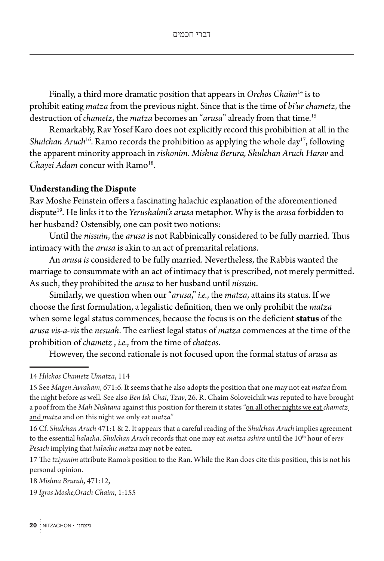Finally, a third more dramatic position that appears in *Orchos Chaim*14 is to prohibit eating *matza* from the previous night. Since that is the time of *bi'ur chametz*, the destruction of *chametz*, the *matza* becomes an "*arusa*" already from that time.15

Remarkably, Rav Yosef Karo does not explicitly record this prohibition at all in the *Shulchan Aruch*<sup>16</sup>. Ramo records the prohibition as applying the whole day<sup>17</sup>, following the apparent minority approach in *rishonim*. *Mishna Berura, Shulchan Aruch Harav* and *Chayei Adam* concur with Ramo<sup>18</sup>.

#### **Understanding the Dispute**

Rav Moshe Feinstein offers a fascinating halachic explanation of the aforementioned dispute19. He links it to the *Yerushalmi's arusa* metaphor. Why is the *arusa* forbidden to her husband? Ostensibly, one can posit two notions:

Until the *nissuin*, the *arusa* is not Rabbinically considered to be fully married. Thus intimacy with the *arusa* is akin to an act of premarital relations.

An *arusa is* considered to be fully married. Nevertheless, the Rabbis wanted the marriage to consummate with an act of intimacy that is prescribed, not merely permitted. As such, they prohibited the *arusa* to her husband until *nissuin*.

Similarly, we question when our "arusa," *i.e.*, the *matza*, attains its status. If we choose the first formulation, a legalistic definition, then we only prohibit the *matza* when some legal status commences, because the focus is on the deficient **status** of the *arusa vis-a-vis* the *nesuah*. The earliest legal status of *matza* commences at the time of the prohibition of *chametz* , *i.e.*, from the time of *chatzos*.

However, the second rationale is not focused upon the formal status of *arusa* as

18 *Mishna Brurah*, 471:12,

19 *Igros Moshe,Orach Chaim*, 1:155

<sup>14</sup> *Hilchos Chametz Umatza*, 114

<sup>15</sup> See *Magen Avraham*, 671:6. It seems that he also adopts the position that one may not eat *matza* from the night before as well. See also *Ben Ish Chai*, *Tzav*, 26. R. Chaim Soloveichik was reputed to have brought a poof from the *Mah Nishtana* against this position for therein it states "on all other nights we eat *chametz* and *matza* and on this night we only eat *matza*"

<sup>16</sup> Cf. *Shulchan Aruch* 471:1 & 2. It appears that a careful reading of the *Shulchan Aruch* implies agreement to the essential *halacha*. *Shulchan Aruch* records that one may eat *matza ashira* until the 10th hour of e*rev Pesach* implying that *halachic matza* may not be eaten.

<sup>17</sup> The *tziyunim* attribute Ramo's position to the Ran. While the Ran does cite this position, this is not his personal opinion.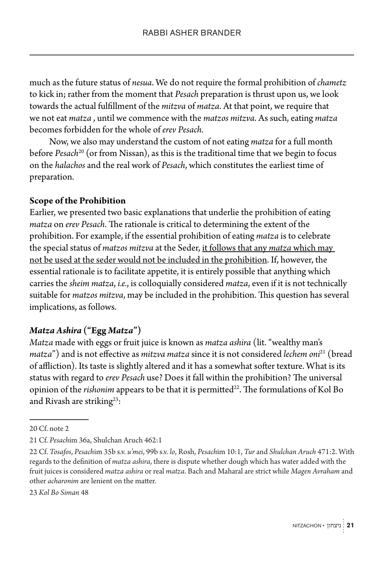much as the future status of *nesua*. We do not require the formal prohibition of *chametz* to kick in; rather from the moment that *Pesach* preparation is thrust upon us, we look towards the actual fulfillment of the *mitzva* of *matza*. At that point, we require that we not eat *matza* , until we commence with the *matzos mitzva*. As such, eating *matza*  becomes forbidden for the whole of *erev Pesach*.

Now, we also may understand the custom of not eating *matza* for a full month before *Pesach*20 (or from Nissan), as this is the traditional time that we begin to focus on the *halachos* and the real work of *Pesach*, which constitutes the earliest time of preparation.

#### **Scope of the Prohibition**

Earlier, we presented two basic explanations that underlie the prohibition of eating *matza* on *erev Pesach*. The rationale is critical to determining the extent of the prohibition. For example, if the essential prohibition of eating *matza* is to celebrate the special status of *matzos mitzva* at the Seder, it follows that any *matza* which may not be used at the seder would not be included in the prohibition. If, however, the essential rationale is to facilitate appetite, it is entirely possible that anything which carries the *sheim matza*, *i.e.*, is colloquially considered *matza*, even if it is not technically suitable for *matzos mitzva*, may be included in the prohibition. This question has several implications, as follows.

#### *Matza Ashira* **("Egg** *Matza***")**

*Matza* made with eggs or fruit juice is known as *matza ashira* (lit. "wealthy man's *matza*") and is not effective as *mitzva matza* since it is not considered *lechem oni*21 (bread of affliction). Its taste is slightly altered and it has a somewhat softer texture. What is its status with regard to *erev Pesach* use? Does it fall within the prohibition? The universal opinion of the *rishonim* appears to be that it is permitted<sup>22</sup>. The formulations of Kol Bo and Rivash are striking<sup>23</sup>:

23 *Kol Bo Siman* 48

<sup>20</sup> Cf. note 2

<sup>21</sup> Cf. *Pesach*im 36a, Shulchan Aruch 462:1

<sup>22</sup> Cf. *Tosafos*, *Pesach*im 35b s.v. *u'mei*, 99b s.v. *lo*, Rosh, *Pesach*im 10:1, *Tur* and *Shulchan Aruch* 471:2. With regards to the definition of *matza ashira*, there is dispute whether dough which has water added with the fruit juices is considered *matza ashira* or real *matza*. Bach and Maharal are strict while *Magen Avraham* and other *acharonim* are lenient on the matter.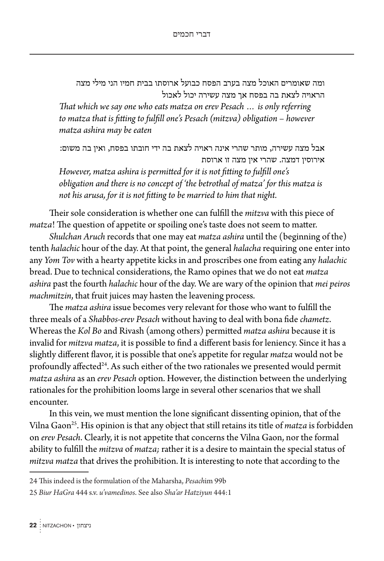ומה שאומרים האוכל מצה בערב הפסח כבועל ארוסתו בבית חמיו הני מילי מצה הראויה לצאת בה בפסח אך מצה עשירה יכול לאכול

*That which we say one who eats matza on erev Pesach … is only referring to matza that is fitting to fulfill one's Pesach (mitzva) obligation – however matza ashira may be eaten* 

אבל מצה עשירה, מותר שהרי אינה ראויה לצאת בה ידי חובתו בפסח, ואין בה משום: אירוסין דמצה. שהרי אין מצה זו ארוסת

*However, matza ashira is permitted for it is not fitting to fulfill one's obligation and there is no concept of 'the betrothal of matza' for this matza is not his arusa, for it is not fitting to be married to him that night.* 

Their sole consideration is whether one can fulfill the *mitzva* with this piece of *matza*! The question of appetite or spoiling one's taste does not seem to matter.

*Shulchan Aruch* records that one may eat *matza ashira* until the (beginning of the) tenth *halachic* hour of the day. At that point, the general *halacha* requiring one enter into any *Yom Tov* with a hearty appetite kicks in and proscribes one from eating any *halachic*  bread. Due to technical considerations, the Ramo opines that we do not eat *matza ashira* past the fourth *halachic* hour of the day. We are wary of the opinion that *mei peiros machmitzin*, that fruit juices may hasten the leavening process.

The *matza ashira* issue becomes very relevant for those who want to fulfill the three meals of a *Shabbos-erev Pesach* without having to deal with bona fide *chametz*. Whereas the *Kol Bo* and Rivash (among others) permitted *matza ashira* because it is invalid for *mitzva matza*, it is possible to find a different basis for leniency. Since it has a slightly different flavor, it is possible that one's appetite for regular *matza* would not be profoundly affected<sup>24</sup>. As such either of the two rationales we presented would permit *matza ashira* as an *erev Pesach* option. However, the distinction between the underlying rationales for the prohibition looms large in several other scenarios that we shall encounter.

In this vein, we must mention the lone significant dissenting opinion, that of the Vilna Gaon<sup>25</sup>. His opinion is that any object that still retains its title of *matza* is forbidden on *erev Pesach*. Clearly, it is not appetite that concerns the Vilna Gaon, nor the formal ability to fulfill the *mitzva* of *matza;* rather it is a desire to maintain the special status of *mitzva matza* that drives the prohibition. It is interesting to note that according to the

<sup>24</sup> This indeed is the formulation of the Maharsha, *Pesach*im 99b

<sup>25</sup> *Biur HaGra* 444 s.v. *u'vamedinos*. See also *Sha'ar Hatziyun* 444:1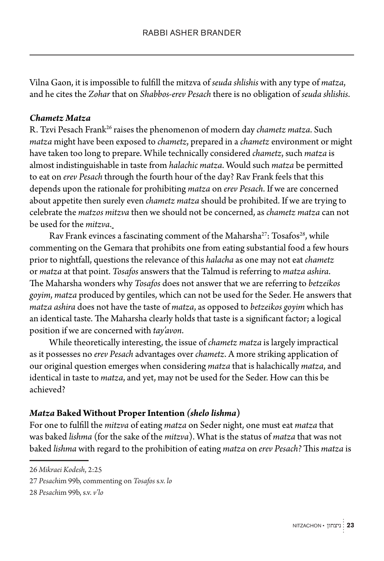Vilna Gaon, it is impossible to fulfill the mitzva of *seuda shlishis* with any type of *matza*, and he cites the *Zohar* that on *Shabbos-erev Pesach* there is no obligation of *seuda shlishis*.

#### *Chametz Matza*

R. Tzvi Pesach Frank26 raises the phenomenon of modern day *chametz matza*. Such *matza* might have been exposed to *chametz*, prepared in a *chametz* environment or might have taken too long to prepare. While technically considered *chametz*, such *matza* is almost indistinguishable in taste from *halachic matza*. Would such *matza* be permitted to eat on *erev Pesach* through the fourth hour of the day? Rav Frank feels that this depends upon the rationale for prohibiting *matza* on *erev Pesach*. If we are concerned about appetite then surely even *chametz matza* should be prohibited. If we are trying to celebrate the *matzos mitzva* then we should not be concerned, as *chametz matza* can not be used for the *mitzva*.

Rav Frank evinces a fascinating comment of the Maharsha<sup>27</sup>: Tosafos<sup>28</sup>, while commenting on the Gemara that prohibits one from eating substantial food a few hours prior to nightfall, questions the relevance of this *halacha* as one may not eat *chametz* or *matza* at that point. *Tosafos* answers that the Talmud is referring to *matza ashira*. The Maharsha wonders why *Tosafos* does not answer that we are referring to *betzeikos goyim*, *matza* produced by gentiles, which can not be used for the Seder. He answers that *matza ashira* does not have the taste of *matza*, as opposed to *betzeikos goyim* which has an identical taste. The Maharsha clearly holds that taste is a significant factor; a logical position if we are concerned with *tay'avon*.

While theoretically interesting, the issue of *chametz matza* is largely impractical as it possesses no *erev Pesach* advantages over *chametz*. A more striking application of our original question emerges when considering *matza* that is halachically *matza*, and identical in taste to *matza*, and yet, may not be used for the Seder. How can this be achieved?

#### *Matza* **Baked Without Proper Intention** *(shelo lishma***)**

For one to fulfill the *mitzva* of eating *matza* on Seder night, one must eat *matza* that was baked *lishma* (for the sake of the *mitzva*). What is the status of *matza* that was not baked *lishma* with regard to the prohibition of eating *matza* on *erev Pesach?* This *matza* is

<sup>26</sup> *Mikraei Kodesh*, 2:25

<sup>27</sup> *Pesach*im 99b, commenting on *Tosafos* s.v. *lo*

<sup>28</sup> *Pesach*im 99b, s.v. *v'lo*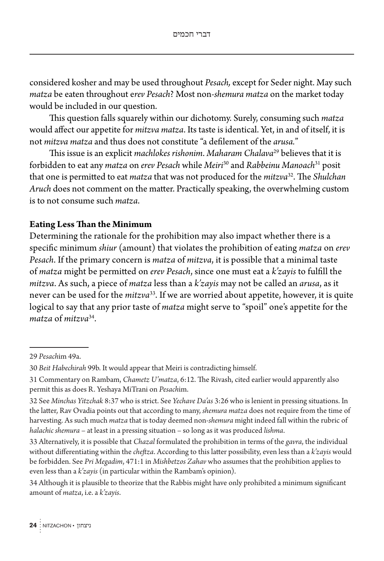considered kosher and may be used throughout *Pesach,* except for Seder night. May such *matza* be eaten throughout e*rev Pesach*? Most non-*shemura matza* on the market today would be included in our question.

This question falls squarely within our dichotomy. Surely, consuming such *matza* would affect our appetite for *mitzva matza*. Its taste is identical. Yet, in and of itself, it is not *mitzva matza* and thus does not constitute "a defilement of the *arusa.*"

This issue is an explicit *machlokes rishonim*. *Maharam Chalava*29 believes that it is forbidden to eat any *matza* on *erev Pesach* while *Meiri*30 and *Rabbeinu Manoach*31 posit that one is permitted to eat *matza* that was not produced for the *mitzva*32. The *Shulchan Aruch* does not comment on the matter. Practically speaking, the overwhelming custom is to not consume such *matza*.

#### **Eating Less Than the Minimum**

Determining the rationale for the prohibition may also impact whether there is a specific minimum *shiur* (amount) that violates the prohibition of eating *matza* on *erev Pesach*. If the primary concern is *matza* of *mitzva*, it is possible that a minimal taste of *matza* might be permitted on *erev Pesach*, since one must eat a *k'zayis* to fulfill the *mitzva*. As such, a piece of *matza* less than a *k'zayis* may not be called an *arusa*, as it never can be used for the *mitzva*33. If we are worried about appetite, however, it is quite logical to say that any prior taste of *matza* might serve to "spoil" one's appetite for the *matza* of *mitzva*34.

34 Although it is plausible to theorize that the Rabbis might have only prohibited a minimum significant amount of *matza*, i.e. a *k'zayis*.

<sup>29</sup> *Pesach*im 49a.

<sup>30</sup> *Beit Habechirah* 99b. It would appear that Meiri is contradicting himself.

<sup>31</sup> Commentary on Rambam, *Chametz U'matza*, 6:12. The Rivash, cited earlier would apparently also permit this as does R. Yeshaya MiTrani on *Pesach*im.

<sup>32</sup> See *Minchas Yitzchak* 8:37 who is strict. See *Yechave Da'as* 3:26 who is lenient in pressing situations. In the latter, Rav Ovadia points out that according to many, *shemura matza* does not require from the time of harvesting. As such much *matza* that is today deemed non-*shemura* might indeed fall within the rubric of *halachic shemura* – at least in a pressing situation – so long as it was produced *lishma*.

<sup>33</sup> Alternatively, it is possible that *Chazal* formulated the prohibition in terms of the *gavra*, the individual without differentiating within the *cheftza*. According to this latter possibility, even less than a *k'zayis* would be forbidden. See *Pri Megadim*, 471:1 in *Mishbetzos Zahav* who assumes that the prohibition applies to even less than a *k'zayis* (in particular within the Rambam's opinion).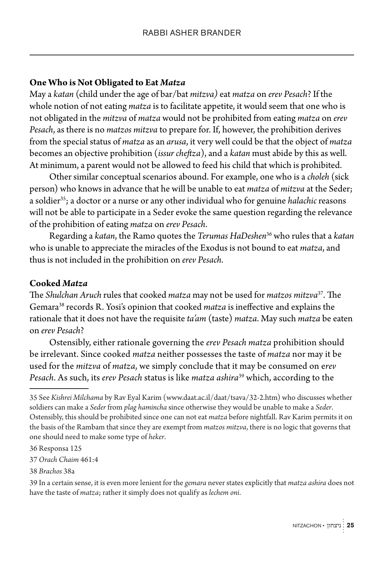#### **One Who is Not Obligated to Eat** *Matza*

May a *katan* (child under the age of bar/bat *mitzva)* eat *matza* on *erev Pesach*? If the whole notion of not eating *matza* is to facilitate appetite, it would seem that one who is not obligated in the *mitzva* of *matza* would not be prohibited from eating *matza* on *erev Pesach*, as there is no *matzos mitzva* to prepare for. If, however, the prohibition derives from the special status of *matza* as an *arusa*, it very well could be that the object of *matza* becomes an objective prohibition (*issur cheftza*), and a *katan* must abide by this as well. At minimum, a parent would not be allowed to feed his child that which is prohibited.

Other similar conceptual scenarios abound. For example, one who is a *choleh* (sick person) who knows in advance that he will be unable to eat *matza* of *mitzva* at the Seder; a soldier<sup>35</sup>; a doctor or a nurse or any other individual who for genuine *halachic* reasons will not be able to participate in a Seder evoke the same question regarding the relevance of the prohibition of eating *matza* on *erev Pesach*.

Regarding a *katan*, the Ramo quotes the *Terumas HaDeshen*36 who rules that a *katan* who is unable to appreciate the miracles of the Exodus is not bound to eat *matza*, and thus is not included in the prohibition on *erev Pesach*.

#### **Cooked** *Matza*

The *Shulchan Aruch* rules that cooked *matza* may not be used for *matzos mitzva*37. The Gemara38 records R. Yosi's opinion that cooked *matza* is ineffective and explains the rationale that it does not have the requisite *ta'am* (taste) *matza*. May such *matza* be eaten on *erev Pesach*?

Ostensibly, either rationale governing the *erev Pesach matza* prohibition should be irrelevant. Since cooked *matza* neither possesses the taste of *matza* nor may it be used for the *mitzva* of *matza*, we simply conclude that it may be consumed on e*rev Pesach*. As such, its *erev Pesach* status is like *matza ashira*39 which, according to the

<sup>35</sup> See *Kishrei Milchama* by Rav Eyal Karim (www.daat.ac.il/daat/tsava/32-2.htm) who discusses whether soldiers can make a *Seder* from *plag hamincha* since otherwise they would be unable to make a *Seder*. Ostensibly, this should be prohibited since one can not eat *matza* before nightfall. Rav Karim permits it on the basis of the Rambam that since they are exempt from *matzos mitzva*, there is no logic that governs that one should need to make some type of *heker*.

<sup>36</sup> Responsa 125

<sup>37</sup> *Orach Chaim* 461:4

<sup>38</sup> *Brachos* 38a

<sup>39</sup> In a certain sense, it is even more lenient for the *gemara* never states explicitly that *matza ashira* does not have the taste of *matza*; rather it simply does not qualify as *lechem oni*.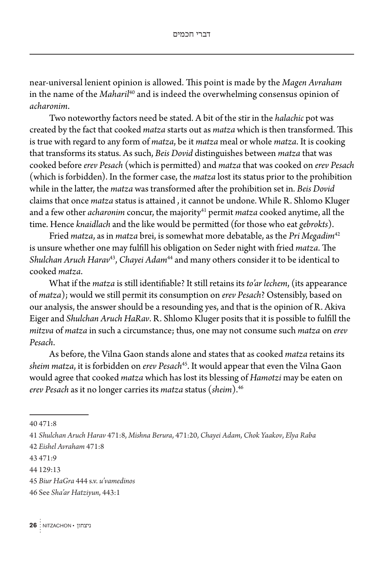near-universal lenient opinion is allowed. This point is made by the *Magen Avraham* in the name of the *Maharil*40 and is indeed the overwhelming consensus opinion of *acharonim*.

Two noteworthy factors need be stated. A bit of the stir in the *halachic* pot was created by the fact that cooked *matza* starts out as *matza* which is then transformed. This is true with regard to any form of *matza*, be it *matza* meal or whole *matza*. It is cooking that transforms its status. As such, *Beis Dovid* distinguishes between *matza* that was cooked before *erev Pesach* (which is permitted) and *matza* that was cooked on *erev Pesach* (which is forbidden). In the former case, the *matza* lost its status prior to the prohibition while in the latter, the *matza* was transformed after the prohibition set in. *Beis Dovid* claims that once *matza* status is attained , it cannot be undone. While R. Shlomo Kluger and a few other *acharonim* concur, the majority<sup>41</sup> permit *matza* cooked anytime, all the time. Hence *knaidlach* and the like would be permitted (for those who eat *gebrokts*).

Fried *matza*, as in *matza* brei, is somewhat more debatable, as the *Pri Megadim*<sup>42</sup> is unsure whether one may fulfill his obligation on Seder night with fried *matza*. The *Shulchan Aruch Harav*43, *Chayei Adam*44 and many others consider it to be identical to cooked *matza*.

What if the *matza* is still identifiable? It still retains its *to'ar lechem*, (its appearance of *matza*); would we still permit its consumption on *erev Pesach*? Ostensibly, based on our analysis, the answer should be a resounding yes, and that is the opinion of R. Akiva Eiger and *Shulchan Aruch HaRav*. R. Shlomo Kluger posits that it is possible to fulfill the *mitzva* of *matza* in such a circumstance; thus, one may not consume such *matza* on *erev Pesach*.

As before, the Vilna Gaon stands alone and states that as cooked *matza* retains its *sheim matza*, it is forbidden on *erev Pesach*45. It would appear that even the Vilna Gaon would agree that cooked *matza* which has lost its blessing of *Hamotzi* may be eaten on *erev Pesach* as it no longer carries its *matza* status (*sheim*).46

40 471:8

<sup>41</sup> *Shulchan Aruch Harav* 471:8, *Mishna Berura*, 471:20, *Chayei Adam*, *Chok Yaakov*, *Elya Raba*

<sup>42</sup> *Eishel Avraham* 471:8

<sup>43 471:9</sup>

<sup>44 129:13</sup>

<sup>45</sup> *Biur HaGra* 444 s.v. *u'vamedinos*

<sup>46</sup> See *Sha'ar Hatziyun*, 443:1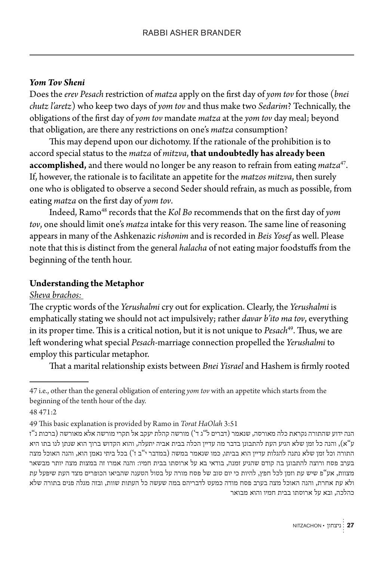#### *Yom Tov Sheni*

Does the *erev Pesach* restriction of *matza* apply on the first day of *yom tov* for those (*bnei chutz l'aretz*) who keep two days of *yom tov* and thus make two *Sedarim*? Technically, the obligations of the first day of *yom tov* mandate *matza* at the *yom tov* day meal; beyond that obligation, are there any restrictions on one's *matza* consumption?

This may depend upon our dichotomy. If the rationale of the prohibition is to accord special status to the *matza* of *mitzva*, **that undoubtedly has already been accomplished,** and there would no longer be any reason to refrain from eating *matza*47. If, however, the rationale is to facilitate an appetite for the *matzos mitzva*, then surely one who is obligated to observe a second Seder should refrain, as much as possible, from eating *matza* on the first day of *yom tov*.

Indeed, Ramo<sup>48</sup> records that the *Kol Bo* recommends that on the first day of *yom tov*, one should limit one's *matza* intake for this very reason. The same line of reasoning appears in many of the Ashkenazic *rishonim* and is recorded in *Beis Yosef* as well. Please note that this is distinct from the general *halacha* of not eating major foodstuffs from the beginning of the tenth hour.

#### **Understanding the Metaphor**

#### *Sheva brachos:*

The cryptic words of the *Yerushalmi* cry out for explication. Clearly, the *Yerushalmi* is emphatically stating we should not act impulsively; rather *davar b'ito ma tov*, everything in its proper time. This is a critical notion, but it is not unique to *Pesach<sup>49</sup>*. Thus, we are left wondering what special *Pesach*-marriage connection propelled the *Yerushalmi* to employ this particular metaphor.

That a marital relationship exists between *Bnei Yisrael* and Hashem is firmly rooted

<sup>47</sup> i.e., other than the general obligation of entering *yom tov* with an appetite which starts from the beginning of the tenth hour of the day.

<sup>48 471:2</sup>

<sup>49</sup> This basic explanation is provided by Ramo in *Torat HaOlah* 3:51

הנה ידוע שהתורה נקראת כלה מאורסה, שנאמר (דברים ל"ג ד') מורשה קהלת יעקב אל תקרי מורשה אלא מאורשה (ברכות נ"ז הנה כל זמן שלא הגיע העת להתבונן בדבר מה עדיין הכלה בבית אביה יתעלה, והוא הקדוש ברוך הוא שנתן לנו בתו היא (א') א התורה וכל זמן שלא נתנה להגלות עדיין הוא בביתו, כמו שנאמר במשה )במדבר י"ב ז'( בכל ביתי נאמן הוא, והנה האוכל מצה בערב פסח ורוצה להתבונן בה קודם שהגיע זמנה, בודאי בא על ארוסתו בבית חמיו: והנה אמרו זה במצות מצה יותר מבשאר מצוות, אע"פ שיש עת וזמן לכל חפץ, להיות כי יום טוב של פסח מורה על בטול הטענה שהביאו הכופרים מצד העת שיפעל עת ולא עת אחרת, והנה האוכל מצה בערב פסח מודה כמעט לדבריהם במה שעשה כל העתות שוות, ובזה מגלה פנים בתורה שלא כהלכה, ובא על ארוסתו בבית חמיו והוא מבואר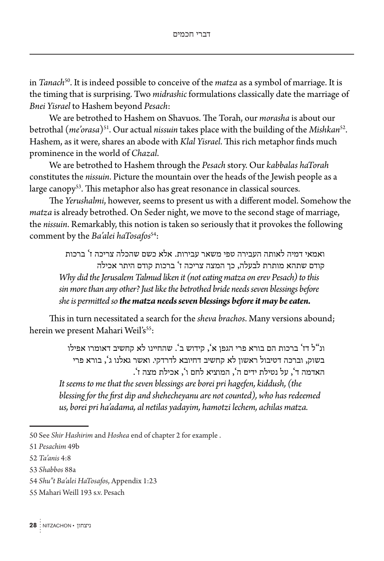in *Tanach*50. It is indeed possible to conceive of the *matza* as a symbol of marriage. It is the timing that is surprising. Two *midrashic* formulations classically date the marriage of *Bnei Yisrael* to Hashem beyond *Pesach*:

We are betrothed to Hashem on Shavuos. The Torah, our *morasha* is about our betrothal (*me'orasa*)51. Our actual *nissuin* takes place with the building of the *Mishkan*52. Hashem, as it were, shares an abode with *Klal Yisrael*. This rich metaphor finds much prominence in the world of *Chazal*.

We are betrothed to Hashem through the *Pesach* story. Our *kabbalas haTorah* constitutes the *nissuin*. Picture the mountain over the heads of the Jewish people as a large canopy<sup>53</sup>. This metaphor also has great resonance in classical sources.

The *Yerushalmi*, however, seems to present us with a different model. Somehow the *matza* is already betrothed. On Seder night, we move to the second stage of marriage, the *nissuin*. Remarkably, this notion is taken so seriously that it provokes the following comment by the *Ba'alei haTosafos*<sup>54</sup>:

ואמאי דמיה לאותה העבירה טפי משאר עבירות. אלא כשם שהכלה צריכה ז' ברכות קודם שתהא מותרת לבעלה, כך המצה צריכה ז' ברכות קודם היתר אכילה *Why did the Jerusalem Talmud liken it (not eating matza on erev Pesach) to this sin more than any other? Just like the betrothed bride needs seven blessings before she is permitted so the matza needs seven blessings before it may be eaten.*

This in turn necessitated a search for the *sheva brachos*. Many versions abound; herein we present Mahari Weil's<sup>55</sup>:

> ונ"ל דז' ברכות הם בורא פרי הגפן א', קידוש ב'. שהחיינו לא קחשיב דאומרו אפילו בשוק, וברכה דטיבול ראשון לא קחשיב דחיובא לדרדקי. ואשר גאלנו ג', בורא פרי האדמה ד', על נטילת ידים ה', המוציא לחם ו', אכילת מצה ז'.

*It seems to me that the seven blessings are borei pri hagefen, kiddush, (the blessing for the first dip and shehecheyanu are not counted), who has redeemed us, borei pri ha'adama, al netilas yadayim, hamotzi lechem, achilas matza.*

- 53 *Shabbos* 88a
- 54 *Shu"t Ba'alei HaTosafos*, Appendix 1:23
- 55 Mahari Weill 193 s.v. Pesach

<sup>50</sup> See *Shir Hashirim* and *Hoshea* end of chapter 2 for example .

<sup>51</sup> *Pesachim* 49b

<sup>52</sup> *Ta'anis* 4:8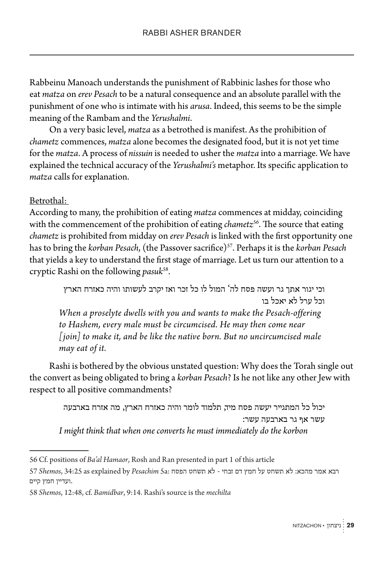Rabbeinu Manoach understands the punishment of Rabbinic lashes for those who eat *matza* on *erev Pesach* to be a natural consequence and an absolute parallel with the punishment of one who is intimate with his *arusa*. Indeed, this seems to be the simple meaning of the Rambam and the *Yerushalmi*.

On a very basic level, *matza* as a betrothed is manifest. As the prohibition of *chametz* commences, *matza* alone becomes the designated food, but it is not yet time for the *matza*. A process of *nissuin* is needed to usher the *matza* into a marriage. We have explained the technical accuracy of the *Yerushalmi's* metaphor. Its specific application to *matza* calls for explanation.

#### Betrothal:

According to many, the prohibition of eating *matza* commences at midday, coinciding with the commencement of the prohibition of eating *chametz*<sup>56</sup>. The source that eating *chametz* is prohibited from midday on *erev Pesach* is linked with the first opportunity one has to bring the *korban Pesach*, (the Passover sacrifice)<sup>57</sup>. Perhaps it is the *korban Pesach* that yields a key to understand the first stage of marriage. Let us turn our attention to a cryptic Rashi on the following *pasuk*58.

וכי יגור אתך גר ועשה פסח לה' המול לו כל זכר ואז יקרב לעשותו והיה כאזרח הארץ וכל ערל לא יאכל בו *When a proselyte dwells with you and wants to make the Pesach-offering to Hashem, every male must be circumcised. He may then come near [join] to make it, and be like the native born. But no uncircumcised male may eat of it.*

Rashi is bothered by the obvious unstated question: Why does the Torah single out the convert as being obligated to bring a *korban Pesach*? Is he not like any other Jew with respect to all positive commandments?

יכול כל המתגייר יעשה פסח מיד, תלמוד לומר והיה כאזרח הארץ, מה אזרח בארבעה עשר אף גר בארבעה עשר: *I might think that when one converts he must immediately do the korbon* 

<sup>56</sup> Cf. positions of *Ba'al Hamaor*, Rosh and Ran presented in part 1 of this article

רבא אמר מהכא: לא תשחט על חמץ דם זבחי - לא תשחט הפסח :a5 *Pesachim* by explained as 34:25 ,*Shemos* 57 .ועדיין חמץ קיים

<sup>58</sup> *Shemos*, 12:48, cf. *Bamidbar*, 9:14. Rashi's source is the *mechilta*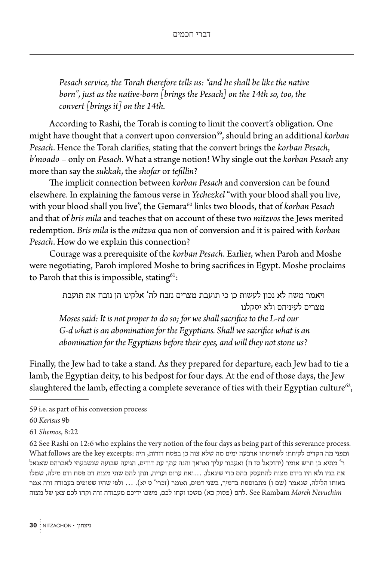*Pesach service, the Torah therefore tells us: "and he shall be like the native born", just as the native-born [brings the Pesach] on the 14th so, too, the convert [brings it] on the 14th.*

According to Rashi, the Torah is coming to limit the convert's obligation. One might have thought that a convert upon conversion<sup>59</sup>, should bring an additional *korban Pesach*. Hence the Torah clarifies, stating that the convert brings the *korban Pesach*, *b'moado* – only on *Pesach*. What a strange notion! Why single out the *korban Pesach* any more than say the *sukkah*, the *shofar* or *tefillin*?

The implicit connection between *korban Pesach* and conversion can be found elsewhere. In explaining the famous verse in *Yechezkel* "with your blood shall you live, with your blood shall you live", the Gemara<sup>60</sup> links two bloods, that of *korban Pesach* and that of *bris mila* and teaches that on account of these two *mitzvos* the Jews merited redemption. *Bris mila* is the *mitzva* qua non of conversion and it is paired with *korban Pesach*. How do we explain this connection?

Courage was a prerequisite of the *korban Pesach*. Earlier, when Paroh and Moshe were negotiating, Paroh implored Moshe to bring sacrifices in Egypt. Moshe proclaims to Paroh that this is impossible, stating $61$ :

ויאמר משה לא נכון לעשות כן כי תועבת מצרים נזבח לה' אלקינו הן נזבח את תועבת מצרים לעיניהם ולא יסקלנו *Moses said: It is not proper to do so; for we shall sacrifice to the L-rd our G-d what is an abomination for the Egyptians. Shall we sacrifice what is an abomination for the Egyptians before their eyes, and will they not stone us?*

Finally, the Jew had to take a stand. As they prepared for departure, each Jew had to tie a lamb, the Egyptian deity, to his bedpost for four days. At the end of those days, the Jew slaughtered the lamb, effecting a complete severance of ties with their Egyptian culture<sup>62</sup>,

<sup>59</sup> i.e. as part of his conversion process

<sup>60</sup> *Kerisus* 9b

<sup>61</sup> *Shemos*, 8:22

<sup>62</sup> See Rashi on 12:6 who explains the very notion of the four days as being part of this severance process. ומפני מה הקדים לקיחתו לשחיטתו ארבעה ימים מה שלא צוה כן בפסח דורות, היה :excerpts key the are follows What ר' מתיא בן חרש אומר (יחזקאל טז ח) ואעבור עליך ואראך והנה עתך עת דודים, הגיעה שבועה שנשבעתי לאברהם שאגאל את בניו ולא היו בידם מצות להתעסק בהם כדי שיגאלו, ...ואת ערום ועריה, ונתן להם שתי מצות דם פסח ודם מילה, שמלו באותו הלילה, שנאמר )שם ו( מתבוססת בדמיך, בשני דמים, ואומר )זכרי' ט יא(. ... ולפי שהיו שטופים בעבודה זרה אמר  *Nevuchim Moreh* Rambam See .להם )פסוק כא( משכו וקחו לכם, משכו ידיכם מעבודה זרה וקחו לכם צאן של מצוה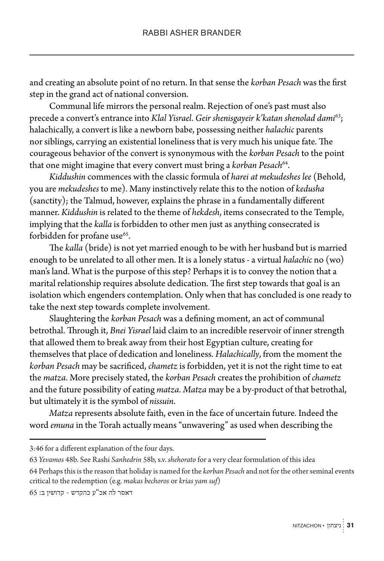and creating an absolute point of no return. In that sense the *korban Pesach* was the first step in the grand act of national conversion.

Communal life mirrors the personal realm. Rejection of one's past must also precede a convert's entrance into *Klal Yisrael*. *Geir shenisgayeir k'katan shenolad dami63*; halachically, a convert is like a newborn babe, possessing neither *halachic* parents nor siblings, carrying an existential loneliness that is very much his unique fate. The courageous behavior of the convert is synonymous with the *korban Pesach* to the point that one might imagine that every convert must bring a *korban Pesach*<sup>64</sup>.

*Kiddushin* commences with the classic formula of *harei at mekudeshes lee* (Behold, you are *mekudeshes* to me). Many instinctively relate this to the notion of *kedusha* (sanctity); the Talmud, however, explains the phrase in a fundamentally different manner. *Kiddushin* is related to the theme of *hekdesh*, items consecrated to the Temple, implying that the *kalla* is forbidden to other men just as anything consecrated is forbidden for profane use<sup>65</sup>.

The *kalla* (bride) is not yet married enough to be with her husband but is married enough to be unrelated to all other men. It is a lonely status - a virtual *halachic* no (wo) man's land. What is the purpose of this step? Perhaps it is to convey the notion that a marital relationship requires absolute dedication. The first step towards that goal is an isolation which engenders contemplation. Only when that has concluded is one ready to take the next step towards complete involvement.

Slaughtering the *korban Pesach* was a defining moment, an act of communal betrothal. Through it, *Bnei Yisrael* laid claim to an incredible reservoir of inner strength that allowed them to break away from their host Egyptian culture, creating for themselves that place of dedication and loneliness. *Halachically*, from the moment the *korban Pesach* may be sacrificed, *chametz* is forbidden, yet it is not the right time to eat the *matza*. More precisely stated, the *korban Pesach* creates the prohibition of *chametz* and the future possibility of eating *matza*. *Matza* may be a by-product of that betrothal, but ultimately it is the symbol of *nissuin*.

*Matza* represents absolute faith, even in the face of uncertain future. Indeed the word *emuna* in the Torah actually means "unwavering" as used when describing the

<sup>3:46</sup> for a different explanation of the four days.

<sup>63</sup> *Yevamos* 48b. See Rashi *Sanhedrin* 58b, s.v. *shehorato* for a very clear formulation of this idea

<sup>64</sup> Perhaps this is the reason that holiday is named for the *korban Pesach* and not for the other seminal events critical to the redemption (e.g. *makas bechoros* or *krias yam suf*)

 $65$  דאסר לה אכ"ע כהקדש - קדושין ב: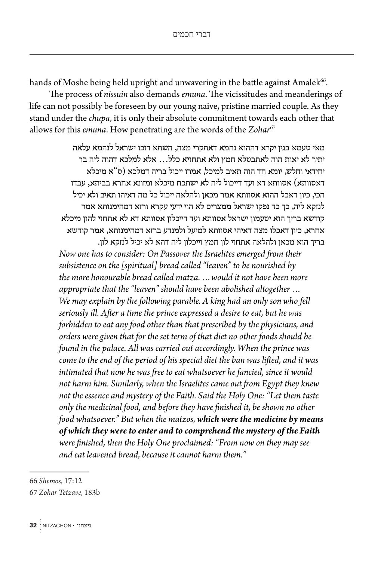hands of Moshe being held upright and unwavering in the battle against Amalek<sup>66</sup>.

The process of *nissuin* also demands *emuna*. The vicissitudes and meanderings of life can not possibly be foreseen by our young naive, pristine married couple. As they stand under the *chupa*, it is only their absolute commitment towards each other that allows for this *emuna*. How penetrating are the words of the *Zohar*<sup>67</sup>

מאי טעמא בגין יקרא דההוא נהמא דאתקרי מצה, השתא דזכו ישראל לנהמא עלאה יתיר לא יאות הוה לאתבטלא חמץ ולא אתחזיא כלל... אלא למלכא דהוה ליה בר יחידאי וחלש, יומא חד הוה תאיב למיכל, אמרו ייכול בריה דמלכא )ס"א מיכלא דאסוותא) אסוותא דא ועד דייכול ליה לא ישתכח מיכלא ומזונא אחרא בביתא, עבדו הכי, כיון דאכל ההוא אסוותא אמר מכאן ולהלאה ייכול כל מה דאיהו תאיב ולא יכיל לנזקא ליה, כך כד נפקו ישראל ממצרים לא הוי ידעי עקרא ורזא דמהימנותא אמר קודשא בריך הוא יטעמון ישראל אסוותא ועד דייכלון אסוותא דא לא אתחזי להון מיכלא אחרא, כיון דאכלו מצה דאיהי אסוותא למיעל ולמנדע ברזא דמהימנותא, אמר קודשא בריך הוא מכאן ולהלאה אתחזי לון חמץ וייכלון ליה דהא לא יכיל לנזקא לון.

*Now one has to consider: On Passover the Israelites emerged from their subsistence on the [spiritual] bread called "leaven" to be nourished by the more honourable bread called matza. …would it not have been more appropriate that the "leaven" should have been abolished altogether … We may explain by the following parable. A king had an only son who fell seriously ill. After a time the prince expressed a desire to eat, but he was forbidden to eat any food other than that prescribed by the physicians, and orders were given that for the set term of that diet no other foods should be found in the palace. All was carried out accordingly. When the prince was come to the end of the period of his special diet the ban was lifted, and it was intimated that now he was free to eat whatsoever he fancied, since it would not harm him. Similarly, when the Israelites came out from Egypt they knew not the essence and mystery of the Faith. Said the Holy One: "Let them taste only the medicinal food, and before they have finished it, be shown no other food whatsoever." But when the matzos, which were the medicine by means of which they were to enter and to comprehend the mystery of the Faith were finished, then the Holy One proclaimed: "From now on they may see and eat leavened bread, because it cannot harm them."* 

<sup>66</sup> *Shemos*, 17:12

<sup>67</sup> *Zohar Tetzave*, 183b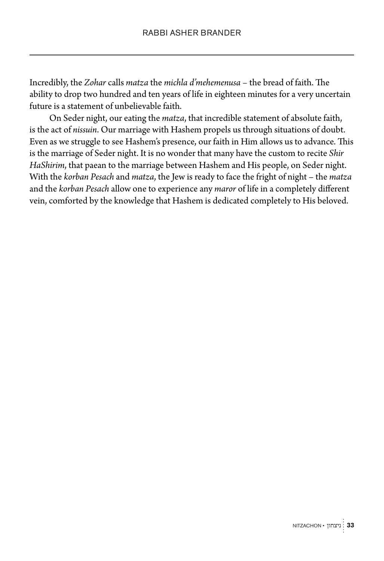Incredibly, the *Zohar* calls *matza* the *michla d'mehemenusa –* the bread of faith. The ability to drop two hundred and ten years of life in eighteen minutes for a very uncertain future is a statement of unbelievable faith.

On Seder night, our eating the *matza*, that incredible statement of absolute faith, is the act of *nissuin*. Our marriage with Hashem propels us through situations of doubt. Even as we struggle to see Hashem's presence, our faith in Him allows us to advance. This is the marriage of Seder night. It is no wonder that many have the custom to recite *Shir HaShirim*, that paean to the marriage between Hashem and His people, on Seder night. With the *korban Pesach* and *matza*, the Jew is ready to face the fright of night – the *matza* and the *korban Pesach* allow one to experience any *maror* of life in a completely different vein, comforted by the knowledge that Hashem is dedicated completely to His beloved.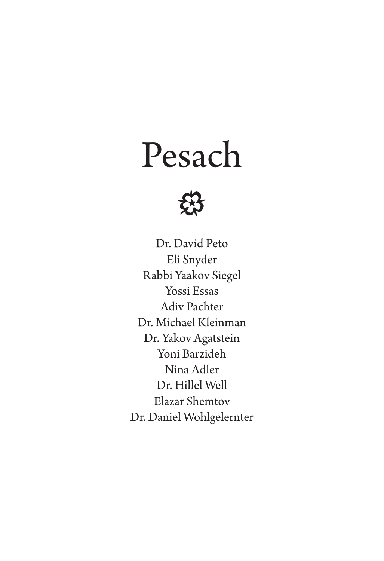# Pesach



Dr. David Peto Eli Snyder Rabbi Yaakov Siegel Yossi Essas Adiv Pachter Dr. Michael Kleinman Dr. Yakov Agatstein Yoni Barzideh Nina Adler Dr. Hillel Well Elazar Shemtov Dr. Daniel Wohlgelernter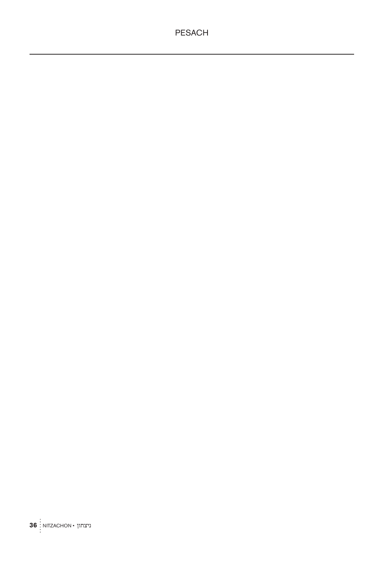PESACH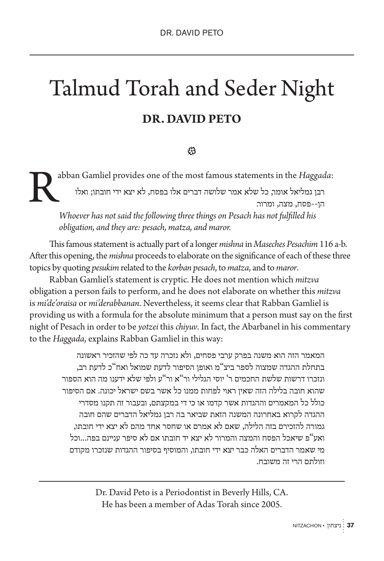## Talmud Torah and Seder Night

## **DR. DAVID PETO**

## ቆ

abban Gamliel provides one of the most famous statements in the *Haggada*:<br>רבן גמליאל אומר, כל שלא אמר שלושה דברים אלו בפסח, לא יצא ידי חובתו; ואלו<br>הן--פסח, מצה, ומרור. רבן גמליאל אומר, כל שלא אמר שלושה דברים אלו בפסח, לא יצא ידי חובתו; ואלו הן--פסח, מצה, ומרור. *Whoever has not said the following three things on Pesach has not fulfilled his obligation, and they are: pesach, matza, and maror.*

This famous statement is actually part of a longer *mishna* in *Maseches Pesachim* 116 a-b. After this opening, the *mishna* proceeds to elaborate on the significance of each of these three topics by quoting *pesukim* related to the *korban pesach*, to *matza*, and to *maror*.

Rabban Gamliel's statement is cryptic. He does not mention which *mitzva* obligation a person fails to perform, and he does not elaborate on whether this *mitzva* is *mi'de'oraisa* or *mi'derabbanan*. Nevertheless, it seems clear that Rabban Gamliel is providing us with a formula for the absolute minimum that a person must say on the first night of Pesach in order to be *yotzei* this *chiyuv*. In fact, the Abarbanel in his commentary to the *Haggada*, explains Rabban Gamliel in this way:

המאמר הזה הוא משנה בפרק ערבי פסחים, ולא נזכרה עד כה לפי שהזכיר ראשונה בתחלת ההגדה שמצוה לספר ביצ"מ ואופן הסיפור לדעת שמואל ואח"כ לדעת רב, ונזכרו דרשות שלשת החכמים ר' יוסי הגלילי ור"א ור"ע ולפי שלא ידענו מה הוא הספור שהוא חובה בלילה הזה שאין ראוי לפחות ממנו כל אשר בשם ישראל יכונה. אם הסיפור כולל כל המאמרים וההגדות אשר קדמו או כי די במקצתם, ובעבור זה תקנו מסדרי ההגדה לקרוא באחרונה המשנה הזאת שביאר בה רבן גמליאל הדברים שהם חובה גמורה להזכירם בזה הלילה, שאם לא אמרם או שחסר אחד מהם לא יצא ידי חובתו, ואע"פ שיאכל הפסח והמצה והמרור לא יצא יד חובתו אם לא סיפר עניינם בפה...וכל מי שאמר הדברים האלה כבר יצא ידי חובתו, והמוסיף בסיפור ההגדות שנזכרו מקודם וזולתם הרי זה משובח.

> Dr. David Peto is a Periodontist in Beverly Hills, CA. He has been a member of Adas Torah since 2005.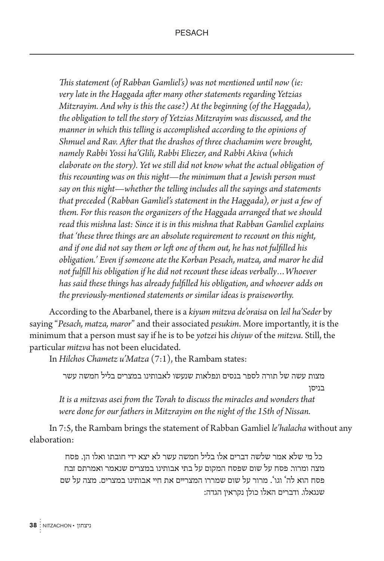*This statement (of Rabban Gamliel's) was not mentioned until now (ie: very late in the Haggada after many other statements regarding Yetzias Mitzrayim. And why is this the case?) At the beginning (of the Haggada), the obligation to tell the story of Yetzias Mitzrayim was discussed, and the manner in which this telling is accomplished according to the opinions of Shmuel and Rav. After that the drashos of three chachamim were brought, namely Rabbi Yossi ha'Glili, Rabbi Eliezer, and Rabbi Akiva (which elaborate on the story). Yet we still did not know what the actual obligation of this recounting was on this night—the minimum that a Jewish person must say on this night—whether the telling includes all the sayings and statements that preceded (Rabban Gamliel's statement in the Haggada), or just a few of them. For this reason the organizers of the Haggada arranged that we should read this mishna last: Since it is in this mishna that Rabban Gamliel explains that 'these three things are an absolute requirement to recount on this night, and if one did not say them or left one of them out, he has not fulfilled his obligation.' Even if someone ate the Korban Pesach, matza, and maror he did not fulfill his obligation if he did not recount these ideas verbally…Whoever has said these things has already fulfilled his obligation, and whoever adds on the previously-mentioned statements or similar ideas is praiseworthy.*

According to the Abarbanel, there is a *kiyum mitzva de'oraisa* on *leil ha'Seder* by saying "*Pesach, matza, maror*" and their associated *pesukim*. More importantly, it is the minimum that a person must say if he is to be *yotzei* his *chiyuv* of the *mitzva*. Still, the particular *mitzva* has not been elucidated.

In *Hilchos Chametz u'Matza* (7:1), the Rambam states:

מצות עשה של תורה לספר בנסים ונפלאות שנעשו לאבותינו במצרים בליל חמשה עשר בניסן

*It is a mitzvas asei from the Torah to discuss the miracles and wonders that were done for our fathers in Mitzrayim on the night of the 15th of Nissan.*

In 7:5, the Rambam brings the statement of Rabban Gamliel *le'halacha* without any elaboration:

כל מי שלא אמר שלשה דברים אלו בליל חמשה עשר לא יצא ידי חובתו ואלו הן. פסח מצה ומרור. פסח על שום שפסח המקום על בתי אבותינו במצרים שנאמר ואמרתם זבח פסח הוא לה' וגו'. מרור על שום שמררו המצריים את חיי אבותינו במצרים. מצה על שם שנגאלו. ודברים האלו כולן נקראין הגדה: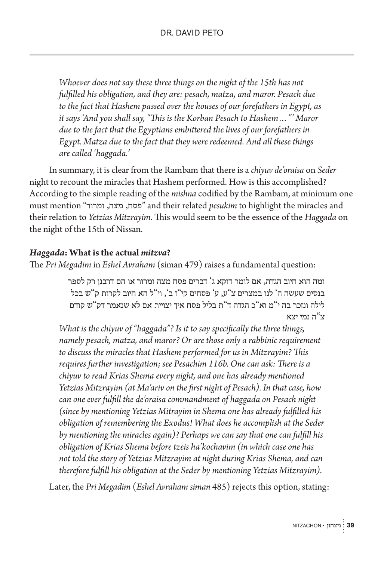*Whoever does not say these three things on the night of the 15th has not fulfilled his obligation, and they are: pesach, matza, and maror. Pesach due to the fact that Hashem passed over the houses of our forefathers in Egypt, as it says 'And you shall say, "This is the Korban Pesach to Hashem…"' Maror due to the fact that the Egyptians embittered the lives of our forefathers in Egypt. Matza due to the fact that they were redeemed. And all these things are called 'haggada.'*

In summary, it is clear from the Rambam that there is a *chiyuv de'oraisa* on *Seder* night to recount the miracles that Hashem performed. How is this accomplished? According to the simple reading of the *mishna* codified by the Rambam, at minimum one must mention "ומרור ,מצה ,פסח "and their related *pesukim* to highlight the miracles and their relation to *Yetzias Mitzrayim*. This would seem to be the essence of the *Haggada* on the night of the 15th of Nissan.

## *Haggada***: What is the actual** *mitzva***?**

The *Pri Megadim* in *Eshel Avraham* (siman 479) raises a fundamental question:

ומה הוא חיוב הגדה, אם לומר דוקא ג' דברים פסח מצה ומרור או הם דרבנן רק לספר בנסים שעשה ה' לנו במצרים צ"ע, ע' פסחים קי"ז ב', וי"ל הא חיוב לקרות ק"ש בכל לילה ונזכר בה י"מ וא"כ הגדה ד"ת בליל פסח איך יצוייר. אם לא שנאמר דק"ש קודם צ"ה נמי יצא

*What is the chiyuv of "haggada"? Is it to say specifically the three things, namely pesach, matza, and maror? Or are those only a rabbinic requirement to discuss the miracles that Hashem performed for us in Mitzrayim? This requires further investigation; see Pesachim 116b. One can ask: There is a chiyuv to read Krias Shema every night, and one has already mentioned Yetzias Mitzrayim (at Ma'ariv on the first night of Pesach). In that case, how can one ever fulfill the de'oraisa commandment of haggada on Pesach night (since by mentioning Yetzias Mitrayim in Shema one has already fulfilled his obligation of remembering the Exodus! What does he accomplish at the Seder by mentioning the miracles again)? Perhaps we can say that one can fulfill his obligation of Krias Shema before tzeis ha'kochavim (in which case one has not told the story of Yetzias Mitzrayim at night during Krias Shema, and can therefore fulfill his obligation at the Seder by mentioning Yetzias Mitzrayim).*

Later, the *Pri Megadim* (*Eshel Avraham siman* 485) rejects this option, stating: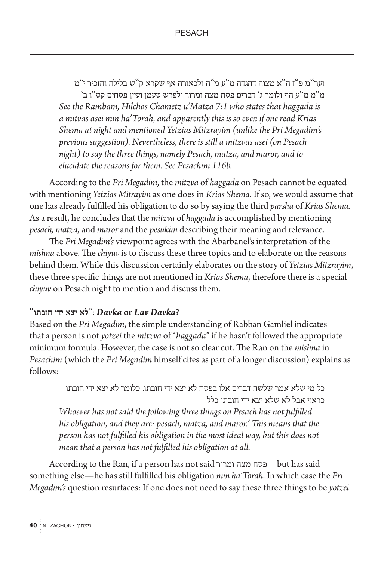וער"מ פ"ז ה"א מצוה דהגדה מ"ע מ"ה ולכאורה אף שקרא ק"ש בלילה והזכיר י"מ מ"מ מ"ע הוי ולומר ג' דברים פסח מצה ומרור ולפרש טעמן ועיין פסחים קט"ו ב' *See the Rambam, Hilchos Chametz u'Matza 7:1 who states that haggada is a mitvas asei min ha'Torah, and apparently this is so even if one read Krias Shema at night and mentioned Yetzias Mitzrayim (unlike the Pri Megadim's previous suggestion). Nevertheless, there is still a mitzvas asei (on Pesach night) to say the three things, namely Pesach, matza, and maror, and to elucidate the reasons for them. See Pesachim 116b.*

According to the *Pri Megadim*, the *mitzva* of *haggada* on Pesach cannot be equated with mentioning *Yetzias Mitrayim* as one does in *Krias Shema*. If so, we would assume that one has already fulfilled his obligation to do so by saying the third *parsha* of *Krias Shema.*  As a result, he concludes that the *mitzva* of *haggada* is accomplished by mentioning *pesach, matza*, and *maror* and the *pesukim* describing their meaning and relevance.

The *Pri Megadim's* viewpoint agrees with the Abarbanel's interpretation of the *mishna* above. The *chiyuv* is to discuss these three topics and to elaborate on the reasons behind them. While this discussion certainly elaborates on the story of *Yetzias Mitzrayim*, these three specific things are not mentioned in *Krias Shema*, therefore there is a special *chiyuv* on Pesach night to mention and discuss them.

## **?***Davka Lav* **or** *Davka* :"**לא יצא ידי חובתו"**

Based on the *Pri Megadim*, the simple understanding of Rabban Gamliel indicates that a person is not *yotzei* the *mitzva* of "*haggada*" if he hasn't followed the appropriate minimum formula. However, the case is not so clear cut. The Ran on the *mishna* in *Pesachim* (which the *Pri Megadim* himself cites as part of a longer discussion) explains as follows:

כל מי שלא אמר שלשה דברים אלו בפסח לא יצא ידי חובתו. כלומר לא יצא ידי חובתו כראוי אבל לא שלא יצא ידי חובתו כלל *Whoever has not said the following three things on Pesach has not fulfilled his obligation, and they are: pesach, matza, and maror.' This means that the person has not fulfilled his obligation in the most ideal way, but this does not mean that a person has not fulfilled his obligation at all.*

According to the Ran, if a person has not said ומרור מצה פסח—but has said something else—he has still fulfilled his obligation *min ha'Torah*. In which case the *Pri Megadim's* question resurfaces: If one does not need to say these three things to be *yotzei*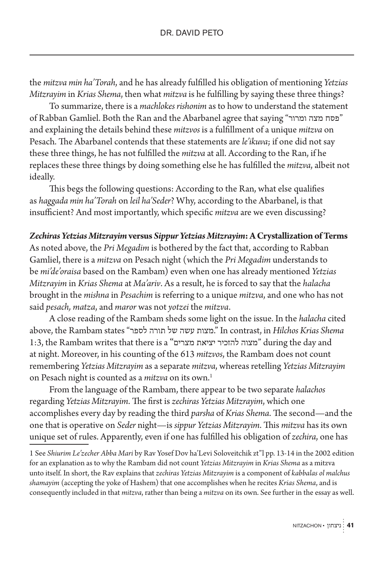the *mitzva min ha'Torah*, and he has already fulfilled his obligation of mentioning *Yetzias Mitzrayim* in *Krias Shema*, then what *mitzva* is he fulfilling by saying these three things?

To summarize, there is a *machlokes rishonim* as to how to understand the statement of Rabban Gamliel. Both the Ran and the Abarbanel agree that saying "פסח מצה ומרור" and explaining the details behind these *mitzvos* is a fulfillment of a unique *mitzva* on Pesach. The Abarbanel contends that these statements are *le'ikuva*; if one did not say these three things, he has not fulfilled the *mitzva* at all. According to the Ran, if he replaces these three things by doing something else he has fulfilled the *mitzva*, albeit not ideally.

This begs the following questions: According to the Ran, what else qualifies as *haggada min ha'Torah* on *leil ha'Seder*? Why, according to the Abarbanel, is that insufficient? And most importantly, which specific *mitzva* are we even discussing?

### *Zechiras Yetzias Mitzrayim* **versus** *Sippur Yetzias Mitzrayim***: A Crystallization of Terms**

As noted above, the *Pri Megadim* is bothered by the fact that, according to Rabban Gamliel, there is a *mitzva* on Pesach night (which the *Pri Megadim* understands to be *mi'de'oraisa* based on the Rambam) even when one has already mentioned *Yetzias Mitzrayim* in *Krias Shema* at *Ma'ariv*. As a result, he is forced to say that the *halacha* brought in the *mishna* in *Pesachim* is referring to a unique *mitzva*, and one who has not said *pesach, matza*, and *maror* was not *yotzei* the *mitzva*.

A close reading of the Rambam sheds some light on the issue. In the *halacha* cited above, the Rambam states "לספר תורה של עשה מצות. "In contrast, in *Hilchos Krias Shema*  1:3, the Rambam writes that there is a "מצרים יציאת להזכיר מצוה "during the day and at night. Moreover, in his counting of the 613 *mitzvos*, the Rambam does not count remembering *Yetzias Mitzrayim* as a separate *mitzva*, whereas retelling *Yetzias Mitzrayim*  on Pesach night is counted as a *mitzva* on its own.<sup>1</sup>

From the language of the Rambam, there appear to be two separate *halachos* regarding *Yetzias Mitzrayim*. The first is *zechiras Yetzias Mitzrayim*, which one accomplishes every day by reading the third *parsha* of *Krias Shema*. The second—and the one that is operative on *Seder* night—is *sippur Yetzias Mitzrayim*. This *mitzva* has its own unique set of rules. Apparently, even if one has fulfilled his obligation of *zechira*, one has

<sup>1</sup> See *Shiurim Le'zecher Abba Mari* by Rav Yosef Dov ha'Levi Soloveitchik zt"l pp. 13-14 in the 2002 edition for an explanation as to why the Rambam did not count *Yetzias Mitzrayim* in *Krias Shema* as a mitzva unto itself. In short, the Rav explains that *zechiras Yetzias Mitzrayim* is a component of *kabbalas ol malchus shamayim* (accepting the yoke of Hashem) that one accomplishes when he recites *Krias Shema*, and is consequently included in that *mitzva*, rather than being a *mitzva* on its own. See further in the essay as well.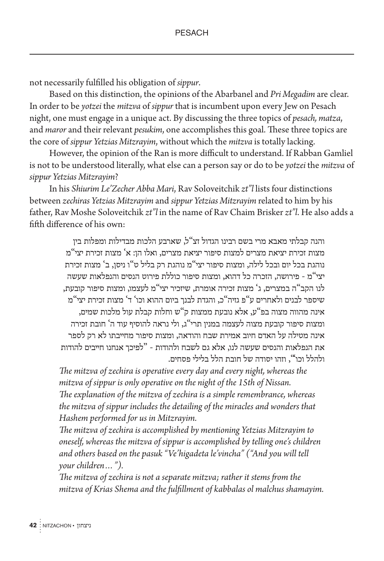not necessarily fulfilled his obligation of *sippur*.

Based on this distinction, the opinions of the Abarbanel and *Pri Megadim* are clear. In order to be *yotzei* the *mitzva* of *sippur* that is incumbent upon every Jew on Pesach night, one must engage in a unique act. By discussing the three topics of *pesach, matza*, and *maror* and their relevant *pesukim*, one accomplishes this goal. These three topics are the core of *sippur Yetzias Mitzrayim*, without which the *mitzva* is totally lacking.

However, the opinion of the Ran is more difficult to understand. If Rabban Gamliel is not to be understood literally, what else can a person say or do to be *yotzei* the *mitzva* of *sippur Yetzias Mitzrayim*?

In his *Shiurim Le'Zecher Abba Mari*, Rav Soloveitchik *zt"l* lists four distinctions between *zechiras Yetzias Mitzrayim* and *sippur Yetzias Mitzrayim* related to him by his father, Rav Moshe Soloveitchik *zt"l* in the name of Rav Chaim Brisker *zt"l*. He also adds a fifth difference of his own:

והנה קבלתי מאבא מרי בשם רבינו הגדול זצ"ל, שארבע הלכות מבדילות ומפלות בין מצות זכירת יציאת מצרים למצות סיפור יציאת מצרים, ואלו הן: א' מצות זכירת יצי"מ נוהגת בכל יום ובכל לילה, ומצות סיפור יצי"מ נוהגת רק בליל ט"ו ניסן, ב' מצות זכירת יצי"מ - פירושה, הזכרה כל דהוא, ומצות סיפור כוללת פירוט הנסים והנפלאות שעשה לנו הקב"ה במצרים, ג' מצות זכירה אומרת, שיזכיר יצי"מ לעצמו, ומצות סיפור קובעת, שיספר לבנים ולאחרים ע"פ גזיה"כ, והגדת לבנך ביום ההוא וכו' ד' מצות זכירת יצי"מ אינה מהווה מצוה בפ"ע, אלא נובעת ממצות ק"ש וחלות קבלת עול מלכות שמים, ומצות סיפור קובעת מצוה לעצמה במנין תרי"ג, ולי נראה להוסיף עוד ה' חובת זכירה אינה מטילה על האדם חיוב אמירת שבח והודאה, ומצות סיפור מחייבתו לא רק לספר את הנפלאות והנסים שעשה לנו, אלא גם לשבח ולהודות - "לפיכך אנחנו חייבים להודות ולהלל וכו'", וזהו יסודה של חובת הלל בלילי פסחים.

*The mitzva of zechira is operative every day and every night, whereas the mitzva of sippur is only operative on the night of the 15th of Nissan. The explanation of the mitzva of zechira is a simple remembrance, whereas the mitzva of sippur includes the detailing of the miracles and wonders that Hashem performed for us in Mitzrayim.*

*The mitzva of zechira is accomplished by mentioning Yetzias Mitzrayim to oneself, whereas the mitzva of sippur is accomplished by telling one's children and others based on the pasuk "Ve'higadeta le'vincha" ("And you will tell your children…").*

*The mitzva of zechira is not a separate mitzva; rather it stems from the mitzva of Krias Shema and the fulfillment of kabbalas ol malchus shamayim.*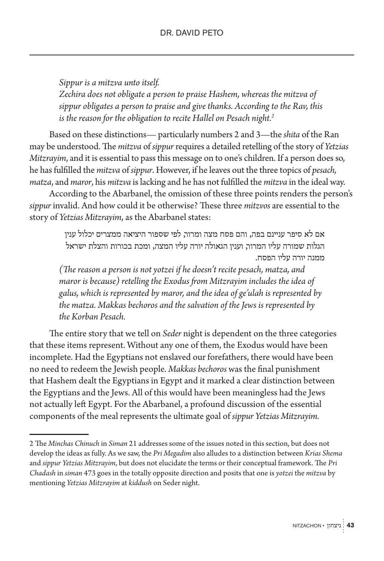*Sippur is a mitzva unto itself. Zechira does not obligate a person to praise Hashem, whereas the mitzva of sippur obligates a person to praise and give thanks. According to the Rav, this is the reason for the obligation to recite Hallel on Pesach night.2*

Based on these distinctions— particularly numbers 2 and 3—the *shita* of the Ran may be understood. The *mitzva* of *sippur* requires a detailed retelling of the story of *Yetzias Mitzrayim*, and it is essential to pass this message on to one's children. If a person does so, he has fulfilled the *mitzva* of *sippur*. However, if he leaves out the three topics of *pesach, matza*, and *maror*, his *mitzva* is lacking and he has not fulfilled the *mitzva* in the ideal way.

According to the Abarbanel, the omission of these three points renders the person's *sippur* invalid. And how could it be otherwise? These three *mitzvos* are essential to the story of *Yetzias Mitzrayim*, as the Abarbanel states:

> אם לא סיפר עניינם בפה, והם פסח מצה ומרור, לפי שספור היציאה ממצרים יכלול ענין הגלות שמורה עליו המרור, וענין הגאולה יורה עליו המצה, ומכת בכורות והצלת ישראל ממנה יורה עליו הפסח.

*(The reason a person is not yotzei if he doesn't recite pesach, matza, and maror is because) retelling the Exodus from Mitzrayim includes the idea of galus, which is represented by maror, and the idea of ge'ulah is represented by the matza. Makkas bechoros and the salvation of the Jews is represented by the Korban Pesach.*

The entire story that we tell on *Seder* night is dependent on the three categories that these items represent. Without any one of them, the Exodus would have been incomplete. Had the Egyptians not enslaved our forefathers, there would have been no need to redeem the Jewish people. *Makkas bechoros* was the final punishment that Hashem dealt the Egyptians in Egypt and it marked a clear distinction between the Egyptians and the Jews. All of this would have been meaningless had the Jews not actually left Egypt. For the Abarbanel, a profound discussion of the essential components of the meal represents the ultimate goal of *sippur Yetzias Mitzrayim.* 

<sup>2</sup> The *Minchas Chinuch* in *Siman* 21 addresses some of the issues noted in this section, but does not develop the ideas as fully. As we saw, the *Pri Megadim* also alludes to a distinction between *Krias Shema* and *sippur Yetzias Mitzrayim*, but does not elucidate the terms or their conceptual framework. The *Pri Chadash* in *siman* 473 goes in the totally opposite direction and posits that one is *yotzei* the *mitzva* by mentioning *Yetzias Mitzrayim* at *kiddush* on Seder night.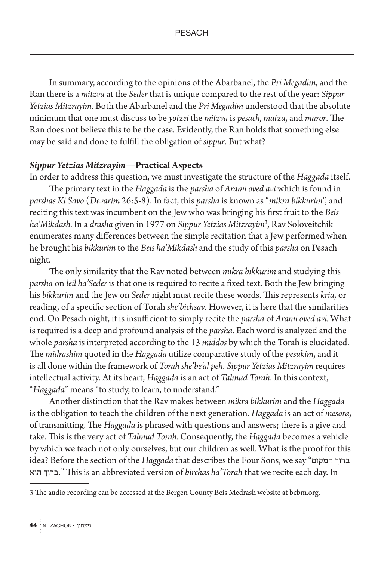In summary, according to the opinions of the Abarbanel, the *Pri Megadim*, and the Ran there is a *mitzva* at the *Seder* that is unique compared to the rest of the year: *Sippur Yetzias Mitzrayim*. Both the Abarbanel and the *Pri Megadim* understood that the absolute minimum that one must discuss to be *yotzei* the *mitzva* is *pesach, matza*, and *maror*. The Ran does not believe this to be the case. Evidently, the Ran holds that something else may be said and done to fulfill the obligation of *sippur*. But what?

### *Sippur Yetzias Mitzrayim***—Practical Aspects**

In order to address this question, we must investigate the structure of the *Haggada* itself.

The primary text in the *Haggada* is the *parsha* of *Arami oved avi* which is found in *parshas Ki Savo* (*Devarim* 26:5-8). In fact, this *parsha* is known as "*mikra bikkurim*", and reciting this text was incumbent on the Jew who was bringing his first fruit to the *Beis ha'Mikdash.* In a *drasha* given in 1977 on *Sippur Yetzias Mitzrayim*<sup>3</sup> , Rav Soloveitchik enumerates many differences between the simple recitation that a Jew performed when he brought his *bikkurim* to the *Beis ha'Mikdash* and the study of this *parsha* on Pesach night.

The only similarity that the Rav noted between *mikra bikkurim* and studying this *parsha* on *leil ha'Seder* is that one is required to recite a fixed text. Both the Jew bringing his *bikkurim* and the Jew on *Seder* night must recite these words. This represents *kria*, or reading, of a specific section of Torah *she'bichsav*. However, it is here that the similarities end. On Pesach night, it is insufficient to simply recite the *parsha* of *Arami oved avi.* What is required is a deep and profound analysis of the *parsha*. Each word is analyzed and the whole *parsha* is interpreted according to the 13 *middos* by which the Torah is elucidated. The *midrashim* quoted in the *Haggada* utilize comparative study of the *pesukim*, and it is all done within the framework of *Torah she'be'al peh*. *Sippur Yetzias Mitzrayim* requires intellectual activity. At its heart, *Haggada* is an act of *Talmud Torah*. In this context, "*Haggada*" means "to study, to learn, to understand."

Another distinction that the Rav makes between *mikra bikkurim* and the *Haggada* is the obligation to teach the children of the next generation. *Haggada* is an act of *mesora*, of transmitting. The *Haggada* is phrased with questions and answers; there is a give and take. This is the very act of *Talmud Torah.* Consequently, the *Haggada* becomes a vehicle by which we teach not only ourselves, but our children as well. What is the proof for this idea? Before the section of the *Haggada* that describes the Four Sons, we say "המקום ברוך הוא ברוך. "This is an abbreviated version of *birchas ha'Torah* that we recite each day. In

<sup>3</sup> The audio recording can be accessed at the Bergen County Beis Medrash website at bcbm.org.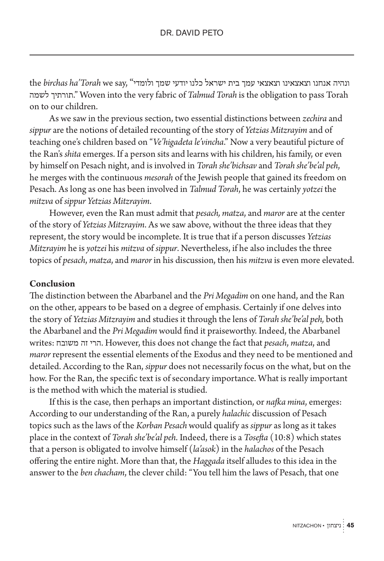ונהיה אנחנו וצאצאינו וצאצאי עמך בית ישראל כלנו יודעי שמך ולומדי" ,the birchas ha'Torah we say, לשמה תורתיך. "Woven into the very fabric of *Talmud Torah* is the obligation to pass Torah on to our children.

As we saw in the previous section, two essential distinctions between *zechira* and *sippur* are the notions of detailed recounting of the story of *Yetzias Mitzrayim* and of teaching one's children based on "*Ve'higadeta le'vincha*." Now a very beautiful picture of the Ran's *shita* emerges. If a person sits and learns with his children, his family, or even by himself on Pesach night, and is involved in *Torah she'bichsav* and *Torah she'be'al peh*, he merges with the continuous *mesorah* of the Jewish people that gained its freedom on Pesach. As long as one has been involved in *Talmud Torah*, he was certainly *yotzei* the *mitzva* of *sippur Yetzias Mitzrayim*.

However, even the Ran must admit that *pesach, matza*, and *maror* are at the center of the story of *Yetzias Mitzrayim*. As we saw above, without the three ideas that they represent, the story would be incomplete. It is true that if a person discusses *Yetzias Mitzrayim* he is *yotzei* his *mitzva* of *sippur*. Nevertheless, if he also includes the three topics of *pesach*, *matza*, and *maror* in his discussion, then his *mitzva* is even more elevated.

#### **Conclusion**

The distinction between the Abarbanel and the *Pri Megadim* on one hand, and the Ran on the other, appears to be based on a degree of emphasis. Certainly if one delves into the story of *Yetzias Mitzrayim* and studies it through the lens of *Torah she'be'al peh,* both the Abarbanel and the *Pri Megadim* would find it praiseworthy. Indeed, the Abarbanel writes: משובח זה הרי. However, this does not change the fact that *pesach*, *matza*, and *maror* represent the essential elements of the Exodus and they need to be mentioned and detailed. According to the Ran, *sippur* does not necessarily focus on the what, but on the how. For the Ran, the specific text is of secondary importance. What is really important is the method with which the material is studied.

If this is the case, then perhaps an important distinction, or *nafka mina*, emerges: According to our understanding of the Ran, a purely *halachic* discussion of Pesach topics such as the laws of the *Korban Pesach* would qualify as *sippur* as long as it takes place in the context of *Torah she'be'al peh*. Indeed, there is a *Tosefta* (10:8) which states that a person is obligated to involve himself (*la'asok*) in the *halachos* of the Pesach offering the entire night. More than that, the *Haggada* itself alludes to this idea in the answer to the *ben chacham*, the clever child: "You tell him the laws of Pesach, that one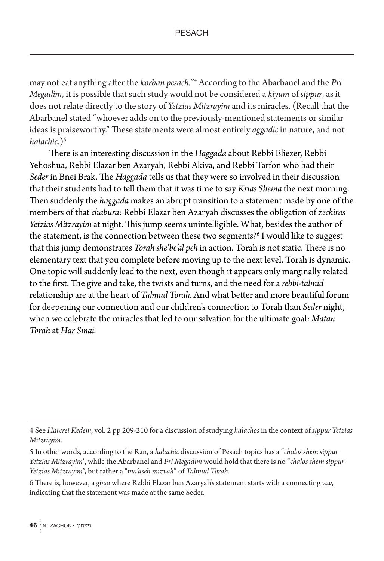may not eat anything after the *korban pesach.*"4 According to the Abarbanel and the *Pri Megadim*, it is possible that such study would not be considered a *kiyum* of *sippur*, as it does not relate directly to the story of *Yetzias Mitzrayim* and its miracles. (Recall that the Abarbanel stated "whoever adds on to the previously-mentioned statements or similar ideas is praiseworthy." These statements were almost entirely *aggadic* in nature, and not *halachic.*)<sup>5</sup>

There is an interesting discussion in the *Haggada* about Rebbi Eliezer, Rebbi Yehoshua, Rebbi Elazar ben Azaryah, Rebbi Akiva, and Rebbi Tarfon who had their *Seder* in Bnei Brak. The *Haggada* tells us that they were so involved in their discussion that their students had to tell them that it was time to say *Krias Shema* the next morning. Then suddenly the *haggada* makes an abrupt transition to a statement made by one of the members of that *chabura*: Rebbi Elazar ben Azaryah discusses the obligation of *zechiras Yetzias Mitzrayim* at night. This jump seems unintelligible. What, besides the author of the statement, is the connection between these two segments?<sup>6</sup> I would like to suggest that this jump demonstrates *Torah she'be'al peh* in action. Torah is not static. There is no elementary text that you complete before moving up to the next level. Torah is dynamic. One topic will suddenly lead to the next, even though it appears only marginally related to the first. The give and take, the twists and turns, and the need for a *rebbi-talmid*  relationship are at the heart of *Talmud Torah.* And what better and more beautiful forum for deepening our connection and our children's connection to Torah than *Seder* night, when we celebrate the miracles that led to our salvation for the ultimate goal: *Matan Torah* at *Har Sinai.*

<sup>4</sup> See *Harerei Kedem*, vol. 2 pp 209-210 for a discussion of studying *halachos* in the context of *sippur Yetzias Mitzrayim*.

<sup>5</sup> In other words, according to the Ran, a *halachic* discussion of Pesach topics has a "*chalos shem sippur Yetzias Mitzrayim*", while the Abarbanel and *Pri Megadim* would hold that there is no "*chalos shem sippur Yetzias Mitzrayim*", but rather a "*ma'aseh mizvah*" of *Talmud Torah*.

<sup>6</sup> There is, however, a *girsa* where Rebbi Elazar ben Azaryah's statement starts with a connecting *vav*, indicating that the statement was made at the same Seder.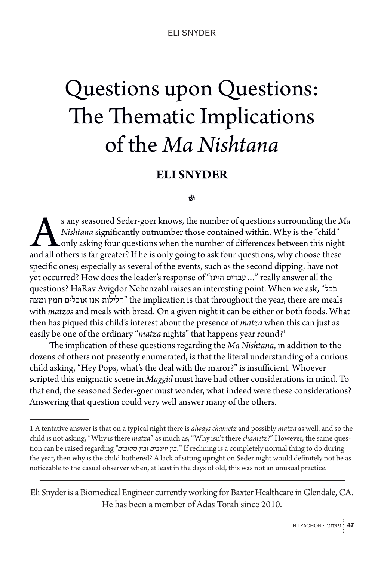## Questions upon Questions: The Thematic Implications of the *Ma Nishtana*

## **ELI SNYDER**

£ট

Sany seasoned Seder-goer knows, the number of questions surrounding the *Ma Nishtana* significantly outnumber those contained within. Why is the "child" only asking four questions when the number of differences between t *Nishtana* significantly outnumber those contained within. Why is the "child" **L** only asking four questions when the number of differences between this night specific ones; especially as several of the events, such as the second dipping, have not yet occurred? How does the leader's response of "... עבדים היינו..." really answer all the questions? HaRav Avigdor Nebenzahl raises an interesting point. When we ask, "בכל ומצה חמץ אוכלים אנו הלילות "the implication is that throughout the year, there are meals with *matzos* and meals with bread. On a given night it can be either or both foods. What then has piqued this child's interest about the presence of *matza* when this can just as easily be one of the ordinary "*matza* nights" that happens year round?<sup>1</sup>

The implication of these questions regarding the *Ma Nishtana*, in addition to the dozens of others not presently enumerated, is that the literal understanding of a curious child asking, "Hey Pops, what's the deal with the maror?" is insufficient. Whoever scripted this enigmatic scene in *Maggid* must have had other considerations in mind. To that end, the seasoned Seder-goer must wonder, what indeed were these considerations? Answering that question could very well answer many of the others.

<sup>1</sup> A tentative answer is that on a typical night there is *always chametz* and possibly *matza* as well, and so the child is not asking, "Why is there *matza*" as much as, "Why isn't there *chametz*?" However, the same question can be raised regarding *"מסובים ובין יושבים בין.* "If reclining is a completely normal thing to do during the year, then why is the child bothered? A lack of sitting upright on Seder night would definitely not be as noticeable to the casual observer when, at least in the days of old, this was not an unusual practice.

Eli Snyder is a Biomedical Engineer currently working for Baxter Healthcare in Glendale, CA. He has been a member of Adas Torah since 2010.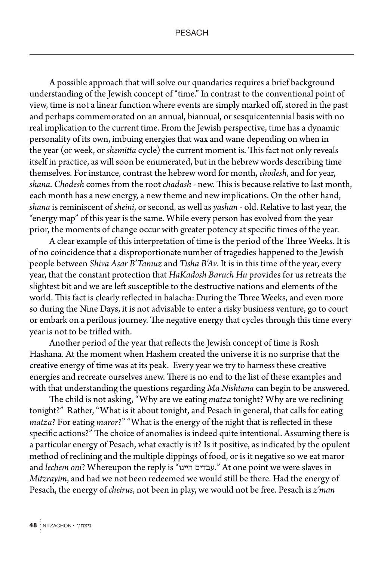A possible approach that will solve our quandaries requires a brief background understanding of the Jewish concept of "time." In contrast to the conventional point of view, time is not a linear function where events are simply marked off, stored in the past and perhaps commemorated on an annual, biannual, or sesquicentennial basis with no real implication to the current time. From the Jewish perspective, time has a dynamic personality of its own, imbuing energies that wax and wane depending on when in the year (or week, or *shemitta* cycle) the current moment is. This fact not only reveals itself in practice, as will soon be enumerated, but in the hebrew words describing time themselves. For instance, contrast the hebrew word for month, *chodesh*, and for year, *shana*. *Chodesh* comes from the root *chadash* - new. This is because relative to last month, each month has a new energy, a new theme and new implications. On the other hand, *shana* is reminiscent of *sheini*, or second, as well as *yashan* - old. Relative to last year, the "energy map" of this year is the same. While every person has evolved from the year prior, the moments of change occur with greater potency at specific times of the year.

A clear example of this interpretation of time is the period of the Three Weeks. It is of no coincidence that a disproportionate number of tragedies happened to the Jewish people between *Shiva Asar B'Tamuz* and *Tisha B'Av*. It is in this time of the year, every year, that the constant protection that *HaKadosh Baruch Hu* provides for us retreats the slightest bit and we are left susceptible to the destructive nations and elements of the world. This fact is clearly reflected in halacha: During the Three Weeks, and even more so during the Nine Days, it is not advisable to enter a risky business venture, go to court or embark on a perilous journey. The negative energy that cycles through this time every year is not to be trifled with.

Another period of the year that reflects the Jewish concept of time is Rosh Hashana. At the moment when Hashem created the universe it is no surprise that the creative energy of time was at its peak. Every year we try to harness these creative energies and recreate ourselves anew. There is no end to the list of these examples and with that understanding the questions regarding *Ma Nishtana* can begin to be answered.

The child is not asking, "Why are we eating *matza* tonight? Why are we reclining tonight?" Rather, "What is it about tonight, and Pesach in general, that calls for eating *matza*? For eating *maror*?" "What is the energy of the night that is reflected in these specific actions?" The choice of anomalies is indeed quite intentional. Assuming there is a particular energy of Pesach, what exactly is it? Is it positive, as indicated by the opulent method of reclining and the multiple dippings of food, or is it negative so we eat maror and *lechem oni*? Whereupon the reply is "היינו עבדים. "At one point we were slaves in *Mitzrayim*, and had we not been redeemed we would still be there. Had the energy of Pesach, the energy of *cheirus*, not been in play, we would not be free. Pesach is *z'man*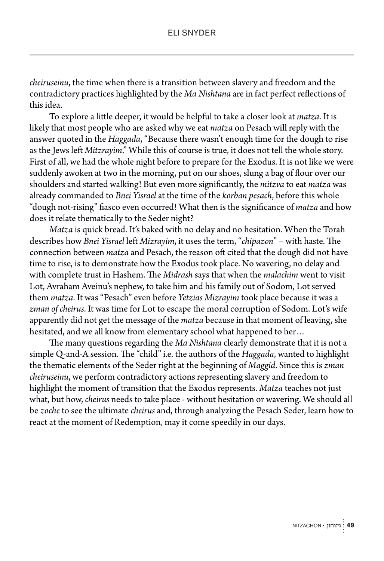*cheiruseinu*, the time when there is a transition between slavery and freedom and the contradictory practices highlighted by the *Ma Nishtana* are in fact perfect reflections of this idea.

To explore a little deeper, it would be helpful to take a closer look at *matza*. It is likely that most people who are asked why we eat *matza* on Pesach will reply with the answer quoted in the *Haggada*, "Because there wasn't enough time for the dough to rise as the Jews left *Mitzrayim*." While this of course is true, it does not tell the whole story. First of all, we had the whole night before to prepare for the Exodus. It is not like we were suddenly awoken at two in the morning, put on our shoes, slung a bag of flour over our shoulders and started walking! But even more significantly, the *mitzva* to eat *matza* was already commanded to *Bnei Yisrael* at the time of the *korban pesach*, before this whole "dough not-rising" fiasco even occurred! What then is the significance of *matza* and how does it relate thematically to the Seder night?

*Matza* is quick bread. It's baked with no delay and no hesitation. When the Torah describes how *Bnei Yisrael* left *Mizrayim*, it uses the term, "*chipazon*" – with haste. The connection between *matza* and Pesach, the reason oft cited that the dough did not have time to rise, is to demonstrate how the Exodus took place. No wavering, no delay and with complete trust in Hashem. The *Midrash* says that when the *malachim* went to visit Lot, Avraham Aveinu's nephew, to take him and his family out of Sodom, Lot served them *matza*. It was "Pesach" even before *Yetzias Mizrayim* took place because it was a *zman of cheirus*. It was time for Lot to escape the moral corruption of Sodom. Lot's wife apparently did not get the message of the *matza* because in that moment of leaving, she hesitated, and we all know from elementary school what happened to her…

The many questions regarding the *Ma Nishtana* clearly demonstrate that it is not a simple Q-and-A session. The "child" i.e. the authors of the *Haggada*, wanted to highlight the thematic elements of the Seder right at the beginning of *Maggid*. Since this is *zman cheiruseinu*, we perform contradictory actions representing slavery and freedom to highlight the moment of transition that the Exodus represents. *Matza* teaches not just what, but how, *cheirus* needs to take place - without hesitation or wavering. We should all be *zoche* to see the ultimate *cheirus* and, through analyzing the Pesach Seder, learn how to react at the moment of Redemption, may it come speedily in our days.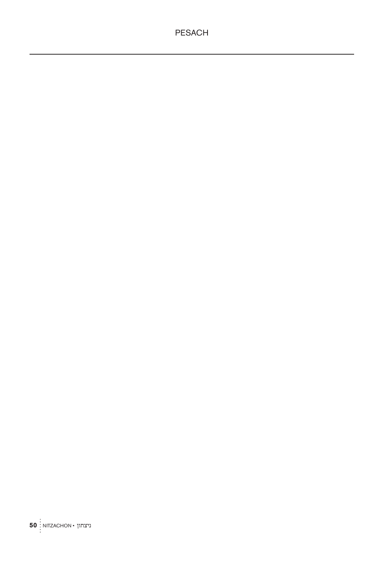PESACH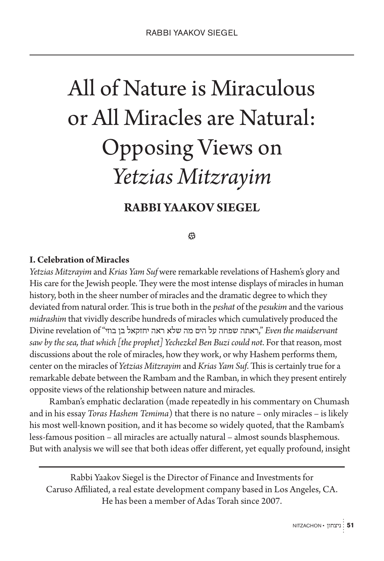# All of Nature is Miraculous or All Miracles are Natural: Opposing Views on *Yetzias Mitzrayim*

## **RABBI YAAKOV SIEGEL**

\$ী

## **I. Celebration of Miracles**

*Yetzias Mitzrayim* and *Krias Yam Suf* were remarkable revelations of Hashem's glory and His care for the Jewish people. They were the most intense displays of miracles in human history, both in the sheer number of miracles and the dramatic degree to which they deviated from natural order. This is true both in the *peshat* of the *pesukim* and the various *midrashim* that vividly describe hundreds of miracles which cumulatively produced the  *maidservant the Even*" ,ראתה שפחה על הים מה שלא ראה יחזקאל בן בוזי" of revelation Divine *saw by the sea, that which [the prophet] Yechezkel Ben Buzi could not*. For that reason, most discussions about the role of miracles, how they work, or why Hashem performs them, center on the miracles of *Yetzias Mitzrayim* and *Krias Yam Suf*. This is certainly true for a remarkable debate between the Rambam and the Ramban, in which they present entirely opposite views of the relationship between nature and miracles.

Ramban's emphatic declaration (made repeatedly in his commentary on Chumash and in his essay *Toras Hashem Temima*) that there is no nature – only miracles – is likely his most well-known position, and it has become so widely quoted, that the Rambam's less-famous position – all miracles are actually natural – almost sounds blasphemous. But with analysis we will see that both ideas offer different, yet equally profound, insight

Rabbi Yaakov Siegel is the Director of Finance and Investments for Caruso Affiliated, a real estate development company based in Los Angeles, CA. He has been a member of Adas Torah since 2007.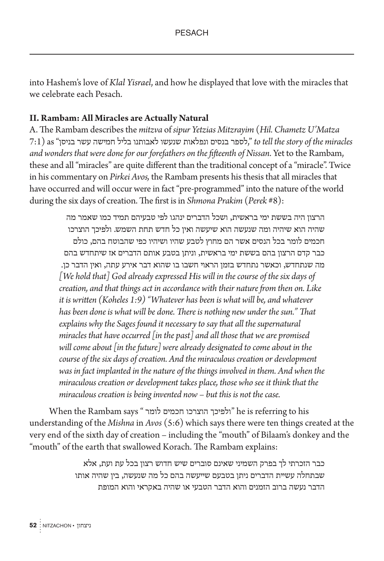into Hashem's love of *Klal Yisrael*, and how he displayed that love with the miracles that we celebrate each Pesach.

### **II. Rambam: All Miracles are Actually Natural**

A. The Rambam describes the *mitzva* of *sipur Yetzias Mitzrayim* (*Hil. Chametz U'Matza miracles the of story the tell to*" ,לספר בנסים ונפלאות שנעשו לאבותנו בליל חמישה עשר בניסן" as) 7:1 *and wonders that were done for our forefathers on the fifteenth of Nissan*. Yet to the Rambam, these and all "miracles" are quite different than the traditional concept of a "miracle". Twice in his commentary on *Pirkei Avos,* the Rambam presents his thesis that all miracles that have occurred and will occur were in fact "pre-programmed" into the nature of the world during the six days of creation. The first is in *Shmona Prakim* (*Perek* #8):

הרצון היה בששת ימי בראשית, ושכל הדברים ינהגו לפי טבעיהם תמיד כמו שאמר מה שהיה הוא שיהיה ומה שנעשה הוא שיעשה ואין כל חדש תחת השמש. ולפיכך הוצרכו חכמים לומר בכל הנסים אשר הם מחוץ לטבע שהיו ושיהיו כפי שהבוטח בהם, כולם כבר קדם הרצון בהם בששת ימי בראשית, וניתן בטבע אותם הדברים אז שיתחדש בהם מה שנתחדש, וכאשר נתחדש בזמן הראוי חשבו בו שהוא דבר אירע עתה, ואין הדבר כן. *[We hold that] God already expressed His will in the course of the six days of creation, and that things act in accordance with their nature from then on. Like it is written (Koheles 1:9) "Whatever has been is what will be, and whatever has been done is what will be done. There is nothing new under the sun." That explains why the Sages found it necessary to say that all the supernatural miracles that have occurred [in the past] and all those that we are promised will come about [in the future] were already designated to come about in the course of the six days of creation. And the miraculous creation or development was in fact implanted in the nature of the things involved in them. And when the miraculous creation or development takes place, those who see it think that the miraculous creation is being invented now – but this is not the case.*

When the Rambam says " לומר חכמים הוצרכו ולפיכך "he is referring to his understanding of the *Mishna* in *Avos* (5:6) which says there were ten things created at the very end of the sixth day of creation – including the "mouth" of Bilaam's donkey and the "mouth" of the earth that swallowed Korach. The Rambam explains:

> כבר הזכרתי לך בפרק השמיני שאינם סוברים שיש חדוש רצון בכל עת ועת, אלא שבתחלה עשיית הדברים ניתן בטבעם שייעשה בהם כל מה שנעשה, בין שהיה אותו הדבר נעשה ברוב הזמנים והוא הדבר הטבעי או שהיה באקראי והוא המופת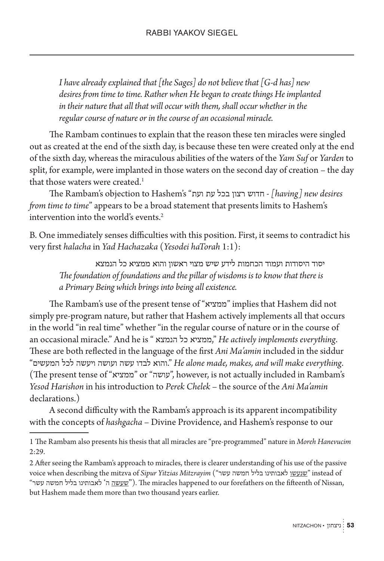*I have already explained that [the Sages] do not believe that [G-d has] new desires from time to time. Rather when He began to create things He implanted in their nature that all that will occur with them, shall occur whether in the regular course of nature or in the course of an occasional miracle.*

The Rambam continues to explain that the reason these ten miracles were singled out as created at the end of the sixth day, is because these ten were created only at the end of the sixth day, whereas the miraculous abilities of the waters of the *Yam Suf* or *Yarden* to split, for example, were implanted in those waters on the second day of creation – the day that those waters were created. $1$ 

The Rambam's objection to Hashem's "ועת עת בכל רצון חדוש -*] having] new desires from time to time*" appears to be a broad statement that presents limits to Hashem's intervention into the world's events.<sup>2</sup>

B. One immediately senses difficulties with this position. First, it seems to contradict his very first *halacha* in *Yad Hachazaka* (*Yesodei haTorah* 1:1):

יסוד היסודות ועמוד הכחמות לידע שיש מצוי ראשון והוא ממציא כל הנמצא *The foundation of foundations and the pillar of wisdoms is to know that there is a Primary Being which brings into being all existence.*

The Rambam's use of the present tense of "ממציא "implies that Hashem did not simply pre-program nature, but rather that Hashem actively implements all that occurs in the world "in real time" whether "in the regular course of nature or in the course of an occasional miracle." And he is " הנמצא כל ממציא, "*He actively implements everything*. These are both reflected in the language of the first *Ani Ma'amin* included in the siddur "המעשים לכל ויעשה ועושה עשה לבדו והוא. "*He alone made, makes, and will make everything*. (The present tense of "ממציא "or "עושה", however, is not actually included in Rambam's *Yesod Harishon* in his introduction to *Perek Chelek* – the source of the *Ani Ma'amin*  declarations.)

A second difficulty with the Rambam's approach is its apparent incompatibility with the concepts of *hashgacha* – Divine Providence, and Hashem's response to our

<sup>1</sup> The Rambam also presents his thesis that all miracles are "pre-programmed" nature in *Moreh Hanevucim* 2:29.

<sup>2</sup> After seeing the Rambam's approach to miracles, there is clearer understanding of his use of the passive voice when describing the mitzva of *Sipur Yitzias Mitzrayim* ("עשר חמשה בליל לאבותינו שנעשו "instead of "שעשה ה $'$ לאבותינו בליל חמשה עשר". The miracles happened to our forefathers on the fifteenth of Nissan, but Hashem made them more than two thousand years earlier.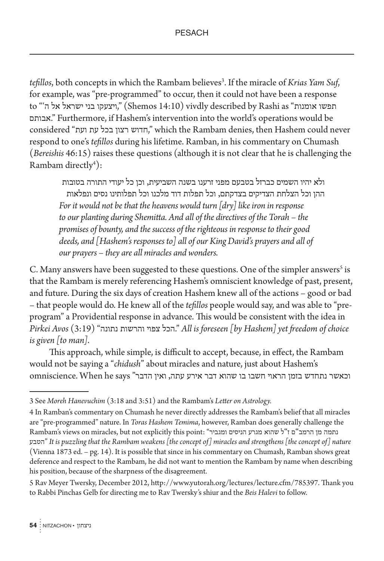tefillos, both concepts in which the Rambam believes<sup>3</sup>. If the miracle of *Krias Yam Suf,* for example, was "pre-programmed" to occur, then it could not have been a response תפשו אומנות" (Shemos 14:10) vivdly described by Rashi as "הפשו אומנות" אבותם. "Furthermore, if Hashem's intervention into the world's operations would be considered "ועת עת בכל רצון חדוש, "which the Rambam denies, then Hashem could never respond to one's *tefillos* during his lifetime. Ramban, in his commentary on Chumash (*Bereishis* 46:15) raises these questions (although it is not clear that he is challenging the  $\mathsf{Rambam}\,\mathsf{directly}^4$ :

ולא יהיו השמים כברזל בטבעם מפני זרענו בשנה השביעית, וכן כל יעודי התורה בטובות ההן וכל הצלחת הצדיקים בצדקתם, וכל תפלות דוד מלכנו וכל תפלותינו נסים ונפלאות *For it would not be that the heavens would turn [dry] like iron in response to our planting during Shemitta. And all of the directives of the Torah – the promises of bounty, and the success of the righteous in response to their good deeds, and [Hashem's responses to] all of our King David's prayers and all of our prayers – they are all miracles and wonders.*

C. Many answers have been suggested to these questions. One of the simpler answers<sup>5</sup> is that the Rambam is merely referencing Hashem's omniscient knowledge of past, present, and future. During the six days of creation Hashem knew all of the actions – good or bad – that people would do. He knew all of the *tefillos* people would say, and was able to "preprogram" a Providential response in advance. This would be consistent with the idea in *Pirkei Avos* (3:19) "נתונה והרשות צפוי הכל. "*All is foreseen [by Hashem] yet freedom of choice is given [to man]*.

This approach, while simple, is difficult to accept, because, in effect, the Rambam would not be saying a "*chidush*" about miracles and nature, just about Hashem's וכאשר נתחדש בזמן הראוי חשבו בו שהוא דבר אירע עתה, ואין הדבר" says he When .omniscience

<sup>3</sup> See *Moreh Hanevuchim* (3:18 and 3:51) and the Rambam's *Letter on Astrology.*

<sup>4</sup> In Ramban's commentary on Chumash he never directly addresses the Rambam's belief that all miracles are "pre-programmed" nature. In *Toras Hashem Temima*, however, Ramban does generally challenge the נתמה מן הרמב"ם ז"ל שהוא מגרע הניסים ומגביר" :point this explicitly not but ,miracles on views s'Rambam הטבע "*It is puzzling that the Rambam weakens [the concept of] miracles and strengthens [the concept of] nature* (Vienna 1873 ed. – pg. 14). It is possible that since in his commentary on Chumash, Ramban shows great deference and respect to the Rambam, he did not want to mention the Rambam by name when describing his position, because of the sharpness of the disagreement.

<sup>5</sup> Rav Meyer Twersky, December 2012, http://www.yutorah.org/lectures/lecture.cfm/785397. Thank you to Rabbi Pinchas Gelb for directing me to Rav Twersky's shiur and the *Beis Halevi* to follow.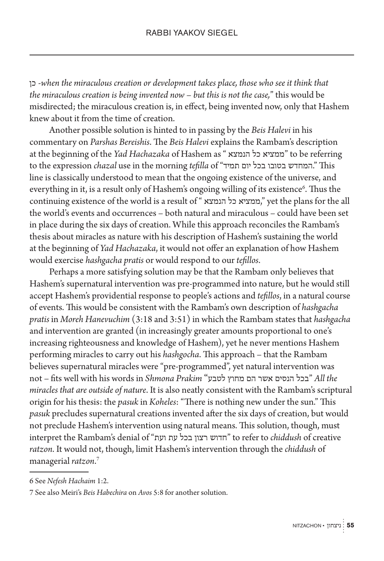כן -*when the miraculous creation or development takes place, those who see it think that the miraculous creation is being invented now* – *but this is not the case,*" this would be misdirected; the miraculous creation is, in effect, being invented now, only that Hashem knew about it from the time of creation.

Another possible solution is hinted to in passing by the *Beis Halevi* in his commentary on *Parshas Bereishis*. The *Beis Halevi* explains the Rambam's description at the beginning of the *Yad Hachazaka* of Hashem as " הנמצא כל ממציא "to be referring to the expression *chazal* use in the morning *tefilla* of "תמיד יום בכל בטובו המחדש. "This line is classically understood to mean that the ongoing existence of the universe, and everything in it, is a result only of Hashem's ongoing willing of its existence<sup>6</sup>. Thus the continuing existence of the world is a result of " הנמצא כל ממציא, "yet the plans for the all the world's events and occurrences – both natural and miraculous – could have been set in place during the six days of creation. While this approach reconciles the Rambam's thesis about miracles as nature with his description of Hashem's sustaining the world at the beginning of *Yad Hachazaka*, it would not offer an explanation of how Hashem would exercise *hashgacha pratis* or would respond to our *tefillos*.

Perhaps a more satisfying solution may be that the Rambam only believes that Hashem's supernatural intervention was pre-programmed into nature, but he would still accept Hashem's providential response to people's actions and *tefillos*, in a natural course of events. This would be consistent with the Rambam's own description of *hashgacha pratis* in *Moreh Hanevuchim* (3:18 and 3:51) in which the Rambam states that *hashgacha* and intervention are granted (in increasingly greater amounts proportional to one's increasing righteousness and knowledge of Hashem), yet he never mentions Hashem performing miracles to carry out his *hashgocha*. This approach – that the Rambam believes supernatural miracles were "pre-programmed", yet natural intervention was not – fits well with his words in *Shmona Prakim* "לטבע מחוץ הם אשר הנסים בכל "*All the miracles that are outside of nature*. It is also neatly consistent with the Rambam's scriptural origin for his thesis: the *pasuk* in *Koheles*: "There is nothing new under the sun." This *pasuk* precludes supernatural creations invented after the six days of creation, but would not preclude Hashem's intervention using natural means. This solution, though, must interpret the Rambam's denial of "ועת עת בכל רצון חדוש "to refer to *chiddush* of creative *ratzon*. It would not, though, limit Hashem's intervention through the *chiddush* of managerial *ratzon*. 7

<sup>6</sup> See *Nefesh Hachaim* 1:2.

<sup>7</sup> See also Meiri's *Beis Habechira* on *Avos* 5:8 for another solution.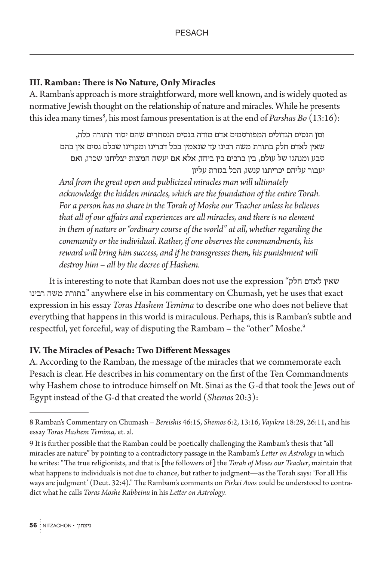## **III. Ramban: There is No Nature, Only Miracles**

A. Ramban's approach is more straightforward, more well known, and is widely quoted as normative Jewish thought on the relationship of nature and miracles. While he presents this idea many times<sup>8</sup>, his most famous presentation is at the end of *Parshas Bo* (13:16):

ומן הנסים הגדולים המפורסמים אדם מודה בנסים הנסתרים שהם יסוד התורה כלה, שאין לאדם חלק בתורת משה רבינו עד שנאמין בכל דברינו ומקרינו שכלם נסים אין בהם טבע ומנהגו של עולם, בין ברבים בין ביחד, אלא אם יעשה המצות יצליחנו שכרו, ואם יעבור עליהם יכריתנו ענשו, הכל בגזרת עליון

*And from the great open and publicized miracles man will ultimately acknowledge the hidden miracles, which are the foundation of the entire Torah. For a person has no share in the Torah of Moshe our Teacher unless he believes that all of our affairs and experiences are all miracles, and there is no element in them of nature or "ordinary course of the world" at all, whether regarding the community or the individual. Rather, if one observes the commandments, his reward will bring him success, and if he transgresses them, his punishment will destroy him – all by the decree of Hashem.* 

It is interesting to note that Ramban does not use the expression "חלק לאדם שאין רבינו משה בתורת "anywhere else in his commentary on Chumash, yet he uses that exact expression in his essay *Toras Hashem Temima* to describe one who does not believe that everything that happens in this world is miraculous. Perhaps, this is Ramban's subtle and respectful, yet forceful, way of disputing the Rambam - the "other" Moshe.<sup>9</sup>

## **IV. The Miracles of Pesach: Two Different Messages**

A. According to the Ramban, the message of the miracles that we commemorate each Pesach is clear. He describes in his commentary on the first of the Ten Commandments why Hashem chose to introduce himself on Mt. Sinai as the G-d that took the Jews out of Egypt instead of the G-d that created the world (*Shemos* 20:3):

<sup>8</sup> Ramban's Commentary on Chumash – *Bereishis* 46:15, *Shemos* 6:2, 13:16, *Vayikra* 18:29, 26:11, and his essay *Toras Hashem Temima,* et. al.

<sup>9</sup> It is further possible that the Ramban could be poetically challenging the Rambam's thesis that "all miracles are nature" by pointing to a contradictory passage in the Rambam's *Letter on Astrology* in which he writes: "The true religionists, and that is [the followers of] the *Torah of Moses our Teacher*, maintain that what happens to individuals is not due to chance, but rather to judgment—as the Torah says: 'For all His ways are judgment' (Deut. 32:4)." The Rambam's comments on *Pirkei Avos c*ould be understood to contradict what he calls *Toras Moshe Rabbeinu* in his *Letter on Astrology.*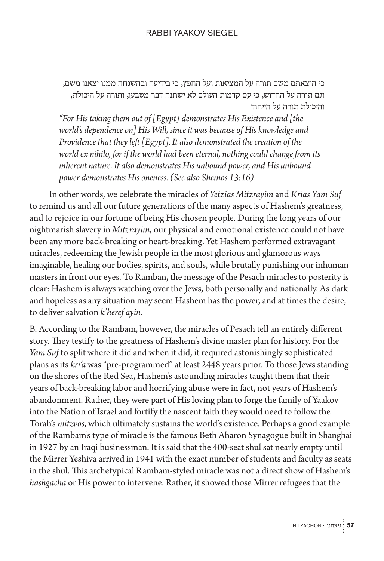כי הוצאתם משם תורה על המציאות ועל החפץ, כי בידיעה ובהשגחה ממנו יצאנו משם, וגם תורה על החדוש, כי עם קדמות העולם לא ישתנה דבר מטבעו, ותורה על היכולת, והיכולת תורה על הייחוד

*"For His taking them out of [Egypt] demonstrates His Existence and [the world's dependence on] His Will, since it was because of His knowledge and Providence that they left [Egypt]. It also demonstrated the creation of the world ex nihilo, for if the world had been eternal, nothing could change from its inherent nature. It also demonstrates His unbound power, and His unbound power demonstrates His oneness. (See also Shemos 13:16)* 

In other words, we celebrate the miracles of *Yetzias Mitzrayim* and *Krias Yam Suf*  to remind us and all our future generations of the many aspects of Hashem's greatness, and to rejoice in our fortune of being His chosen people. During the long years of our nightmarish slavery in *Mitzrayim*, our physical and emotional existence could not have been any more back-breaking or heart-breaking. Yet Hashem performed extravagant miracles, redeeming the Jewish people in the most glorious and glamorous ways imaginable, healing our bodies, spirits, and souls, while brutally punishing our inhuman masters in front our eyes. To Ramban, the message of the Pesach miracles to posterity is clear: Hashem is always watching over the Jews, both personally and nationally. As dark and hopeless as any situation may seem Hashem has the power, and at times the desire, to deliver salvation *k'heref ayin*.

B. According to the Rambam, however, the miracles of Pesach tell an entirely different story. They testify to the greatness of Hashem's divine master plan for history. For the *Yam Suf* to split where it did and when it did, it required astonishingly sophisticated plans as its *kri'a* was "pre-programmed" at least 2448 years prior. To those Jews standing on the shores of the Red Sea, Hashem's astounding miracles taught them that their years of back-breaking labor and horrifying abuse were in fact, not years of Hashem's abandonment. Rather, they were part of His loving plan to forge the family of Yaakov into the Nation of Israel and fortify the nascent faith they would need to follow the Torah's *mitzvos*, which ultimately sustains the world's existence. Perhaps a good example of the Rambam's type of miracle is the famous Beth Aharon Synagogue built in Shanghai in 1927 by an Iraqi businessman. It is said that the 400-seat shul sat nearly empty until the Mirrer Yeshiva arrived in 1941 with the exact number of students and faculty as seats in the shul. This archetypical Rambam-styled miracle was not a direct show of Hashem's *hashgacha* or His power to intervene. Rather, it showed those Mirrer refugees that the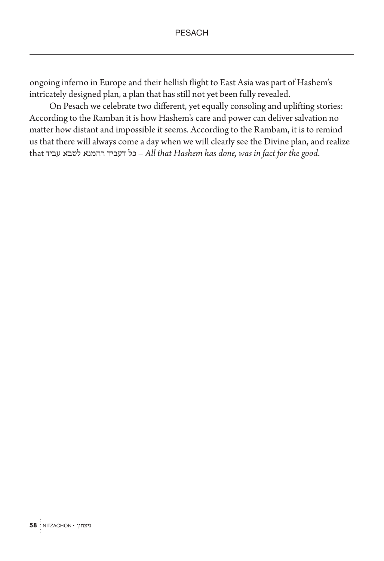ongoing inferno in Europe and their hellish flight to East Asia was part of Hashem's intricately designed plan, a plan that has still not yet been fully revealed.

On Pesach we celebrate two different, yet equally consoling and uplifting stories: According to the Ramban it is how Hashem's care and power can deliver salvation no matter how distant and impossible it seems. According to the Rambam, it is to remind us that there will always come a day when we will clearly see the Divine plan, and realize that עביד לטבא רחמנא דעביד כל – *All that Hashem has done, was in fact for the good*.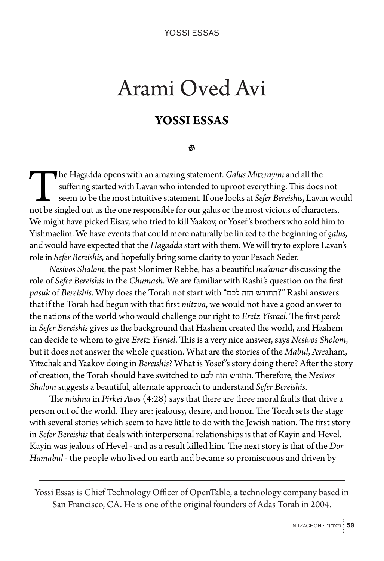## Arami Oved Avi

## **YOSSI ESSAS**

#### •

The Hagadda opens with an amazing statement. *Galus Mitzrayim* and all the suffering started with Lavan who intended to uproot everything. This does not seem to be the most intuitive statement. If one looks at *Sefer Berei* suffering started with Lavan who intended to uproot everything. This does not seem to be the most intuitive statement. If one looks at *Sefer Bereishis*, Lavan would We might have picked Eisav, who tried to kill Yaakov, or Yosef 's brothers who sold him to Yishmaelim. We have events that could more naturally be linked to the beginning of *galus*, and would have expected that the *Hagadda* start with them. We will try to explore Lavan's role in *Sefer Bereishis*, and hopefully bring some clarity to your Pesach Seder.

*Nesivos Shalom*, the past Slonimer Rebbe, has a beautiful *ma'amar* discussing the role of *Sefer Bereishis* in the *Chumash*. We are familiar with Rashi's question on the first *pasuk* of *Bereishis*. Why does the Torah not start with "לכם הזה החודש "?Rashi answers that if the Torah had begun with that first *mitzva*, we would not have a good answer to the nations of the world who would challenge our right to *Eretz Yisrael*. The first *perek* in *Sefer Bereishis* gives us the background that Hashem created the world, and Hashem can decide to whom to give *Eretz Yisrael*. This is a very nice answer, says *Nesivos Sholom*, but it does not answer the whole question. What are the stories of the *Mabul*, Avraham, Yitzchak and Yaakov doing in *Bereishis*? What is Yosef 's story doing there? After the story of creation, the Torah should have switched to לכם הזה החודש. Therefore, the *Nesivos Shalom* suggests a beautiful, alternate approach to understand *Sefer Bereishis*.

The *mishna* in *Pirkei Avos* (4:28) says that there are three moral faults that drive a person out of the world. They are: jealousy, desire, and honor. The Torah sets the stage with several stories which seem to have little to do with the Jewish nation. The first story in *Sefer Bereishis* that deals with interpersonal relationships is that of Kayin and Hevel. Kayin was jealous of Hevel - and as a result killed him. The next story is that of the *Dor Hamabul* - the people who lived on earth and became so promiscuous and driven by

Yossi Essas is Chief Technology Officer of OpenTable, a technology company based in San Francisco, CA. He is one of the original founders of Adas Torah in 2004.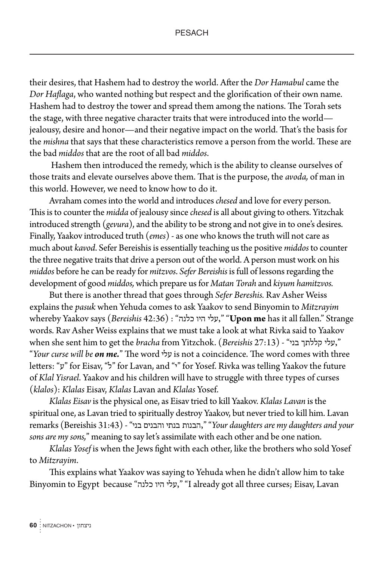#### PESACH

their desires, that Hashem had to destroy the world. After the *Dor Hamabul* came the *Dor Haflaga*, who wanted nothing but respect and the glorification of their own name. Hashem had to destroy the tower and spread them among the nations. The Torah sets the stage, with three negative character traits that were introduced into the world jealousy, desire and honor—and their negative impact on the world. That's the basis for the *mishna* that says that these characteristics remove a person from the world. These are the bad *middos* that are the root of all bad *middos*.

 Hashem then introduced the remedy, which is the ability to cleanse ourselves of those traits and elevate ourselves above them. That is the purpose, the *avoda,* of man in this world. However, we need to know how to do it.

Avraham comes into the world and introduces *chesed* and love for every person. This is to counter the *midda* of jealousy since *chesed* is all about giving to others. Yitzchak introduced strength (*gevura*), and the ability to be strong and not give in to one's desires. Finally, Yaakov introduced truth (*emes*) - as one who knows the truth will not care as much about *kavod*. Sefer Bereishis is essentially teaching us the positive *middos* to counter the three negative traits that drive a person out of the world. A person must work on his *middos* before he can be ready for *mitzvos*. *Sefer Bereishis* is full of lessons regarding the development of good *middos,* which prepare us for *Matan Torah* and *kiyum hamitzvos.*

But there is another thread that goes through *Sefer Bereshis.* Rav Asher Weiss explains the *pasuk* when Yehuda comes to ask Yaakov to send Binyomin to *Mitzrayim* whereby Yaakov says (*Bereishis* 42:36) : "כלנה היו עלי," "**Upon me** has it all fallen." Strange words. Rav Asher Weiss explains that we must take a look at what Rivka said to Yaakov when she sent him to get the *bracha* from Yitzchok. (*Bereishis* 27:13) - "בני קללתך עלי, " "*Your curse will be on me.*" The word עלי is not a coincidence. The word comes with three letters: "ע" for Eisav, "ל" for Lavan, and "י" for Yosef. Rivka was telling Yaakov the future of *Klal Yisrael*. Yaakov and his children will have to struggle with three types of curses (*klalos*): *Klalas* Eisav, *Klalas* Lavan and *Klalas* Yosef.

*Klalas Eisav* is the physical one, as Eisav tried to kill Yaakov. *Klalas Lavan* is the spiritual one, as Lavan tried to spiritually destroy Yaakov, but never tried to kill him. Lavan remarks (Bereishis 31:43) - "בני והבנים בנתי הבנות," "*Your daughters are my daughters and your sons are my sons,*" meaning to say let's assimilate with each other and be one nation.

Klalas Yosef is when the Jews fight with each other, like the brothers who sold Yosef to *Mitzrayim*.

This explains what Yaakov was saying to Yehuda when he didn't allow him to take Binyomin to Egypt because "כלנה היו עלי," "I already got all three curses; Eisav, Lavan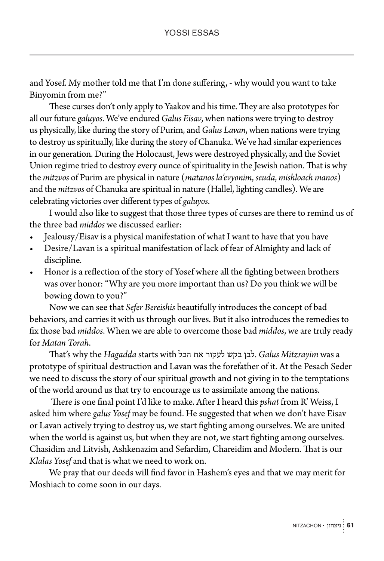and Yosef. My mother told me that I'm done suffering, - why would you want to take Binyomin from me?"

These curses don't only apply to Yaakov and his time. They are also prototypes for all our future *galuyos*. We've endured *Galus Eisav*, when nations were trying to destroy us physically, like during the story of Purim, and *Galus Lavan*, when nations were trying to destroy us spiritually, like during the story of Chanuka. We've had similar experiences in our generation. During the Holocaust, Jews were destroyed physically, and the Soviet Union regime tried to destroy every ounce of spirituality in the Jewish nation. That is why the *mitzvos* of Purim are physical in nature (*matanos la'evyonim*, *seuda*, *mishloach manos*) and the *mitzvos* of Chanuka are spiritual in nature (Hallel, lighting candles). We are celebrating victories over different types of *galuyos*.

I would also like to suggest that those three types of curses are there to remind us of the three bad *middos* we discussed earlier:

- Jealousy/Eisav is a physical manifestation of what I want to have that you have
- Desire/Lavan is a spiritual manifestation of lack of fear of Almighty and lack of discipline.
- Honor is a reflection of the story of Yosef where all the fighting between brothers was over honor: "Why are you more important than us? Do you think we will be bowing down to you?"

Now we can see that *Sefer Bereishis* beautifully introduces the concept of bad behaviors, and carries it with us through our lives. But it also introduces the remedies to fix those bad *middos*. When we are able to overcome those bad *middos*, we are truly ready for *Matan Torah*.

That's why the *Hagadda* starts with הכל את לעקור בקש לבן. *Galus Mitzrayim* was a prototype of spiritual destruction and Lavan was the forefather of it. At the Pesach Seder we need to discuss the story of our spiritual growth and not giving in to the temptations of the world around us that try to encourage us to assimilate among the nations.

 There is one final point I'd like to make. After I heard this *pshat* from R' Weiss, I asked him where *galus Yosef* may be found. He suggested that when we don't have Eisav or Lavan actively trying to destroy us, we start fighting among ourselves. We are united when the world is against us, but when they are not, we start fighting among ourselves. Chasidim and Litvish, Ashkenazim and Sefardim, Chareidim and Modern. That is our *Klalas Yosef* and that is what we need to work on.

We pray that our deeds will find favor in Hashem's eyes and that we may merit for Moshiach to come soon in our days.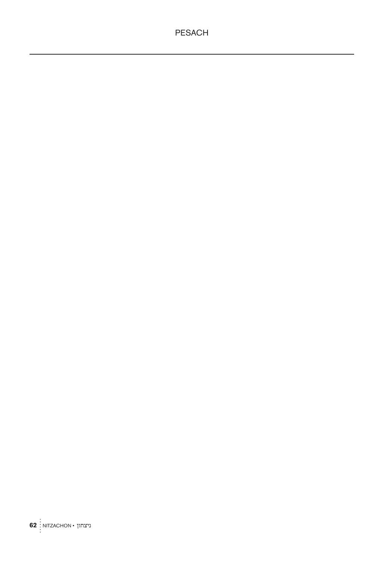PESACH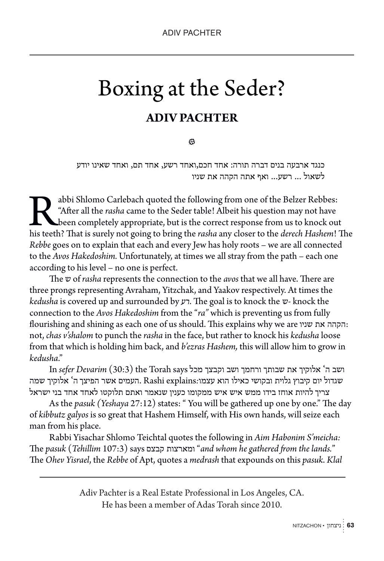## Boxing at the Seder?

## **ADIV PACHTER**

#### €3

כנגד ארבעה בנים דברה תורה: אחד חכם,ואחד רשע, אחד תם, ואחד שאינו יודע לשאול ... רשע... ואף אתה הקהה את שניו

abbi Shlomo Carlebach quoted the following from one of the Belzer Rebbes:<br>"After all the *rasha* came to the Seder table! Albeit his question may not have<br>been completely appropriate, but is the correct response from us to "After all the *rasha* came to the Seder table! Albeit his question may not have been completely appropriate, but is the correct response from us to knock out his teeth? That is surely not going to bring the *rasha* any closer to the *derech Hashem*! The *Rebbe* goes on to explain that each and every Jew has holy roots – we are all connected to the *Avos Hakedoshim.* Unfortunately, at times we all stray from the path – each one according to his level – no one is perfect.

The ש of *rasha* represents the connection to the *avos* that we all have. There are three prongs representing Avraham, Yitzchak, and Yaakov respectively. At times the *kedusha* is covered up and surrounded by *רע*. The goal is to knock the ש- knock the connection to the *Avos Hakedoshim* from the "*ra"* which is preventing us from fully flourishing and shining as each one of us should. This explains why we are שניו את הקהה: not, *chas v'shalom* to punch the *rasha* in the face, but rather to knock his *kedusha* loose from that which is holding him back, and *b'ezras Hashem,* this will allow him to grow in *kedusha*."

ושב ה' אלוקיך את שבותך ורחמך ושב וקבצך מכל says Torah the) 30:3 (*Devarim sefer* In שגדול יום קיבוץ גלוית ובקושי כאילו הוא עצמו*:*explains Rashi .העמים אשר הפיצך ה' אלוקיך שמה צריךלהיות אוחז בידו ממש איש איש ממקומו כענין שנאמר ואתם תלוקטו לאחד אחד בני ישראל

As the *pasuk (Yeshaya* 27:12) states: " You will be gathered up one by one." The day of *kibbutz galyos* is so great that Hashem Himself, with His own hands, will seize each man from his place.

Rabbi Yisachar Shlomo Teichtal quotes the following in *Aim Habonim S'meicha:*  The *pasuk* (*Tehillim* 107:3) says קבצם ומארצות" *and whom he gathered from the lands.*" The *Ohev Yisrael*, the *Rebbe* of Apt, quotes a *medrash* that expounds on this *pasuk*. *Klal* 

> Adiv Pachter is a Real Estate Professional in Los Angeles, CA. He has been a member of Adas Torah since 2010.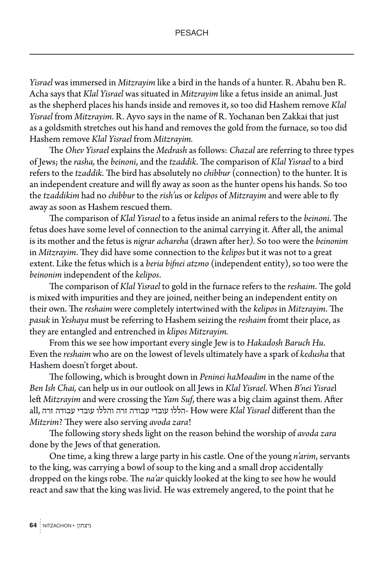*Yisrael* was immersed in *Mitzrayim* like a bird in the hands of a hunter. R. Abahu ben R. Acha says that *Klal Yisrael* was situated in *Mitzrayim* like a fetus inside an animal. Just as the shepherd places his hands inside and removes it, so too did Hashem remove *Klal Yisrael* from *Mitzrayim*. R. Ayvo says in the name of R. Yochanan ben Zakkai that just as a goldsmith stretches out his hand and removes the gold from the furnace, so too did Hashem remove *Klal Yisrael* from *Mitzrayim.*

The *Ohev Yisrael* explains the *Medrash* as follows: *Chazal* are referring to three types of Jews; the *rasha,* the *beinoni*, and the *tzaddik.* The comparison of *Klal Yisrael* to a bird refers to the *tzaddik.* The bird has absolutely no *chibbur* (connection) to the hunter. It is an independent creature and will fly away as soon as the hunter opens his hands. So too the *tzaddikim* had no *chibbur* to the *rish'u*s or *kelipos* of *Mitzrayim* and were able to fly away as soon as Hashem rescued them.

The comparison of *Klal Yisrael* to a fetus inside an animal refers to the *beinoni*. The fetus does have some level of connection to the animal carrying it. After all, the animal is its mother and the fetus is *nigrar achareha* (drawn after her*).* So too were the *beinonim*  in *Mitzrayim*. They did have some connection to the *kelipos* but it was not to a great extent. Like the fetus which is a *beria bifnei atzmo* (independent entity), so too were the *beinonim* independent of the *kelipos*.

The comparison of *Klal Yisrael* to gold in the furnace refers to the *reshaim*. The gold is mixed with impurities and they are joined, neither being an independent entity on their own. The *reshaim* were completely intertwined with the *kelipos* in *Mitzrayim*. The *pasuk* in *Yeshaya* must be referring to Hashem seizing the *reshaim* fromt their place, as they are entangled and entrenched in *klipos Mitzrayim.*

From this we see how important every single Jew is to *Hakadosh Baruch Hu*. Even the *reshaim* who are on the lowest of levels ultimately have a spark of *kedusha* that Hashem doesn't forget about.

The following, which is brought down in *Peninei haMoadim* in the name of the *Ben Ish Chai,* can help us in our outlook on all Jews in *Klal Yisrael*. When *B'nei Yisrae*l left *Mitzrayim* and were crossing the *Yam Suf*, there was a big claim against them. After the than different *Yisrael Klal* were How -הללו עובדי עבודה זרה והללו עובדי עבודה זרה ,all *Mitzrim*? They were also serving *avoda zara*!

The following story sheds light on the reason behind the worship of *avoda zara* done by the Jews of that generation.

One time, a king threw a large party in his castle. One of the young *n'arim*, servants to the king, was carrying a bowl of soup to the king and a small drop accidentally dropped on the kings robe. The *na'ar* quickly looked at the king to see how he would react and saw that the king was livid. He was extremely angered, to the point that he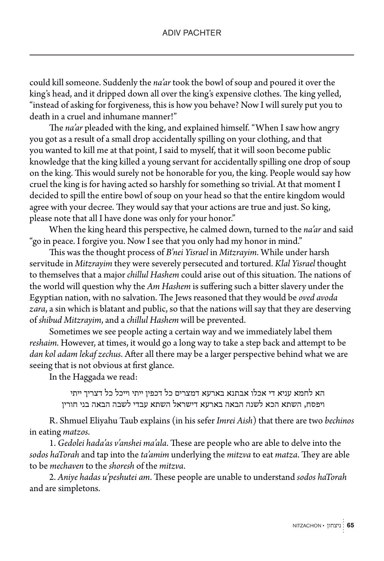could kill someone. Suddenly the *na'ar* took the bowl of soup and poured it over the king's head, and it dripped down all over the king's expensive clothes. The king yelled, "instead of asking for forgiveness, this is how you behave? Now I will surely put you to death in a cruel and inhumane manner!"

The *na'ar* pleaded with the king, and explained himself. "When I saw how angry you got as a result of a small drop accidentally spilling on your clothing, and that you wanted to kill me at that point, I said to myself, that it will soon become public knowledge that the king killed a young servant for accidentally spilling one drop of soup on the king. This would surely not be honorable for you, the king. People would say how cruel the king is for having acted so harshly for something so trivial. At that moment I decided to spill the entire bowl of soup on your head so that the entire kingdom would agree with your decree. They would say that your actions are true and just. So king, please note that all I have done was only for your honor."

When the king heard this perspective, he calmed down, turned to the *na'ar* and said "go in peace. I forgive you. Now I see that you only had my honor in mind."

This was the thought process of *B'nei Yisrael* in *Mitzrayim*. While under harsh servitude in *Mitzrayim* they were severely persecuted and tortured. *Klal Yisrael* thought to themselves that a major *chillul Hashem* could arise out of this situation. The nations of the world will question why the *Am Hashem* is suffering such a bitter slavery under the Egyptian nation, with no salvation. The Jews reasoned that they would be *oved avoda zara*, a sin which is blatant and public, so that the nations will say that they are deserving of *shibud Mitzrayim*, and a *chillul Hashem* will be prevented.

Sometimes we see people acting a certain way and we immediately label them *reshaim.* However, at times, it would go a long way to take a step back and attempt to be *dan kol adam lekaf zechus*. After all there may be a larger perspective behind what we are seeing that is not obvious at first glance.

In the Haggada we read:

הא לחמא עניא די אכלו אבתנא בארעא דמצרים כל דכפין ייתי וייכל כל דצריך ייתי ויפסח, השתא הכא לשנה הבאה בארעא דישראל השתא עבדי לשבה הבאה בני חורין

R. Shmuel Eliyahu Taub explains (in his sefer *Imrei Aish*) that there are two *bechinos* in eating *matzos*.

1. *Gedolei hada'as v'anshei ma'ala*. These are people who are able to delve into the *sodos haTorah* and tap into the *ta'amim* underlying the *mitzva* to eat *matza*. They are able to be *mechaven* to the *shoresh* of the *mitzva*.

2. *Aniye hadas u'peshutei am*. These people are unable to understand *sodos haTorah*  and are simpletons.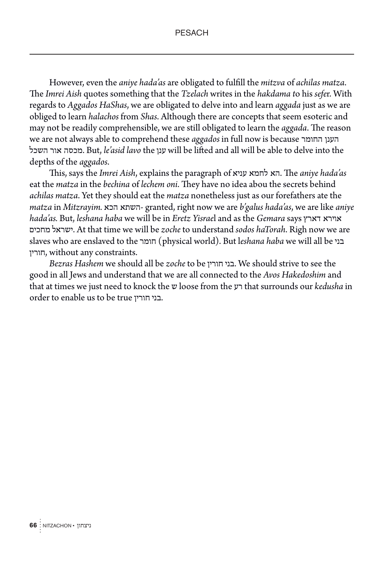However, even the *aniye hada'as* are obligated to fulfill the *mitzva* of *achilas matza*. The *Imrei Aish* quotes something that the *Tzelach* writes in the *hakdama t*o his *sefe*r. With regards to *Aggados HaShas*, we are obligated to delve into and learn *aggada* just as we are obliged to learn *halachos* from *Shas*. Although there are concepts that seem esoteric and may not be readily comprehensible, we are still obligated to learn the *aggada*. The reason we are not always able to comprehend these *aggados* in full now is because החומר הענן השכל אור מכסה. But, *le'asid lavo* the ענן will be lifted and all will be able to delve into the depths of the *aggados*.

This, says the *Imrei Aish*, explains the paragraph of עניא לחמא הא. The *aniye hada'as* eat the *matza* in the *bechina* of *lechem oni*. They have no idea abou the secrets behind *achilas matza*. Yet they should eat the *matza* nonetheless just as our forefathers ate the *matza* in *Mitzrayim.* הכא השתא- granted, right now we are *b'galus hada'as*, we are like *aniye hada'as.* But, *leshana haba* we will be in *Eretz Yisrae*l and as the *Gemara* says דארץ אוירא מחכים ישראל. At that time we will be *zoche* to understand *sodos haTorah*. Righ now we are slaves who are enslaved to the חומר) physical world). But l*eshana haba* we will all be בני חורין, without any constraints.

*Bezras Hashem* we should all be *zoche* to be חורין בני. We should strive to see the good in all Jews and understand that we are all connected to the *Avos Hakedoshim* and that at times we just need to knock the ש loose from the רע that surrounds our *kedusha* in order to enable us to be true חורין בני.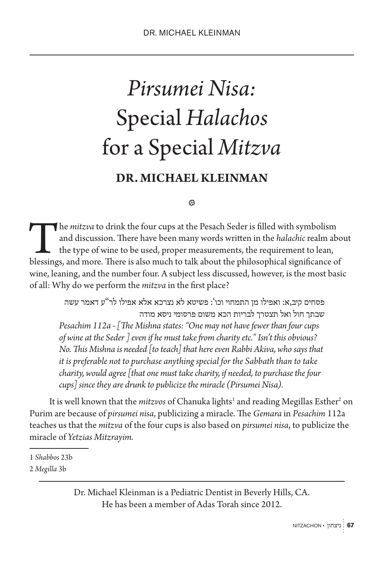## *Pirsumei Nisa:*  Special *Halachos* for a Special *Mitzva* **DR. MICHAEL KLEINMAN**

### •

The *mitzva* to drink the four cups at the Pesach Seder is filled with symbolism and discussion. There have been many words written in the *halachic* realm about the type of wine to be used, proper measurements, the requir and discussion. There have been many words written in the *halachic* realm about the type of wine to be used, proper measurements, the requirement to lean, wine, leaning, and the number four. A subject less discussed, however, is the most basic of all: Why do we perform the *mitzva* in the first place?

פסחים קיב,א: ואפילו מן התמחוי וכו': פשיטא לא נצרכא אלא אפילו לר"ע דאמר עשה שבתך חול ואל תצטרך לבריות הכא משום פרסומי ניסא מודה *Pesachim 112a - [The Mishna states: "One may not have fewer than four cups of wine at the Seder ] even if he must take from charity etc." Isn't this obvious? No. This Mishna is needed [to teach] that here even Rabbi Akiva, who says that it is preferable not to purchase anything special for the Sabbath than to take charity, would agree [that one must take charity, if needed, to purchase the four cups] since they are drunk to publicize the miracle (Pirsumei Nisa).*

It is well known that the *mitzvos* of Chanuka lights<sup>1</sup> and reading Megillas Esther<sup>2</sup> on Purim are because of *pirsumei nisa*, publicizing a miracle. The *Gemara* in *Pesachim* 112a teaches us that the *mitzva* of the four cups is also based on *pirsumei nisa*, to publicize the miracle of *Yetzias Mitzrayim.* 

Dr. Michael Kleinman is a Pediatric Dentist in Beverly Hills, CA. He has been a member of Adas Torah since 2012.

**67** ניצחון • NITZACHON

<sup>1</sup> *Shabbos* 23b

<sup>2</sup> *Megilla* 3b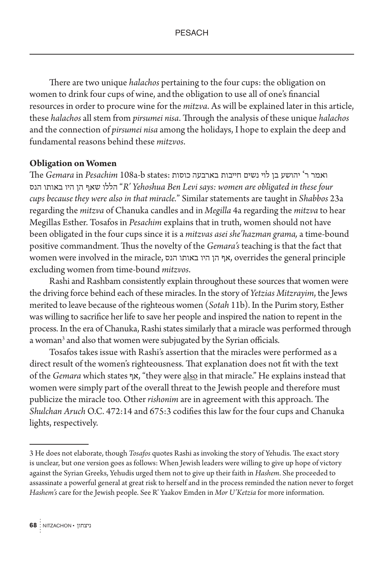There are two unique *halachos* pertaining to the four cups: the obligation on women to drink four cups of wine, andthe obligation to use all of one's financial resources in order to procure wine for the *mitzva*. As will be explained later in this article, these *halachos* all stem from *pirsumei nisa*. Through the analysis of these unique *halachos* and the connection of *pirsumei nisa* among the holidays, I hope to explain the deep and fundamental reasons behind these *mitzvos*.

#### **Obligation on Women**

ואמר ר' יהושע בן לוי נשים חייבות בארבעה כוסות :states b-a108 *Pesachim* in *Gemara* The הנס באותו היו הן שאף הללו" *R' Yehoshua Ben Levi says: women are obligated in these four cups because they were also in that miracle.*" Similar statements are taught in *Shabbos* 23a regarding the *mitzva* of Chanuka candles and in *Megilla* 4a regarding the *mitzva* to hear Megillas Esther. Tosafos in *Pesachim* explains that in truth, women should not have been obligated in the four cups since it is a *mitzvas asei she'hazman grama,* a time-bound positive commandment. Thus the novelty of the *Gemara's* teaching is that the fact that women were involved in the miracle, הנס באותו היו הן אף, overrides the general principle excluding women from time-bound *mitzvos*.

Rashi and Rashbam consistently explain throughout these sources that women were the driving force behind each of these miracles. In the story of *Yetzias Mitzrayim*, the Jews merited to leave because of the righteous women (*Sotah* 11b). In the Purim story, Esther was willing to sacrifice her life to save her people and inspired the nation to repent in the process. In the era of Chanuka, Rashi states similarly that a miracle was performed through a woman<sup>3</sup> and also that women were subjugated by the Syrian officials.

Tosafos takes issue with Rashi's assertion that the miracles were performed as a direct result of the women's righteousness. That explanation does not fit with the text of the *Gemara* which states אף," they were also in that miracle." He explains instead that women were simply part of the overall threat to the Jewish people and therefore must publicize the miracle too. Other *rishonim* are in agreement with this approach. The *Shulchan Aruch* O.C. 472:14 and 675:3 codifies this law for the four cups and Chanuka lights, respectively.

<sup>3</sup> He does not elaborate, though *Tosafos* quotes Rashi as invoking the story of Yehudis. The exact story is unclear, but one version goes as follows: When Jewish leaders were willing to give up hope of victory against the Syrian Greeks, Yehudis urged them not to give up their faith in *Hashem*. She proceeded to assassinate a powerful general at great risk to herself and in the process reminded the nation never to forget *Hashem's* care for the Jewish people. See R' Yaakov Emden in *Mor U'Ketzia* for more information.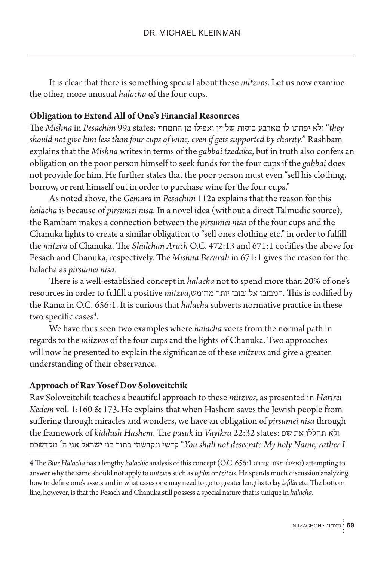It is clear that there is something special about these *mitzvos*. Let us now examine the other, more unusual *halacha* of the four cups.

## **Obligation to Extend All of One's Financial Resources**

 *they* "ולא יפחתו לו מארבע כוסות של יין ואפילו מן התמחוי :states a99 *Pesachim* in *Mishna* The *should not give him less than four cups of wine, even if gets supported by charity.*" Rashbam explains that the *Mishna* writes in terms of the *gabbai tzedaka*, but in truth also confers an obligation on the poor person himself to seek funds for the four cups if the *gabbai* does not provide for him. He further states that the poor person must even "sell his clothing, borrow, or rent himself out in order to purchase wine for the four cups."

As noted above, the *Gemara* in *Pesachim* 112a explains that the reason for this *halacha* is because of *pirsumei nisa*. In a novel idea (without a direct Talmudic source), the Rambam makes a connection between the *pirsumei nisa* of the four cups and the Chanuka lights to create a similar obligation to "sell ones clothing etc." in order to fulfill the *mitzva* of Chanuka. The *Shulchan Aruch* O.C. 472:13 and 671:1 codifies the above for Pesach and Chanuka, respectively. The *Mishna Berurah* in 671:1 gives the reason for the halacha as *pirsumei nisa.*

There is a well-established concept in *halacha* not to spend more than 20% of one's resources in order to fulfill a positive *mitzva*,מחומש יותר יבזבז אל המבזבז. This is codified by the Rama in O.C. 656:1. It is curious that *halacha* subverts normative practice in these two specific cases<sup>4</sup>.

We have thus seen two examples where *halacha* veers from the normal path in regards to the *mitzvos* of the four cups and the lights of Chanuka. Two approaches will now be presented to explain the significance of these *mitzvos* and give a greater understanding of their observance.

## **Approach of Rav Yosef Dov Soloveitchik**

Rav Soloveitchik teaches a beautiful approach to these *mitzvos*, as presented in *Harirei Kedem* vol. 1:160 & 173. He explains that when Hashem saves the Jewish people from suffering through miracles and wonders, we have an obligation of *pirsumei nisa* through the framework of *kiddush Hashem*. The *pasuk* in *Vayikra* 22:32 states: שם את תחללו ולא מקדשכם' ה אני ישראל בני בתוך ונקדשתי קדשי" *You shall not desecrate My holy Name, rather I* 

<sup>4</sup> The *Biur Halacha* has a lengthy *halachic* analysis of this concept (O.C. 656:1 עוברת מצוה ואפילו (attempting to answer why the same should not apply to *mitzvos* such as *tefilin* or *tzitzis*. He spends much discussion analyzing how to define one's assets and in what cases one may need to go to greater lengths to lay *tefilin* etc. The bottom line, however, is that the Pesach and Chanuka still possess a special nature that is unique in *halacha*.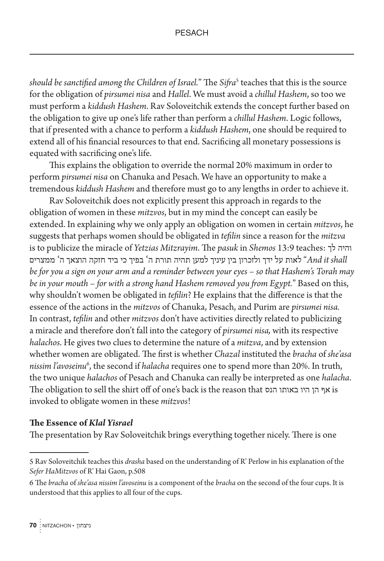#### PESACH

*should be sanctified among the Children of Israel.*" The *Sifra*<sup>5</sup> teaches that this is the source for the obligation of *pirsumei nisa* and *Hallel*. We must avoid a *chillul Hashem*, so too we must perform a *kiddush Hashem*. Rav Soloveitchik extends the concept further based on the obligation to give up one's life rather than perform a *chillul Hashem*. Logic follows, that if presented with a chance to perform a *kiddush Hashem*, one should be required to extend all of his financial resources to that end. Sacrificing all monetary possessions is equated with sacrificing one's life.

This explains the obligation to override the normal 20% maximum in order to perform *pirsumei nisa* on Chanuka and Pesach. We have an opportunity to make a tremendous *kiddush Hashem* and therefore must go to any lengths in order to achieve it.

Rav Soloveitchik does not explicitly present this approach in regards to the obligation of women in these *mitzvos*, but in my mind the concept can easily be extended. In explaining why we only apply an obligation on women in certain *mitzvos*, he suggests that perhaps women should be obligated in *tefilin* since a reason for the *mitzva* is to publicize the miracle of *Yetzias Mitzrayim*. The *pasuk* in *Shemos* 13:9 teaches: לך והיה  *shall it And* "לאות על ידך ולזכרון בין עיניך למען תהיה תורת ה' בפיך כי ביד חזקה הוצאך ה' ממצרים *be for you a sign on your arm and a reminder between your eyes – so that Hashem's Torah may be in your mouth – for with a strong hand Hashem removed you from Egypt.*" Based on this, why shouldn't women be obligated in *tefilin*? He explains that the difference is that the essence of the actions in the *mitzvos* of Chanuka, Pesach, and Purim are *pirsumei nisa.*  In contrast, *tefilin* and other *mitzvos* don't have activities directly related to publicizing a miracle and therefore don't fall into the category of *pirsumei nisa,* with its respective *halachos*. He gives two clues to determine the nature of a *mitzva*, and by extension whether women are obligated. The first is whether *Chazal* instituted the *bracha* of *she'asa nissim l'avoseinu*<sup>6</sup> , the second if *halacha* requires one to spend more than 20%. In truth, the two unique *halachos* of Pesach and Chanuka can really be interpreted as one *halacha*. The obligation to sell the shirt off of one's back is the reason that הנס באותו היו הן אף is invoked to obligate women in these *mitzvos*!

### **The Essence of** *Klal Yisrael*

The presentation by Rav Soloveitchik brings everything together nicely. There is one

<sup>5</sup> Rav Soloveitchik teaches this *drasha* based on the understanding of R' Perlow in his explanation of the *Sefer HaMitzvos* of R' Hai Gaon, p.508

<sup>6</sup> The *bracha* of *she'asa nissim l'avoseinu* is a component of the *bracha* on the second of the four cups. It is understood that this applies to all four of the cups.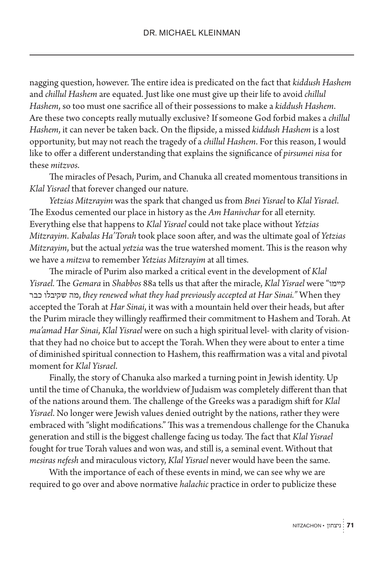nagging question, however. The entire idea is predicated on the fact that *kiddush Hashem*  and *chillul Hashem* are equated. Just like one must give up their life to avoid *chillul Hashem*, so too must one sacrifice all of their possessions to make a *kiddush Hashem*. Are these two concepts really mutually exclusive? If someone God forbid makes a *chillul Hashem*, it can never be taken back. On the flipside, a missed *kiddush Hashem* is a lost opportunity, but may not reach the tragedy of a *chillul Hashem*. For this reason, I would like to offer a different understanding that explains the significance of *pirsumei nisa* for these *mitzvos*.

The miracles of Pesach, Purim, and Chanuka all created momentous transitions in *Klal Yisrael* that forever changed our nature.

*Yetzias Mitzrayim* was the spark that changed us from *Bnei Yisrael* to *Klal Yisrael*. The Exodus cemented our place in history as the *Am Hanivchar* for all eternity. Everything else that happens to *Klal Yisrael* could not take place without *Yetzias Mitzrayim*. *Kabalas Ha'Torah* took place soon after, and was the ultimate goal of *Yetzias Mitzrayim*, but the actual *yetzia* was the true watershed moment. This is the reason why we have a *mitzva* to remember *Yetzias Mitzrayim* at all times.

The miracle of Purim also marked a critical event in the development of *Klal Yisrael.* The *Gemara* in *Shabbos* 88a tells us that after the miracle, *Klal Yisrael* were "קיימו כבר שקיבלו מה, *they renewed what they had previously accepted at Har Sinai."* When they accepted the Torah at *Har Sinai*, it was with a mountain held over their heads, but after the Purim miracle they willingly reaffirmed their commitment to Hashem and Torah. At *ma'amad Har Sinai*, *Klal Yisrael* were on such a high spiritual level- with clarity of visionthat they had no choice but to accept the Torah. When they were about to enter a time of diminished spiritual connection to Hashem, this reaffirmation was a vital and pivotal moment for *Klal Yisrael*.

Finally, the story of Chanuka also marked a turning point in Jewish identity. Up until the time of Chanuka, the worldview of Judaism was completely different than that of the nations around them. The challenge of the Greeks was a paradigm shift for *Klal Yisrael*. No longer were Jewish values denied outright by the nations, rather they were embraced with "slight modifications." This was a tremendous challenge for the Chanuka generation and still is the biggest challenge facing us today. The fact that *Klal Yisrael*  fought for true Torah values and won was, and still is, a seminal event. Without that *mesiras nefesh* and miraculous victory, *Klal Yisrael* never would have been the same.

With the importance of each of these events in mind, we can see why we are required to go over and above normative *halachic* practice in order to publicize these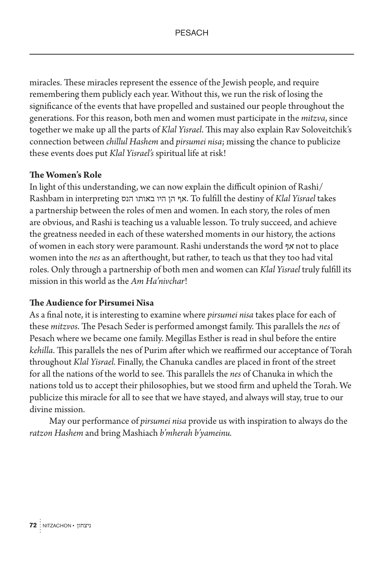miracles. These miracles represent the essence of the Jewish people, and require remembering them publicly each year. Without this, we run the risk of losing the significance of the events that have propelled and sustained our people throughout the generations. For this reason, both men and women must participate in the *mitzva*, since together we make up all the parts of *Klal Yisrael*. This may also explain Rav Soloveitchik's connection between *chillul Hashem* and *pirsumei nisa*; missing the chance to publicize these events does put *Klal Yisrael's* spiritual life at risk!

## **The Women's Role**

In light of this understanding, we can now explain the difficult opinion of Rashi/ Rashbam in interpreting הנס באותו היו הן אף. To fulfill the destiny of *Klal Yisrael* takes a partnership between the roles of men and women. In each story, the roles of men are obvious, and Rashi is teaching us a valuable lesson. To truly succeed, and achieve the greatness needed in each of these watershed moments in our history, the actions of women in each story were paramount. Rashi understands the word *אף* not to place women into the *nes* as an afterthought, but rather, to teach us that they too had vital roles. Only through a partnership of both men and women can *Klal Yisrael* truly fulfill its mission in this world as the *Am Ha'nivchar*!

## **The Audience for Pirsumei Nisa**

As a final note, it is interesting to examine where *pirsumei nisa* takes place for each of these *mitzvos*. The Pesach Seder is performed amongst family. This parallels the *nes* of Pesach where we became one family. Megillas Esther is read in shul before the entire *kehilla*. This parallels the nes of Purim after which we reaffirmed our acceptance of Torah throughout *Klal Yisrael.* Finally, the Chanuka candles are placed in front of the street for all the nations of the world to see. This parallels the *nes* of Chanuka in which the nations told us to accept their philosophies, but we stood firm and upheld the Torah. We publicize this miracle for all to see that we have stayed, and always will stay, true to our divine mission.

May our performance of *pirsumei nisa* provide us with inspiration to always do the *ratzon Hashem* and bring Mashiach *b'mherah b'yameinu.*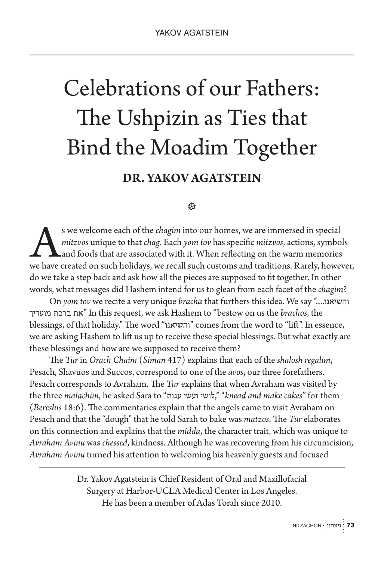# Celebrations of our Fathers: The Ushpizin as Ties that Bind the Moadim Together **DR. YAKOV AGATSTEIN**

### \$ী

s we welcome each of the *chagim* into our homes, we are immersed in special *mitzvos* unique to that *chag*. Each *yom tov* has specific *mitzvos*, actions, symbo and foods that are associated with it. When reflecting on *mitzvos* unique to that *chag*. Each *yom tov* has specific *mitzvos*, actions, symbols and foods that are associated with it. When reflecting on the warm memories we have created on such holidays, we recall such customs and traditions. Rarely, however, do we take a step back and ask how all the pieces are supposed to fit together. In other words, what messages did Hashem intend for us to glean from each facet of the *chagim*?

On *yom tov* we recite a very unique *bracha* that furthers this idea. We say "....והשיאנו מועדיך ברכת את "In this request, we ask Hashem to "bestow on us the *brachos*, the blessings, of that holiday." The word "והשיאנו "comes from the word to "lift". In essence, we are asking Hashem to lift us up to receive these special blessings. But what exactly are these blessings and how are we supposed to receive them?

The *Tur* in *Orach Chaim* (*Siman* 417) explains that each of the *shalosh regalim*, Pesach, Shavuos and Succos, correspond to one of the *avos*, our three forefathers. Pesach corresponds to Avraham. The *Tur* explains that when Avraham was visited by the three *malachim*, he asked Sara to "עגות ועשי לושי," "*knead and make cakes*" for them (*Bereshis* 18:6). The commentaries explain that the angels came to visit Avraham on Pesach and that the "dough" that he told Sarah to bake was *matzos*. The *Tur* elaborates on this connection and explains that the *midda*, the character trait, which was unique to *Avraham Avinu* was *chessed*, kindness. Although he was recovering from his circumcision, *Avraham Avinu* turned his attention to welcoming his heavenly guests and focused

> Dr. Yakov Agatstein is Chief Resident of Oral and Maxillofacial Surgery at Harbor-UCLA Medical Center in Los Angeles. He has been a member of Adas Torah since 2010.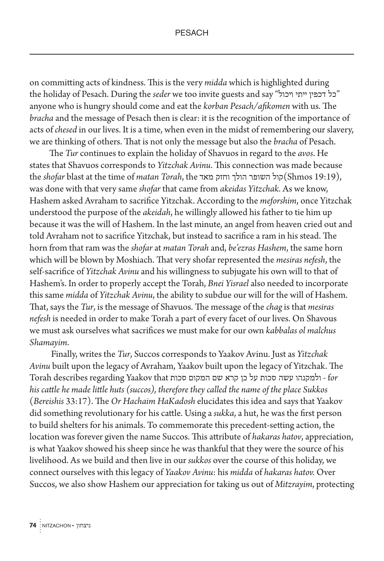on committing acts of kindness. This is the very *midda* which is highlighted during the holiday of Pesach. During the *seder* we too invite guests and say "כל דכפין ייתי ויכול anyone who is hungry should come and eat the *korban Pesach/afikomen* with us. The *bracha* and the message of Pesach then is clear: it is the recognition of the importance of acts of *chesed* in our lives. It is a time, when even in the midst of remembering our slavery, we are thinking of others. That is not only the message but also the *bracha* of Pesach.

The *Tur* continues to explain the holiday of Shavuos in regard to the *avos*. He states that Shavuos corresponds to *Yitzchak Avinu*. This connection was made because the *shofar* blast at the time of *matan Torah*, the מאד וחזק הולך השופר קול)Shmos 19:19), was done with that very same *shofar* that came from *akeidas Yitzchak*. As we know, Hashem asked Avraham to sacrifice Yitzchak. According to the *meforshim*, once Yitzchak understood the purpose of the *akeidah*, he willingly allowed his father to tie him up because it was the will of Hashem. In the last minute, an angel from heaven cried out and told Avraham not to sacrifice Yitzchak, but instead to sacrifice a ram in his stead. The horn from that ram was the *shofar* at *matan Torah* and, *be'ezras Hashem*, the same horn which will be blown by Moshiach. That very shofar represented the *mesiras nefesh*, the self-sacrifice of *Yitzchak Avinu* and his willingness to subjugate his own will to that of Hashem's. In order to properly accept the Torah, *Bnei Yisrael* also needed to incorporate this same *midda* of *Yitzchak Avinu*, the ability to subdue our will for the will of Hashem. That, says the *Tur*, is the message of Shavuos. The message of the *chag* is that *mesiras nefesh* is needed in order to make Torah a part of every facet of our lives. On Shavous we must ask ourselves what sacrifices we must make for our own *kabbalas ol malchus Shamayim*.

 Finally, writes the *Tur*, Succos corresponds to Yaakov Avinu. Just as *Yitzchak Avinu* built upon the legacy of Avraham, Yaakov built upon the legacy of Yitzchak. The f*or* - ולמקנהו עשה סכות על כן קרא שם המקום סכות that Yaakov regarding describes Torah *his cattle he made little huts (succos), therefore they called the name of the place Sukkos* (*Bereishis* 33:17). The *Or Hachaim HaKadosh* elucidates this idea and says that Yaakov did something revolutionary for his cattle. Using a *sukka*, a hut, he was the first person to build shelters for his animals. To commemorate this precedent-setting action, the location was forever given the name Succos. This attribute of *hakaras hatov*, appreciation, is what Yaakov showed his sheep since he was thankful that they were the source of his livelihood. As we build and then live in our *sukkos* over the course of this holiday, we connect ourselves with this legacy of *Yaakov Avinu*: his *midda* of *hakaras hatov.* Over Succos, we also show Hashem our appreciation for taking us out of *Mitzrayim*, protecting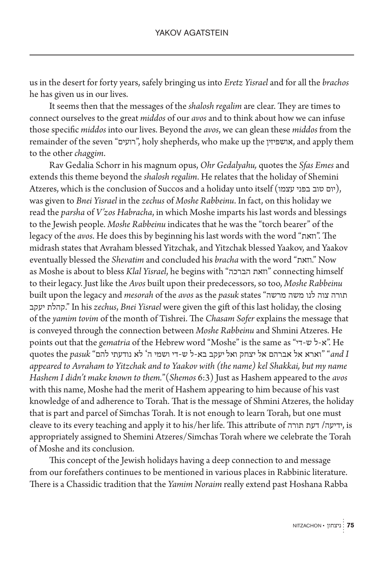us in the desert for forty years, safely bringing us into *Eretz Yisrael* and for all the *brachos* he has given us in our lives.

It seems then that the messages of the *shalosh regalim* are clear. They are times to connect ourselves to the great *middos* of our *avos* and to think about how we can infuse those specific *middos* into our lives. Beyond the *avos*, we can glean these *middos* from the remainder of the seven "רועים", holy shepherds, who make up the אושפיזין, and apply them to the other *chaggim*.

Rav Gedalia Schorr in his magnum opus, *Ohr Gedalyahu,* quotes the *Sfas Emes* and extends this theme beyond the *shalosh regalim*. He relates that the holiday of Shemini Atzeres, which is the conclusion of Succos and a holiday unto itself (יום טוב בפני עצמו), was given to *Bnei Yisrael* in the *zechus* of *Moshe Rabbeinu*. In fact, on this holiday we read the *parsha* of *V'zos Habracha*, in which Moshe imparts his last words and blessings to the Jewish people. *Moshe Rabbeinu* indicates that he was the "torch bearer" of the legacy of the *avos*. He does this by beginning his last words with the word "וזאת". The midrash states that Avraham blessed Yitzchak, and Yitzchak blessed Yaakov, and Yaakov eventually blessed the *Shevatim* and concluded his *bracha* with the word "וזאת. "Now as Moshe is about to bless *Klal Yisrael*, he begins with "הברכה וזאת "connecting himself to their legacy. Just like the *Avos* built upon their predecessors, so too, *Moshe Rabbeinu*  built upon the legacy and *mesorah* of the *avos* as the *pasuk* states "מרשה משה לנו צוה תורה יעקב קהלת. "In his *zechus*, *Bnei Yisrael* were given the gift of this last holiday, the closing of the *yamim tovim* of the month of Tishrei. The *Chasam Sofer* explains the message that is conveyed through the connection between *Moshe Rabbeinu* and Shmini Atzeres. He points out that the *gematria* of the Hebrew word "Moshe" is the same as "די-ש ל-א". He  *I and*" "וארא אל אברהם אל יצחק ואליעקב בא-ל ש-די ושמי ה' לא נודעתי להם" *pasuk* the quotes *appeared to Avraham to Yitzchak and to Yaakov with (the name) kel Shakkai, but my name Hashem I didn't make known to them.*"(*Shemos* 6:3) Just as Hashem appeared to the *avos* with this name, Moshe had the merit of Hashem appearing to him because of his vast knowledge of and adherence to Torah. That is the message of Shmini Atzeres, the holiday that is part and parcel of Simchas Torah. It is not enough to learn Torah, but one must cleave to its every teaching and apply it to his/her life. This attribute of תורה דעת /ידיעה, is appropriately assigned to Shemini Atzeres/Simchas Torah where we celebrate the Torah of Moshe and its conclusion.

This concept of the Jewish holidays having a deep connection to and message from our forefathers continues to be mentioned in various places in Rabbinic literature. There is a Chassidic tradition that the *Yamim Noraim* really extend past Hoshana Rabba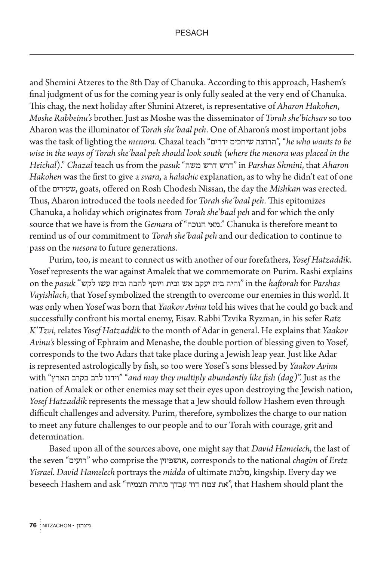and Shemini Atzeres to the 8th Day of Chanuka. According to this approach, Hashem's final judgment of us for the coming year is only fully sealed at the very end of Chanuka. This chag, the next holiday after Shmini Atzeret, is representative of *Aharon Hakohen*, *Moshe Rabbeinu's* brother. Just as Moshe was the disseminator of *Torah she'bichsav* so too Aharon was the illuminator of *Torah she'baal peh*. One of Aharon's most important jobs was the task of lighting the *menora*. Chazal teach "ידרים שיחכים הרוצה"," *he who wants to be wise in the ways of Torah she'baal peh should look south (where the menora was placed in the Heichal*)." *Chazal* teach us from the *pasuk* "משה דרש דרש "in *Parshas Shmini*, that *Aharon Hakohen* was the first to give a *svara*, a *halachic* explanation, as to why he didn't eat of one of the שעירים, goats, offered on Rosh Chodesh Nissan, the day the *Mishkan* was erected. Thus, Aharon introduced the tools needed for *Torah she'baal peh*. This epitomizes Chanuka, a holiday which originates from *Torah she'baal peh* and for which the only source that we have is from the *Gemara* of "חנוכה מאי. "Chanuka is therefore meant to remind us of our commitment to *Torah she'baal peh* and our dedication to continue to pass on the *mesora* to future generations.

Purim, too, is meant to connect us with another of our forefathers, *Yosef Hatzaddik*. Yosef represents the war against Amalek that we commemorate on Purim. Rashi explains  *Parshas* for *haftorah* the in" והיה בית יעקב אש ובית ויוסף להבה ובית עשו לקש" *pasuk* the on *Vayishlach*, that Yosef symbolized the strength to overcome our enemies in this world. It was only when Yosef was born that *Yaakov Avinu* told his wives that he could go back and successfully confront his mortal enemy, Eisav. Rabbi Tzvika Ryzman, in his sefer *Ratz K'Tzvi*, relates *Yosef Hatzaddik* to the month of Adar in general. He explains that *Yaakov Avinu's* blessing of Ephraim and Menashe, the double portion of blessing given to Yosef, corresponds to the two Adars that take place during a Jewish leap year. Just like Adar is represented astrologically by fish, so too were Yosef 's sons blessed by *Yaakov Avinu*  with "הארץ בקרב לרב וידגו" "*and may they multiply abundantly like fish (dag)*". Just as the nation of Amalek or other enemies may set their eyes upon destroying the Jewish nation, *Yosef Hatzaddik* represents the message that a Jew should follow Hashem even through difficult challenges and adversity. Purim, therefore, symbolizes the charge to our nation to meet any future challenges to our people and to our Torah with courage, grit and determination.

Based upon all of the sources above, one might say that *David Hamelech*, the last of the seven "רועים "who comprise the אושפיזין, corresponds to the national *chagim* of *Eretz Yisrael*. *David Hamelech* portrays the *midda* of ultimate מלכות, kingship. Every day we beseech Hashem and ask "תצמיח מהרה עבדך דוד צמח את", that Hashem should plant the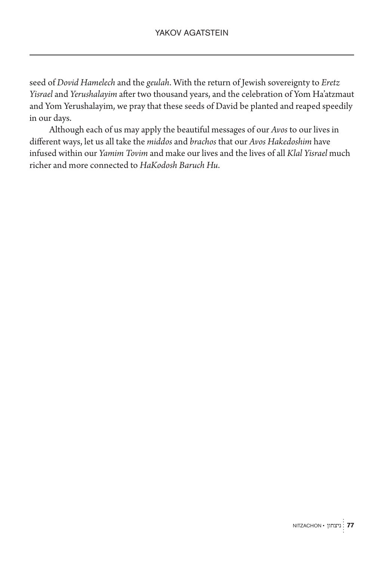seed of *Dovid Hamelech* and the *geulah*. With the return of Jewish sovereignty to *Eretz Yisrael* and *Yerushalayim* after two thousand years, and the celebration of Yom Ha'atzmaut and Yom Yerushalayim, we pray that these seeds of David be planted and reaped speedily in our days.

Although each of us may apply the beautiful messages of our *Avos* to our lives in different ways, let us all take the *middos* and *brachos* that our *Avos Hakedoshim* have infused within our *Yamim Tovim* and make our lives and the lives of all *Klal Yisrael* much richer and more connected to *HaKodosh Baruch Hu*.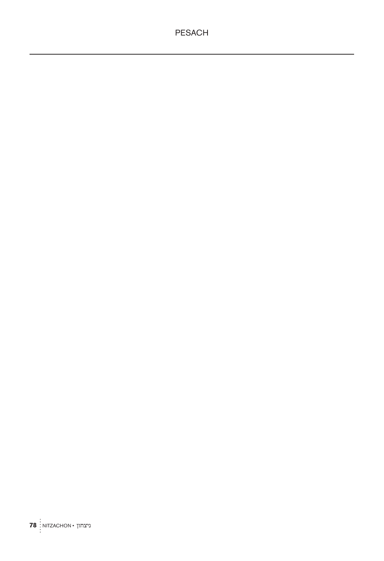PESACH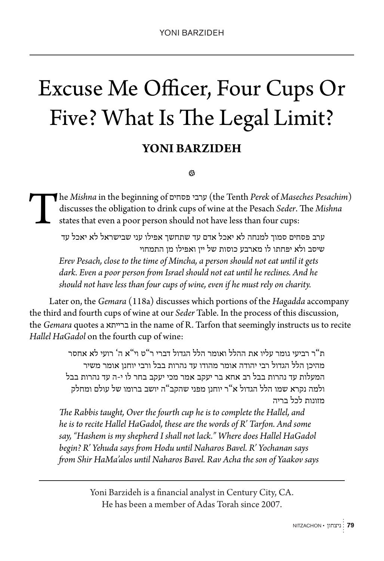# Excuse Me Officer, Four Cups Or Five? What Is The Legal Limit?

## **YONI BARZIDEH**

•

The *Mishna* in the beginning of פסחים ערבי) the Tenth *Perek* of *Maseches Pesachim*) discusses the obligation to drink cups of wine at the Pesach *Seder*. The *Mishna* states that even a poor person should not have less than four cups:

ערב פסחים סמוך למנחה לא יאכל אדם עד שתחשך אפילו עני שבישראל לא יאכל עד שיסב ולא יפחתו לו מארבע כוסות של יין ואפילו מן התמחוי *Erev Pesach, close to the time of Mincha, a person should not eat until it gets dark. Even a poor person from Israel should not eat until he reclines. And he* 

*should not have less than four cups of wine, even if he must rely on charity.*

Later on, the *Gemara* (118a) discusses which portions of the *Hagadda* accompany the third and fourth cups of wine at our *Seder* Table. In the process of this discussion, the *Gemara* quotes a ברייתא in the name of R. Tarfon that seemingly instructs us to recite *Hallel HaGadol* on the fourth cup of wine:

> ת"ר רביעי גומר עליו את ההלל ואומר הלל הגדול דברי ר"ט וי"א ה' רועי לא אחסר מהיכן הלל הגדול רבי יהודה אומר מהודו עד נהרות בבל ורבי יוחנן אומר משיר המעלות עד נהרות בבל רב אחא בר יעקב אמר מכי יעקב בחר לו י-ה עד נהרות בבל ולמה נקרא שמו הלל הגדול א"ר יוחנן מפני שהקב"ה יושב ברומו של עולם ומחלק מזונות לכל בריה

*The Rabbis taught, Over the fourth cup he is to complete the Hallel, and he is to recite Hallel HaGadol, these are the words of R' Tarfon. And some say, "Hashem is my shepherd I shall not lack." Where does Hallel HaGadol begin? R' Yehuda says from Hodu until Naharos Bavel. R' Yochanan says from Shir HaMa'alos until Naharos Bavel. Rav Acha the son of Yaakov says* 

> Yoni Barzideh is a financial analyst in Century City, CA. He has been a member of Adas Torah since 2007.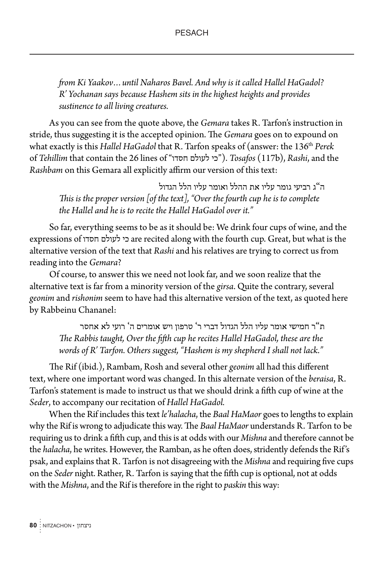*from Ki Yaakov…until Naharos Bavel. And why is it called Hallel HaGadol? R' Yochanan says because Hashem sits in the highest heights and provides sustinence to all living creatures.*

As you can see from the quote above, the *Gemara* takes R. Tarfon's instruction in stride, thus suggesting it is the accepted opinion. The *Gemara* goes on to expound on what exactly is this *Hallel HaGadol* that R. Tarfon speaks of (answer: the 136th *Perek* of *Tehillim* that contain the 26 lines of "חסדו לעולם כי(". *Tosafos* (117b), *Rashi*, and the *Rashbam* on this Gemara all explicitly affirm our version of this text:

ה"ג רביעי גומר עליו את ההלל ואומר עליו הלל הגדול *This is the proper version [of the text], "Over the fourth cup he is to complete the Hallel and he is to recite the Hallel HaGadol over it."*

So far, everything seems to be as it should be: We drink four cups of wine, and the expressions of חסדו לעולם כי are recited along with the fourth cup. Great, but what is the alternative version of the text that *Rashi* and his relatives are trying to correct us from reading into the *Gemara*?

Of course, to answer this we need not look far, and we soon realize that the alternative text is far from a minority version of the *girsa*. Quite the contrary, several *geonim* and *rishonim* seem to have had this alternative version of the text, as quoted here by Rabbeinu Chananel:

ת"ר חמישי אומר עליו הלל הגדול דברי ר' טרפון ויש אומרים ה' רועי לא אחסר *The Rabbis taught, Over the fifth cup he recites Hallel HaGadol, these are the words of R' Tarfon. Others suggest, "Hashem is my shepherd I shall not lack."*

The Rif (ibid.), Rambam, Rosh and several other *geonim* all had this different text, where one important word was changed. In this alternate version of the *beraisa*, R. Tarfon's statement is made to instruct us that we should drink a fifth cup of wine at the *Seder*, to accompany our recitation of *Hallel HaGadol.*

When the Rif includes this text *le'halacha*, the *Baal HaMaor* goes to lengths to explain why the Rif is wrong to adjudicate this way. The *Baal HaMaor* understands R. Tarfon to be requiring us to drink a fifth cup, and this is at odds with our *Mishna* and therefore cannot be the *halacha*, he writes. However, the Ramban, as he often does, stridently defends the Rif 's psak, and explains that R. Tarfon is not disagreeing with the *Mishna* and requiring five cups on the *Seder* night. Rather, R. Tarfon is saying that the fifth cup is optional, not at odds with the *Mishna*, and the Rif is therefore in the right to *paskin* this way: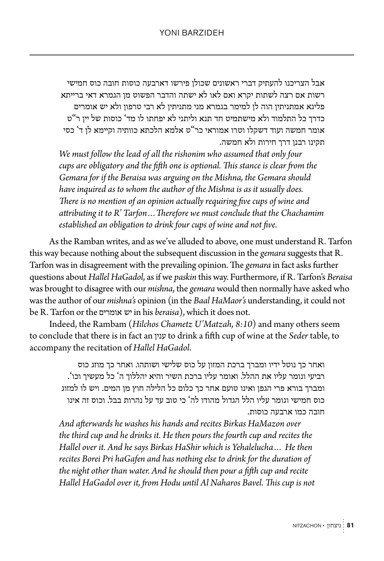אבל הצריכנו להעתיק דברי ראשונים שכולן פירשו דארבעה כוסות חובה כוס חמישי רשות אם רצה לשתות יקרא ואם לאו לא ישתה והדבר הפשוט מן הגמרא דאי ברייתא פליגא אמתניתין הוה לן למימר בגמרא מני מתניתין לא רבי טרפון ולא יש אומרים כדרך כל התלמוד ולא מישתמיט חד תנא וליתני לא יפחתו לו מד' כוסות של יין ר"ט אומר חמשה ועוד דשקלו וטרו אמוראי כר"ט אלמא הלכתא כוותיה וקיימא לן ד' כסי תקינו רבנן דרך חירות ולא חמשה.

*We must follow the lead of all the rishonim who assumed that only four cups are obligatory and the fifth one is optional. This stance is clear from the Gemara for if the Beraisa was arguing on the Mishna, the Gemara should have inquired as to whom the author of the Mishna is as it usually does. There is no mention of an opinion actually requiring five cups of wine and attributing it to R' Tarfon…Therefore we must conclude that the Chachamim established an obligation to drink four cups of wine and not five.*

As the Ramban writes, and as we've alluded to above, one must understand R. Tarfon this way because nothing about the subsequent discussion in the *gemara* suggests that R. Tarfon was in disagreement with the prevailing opinion. The *gemara* in fact asks further questions about *Hallel HaGadol*, as if we *paskin* this way. Furthermore, if R. Tarfon's *Beraisa* was brought to disagree with our *mishna*, the *gemara* would then normally have asked who was the author of our *mishna's* opinion (in the *Baal HaMaor's* understanding, it could not be R. Tarfon or the אומרים יש in his *beraisa*), which it does not.

Indeed, the Rambam (*Hilchos Chametz U'Matzah, 8:10*) and many others seem to conclude that there is in fact an ענין to drink a fifth cup of wine at the *Seder* table, to accompany the recitation of *Hallel HaGadol*.

> ואחר כך נוטל ידיו ומברך ברכת המזון על כוס שלישי ושותהו. ואחר כך מוזג כוס רביעי ונומר עליו את ההלל. ואומר עליו ברכת השיר והיא יהללוך ה' כל מעשיך וכו'. ומברך בורא פרי הגפן ואינו טועם אחר כך כלום כל הלילה חוץ מן המים. ויש לו למזוג כוס חמישי וגומר עליו הלל הגדול מהודו לה' כי טוב עד על נהרות בבל. וכוס זה אינו חובה כמו ארבעה כוסות.

*And afterwards he washes his hands and recites Birkas HaMazon over the third cup and he drinks it. He then pours the fourth cup and recites the Hallel over it. And he says Birkas HaShir which is Yehalelucha… He then recites Borei Pri haGafen and has nothing else to drink for the duration of the night other than water. And he should then pour a fifth cup and recite Hallel HaGadol over it, from Hodu until Al Naharos Bavel. This cup is not*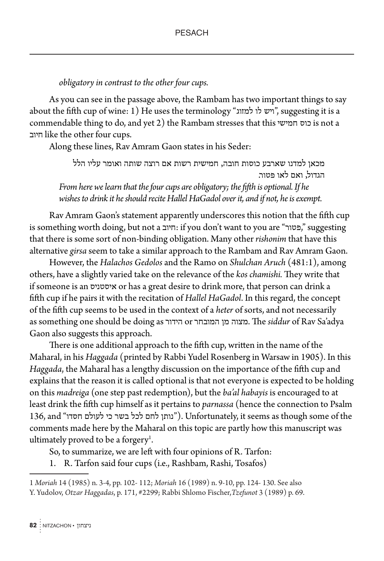*obligatory in contrast to the other four cups.*

As you can see in the passage above, the Rambam has two important things to say about the fifth cup of wine: 1) He uses the terminology "למזוג לו ויש", suggesting it is a commendable thing to do, and yet 2) the Rambam stresses that this חמישי כוס is not a חיוב like the other four cups.

Along these lines, Rav Amram Gaon states in his Seder:

מכאן למדנו שארבע כוסות חובה, חמישית רשות אם רוצה שותה ואומר עליו הלל הגדול, ואם לאו פטור. *From here we learn that the four cups are obligatory; the fifth is optional. If he wishes to drink it he should recite Hallel HaGadol over it, and if not, he is exempt.*

Rav Amram Gaon's statement apparently underscores this notion that the fifth cup is something worth doing, but not a חיוב: if you don't want to you are "פטור, "suggesting that there is some sort of non-binding obligation. Many other *rishonim* that have this alternative *girsa* seem to take a similar approach to the Rambam and Rav Amram Gaon.

However, the *Halachos Gedolos* and the Ramo on *Shulchan Aruch* (481:1), among others, have a slightly varied take on the relevance of the *kos chamishi.* They write that if someone is an איסטניס or has a great desire to drink more, that person can drink a fifth cup if he pairs it with the recitation of *Hallel HaGadol*. In this regard, the concept of the fifth cup seems to be used in the context of a *heter* of sorts, and not necessarily as something one should be doing as הידור or המובחר מן מצוה. The *siddur* of Rav Sa'adya Gaon also suggests this approach.

There is one additional approach to the fifth cup, written in the name of the Maharal, in his *Haggada* (printed by Rabbi Yudel Rosenberg in Warsaw in 1905). In this *Haggada*, the Maharal has a lengthy discussion on the importance of the fifth cup and explains that the reason it is called optional is that not everyone is expected to be holding on this *madreiga* (one step past redemption), but the *ba'al habayis* is encouraged to at least drink the fifth cup himself as it pertains to *parnassa* (hence the connection to Psalm 136, and "חסדו לעולם כי בשר לכל לחם נותן(". Unfortunately, it seems as though some of the comments made here by the Maharal on this topic are partly how this manuscript was ultimately proved to be a forgery $^{\rm l}$ .

So, to summarize, we are left with four opinions of R. Tarfon:

1. R. Tarfon said four cups (i.e., Rashbam, Rashi, Tosafos)

<sup>1</sup> *Moriah* 14 (1985) n. 3-4, pp. 102- 112; *Moriah* 16 (1989) n. 9-10, pp. 124- 130. See also

Y. Yudolov, *Otzar Haggadas*, p. 171, #2299; Rabbi Shlomo Fischer,*Tzefunot* 3 (1989) p. 69.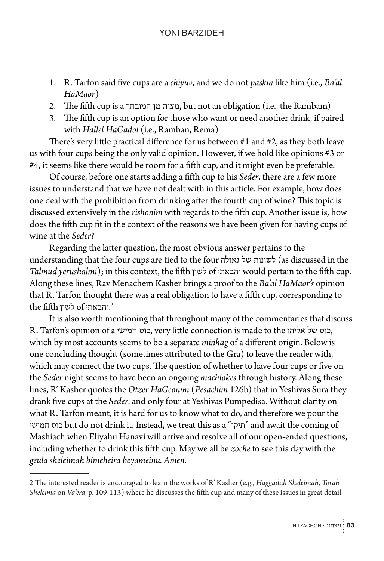- 1. R. Tarfon said five cups are a *chiyuv*, and we do not *paskin* like him (i.e., *Ba'al HaMaor*)
- 2. The fifth cup is a המובחר מן מצוה, but not an obligation (i.e., the Rambam)
- 3. The fifth cup is an option for those who want or need another drink, if paired with *Hallel HaGadol* (i.e., Ramban, Rema)

There's very little practical difference for us between #1 and #2, as they both leave us with four cups being the only valid opinion. However, if we hold like opinions #3 or #4, it seems like there would be room for a fifth cup, and it might even be preferable.

Of course, before one starts adding a fifth cup to his *Seder*, there are a few more issues to understand that we have not dealt with in this article. For example, how does one deal with the prohibition from drinking after the fourth cup of wine? This topic is discussed extensively in the *rishonim* with regards to the fifth cup. Another issue is, how does the fifth cup fit in the context of the reasons we have been given for having cups of wine at the *Seder*?

Regarding the latter question, the most obvious answer pertains to the understanding that the four cups are tied to the four לשונות של גאולה (as discussed in the *Talmud yerushalmi*); in this context, the fifth לשון of והבאתי would pertain to the fifth cup. Along these lines, Rav Menachem Kasher brings a proof to the *Ba'al HaMaor's* opinion that R. Tarfon thought there was a real obligation to have a fifth cup, corresponding to  $\th$ the fifth והבאתי $^2$ 

It is also worth mentioning that throughout many of the commentaries that discuss R. Tarfon's opinion of a חמישי כוס, very little connection is made to the אליהו של כוס, which by most accounts seems to be a separate *minhag* of a different origin. Below is one concluding thought (sometimes attributed to the Gra) to leave the reader with, which may connect the two cups. The question of whether to have four cups or five on the *Seder* night seems to have been an ongoing *machlokes* through history. Along these lines, R' Kasher quotes the *Otzer HaGeonim* (*Pesachim* 126b) that in Yeshivas Sura they drank five cups at the *Seder*, and only four at Yeshivas Pumpedisa. Without clarity on what R. Tarfon meant, it is hard for us to know what to do, and therefore we pour the חמישי כוס but do not drink it. Instead, we treat this as a "תיקו "and await the coming of Mashiach when Eliyahu Hanavi will arrive and resolve all of our open-ended questions, including whether to drink this fifth cup. May we all be *zoche* to see this day with the *geula sheleimah bimeheira beyameinu. Amen.*

<sup>2</sup> The interested reader is encouraged to learn the works of R' Kasher (e.g., *Haggadah Sheleimah*, *Torah Sheleima* on *Va'era*, p. 109-113) where he discusses the fifth cup and many of these issues in great detail.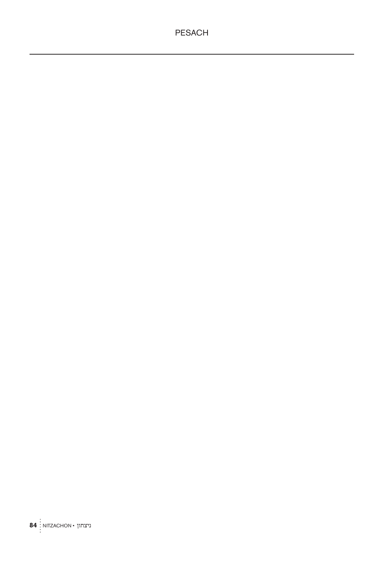PESACH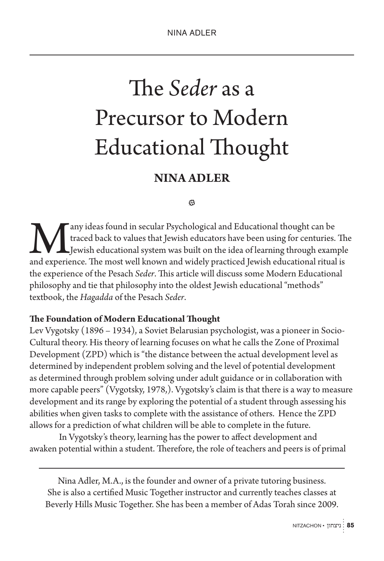# The *Seder* as a Precursor to Modern Educational Thought

## **NINA ADLER**

#### •

All thought can be traced back to values that Jewish educators have been using for centuries.<br>Lewish educational system was built on the idea of learning through exam<br>and experience. The most well known and widely practice traced back to values that Jewish educators have been using for centuries. The Jewish educational system was built on the idea of learning through example and experience. The most well known and widely practiced Jewish educational ritual is the experience of the Pesach *Seder*. This article will discuss some Modern Educational philosophy and tie that philosophy into the oldest Jewish educational "methods" textbook, the *Hagadda* of the Pesach *Seder*.

#### **The Foundation of Modern Educational Thought**

Lev Vygotsky (1896 – 1934), a Soviet Belarusian psychologist, was a pioneer in Socio-Cultural theory. His theory of learning focuses on what he calls the Zone of Proximal Development (ZPD) which is "the distance between the actual development level as determined by independent problem solving and the level of potential development as determined through problem solving under adult guidance or in collaboration with more capable peers" (Vygotsky, 1978,). Vygotsky's claim is that there is a way to measure development and its range by exploring the potential of a student through assessing his abilities when given tasks to complete with the assistance of others. Hence the ZPD allows for a prediction of what children will be able to complete in the future.

In Vygotsky's theory, learning has the power to affect development and awaken potential within a student. Therefore, the role of teachers and peers is of primal

Nina Adler, M.A., is the founder and owner of a private tutoring business. She is also a certified Music Together instructor and currently teaches classes at Beverly Hills Music Together. She has been a member of Adas Torah since 2009.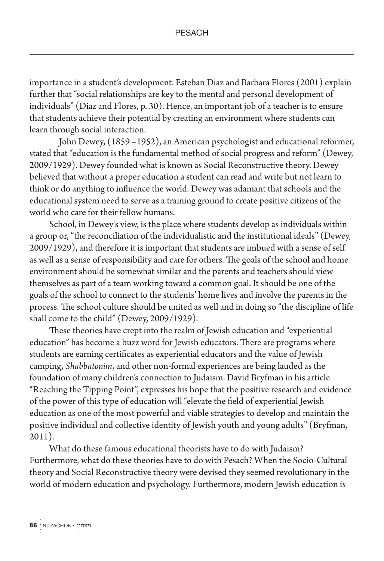importance in a student's development. Esteban Diaz and Barbara Flores (2001) explain further that "social relationships are key to the mental and personal development of individuals" (Diaz and Flores, p. 30). Hence, an important job of a teacher is to ensure that students achieve their potential by creating an environment where students can learn through social interaction.

John Dewey, (1859 –1952), an American psychologist and educational reformer, stated that "education is the fundamental method of social progress and reform" (Dewey, 2009/1929). Dewey founded what is known as Social Reconstructive theory. Dewey believed that without a proper education a student can read and write but not learn to think or do anything to influence the world. Dewey was adamant that schools and the educational system need to serve as a training ground to create positive citizens of the world who care for their fellow humans.

School, in Dewey's view, is the place where students develop as individuals within a group or, "the reconciliation of the individualistic and the institutional ideals" (Dewey, 2009/1929), and therefore it is important that students are imbued with a sense of self as well as a sense of responsibility and care for others. The goals of the school and home environment should be somewhat similar and the parents and teachers should view themselves as part of a team working toward a common goal. It should be one of the goals of the school to connect to the students' home lives and involve the parents in the process. The school culture should be united as well and in doing so "the discipline of life shall come to the child" (Dewey, 2009/1929).

These theories have crept into the realm of Jewish education and "experiential education" has become a buzz word for Jewish educators. There are programs where students are earning certificates as experiential educators and the value of Jewish camping, *Shabbatonim*, and other non-formal experiences are being lauded as the foundation of many children's connection to Judaism. David Bryfman in his article "Reaching the Tipping Point", expresses his hope that the positive research and evidence of the power of this type of education will "elevate the field of experiential Jewish education as one of the most powerful and viable strategies to develop and maintain the positive individual and collective identity of Jewish youth and young adults" (Bryfman, 2011).

What do these famous educational theorists have to do with Judaism? Furthermore, what do these theories have to do with Pesach? When the Socio-Cultural theory and Social Reconstructive theory were devised they seemed revolutionary in the world of modern education and psychology. Furthermore, modern Jewish education is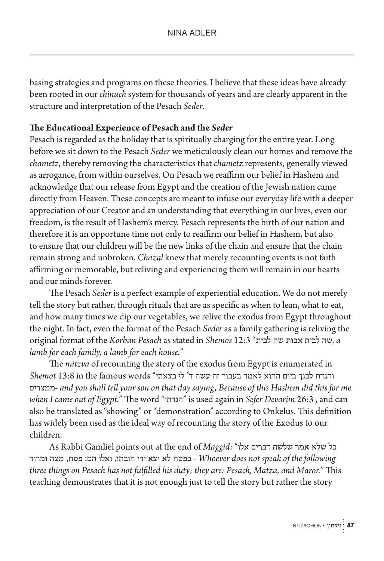basing strategies and programs on these theories. I believe that these ideas have already been rooted in our *chinuch* system for thousands of years and are clearly apparent in the structure and interpretation of the Pesach *Seder*.

#### **The Educational Experience of Pesach and the** *Seder*

Pesach is regarded as the holiday that is spiritually charging for the entire year. Long before we sit down to the Pesach *Seder* we meticulously clean our homes and remove the *chametz*, thereby removing the characteristics that *chametz* represents, generally viewed as arrogance, from within ourselves. On Pesach we reaffirm our belief in Hashem and acknowledge that our release from Egypt and the creation of the Jewish nation came directly from Heaven. These concepts are meant to infuse our everyday life with a deeper appreciation of our Creator and an understanding that everything in our lives, even our freedom, is the result of Hashem's mercy. Pesach represents the birth of our nation and therefore it is an opportune time not only to reaffirm our belief in Hashem, but also to ensure that our children will be the new links of the chain and ensure that the chain remain strong and unbroken. *Chazal* knew that merely recounting events is not faith affirming or memorable, but reliving and experiencing them will remain in our hearts and our minds forever.

The Pesach *Seder* is a perfect example of experiential education. We do not merely tell the story but rather, through rituals that are as specific as when to lean, what to eat, and how many times we dip our vegetables, we relive the exodus from Egypt throughout the night. In fact, even the format of the Pesach *Seder* as a family gathering is reliving the original format of the *Korban Pesach* as stated in *Shemos* 12:3 "לבית שה אבות לבית שה*, a lamb for each family, a lamb for each house.*"

The *mitzva* of recounting the story of the exodus from Egypt is enumerated in והגדת לבנך ביום ההוא לאמר בעבור זה עשה ד' לי בצאתי" words famous the in 13:8 *Shemot* ממצרים- *and you shall tell your son on that day saying, Because of this Hashem did this for me when I came out of Egypt.*" The word "הגדתי "is used again in *Sefer Devarim* 26:3 , and can also be translated as "showing" or "demonstration" according to Onkelus. This definition has widely been used as the ideal way of recounting the story of the Exodus to our children.

As Rabbi Gamliel points out at the end of *Maggid*: "אלו דברים שלשה אמר שלא כל *following - בפסח לא יצא ידי חובתו, ואלו הם: פסח, מצה ומרור* - Whoever does not speak of the following *three things on Pesach has not fulfilled his duty; they are: Pesach, Matza, and Maror.*" This teaching demonstrates that it is not enough just to tell the story but rather the story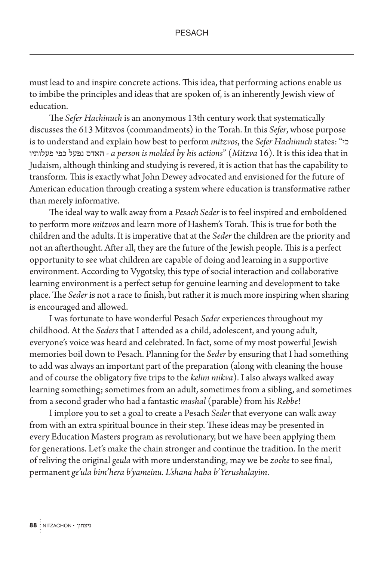must lead to and inspire concrete actions. This idea, that performing actions enable us to imbibe the principles and ideas that are spoken of, is an inherently Jewish view of education.

The *Sefer Hachinuch* is an anonymous 13th century work that systematically discusses the 613 Mitzvos (commandments) in the Torah. In this *Sefer*, whose purpose is to understand and explain how best to perform *mitzvos*, the *Sefer Hachinuch* states: "כי פעלותיו כפי נפעל האדם - *a person is molded by his actions*" (*Mitzva* 16). It is this idea that in Judaism, although thinking and studying is revered, it is action that has the capability to transform. This is exactly what John Dewey advocated and envisioned for the future of American education through creating a system where education is transformative rather than merely informative.

The ideal way to walk away from a *Pesach Seder* is to feel inspired and emboldened to perform more *mitzvos* and learn more of Hashem's Torah. This is true for both the children and the adults. It is imperative that at the *Seder* the children are the priority and not an afterthought. After all, they are the future of the Jewish people. This is a perfect opportunity to see what children are capable of doing and learning in a supportive environment. According to Vygotsky, this type of social interaction and collaborative learning environment is a perfect setup for genuine learning and development to take place. The *Seder* is not a race to finish, but rather it is much more inspiring when sharing is encouraged and allowed.

I was fortunate to have wonderful Pesach *Seder* experiences throughout my childhood. At the *Seders* that I attended as a child, adolescent, and young adult, everyone's voice was heard and celebrated. In fact, some of my most powerful Jewish memories boil down to Pesach. Planning for the *Seder* by ensuring that I had something to add was always an important part of the preparation (along with cleaning the house and of course the obligatory five trips to the *kelim mikva*). I also always walked away learning something; sometimes from an adult, sometimes from a sibling, and sometimes from a second grader who had a fantastic *mashal* (parable) from his *Rebbe*!

I implore you to set a goal to create a Pesach *Seder* that everyone can walk away from with an extra spiritual bounce in their step. These ideas may be presented in every Education Masters program as revolutionary, but we have been applying them for generations. Let's make the chain stronger and continue the tradition. In the merit of reliving the original *geula* with more understanding, may we be *zoche* to see final, permanent *ge'ula bim'hera b'yameinu. L'shana haba b'Yerushalayim*.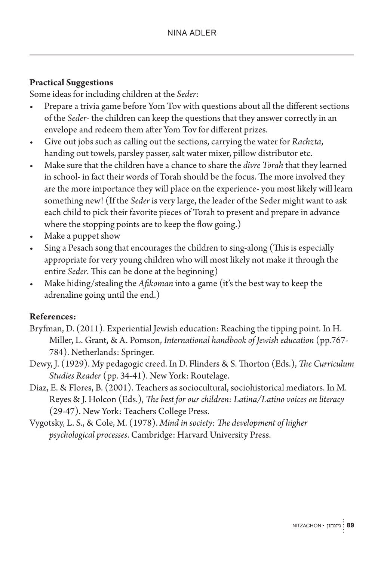### **Practical Suggestions**

Some ideas for including children at the *Seder*:

- Prepare a trivia game before Yom Tov with questions about all the different sections of the *Seder*- the children can keep the questions that they answer correctly in an envelope and redeem them after Yom Tov for different prizes.
- Give out jobs such as calling out the sections, carrying the water for *Rachzta*, handing out towels, parsley passer, salt water mixer, pillow distributor etc.
- Make sure that the children have a chance to share the *divre Torah* that they learned in school- in fact their words of Torah should be the focus. The more involved they are the more importance they will place on the experience- you most likely will learn something new! (If the *Seder* is very large, the leader of the Seder might want to ask each child to pick their favorite pieces of Torah to present and prepare in advance where the stopping points are to keep the flow going.)
- Make a puppet show
- Sing a Pesach song that encourages the children to sing-along (This is especially appropriate for very young children who will most likely not make it through the entire *Seder*. This can be done at the beginning)
- Make hiding/stealing the *Afikoman* into a game (it's the best way to keep the adrenaline going until the end.)

### **References:**

- Bryfman, D. (2011). Experiential Jewish education: Reaching the tipping point. In H. Miller, L. Grant, & A. Pomson, *International handbook of Jewish education* (pp.767- 784). Netherlands: Springer.
- Dewy, J. (1929). My pedagogic creed. In D. Flinders & S. Thorton (Eds.), *The Curriculum Studies Reader* (pp. 34-41). New York: Routelage.
- Diaz, E. & Flores, B. (2001). Teachers as sociocultural, sociohistorical mediators. In M. Reyes & J. Holcon (Eds.), *The best for our children: Latina/Latino voices on literacy* (29-47). New York: Teachers College Press.
- Vygotsky, L. S., & Cole, M. (1978). *Mind in society: The development of higher psychological processes*. Cambridge: Harvard University Press.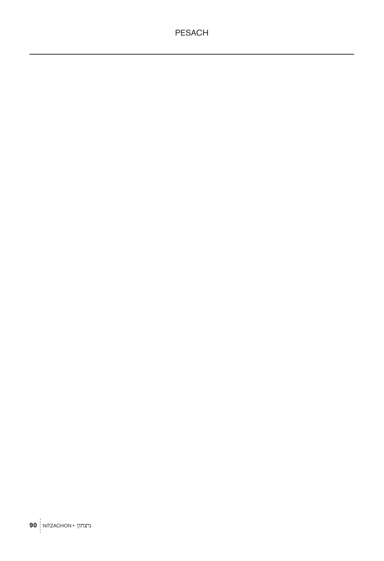PESACH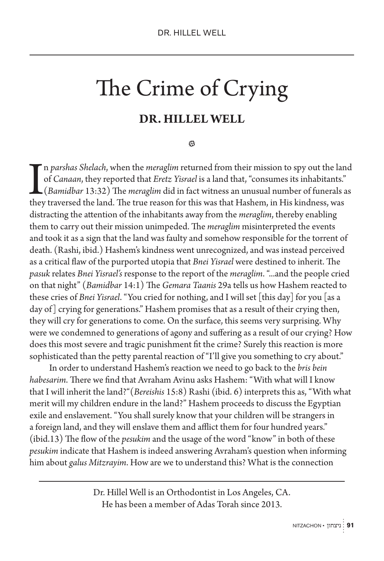# The Crime of Crying

### **DR. HILLEL WELL**

#### •

In parshas Shelach, when the meraglim returned from their mission to spy out the land of Canaan, they reported that *Eretz Yisrael* is a land that, "consumes its inhabitants." (*Bamidbar* 13:32) The *meraglim* did in fact n *parshas Shelach*, when the *meraglim* returned from their mission to spy out the land of *Canaan*, they reported that *Eretz Yisrael* is a land that, "consumes its inhabitants." (*Bamidbar* 13:32) The *meraglim* did in fact witness an unusual number of funerals as distracting the attention of the inhabitants away from the *meraglim*, thereby enabling them to carry out their mission unimpeded. The *meraglim* misinterpreted the events and took it as a sign that the land was faulty and somehow responsible for the torrent of death. (Rashi, ibid.) Hashem's kindness went unrecognized, and was instead perceived as a critical flaw of the purported utopia that *Bnei Yisrael* were destined to inherit. The *pasuk* relates *Bnei Yisrael's* response to the report of the *meraglim*. "...and the people cried on that night" (*Bamidbar* 14:1) The *Gemara Taanis* 29a tells us how Hashem reacted to these cries of *Bnei Yisrael*. "You cried for nothing, and I will set [this day] for you [as a day of crying for generations." Hashem promises that as a result of their crying then, they will cry for generations to come. On the surface, this seems very surprising. Why were we condemned to generations of agony and suffering as a result of our crying? How does this most severe and tragic punishment fit the crime? Surely this reaction is more sophisticated than the petty parental reaction of "I'll give you something to cry about."

In order to understand Hashem's reaction we need to go back to the *bris bein habesarim*. There we find that Avraham Avinu asks Hashem: "With what will I know that I will inherit the land?"(*Bereishis* 15:8) Rashi (ibid. 6) interprets this as, "With what merit will my children endure in the land?" Hashem proceeds to discuss the Egyptian exile and enslavement. "You shall surely know that your children will be strangers in a foreign land, and they will enslave them and afflict them for four hundred years." (ibid.13) The flow of the *pesukim* and the usage of the word "know" in both of these *pesukim* indicate that Hashem is indeed answering Avraham's question when informing him about *galus Mitzrayim*. How are we to understand this? What is the connection

> Dr. Hillel Well is an Orthodontist in Los Angeles, CA. He has been a member of Adas Torah since 2013.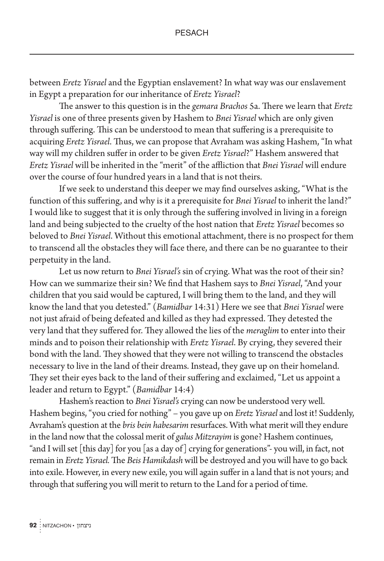between *Eretz Yisrael* and the Egyptian enslavement? In what way was our enslavement in Egypt a preparation for our inheritance of *Eretz Yisrael*?

The answer to this question is in the *gemara Brachos* 5a. There we learn that *Eretz Yisrael* is one of three presents given by Hashem to *Bnei Yisrael* which are only given through suffering. This can be understood to mean that suffering is a prerequisite to acquiring *Eretz Yisrael*. Thus, we can propose that Avraham was asking Hashem, "In what way will my children suffer in order to be given *Eretz Yisrael*?" Hashem answered that *Eretz Yisrael* will be inherited in the "merit" of the affliction that *Bnei Yisrael* will endure over the course of four hundred years in a land that is not theirs.

If we seek to understand this deeper we may find ourselves asking, "What is the function of this suffering, and why is it a prerequisite for *Bnei Yisrael* to inherit the land?" I would like to suggest that it is only through the suffering involved in living in a foreign land and being subjected to the cruelty of the host nation that *Eretz Yisrael* becomes so beloved to *Bnei Yisrael*. Without this emotional attachment, there is no prospect for them to transcend all the obstacles they will face there, and there can be no guarantee to their perpetuity in the land.

Let us now return to *Bnei Yisrael's* sin of crying. What was the root of their sin? How can we summarize their sin? We find that Hashem says to *Bnei Yisrael*, "And your children that you said would be captured, I will bring them to the land, and they will know the land that you detested." (*Bamidbar* 14:31) Here we see that *Bnei Yisrael* were not just afraid of being defeated and killed as they had expressed. They detested the very land that they suffered for. They allowed the lies of the *meraglim* to enter into their minds and to poison their relationship with *Eretz Yisrael*. By crying, they severed their bond with the land. They showed that they were not willing to transcend the obstacles necessary to live in the land of their dreams. Instead, they gave up on their homeland. They set their eyes back to the land of their suffering and exclaimed, "Let us appoint a leader and return to Egypt." (*Bamidbar* 14:4)

Hashem's reaction to *Bnei Yisrael's* crying can now be understood very well. Hashem begins, "you cried for nothing" – you gave up on *Eretz Yisrael* and lost it! Suddenly, Avraham's question at the *bris bein habesarim* resurfaces. With what merit will they endure in the land now that the colossal merit of *galus Mitzrayim* is gone? Hashem continues, "and I will set  $[\text{this day}]$  for you [as a day of] crying for generations"- you will, in fact, not remain in *Eretz Yisrael.* The *Beis Hamikdash* will be destroyed and you will have to go back into exile. However, in every new exile, you will again suffer in a land that is not yours; and through that suffering you will merit to return to the Land for a period of time.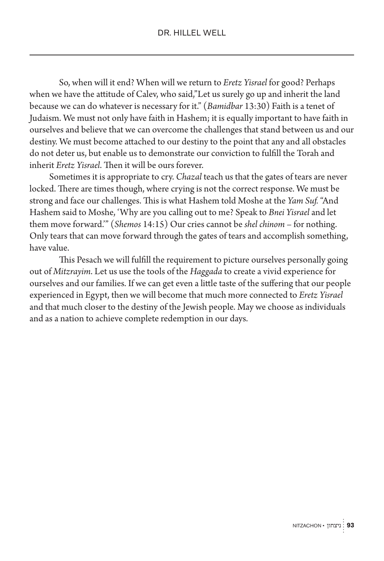So, when will it end? When will we return to *Eretz Yisrael* for good? Perhaps when we have the attitude of Calev, who said,"Let us surely go up and inherit the land because we can do whatever is necessary for it." (*Bamidbar* 13:30) Faith is a tenet of Judaism. We must not only have faith in Hashem; it is equally important to have faith in ourselves and believe that we can overcome the challenges that stand between us and our destiny. We must become attached to our destiny to the point that any and all obstacles do not deter us, but enable us to demonstrate our conviction to fulfill the Torah and inherit *Eretz Yisrael*. Then it will be ours forever.

Sometimes it is appropriate to cry. *Chazal* teach us that the gates of tears are never locked. There are times though, where crying is not the correct response. We must be strong and face our challenges. This is what Hashem told Moshe at the *Yam Suf.* "And Hashem said to Moshe, 'Why are you calling out to me? Speak to *Bnei Yisrael* and let them move forward.'" (*Shemos* 14:15) Our cries cannot be *shel chinom* – for nothing. Only tears that can move forward through the gates of tears and accomplish something, have value.

This Pesach we will fulfill the requirement to picture ourselves personally going out of *Mitzrayim*. Let us use the tools of the *Haggada* to create a vivid experience for ourselves and our families. If we can get even a little taste of the suffering that our people experienced in Egypt, then we will become that much more connected to *Eretz Yisrael*  and that much closer to the destiny of the Jewish people. May we choose as individuals and as a nation to achieve complete redemption in our days.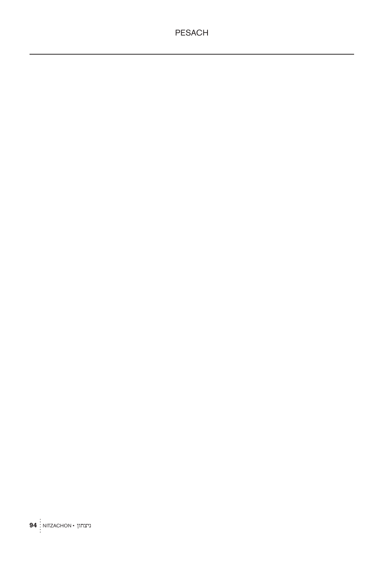PESACH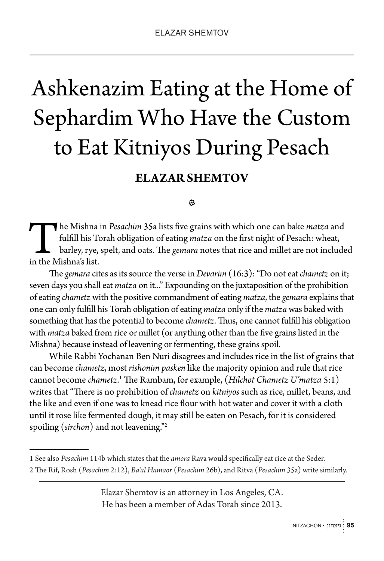# Ashkenazim Eating at the Home of Sephardim Who Have the Custom to Eat Kitniyos During Pesach **ELAZAR SHEMTOV**

### £ჭ

The Mishna in *Pesachim* 35a lists five grains with which one can bake *matza* and fulfill his Torah obligation of eating *matza* on the first night of Pesach: wheat, barley, rye, spelt, and oats. The *gemara* notes that r fulfill his Torah obligation of eating *matza* on the first night of Pesach: wheat, barley, rye, spelt, and oats. The *gemara* notes that rice and millet are not included in the Mishna's list.

The *gemara* cites as its source the verse in *Devarim* (16:3): "Do not eat *chametz* on it; seven days you shall eat *matza* on it..." Expounding on the juxtaposition of the prohibition of eating *chametz* with the positive commandment of eating *matza*, the *gemara* explains that one can only fulfill his Torah obligation of eating *matza* only if the *matza* was baked with something that has the potential to become *chametz*. Thus, one cannot fulfill his obligation with *matza* baked from rice or millet (or anything other than the five grains listed in the Mishna) because instead of leavening or fermenting, these grains spoil.

While Rabbi Yochanan Ben Nuri disagrees and includes rice in the list of grains that can become *chametz*, most *rishonim pasken* like the majority opinion and rule that rice cannot become *chametz*. 1 The Rambam, for example, (*Hilchot Chametz U'matza* 5:1) writes that "There is no prohibition of *chametz* on *kitniyos* such as rice, millet, beans, and the like and even if one was to knead rice flour with hot water and cover it with a cloth until it rose like fermented dough, it may still be eaten on Pesach, for it is considered spoiling (*sirchon*) and not leavening."2

Elazar Shemtov is an attorney in Los Angeles, CA. He has been a member of Adas Torah since 2013.

<sup>1</sup> See also *Pesachim* 114b which states that the *amora* Rava would specifically eat rice at the Seder. 2 The Rif, Rosh (*Pesachim* 2:12), *Ba'al Hamaor* (*Pesachim* 26b), and Ritva (*Pesachim* 35a) write similarly.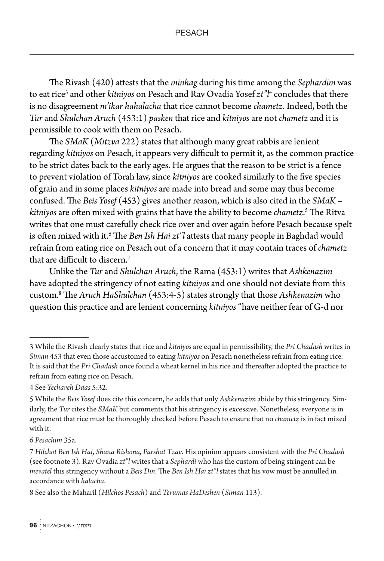The Rivash (420) attests that the *minhag* during his time among the *Sephardim* was to eat rice<sup>3</sup> and other *kitniyos* on Pesach and Rav Ovadia Yosef  $z t'' l^4$  concludes that there is no disagreement *m'ikar hahalacha* that rice cannot become *chametz*. Indeed, both the *Tur* and *Shulchan Aruch* (453:1) *pasken* that rice and *kitniyos* are not *chametz* and it is permissible to cook with them on Pesach.

The *SMaK* (*Mitzva* 222) states that although many great rabbis are lenient regarding *kitniyos* on Pesach, it appears very difficult to permit it, as the common practice to be strict dates back to the early ages. He argues that the reason to be strict is a fence to prevent violation of Torah law, since *kitniyos* are cooked similarly to the five species of grain and in some places *kitniyos* are made into bread and some may thus become confused. The *Beis Yosef* (453) gives another reason, which is also cited in the *SMaK* – *kitniyos* are often mixed with grains that have the ability to become *chametz*. 5 The Ritva writes that one must carefully check rice over and over again before Pesach because spelt is often mixed with it.<sup>6</sup> The *Ben Ish Hai zt"l* attests that many people in Baghdad would refrain from eating rice on Pesach out of a concern that it may contain traces of *chametz*  that are difficult to discern.<sup>7</sup>

Unlike the *Tur* and *Shulchan Aruch*, the Rama (453:1) writes that *Ashkenazim* have adopted the stringency of not eating *kitniyos* and one should not deviate from this custom.8 The *Aruch HaShulchan* (453:4-5) states strongly that those *Ashkenazim* who question this practice and are lenient concerning *kitniyos* "have neither fear of G-d nor

6 *Pesachim* 35a.

<sup>3</sup> While the Rivash clearly states that rice and *kitniyos* are equal in permissibility, the *Pri Chadash* writes in *Siman* 453 that even those accustomed to eating *kitniyos* on Pesach nonetheless refrain from eating rice. It is said that the *Pri Chadash* once found a wheat kernel in his rice and thereafter adopted the practice to refrain from eating rice on Pesach.

<sup>4</sup> See *Yechaveh Daas* 5:32.

<sup>5</sup> While the *Beis Yosef* does cite this concern, he adds that only *Ashkenazim* abide by this stringency. Similarly, the *Tur* cites the *SMaK* but comments that his stringency is excessive. Nonetheless, everyone is in agreement that rice must be thoroughly checked before Pesach to ensure that no *chametz* is in fact mixed with it.

<sup>7</sup> *Hilchot Ben Ish Hai*, *Shana Rishona, Parshat Tzav*. His opinion appears consistent with the *Pri Chadash* (see footnote 3). Rav Ovadia *zt"l* writes that a *Sephardi* who has the custom of being stringent can be *mevatel* this stringency without a *Beis Din*. The *Ben Ish Hai zt"l* states that his vow must be annulled in accordance with *halacha*.

<sup>8</sup> See also the Maharil (*Hilchos Pesach*) and *Terumas HaDeshen* (*Siman* 113).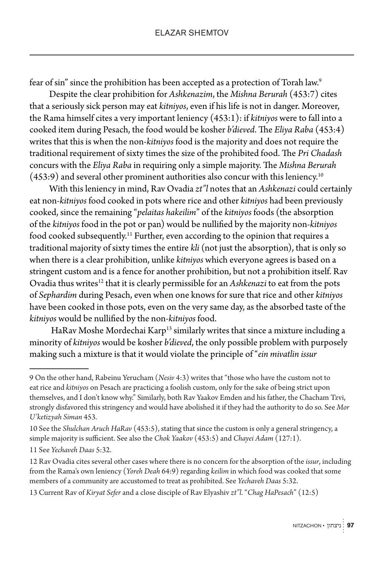fear of sin" since the prohibition has been accepted as a protection of Torah law.<sup>9</sup>

Despite the clear prohibition for *Ashkenazim*, the *Mishna Berurah* (453:7) cites that a seriously sick person may eat *kitniyos*, even if his life is not in danger. Moreover, the Rama himself cites a very important leniency (453:1): if *kitniyos* were to fall into a cooked item during Pesach, the food would be kosher *b'dieved*. The *Eliya Raba* (453:4) writes that this is when the non-*kitniyos* food is the majority and does not require the traditional requirement of sixty times the size of the prohibited food. The *Pri Chadash* concurs with the *Eliya Raba* in requiring only a simple majority. The *Mishna Berurah*  $(453:9)$  and several other prominent authorities also concur with this leniency.<sup>10</sup>

With this leniency in mind, Rav Ovadia *zt"l* notes that an *Ashkenazi* could certainly eat non-*kitniyos* food cooked in pots where rice and other *kitniyos* had been previously cooked, since the remaining "*pelaitas hakeilim*" of the *kitniyos* foods (the absorption of the *kitniyos* food in the pot or pan) would be nullified by the majority non-*kitniyos* food cooked subsequently.<sup>11</sup> Further, even according to the opinion that requires a traditional majority of sixty times the entire *kli* (not just the absorption), that is only so when there is a clear prohibition, unlike *kitniyos* which everyone agrees is based on a stringent custom and is a fence for another prohibition, but not a prohibition itself. Rav Ovadia thus writes<sup>12</sup> that it is clearly permissible for an *Ashkenazi* to eat from the pots of *Sephardim* during Pesach, even when one knows for sure that rice and other *kitniyos*  have been cooked in those pots, even on the very same day, as the absorbed taste of the *kitniyos* would be nullified by the non-*kitniyos* food.

HaRav Moshe Mordechai Karp<sup>13</sup> similarly writes that since a mixture including a minority of *kitniyos* would be kosher *b'dieved*, the only possible problem with purposely making such a mixture is that it would violate the principle of "*ein mivatlin issur* 

<sup>9</sup> On the other hand, Rabeinu Yerucham (*Nesiv* 4:3) writes that "those who have the custom not to eat rice and *kitniyos* on Pesach are practicing a foolish custom, only for the sake of being strict upon themselves, and I don't know why." Similarly, both Rav Yaakov Emden and his father, the Chacham Tzvi, strongly disfavored this stringency and would have abolished it if they had the authority to do so. See *Mor U'ketizyah Siman* 453.

<sup>10</sup> See the *Shulchan Aruch HaRav* (453:5), stating that since the custom is only a general stringency, a simple majority is sufficient. See also the *Chok Yaakov* (453:5) and *Chayei Adam* (127:1). 11 See *Yechaveh Daas* 5:32.

<sup>12</sup> Rav Ovadia cites several other cases where there is no concern for the absorption of the *issur*, including from the Rama's own leniency (*Yoreh Deah* 64:9) regarding *keilim* in which food was cooked that some members of a community are accustomed to treat as prohibited. See *Yechaveh Daas* 5:32.

<sup>13</sup> Current Rav of *Kiryat Sefer* and a close disciple of Rav Elyashiv *zt"l*. "*Chag HaPesach*" (12:5)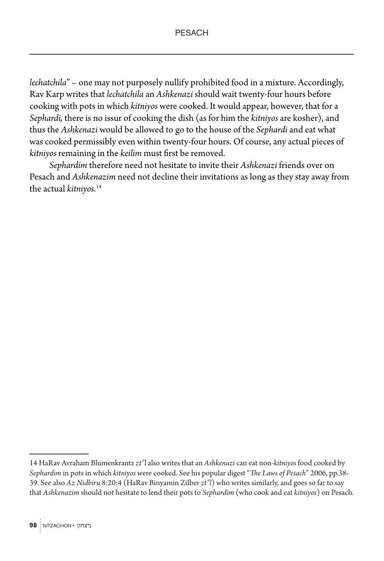*lechatchila*" – one may not purposely nullify prohibited food in a mixture. Accordingly, Rav Karp writes that *lechatchila* an *Ashkenazi* should wait twenty-four hours before cooking with pots in which *kitniyos* were cooked. It would appear, however, that for a *Sephardi,* there is no issur of cooking the dish (as for him the *kitniyos* are kosher), and thus the *Ashkenazi* would be allowed to go to the house of the *Sephardi* and eat what was cooked permissibly even within twenty-four hours. Of course, any actual pieces of *kitniyos* remaining in the *keilim* must first be removed.

*Sephardim* therefore need not hesitate to invite their *Ashkenazi* friends over on Pesach and *Ashkenazim* need not decline their invitations as long as they stay away from the actual *kitniyos*. 14

<sup>14</sup> HaRav Avraham Blumenkrantz *zt"l* also writes that an *Ashkenazi* can eat non-*kitniyos* food cooked by *Sephardim* in pots in which *kitniyos* were cooked. See his popular digest "*The Laws of Pesach*" 2006, pp.38- 39. See also *Az Nidbiru* 8:20:4 (HaRav Binyamin Zilber *zt"l*) who writes similarly, and goes so far to say that *Ashkenazim* should not hesitate to lend their pots to *Sephardim* (who cook and eat *kitniyos*) on Pesach.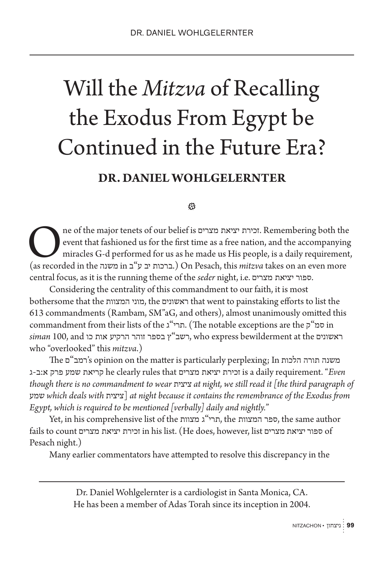# Will the *Mitzva* of Recalling the Exodus From Egypt be Continued in the Future Era? **DR. DANIEL WOHLGELERNTER**

#### \$ী

One of the major tenets of our belief is מצרים יציאת מצרים. Remembering both the event that fashioned us for the first time as a free nation, and the accompanying miracles G-d performed for us as he made us His people, i event that fashioned us for the first time as a free nation, and the accompanying miracles G-d performed for us as he made us His people, is a daily requirement, (as recorded in the משנה in ב"ע יב ברכות. (On Pesach, this *mitzva* takes on an even more central focus, as it is the running theme of the *seder* night, i.e. מצרים יציאת ספור.

Considering the centrality of this commandment to our faith, it is most bothersome that the המצוות מוני, the ראשונים that went to painstaking efforts to list the 613 commandments (Rambam, SM"aG, and others), almost unanimously omitted this commandment from their lists of the ג"תרי.) The notable exceptions are the ק"סמ in ראשונים the at bewilderment express who ,רשב"ץ בספר זוהר הרקיע אות כו and 100, *siman* who "overlooked" this *mitzva*.)

The ם"רמב's opinion on the matter is particularly perplexing; In הלכות תורה משנה  *Even* ".requirement daily a is זכירת יציאת מצרים that rules clearly he קריאת שמע פרק א:ב-ג *though there is no commandment to wear* ציצית *at night, we still read it [the third paragraph of* שמע *which deals with* ציצית [*at night because it contains the remembrance of the Exodus from Egypt, which is required to be mentioned [verbally] daily and nightly.*"

Yet, in his comprehensive list of the מצוות ג"תרי, the המצוות ספר, the same author fails to count מצרים יציאת זכירת in his list. (He does, however, list מצרים יציאת ספור of Pesach night.)

Many earlier commentators have attempted to resolve this discrepancy in the

Dr. Daniel Wohlgelernter is a cardiologist in Santa Monica, CA. He has been a member of Adas Torah since its inception in 2004.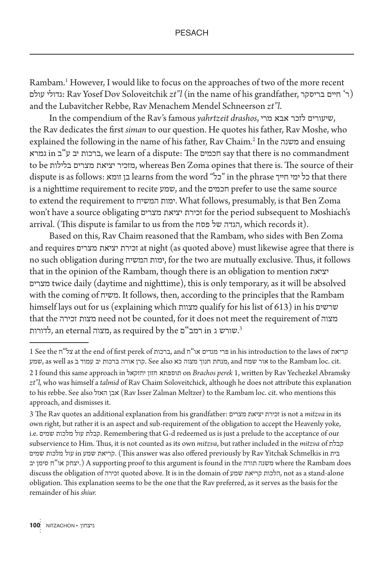Rambam.<sup>1</sup> However, I would like to focus on the approaches of two of the more recent בגדולי עולם אדולי: Rav Yosef Dov Soloveitchik zt"l (in the name of his grandfather, ר' חיים בריסקר) and the Lubavitcher Rebbe, Rav Menachem Mendel Schneerson *zt"l*.

In the compendium of the Rav's famous *yahrtzeit drashos*, מרי אבא לזכר שיעורים, the Rav dedicates the first *siman* to our question. He quotes his father, Rav Moshe, who explained the following in the name of his father, Rav Chaim.2 In the משנה and ensuing גמרא in ב"ע יב ברכות, we learn of a dispute: The חכמים say that there is no commandment to be בלילות מצרים יציאת מזכיר, whereas Ben Zoma opines that there is. The source of their dispute is as follows: זומא בן learns from the word "כל "in the phrase חייך כלימי that there is a nighttime requirement to recite שמע, and the חכמים prefer to use the same source to extend the requirement to המשיח ימות. What follows, presumably, is that Ben Zoma won't have a source obligating מצרים יציאת זכירת for the period subsequent to Moshiach's arrival. (This dispute is familar to us from the פסח של הגדה, which records it).

Based on this, Rav Chaim reasoned that the Rambam, who sides with Ben Zoma and requires מצרים יציאת זכירת at night (as quoted above) must likewise agree that there is no such obligation during המשיח ימות, for the two are mutually exclusive. Thus, it follows that in the opinion of the Rambam, though there is an obligation to mention יציאת מצרים twice daily (daytime and nighttime), this is only temporary, as it will be absolved with the coming of משיח. It follows, then, according to the principles that the Rambam himself lays out for us (explaining which מצוות qualify for his list of 613) in his שרשים that the זכירה מצות need not be counted, for it does not meet the requirement of מצוה לדורות, an eternal מצוה, as required by the שורש ג $^3$ 

<sup>1</sup> See the ח"צל at the end of first perek of ברכות, and ח"או מגדים פרי in his introduction to the laws of קריאת .cit .loc Rambam the to אור שמח and ,מנחת חנוך מצוה כא also See .קרן אורה ברכות יב עמוד ב as well as ,שמע 2 I found this same approach in יחזקאל חזון תוספתא on *Brachos perek* 1, written by Rav Yechezkel Abramsky *zt"l,* who was himself a *talmid* of Rav Chaim Soloveitchick, although he does not attribute this explanation to his rebbe. See also האזל אבן) Rav Isser Zalman Meltzer) to the Rambam loc. cit. who mentions this approach, and dismisses it.

<sup>3</sup> The Rav quotes an additional explanation from his grandfather: מצרים יציאת זכירת is not a *mitzva* in its own right, but rather it is an aspect and sub-requirement of the obligation to accept the Heavenly yoke, i.e. שמים מלכות עול קבלת. Remembering that G-d redeemed us is just a prelude to the acceptance of our subservience to Him. Thus, it is not counted as its own *mitzva*, but rather included in the *mitzva* of קבלת שמים מלכות עול in שמע קריאת.) This answer was also offered previously by Rav Yitchak Schmelkis in בית יב סימן ח"או יצחק. (A supporting proof to this argument is found in the תורה משנה where the Rambam does discuss the obligation of זכירה quoted above. It is in the domain of שמע קריאת הלכות, not as a stand-alone obligation. This explanation seems to be the one that the Rav preferred, as it serves as the basis for the remainder of his *shiur.*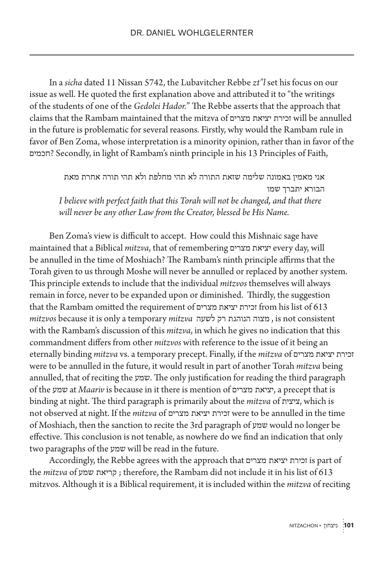In a *sicha* dated 11 Nissan 5742, the Lubavitcher Rebbe *zt"l* set his focus on our issue as well. He quoted the first explanation above and attributed it to "the writings of the students of one of the *Gedolei Hador.*" The Rebbe asserts that the approach that claims that the Rambam maintained that the mitzva of מצרים יציאת זכירת will be annulled in the future is problematic for several reasons. Firstly, why would the Rambam rule in favor of Ben Zoma, whose interpretation is a minority opinion, rather than in favor of the חכמים ?Secondly, in light of Rambam's ninth principle in his 13 Principles of Faith,

אני מאמין באמונה שלימה שזאת התורה לא תהי מחלפת ולא תהי תורה אחרת מאת הבורא יתברך שמו *I believe with perfect faith that this Torah will not be changed, and that there will never be any other Law from the Creator, blessed be His Name.*

Ben Zoma's view is difficult to accept. How could this Mishnaic sage have maintained that a Biblical *mitzva*, that of remembering מצרים יציאת every day, will be annulled in the time of Moshiach? The Rambam's ninth principle affirms that the Torah given to us through Moshe will never be annulled or replaced by another system. This principle extends to include that the individual *mitzvos* themselves will always remain in force, never to be expanded upon or diminished. Thirdly, the suggestion that the Rambam omitted the requirement of מצרים יציאת זכירת from his list of 613 *mitzvos* because it is only a temporary *mitzva* לשעה רק הנוהגת מצוה , is not consistent with the Rambam's discussion of this *mitzva*, in which he gives no indication that this commandment differs from other *mitzvos* with reference to the issue of it being an eternally binding *mitzva* vs. a temporary precept. Finally, if the *mitzva* of מצרים יציאת זכירת were to be annulled in the future, it would result in part of another Torah *mitzva* being annulled, that of reciting the שמע. The only justification for reading the third paragraph of the שמע at *Maariv* is because in it there is mention of מצרים יציאת, a precept that is binding at night. The third paragraph is primarily about the *mitzva* of ציצית, which is not observed at night. If the *mitzva* of מצרים יציאת זכירת were to be annulled in the time of Moshiach, then the sanction to recite the 3rd paragraph of שמע would no longer be effective. This conclusion is not tenable, as nowhere do we find an indication that only two paragraphs of the שמע will be read in the future.

Accordingly, the Rebbe agrees with the approach that מצרים יציאת זכירת is part of the *mitzva* of שמע קריאת ; therefore, the Rambam did not include it in his list of 613 mitzvos. Although it is a Biblical requirement, it is included within the *mitzva* of reciting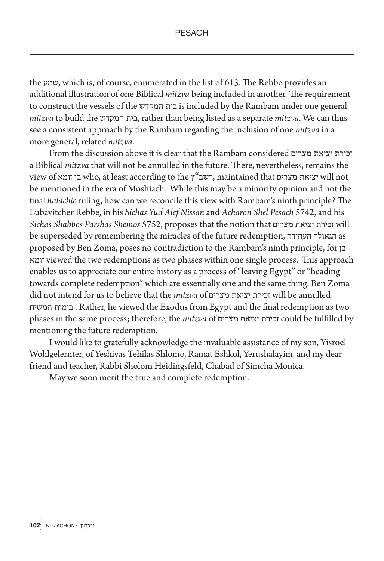the שמע, which is, of course, enumerated in the list of 613. The Rebbe provides an additional illustration of one Biblical *mitzva* being included in another. The requirement to construct the vessels of the המקדש בית is included by the Rambam under one general *mitzva* to build the המקדש בית, rather than being listed as a separate *mitzva*. We can thus see a consistent approach by the Rambam regarding the inclusion of one *mitzva* in a more general, related *mitzva*.

From the discussion above it is clear that the Rambam considered מצרים יציאת זכירת a Biblical *mitzva* that will not be annulled in the future. There, nevertheless, remains the view of זומא בן who, at least according to the ץ"רשב, maintained that מצרים יציאת will not be mentioned in the era of Moshiach. While this may be a minority opinion and not the final *halachic* ruling, how can we reconcile this view with Rambam's ninth principle? The Lubavitcher Rebbe, in his *Sichas Yud Alef Nissan* and *Acharon Shel Pesach* 5742, and his *Sichas Shabbos Parshas Shemos* 5752, proposes that the notion that מצרים יציאת זכירת will be superseded by remembering the miracles of the future redemption, העתידה הגאולה as proposed by Ben Zoma, poses no contradiction to the Rambam's ninth principle, for בן זומא viewed the two redemptions as two phases within one single process. This approach enables us to appreciate our entire history as a process of "leaving Egypt" or "heading towards complete redemption" which are essentially one and the same thing. Ben Zoma did not intend for us to believe that the *mitzva* of מצרים יציאת זכירת will be annulled המשיח בימות . Rather, he viewed the Exodus from Egypt and the final redemption as two phases in the same process; therefore, the *mitzva* of מצרים יציאת זכירת could be fulfilled by mentioning the future redemption.

I would like to gratefully acknowledge the invaluable assistance of my son, Yisroel Wohlgelernter, of Yeshivas Tehilas Shlomo, Ramat Eshkol, Yerushalayim, and my dear friend and teacher, Rabbi Sholom Heidingsfeld, Chabad of Simcha Monica.

May we soon merit the true and complete redemption.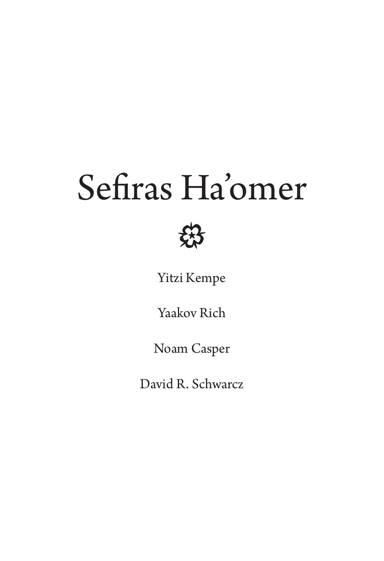# Sefiras Ha'omer



Yitzi Kempe

Yaakov Rich

Noam Casper

David R. Schwarcz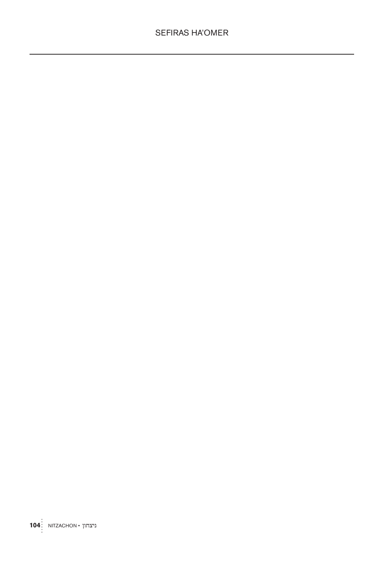### SEFIRAS HA'OMER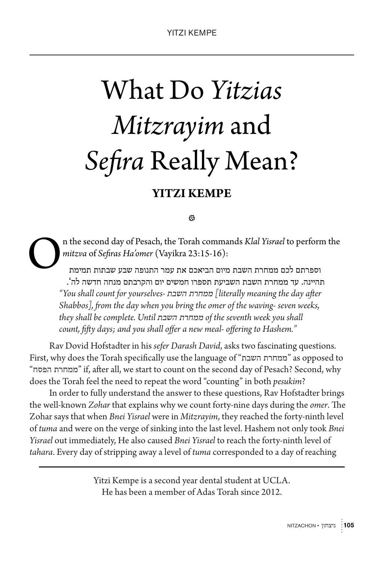# What Do *Yitzias Mitzrayim* and *Sefira* Really Mean?

### **YITZI KEMPE**

⊕

On the second day of Pesach, the Torah commands *Klal Yisrael* to perform the *mitzva* of *Sefiras Ha'omer* (Vayikra 23:15-16):

וספרתם לכם ממחרת השבת מיום הביאכם את עמר התנופה שבע שבתות תמימת תהיינה. עד ממחרת השבת השביעת תספרו חמשים יום והקרבתם מנחה חדשה לה'. *"You shall count for yourselves- השבת ממחרת] literally meaning the day after Shabbos], from the day when you bring the omer of the waving- seven weeks, they shall be complete. Until השבת ממחרת of the seventh week you shall count, fifty days; and you shall offer a new meal- offering to Hashem."* 

Rav Dovid Hofstadter in his *sefer Darash David*, asks two fascinating questions. First, why does the Torah specifically use the language of "השבת ממחרת "as opposed to "הפסח ממחרת "if, after all, we start to count on the second day of Pesach? Second, why does the Torah feel the need to repeat the word "counting" in both *pesukim*?

In order to fully understand the answer to these questions, Rav Hofstadter brings the well-known *Zohar* that explains why we count forty-nine days during the *omer*. The Zohar says that when *Bnei Yisrael* were in *Mitzrayim*, they reached the forty-ninth level of *tuma* and were on the verge of sinking into the last level. Hashem not only took *Bnei Yisrael* out immediately, He also caused *Bnei Yisrael* to reach the forty-ninth level of *tahara*. Every day of stripping away a level of *tuma* corresponded to a day of reaching

> Yitzi Kempe is a second year dental student at UCLA. He has been a member of Adas Torah since 2012.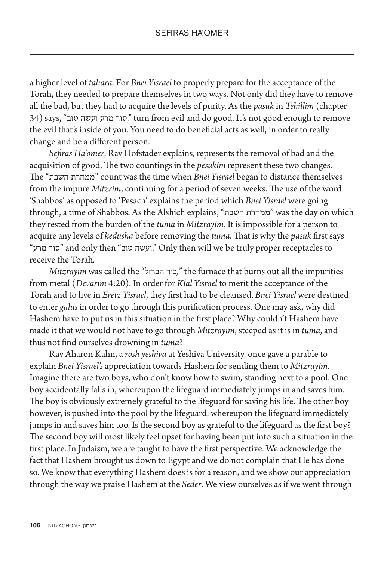a higher level of *tahara*. For *Bnei Yisrael* to properly prepare for the acceptance of the Torah, they needed to prepare themselves in two ways. Not only did they have to remove all the bad, but they had to acquire the levels of purity. As the *pasuk* in *Tehillim* (chapter 34) says, "טוב ועשה מרע סור, "turn from evil and do good. It's not good enough to remove the evil that's inside of you. You need to do beneficial acts as well, in order to really change and be a different person.

*Sefiras Ha'omer*, Rav Hofstader explains, represents the removal of bad and the acquisition of good. The two countings in the *pesukim* represent these two changes. The "השבת ממחרת "count was the time when *Bnei Yisrael* began to distance themselves from the impure *Mitzrim*, continuing for a period of seven weeks. The use of the word 'Shabbos' as opposed to 'Pesach' explains the period which *Bnei Yisrael* were going through, a time of Shabbos. As the Alshich explains, "השבת ממחרת "was the day on which they rested from the burden of the *tuma* in *Mitzrayim*. It is impossible for a person to acquire any levels of *kedusha* before removing the *tuma*. That is why the *pasuk* first says "מרע סור "and only then "טוב ועשה. "Only then will we be truly proper receptacles to receive the Torah.

*Mitzrayim* was called the "הברזל כור*,* "the furnace that burns out all the impurities from metal (*Devarim* 4:20). In order for *Klal Yisrael* to merit the acceptance of the Torah and to live in *Eretz Yisrael*, they first had to be cleansed. *Bnei Yisrael* were destined to enter *galus* in order to go through this purification process. One may ask, why did Hashem have to put us in this situation in the first place? Why couldn't Hashem have made it that we would not have to go through *Mitzrayim*, steeped as it is in *tuma*, and thus not find ourselves drowning in *tuma*?

Rav Aharon Kahn, a *rosh yeshiva* at Yeshiva University, once gave a parable to explain *Bnei Yisrael's* appreciation towards Hashem for sending them to *Mitzrayim*. Imagine there are two boys, who don't know how to swim, standing next to a pool. One boy accidentally falls in, whereupon the lifeguard immediately jumps in and saves him. The boy is obviously extremely grateful to the lifeguard for saving his life. The other boy however, is pushed into the pool by the lifeguard, whereupon the lifeguard immediately jumps in and saves him too. Is the second boy as grateful to the lifeguard as the first boy? The second boy will most likely feel upset for having been put into such a situation in the first place. In Judaism, we are taught to have the first perspective. We acknowledge the fact that Hashem brought us down to Egypt and we do not complain that He has done so. We know that everything Hashem does is for a reason, and we show our appreciation through the way we praise Hashem at the *Seder*. We view ourselves as if we went through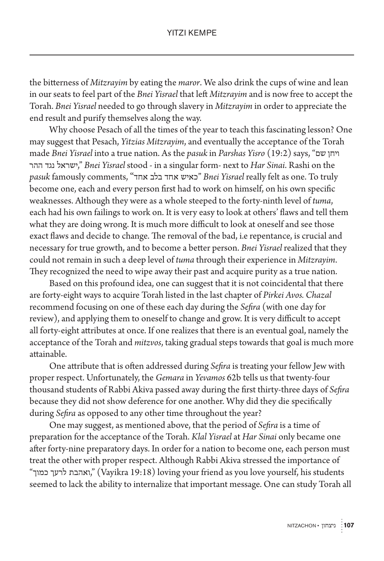the bitterness of *Mitzrayim* by eating the *maror*. We also drink the cups of wine and lean in our seats to feel part of the *Bnei Yisrael* that left *Mitzrayim* and is now free to accept the Torah. *Bnei Yisrael* needed to go through slavery in *Mitzrayim* in order to appreciate the end result and purify themselves along the way.

Why choose Pesach of all the times of the year to teach this fascinating lesson? One may suggest that Pesach, *Yitzias Mitzrayim*, and eventually the acceptance of the Torah made *Bnei Yisrael* into a true nation. As the *pasuk* in *Parshas Yisro* (19:2) says, "שם ויחן ההר נגד ישראל, "*Bnei Yisrael* stood - in a singular form- next to *Har Sinai*. Rashi on the *pasuk* famously comments, "אחד בלב אחד כאיש "*Bnei Yisrael* really felt as one. To truly become one, each and every person first had to work on himself, on his own specific weaknesses. Although they were as a whole steeped to the forty-ninth level of *tuma*, each had his own failings to work on. It is very easy to look at others' flaws and tell them what they are doing wrong. It is much more difficult to look at oneself and see those exact flaws and decide to change. The removal of the bad, i.e repentance, is crucial and necessary for true growth, and to become a better person. *Bnei Yisrael* realized that they could not remain in such a deep level of *tuma* through their experience in *Mitzrayim*. They recognized the need to wipe away their past and acquire purity as a true nation.

Based on this profound idea, one can suggest that it is not coincidental that there are forty-eight ways to acquire Torah listed in the last chapter of *Pirkei Avos. Chazal* recommend focusing on one of these each day during the *Sefira* (with one day for review), and applying them to oneself to change and grow. It is very difficult to accept all forty-eight attributes at once. If one realizes that there is an eventual goal, namely the acceptance of the Torah and *mitzvos*, taking gradual steps towards that goal is much more attainable.

One attribute that is often addressed during *Sefira* is treating your fellow Jew with proper respect. Unfortunately, the *Gemara* in *Yevamos* 62b tells us that twenty-four thousand students of Rabbi Akiva passed away during the first thirty-three days of *Sefira* because they did not show deference for one another. Why did they die specifically during *Sefira* as opposed to any other time throughout the year?

One may suggest, as mentioned above, that the period of *Sefira* is a time of preparation for the acceptance of the Torah. *Klal Yisrael* at *Har Sinai* only became one after forty-nine preparatory days. In order for a nation to become one, each person must treat the other with proper respect. Although Rabbi Akiva stressed the importance of "כמוך לרעך ואהבת,) "Vayikra 19:18) loving your friend as you love yourself, his students seemed to lack the ability to internalize that important message. One can study Torah all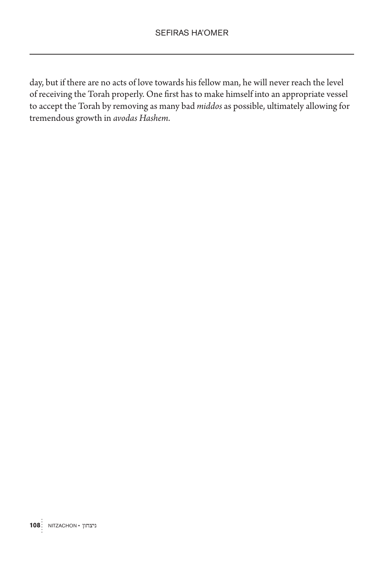day, but if there are no acts of love towards his fellow man, he will never reach the level of receiving the Torah properly. One first has to make himself into an appropriate vessel to accept the Torah by removing as many bad *middos* as possible, ultimately allowing for tremendous growth in *avodas Hashem*.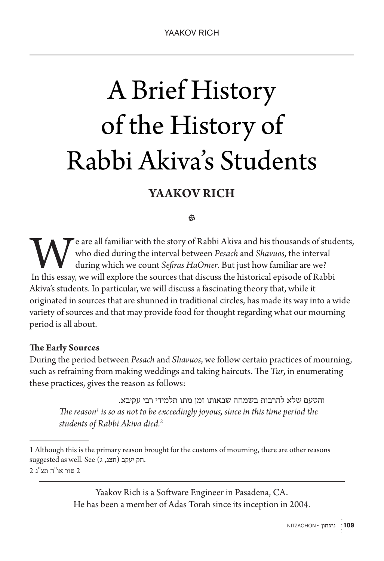# A Brief History of the History of Rabbi Akiva's Students

## **YAAKOV RICH**

**•**

We are all familiar with the story of Rabbi Akiva and his thousands of students,<br>who died during the interval between *Pesach* and *Shavuos*, the interval<br>In this essay, we will explore the sources that discuss the histori who died during the interval between *Pesach* and *Shavuos*, the interval during which we count *Sefiras HaOmer*. But just how familiar are we? In this essay, we will explore the sources that discuss the historical episode of Rabbi Akiva's students. In particular, we will discuss a fascinating theory that, while it originated in sources that are shunned in traditional circles, has made its way into a wide variety of sources and that may provide food for thought regarding what our mourning period is all about.

## **The Early Sources**

During the period between *Pesach* and *Shavuos*, we follow certain practices of mourning, such as refraining from making weddings and taking haircuts. The *Tur*, in enumerating these practices, gives the reason as follows:

והטעם שלא להרבות בשמחה שבאותו זמן מתו תלמידי רבי עקיבא. The reason<sup>1</sup> is so as not to be exceedingly joyous, since in this time period the *students of Rabbi Akiva died.2*

Yaakov Rich is a Software Engineer in Pasadena, CA. He has been a member of Adas Torah since its inception in 2004.

<sup>1</sup> Although this is the primary reason brought for the customs of mourning, there are other reasons  $suggested$  as well. See  $(x, x)$ חק יעקב.

<sup>2</sup> טור או"ח תצ"ג 2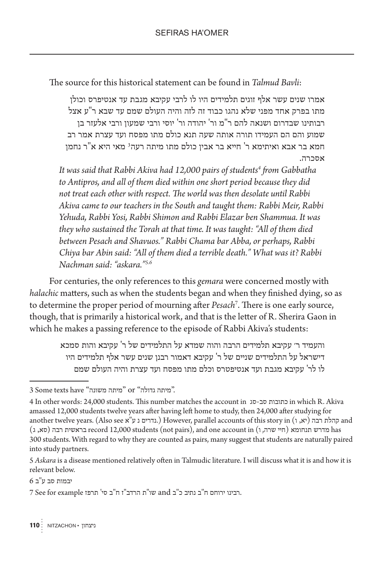The source for this historical statement can be found in *Talmud Bavli*:

אמרו שנים עשר אלף זוגים תלמידים היו לו לרבי עקיבא מגבת עד אנטיפרס וכולן מתו בפרק אחד מפני שלא נהגו כבוד זה לזה והיה העולם שמם עד שבא ר"ע אצל רבותינו שבדרום ושנאה להם ר"מ ור' יהודה ור' יוסי ורבי שמעון ורבי אלעזר בן שמוע והם הם העמידו תורה אותה שעה תנא כולם מתו מפסח ועד עצרת אמר רב חמא בר אבא ואיתימא ר' חייא בר אבין כולם מתו מיתה רעה<sup>3</sup> מאי היא א"ר נחמן אסכרה.

*It was said that Rabbi Akiva had 12,000 pairs of students4 from Gabbatha to Antipros, and all of them died within one short period because they did not treat each other with respect. The world was then desolate until Rabbi Akiva came to our teachers in the South and taught them: Rabbi Meir, Rabbi Yehuda, Rabbi Yosi, Rabbi Shimon and Rabbi Elazar ben Shammua. It was they who sustained the Torah at that time. It was taught: "All of them died between Pesach and Shavuos." Rabbi Chama bar Abba, or perhaps, Rabbi Chiya bar Abin said: "All of them died a terrible death." What was it? Rabbi Nachman said: "askara."5.6*

For centuries, the only references to this *gemara* were concerned mostly with *halachic* matters, such as when the students began and when they finished dying, so as to determine the proper period of mourning after *Pesach*<sup>7</sup> . There is one early source, though, that is primarily a historical work, and that is the letter of R. Sherira Gaon in which he makes a passing reference to the episode of Rabbi Akiva's students:

והעמיד ר׳ עקיבא תלמידים הרבה והוה שמדא על התלמידים של ר' עקיבא והות סמכא דישראל על התלמידים שניים של ר' עקיבא דאמור רבנן שנים עשר אלף תלמידים היו לו לר' עקיבא מגבת ועד אנטיפטרס וכלם מתו מפסח ועד עצרת והיה העולם שמם

5 *Askara* is a disease mentioned relatively often in Talmudic literature. I will discuss what it is and how it is relevant below.

יבמות סב ע"ב 6

 $7$ See for example ירבינו ירוחם ח"ב נתיב כ"ב and שו"ת הרדב"ז ח"ב ה

<sup>.&</sup>quot;מיתה גדולה" or" מיתה משונה" have texts Some 3

<sup>4</sup> In other words: 24,000 students. This number matches the account in סג-סב כתובות in which R. Akiva amassed 12,000 students twelve years after having left home to study, then 24,000 after studying for another twelve years. (Also see א"ע נדרים נ $\mu$ "). However, parallel accounts of this story in (יא, ו) and has מדרש תנחומא )חיי שרה, ו( in account one and ,)pairs not (students 12,000 record בראשית רבה )סא, ג( 300 students. With regard to why they are counted as pairs, many suggest that students are naturally paired into study partners.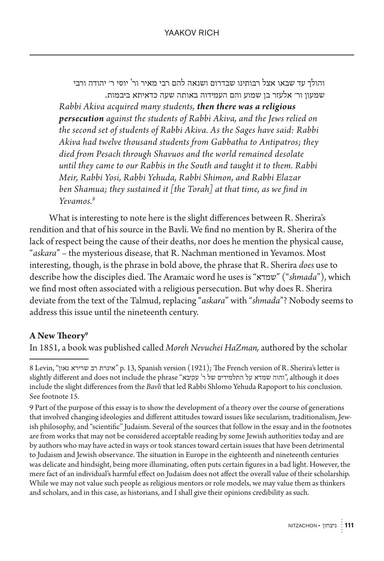והולך עד שבאו אצל רבותינו שבדרום ושנאה להם רבי מאיר ור' יוסי ר׳ יהודה ורבי שמעון ור׳ אלעזר בן שמוע והם העמידוה באותה שעה כדאיתא ביבמות.

*Rabbi Akiva acquired many students, then there was a religious persecution against the students of Rabbi Akiva, and the Jews relied on the second set of students of Rabbi Akiva. As the Sages have said: Rabbi Akiva had twelve thousand students from Gabbatha to Antipatros; they died from Pesach through Shavuos and the world remained desolate until they came to our Rabbis in the South and taught it to them. Rabbi Meir, Rabbi Yosi, Rabbi Yehuda, Rabbi Shimon, and Rabbi Elazar ben Shamua; they sustained it [the Torah] at that time, as we find in Yevamos.8*

What is interesting to note here is the slight differences between R. Sherira's rendition and that of his source in the Bavli. We find no mention by R. Sherira of the lack of respect being the cause of their deaths, nor does he mention the physical cause, "*askara*" – the mysterious disease, that R. Nachman mentioned in Yevamos. Most interesting, though, is the phrase in bold above, the phrase that R. Sherira *does* use to describe how the disciples died. The Aramaic word he uses is "שמדא") "*shmada*"), which we find most often associated with a religious persecution. But why does R. Sherira deviate from the text of the Talmud, replacing "*askara*" with "*shmada*"? Nobody seems to address this issue until the nineteenth century.

## **A New Theory9**

In 1851, a book was published called *Moreh Nevuchei HaZman,* authored by the scholar

<sup>8</sup> Levin, "גאון שרירא רב איגרת "p. 13, Spanish version (1921); The French version of R. Sherira's letter is slightly different and does not include the phrase "עקיבא' ר של התלמידים על שמדא והוה", although it does include the slight differences from the *Bavli* that led Rabbi Shlomo Yehuda Rapoport to his conclusion. See footnote 15.

<sup>9</sup> Part of the purpose of this essay is to show the development of a theory over the course of generations that involved changing ideologies and different attitudes toward issues like secularism, traditionalism, Jewish philosophy, and "scientific" Judaism. Several of the sources that follow in the essay and in the footnotes are from works that may not be considered acceptable reading by some Jewish authorities today and are by authors who may have acted in ways or took stances toward certain issues that have been detrimental to Judaism and Jewish observance. The situation in Europe in the eighteenth and nineteenth centuries was delicate and hindsight, being more illuminating, often puts certain figures in a bad light. However, the mere fact of an individual's harmful effect on Judaism does not affect the overall value of their scholarship. While we may not value such people as religious mentors or role models, we may value them as thinkers and scholars, and in this case, as historians, and I shall give their opinions credibility as such.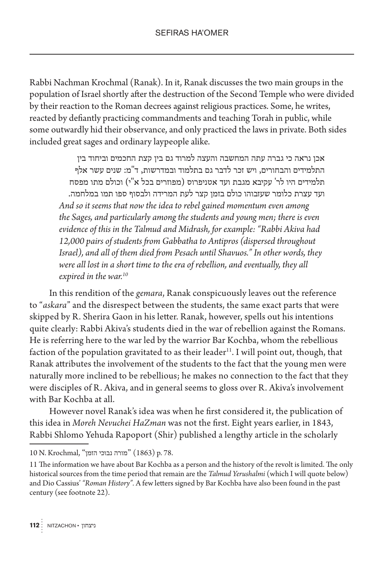Rabbi Nachman Krochmal (Ranak). In it, Ranak discusses the two main groups in the population of Israel shortly after the destruction of the Second Temple who were divided by their reaction to the Roman decrees against religious practices. Some, he writes, reacted by defiantly practicing commandments and teaching Torah in public, while some outwardly hid their observance, and only practiced the laws in private. Both sides included great sages and ordinary laypeople alike.

אכן נראה כי גברה עתה המחשבה והעצה למרוד גם בין קצת החכמים וביחוד בין התלמידים והבחורים, ויש זכר לדבר גם בתלמוד ובמדרשות, ד"מ: שנים עשר אלף תלמידים היו לר' עקיבא מגבת ועד אטניפרוס )מפוזרים בכל א"י( וכולם מתו מפסח ועד עצרת כלומר שעזבוהו כולם בזמן קצר לעת המרידה ולבסוף ספו תמו במלחמה. *And so it seems that now the idea to rebel gained momentum even among the Sages, and particularly among the students and young men; there is even evidence of this in the Talmud and Midrash, for example: "Rabbi Akiva had 12,000 pairs of students from Gabbatha to Antipros (dispersed throughout Israel), and all of them died from Pesach until Shavuos." In other words, they were all lost in a short time to the era of rebellion, and eventually, they all expired in the war.10*

In this rendition of the *gemara*, Ranak conspicuously leaves out the reference to "*askara*" and the disrespect between the students, the same exact parts that were skipped by R. Sherira Gaon in his letter. Ranak, however, spells out his intentions quite clearly: Rabbi Akiva's students died in the war of rebellion against the Romans. He is referring here to the war led by the warrior Bar Kochba, whom the rebellious faction of the population gravitated to as their leader<sup>11</sup>. I will point out, though, that Ranak attributes the involvement of the students to the fact that the young men were naturally more inclined to be rebellious; he makes no connection to the fact that they were disciples of R. Akiva, and in general seems to gloss over R. Akiva's involvement with Bar Kochba at all.

However novel Ranak's idea was when he first considered it, the publication of this idea in *Moreh Nevuchei HaZman* was not the first. Eight years earlier, in 1843, Rabbi Shlomo Yehuda Rapoport (Shir) published a lengthy article in the scholarly

<sup>10</sup> N. Krochmal, "מורה נבוכי הזמן" (1863) p. 78.

<sup>11</sup> The information we have about Bar Kochba as a person and the history of the revolt is limited. The only historical sources from the time period that remain are the *Talmud Yerushalmi* (which I will quote below) and Dio Cassius' *"Roman History".* A few letters signed by Bar Kochba have also been found in the past century (see footnote 22).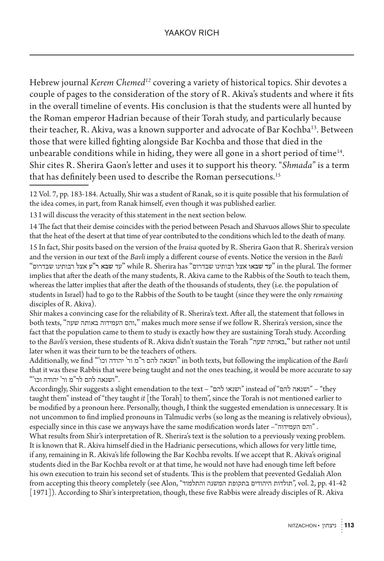Hebrew journal *Kerem Chemed12* covering a variety of historical topics. Shir devotes a couple of pages to the consideration of the story of R. Akiva's students and where it fits in the overall timeline of events. His conclusion is that the students were all hunted by the Roman emperor Hadrian because of their Torah study, and particularly because their teacher, R. Akiva, was a known supporter and advocate of Bar Kochba<sup>13</sup>. Between those that were killed fighting alongside Bar Kochba and those that died in the unbearable conditions while in hiding, they were all gone in a short period of time<sup>14</sup>. Shir cites R. Sherira Gaon's letter and uses it to support his theory. "*Shmada*" is a term that has definitely been used to describe the Roman persecutions.<sup>15</sup>

12 Vol. 7, pp. 183-184. Actually, Shir was a student of Ranak, so it is quite possible that his formulation of the idea comes, in part, from Ranak himself, even though it was published earlier.

13 I will discuss the veracity of this statement in the next section below.

14 The fact that their demise coincides with the period between Pesach and Shavuos allows Shir to speculate that the heat of the desert at that time of year contributed to the conditions which led to the death of many.

15 In fact, Shir posits based on the version of the *braisa* quoted by R. Sherira Gaon that R. Sherira's version and the version in our text of the *Bavli* imply a different course of events. Notice the version in the *Bavli* former The .plural the in" **עד שבאו** אצל רבותינו שבדרום" has Sherira .R while" עד **שבא ר"ע** אצל רבותינו שבדרום" implies that after the death of the many students, R. Akiva came to the Rabbis of the South to teach them, whereas the latter implies that after the death of the thousands of students, they (i.e. the population of students in Israel) had to go to the Rabbis of the South to be taught (since they were the only *remaining* disciples of R. Akiva).

Shir makes a convincing case for the reliability of R. Sherira's text. After all, the statement that follows in both texts, "שעה באותה העמידוה והם, "makes much more sense if we follow R. Sherira's version, since the fact that the population came to them to study is exactly how they are sustaining Torah study. According to the *Bavli*'s version, these students of R. Akiva didn't sustain the Torah "שעה באותה, "but rather not until later when it was their turn to be the teachers of others.

Additionally, we find "'וכו יהודה' ור מ"ר להם ושנאה "in both texts, but following the implication of the *Bavli* that it was these Rabbis that were being taught and not the ones teaching, it would be more accurate to say ."ושנאה להם לר"מ ור' יהודה וכו'"

Accordingly, Shir suggests a slight emendation to the text – "להם ושנאו "instead of "להם ושנאה" – "they taught them" instead of "they taught *it* [the Torah] to them", since the Torah is not mentioned earlier to be modified by a pronoun here. Personally, though, I think the suggested emendation is unnecessary. It is not uncommon to find implied pronouns in Talmudic verbs (so long as the meaning is relatively obvious), especially since in this case we anyways have the same modification words later –"העמידוה והם ".

What results from Shir's interpretation of R. Sherira's text is the solution to a previously vexing problem. It is known that R. Akiva himself died in the Hadrianic persecutions, which allows for very little time, if any, remaining in R. Akiva's life following the Bar Kochba revolts. If we accept that R. Akiva's original students died in the Bar Kochba revolt or at that time, he would not have had enough time left before his own execution to train his second set of students. This is the problem that prevented Gedaliah Alon from accepting this theory completely (see Alon, "הולדות היהודים בתקופת המשנה והתלמוד היהודים, vol. 2, pp. 41-42 [1971]). According to Shir's interpretation, though, these five Rabbis were already disciples of R. Akiva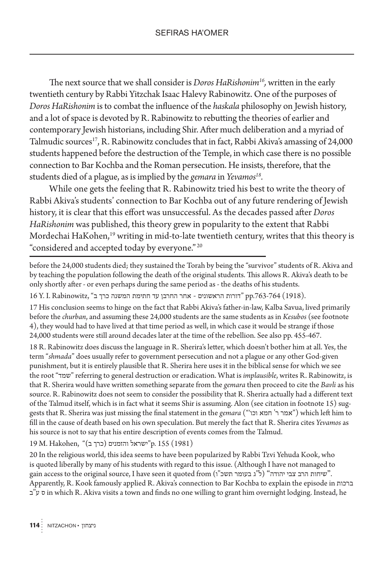The next source that we shall consider is *Doros HaRishonim16,* written in the early twentieth century by Rabbi Yitzchak Isaac Halevy Rabinowitz. One of the purposes of *Doros HaRishonim* is to combat the influence of the *haskala* philosophy on Jewish history, and a lot of space is devoted by R. Rabinowitz to rebutting the theories of earlier and contemporary Jewish historians, including Shir. After much deliberation and a myriad of Talmudic sources<sup>17</sup>, R. Rabinowitz concludes that in fact, Rabbi Akiva's amassing of  $24,000$ students happened before the destruction of the Temple, in which case there is no possible connection to Bar Kochba and the Roman persecution. He insists, therefore, that the students died of a plague, as is implied by the *gemara* in *Yevamos*<sup>18</sup>.

While one gets the feeling that R. Rabinowitz tried his best to write the theory of Rabbi Akiva's students' connection to Bar Kochba out of any future rendering of Jewish history, it is clear that this effort was unsuccessful. As the decades passed after *Doros HaRishonim* was published, this theory grew in popularity to the extent that Rabbi Mordechai HaKohen,<sup>19</sup> writing in mid-to-late twentieth century, writes that this theory is "considered and accepted today by everyone." <sup>20</sup>

before the 24,000 students died; they sustained the Torah by being the "survivor" students of R. Akiva and by teaching the population following the death of the original students. This allows R. Akiva's death to be only shortly after - or even perhaps during the same period as - the deaths of his students.

16 Y. I. Rabinowitz, "דורות הראשונים - אחר החרבן עד חתימת המשנה כרך ב" ,P.763-764 (1918)

17 His conclusion seems to hinge on the fact that Rabbi Akiva's father-in-law, Kalba Savua, lived primarily before the *churban*, and assuming these 24,000 students are the same students as in *Kesubos* (see footnote 4), they would had to have lived at that time period as well, in which case it would be strange if those 24,000 students were still around decades later at the time of the rebellion. See also pp. 455-467.

18 R. Rabinowitz does discuss the language in R. Sherira's letter, which doesn't bother him at all. Yes, the term "*shmada*" does usually refer to government persecution and not a plague or any other God-given punishment, but it is entirely plausible that R. Sherira here uses it in the biblical sense for which we see the root "שמד "referring to general destruction or eradication. What is *implausible*, writes R. Rabinowitz, is that R. Sherira would have written something separate from the *gemara* then proceed to cite the *Bavli* as his source. R. Rabinowitz does not seem to consider the possibility that R. Sherira actually had a different text of the Talmud itself, which is in fact what it seems Shir is assuming. Alon (see citation in footnote 15) suggests that R. Sherira was just missing the final statement in the *gemara* ("'וכו חמא' ר אמר ("which left him to fill in the cause of death based on his own speculation. But merely the fact that R. Sherira cites *Yevamos* as his source is not to say that his entire description of events comes from the Talmud.

#### 19 M. Hakohen, "(כרך ב) (כרך ב) את " ישראל והזמנים" p. 155

20 In the religious world, this idea seems to have been popularized by Rabbi Tzvi Yehuda Kook, who is quoted liberally by many of his students with regard to this issue. (Although I have not managed to gain access to the original source, I have seen it quoted from )ו"תשכ בעומר ג"ל" )יהודה צבי הרב שיחות". Apparently, R. Kook famously applied R. Akiva's connection to Bar Kochba to explain the episode in ברכות ב"ע ס in which R. Akiva visits a town and finds no one willing to grant him overnight lodging. Instead, he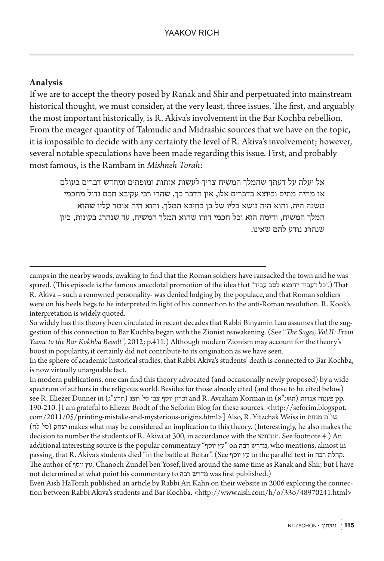### **Analysis**

If we are to accept the theory posed by Ranak and Shir and perpetuated into mainstream historical thought, we must consider, at the very least, three issues. The first, and arguably the most important historically, is R. Akiva's involvement in the Bar Kochba rebellion. From the meager quantity of Talmudic and Midrashic sources that we have on the topic, it is impossible to decide with any certainty the level of R. Akiva's involvement; however, several notable speculations have been made regarding this issue. First, and probably most famous, is the Rambam in *Mishneh Torah*:

אל יעלה על דעתך שהמלך המשיח צריך לעשות אותות ומופתים ומחדש דברים בעולם או מחיה מתים וכיוצא בדברים אלו, אין הדבר כך, שהרי רבי עקיבא חכם גדול מחכמי משנה היה, והוא היה נושא כליו של בן כוזיבא המלך, והוא היה אומר עליו שהוא המלך המשיח, ודימה הוא וכל חכמי דורו שהוא המלך המשיח, עד שנהרג בעונות, כיון שנהרג נודע להם שאינו.

In modern publications, one can find this theory advocated (and occasionally newly proposed) by a wide spectrum of authors in the religious world. Besides for those already cited (and those to be cited below) ee R. Eliezer Dunner in (תרצ"ג )תושנ (תרצ"ג) and R. Avraham Korman in (תשנ"א) pp. 190-210. [I am grateful to Eliezer Brodt of the Seforim Blog for these sources. <http://seforim.blogspot. com/2011/05/printing-mistake-and-mysterious-origins.html>] Also, R. Yitzchak Weiss in מנחת ת"שו )לח' סי )יצחק makes what may be considered an implication to this theory. (Interestingly, he also makes the decision to number the students of R. Akiva at 300, in accordance with the תנחומא. See footnote 4.) An additional interesting source is the popular commentary "יוסף עץ "on רבה מדרש, who mentions, almost in passing, that R. Akiva's students died "in the battle at Beitar". (See יוסף עץ to the parallel text in רבה קהלת. The author of יוסף עץ, Chanoch Zundel ben Yosef, lived around the same time as Ranak and Shir, but I have not determined at what point his commentary to רבה מדרש was first published.)

Even Aish HaTorah published an article by Rabbi Ari Kahn on their website in 2006 exploring the connection between Rabbi Akiva's students and Bar Kochba. <http://www.aish.com/h/o/33o/48970241.html>

camps in the nearby woods, awaking to find that the Roman soldiers have ransacked the town and he was spared. (This episode is the famous anecdotal promotion of the idea that "עביד לטב רחמנא דעביד כל". (That R. Akiva – such a renowned personality- was denied lodging by the populace, and that Roman soldiers were on his heels begs to be interpreted in light of his connection to the anti-Roman revolution. R. Kook's interpretation is widely quoted.

So widely has this theory been circulated in recent decades that Rabbi Binyamin Lau assumes that the suggestion of this connection to Bar Kochba began with the Zionist reawakening. (See "*The Sages, Vol.II: From Yavne to the Bar Kokhba Revolt",* 2012; p.411.) Although modern Zionism may account for the theory's boost in popularity, it certainly did not contribute to its origination as we have seen.

In the sphere of academic historical studies, that Rabbi Akiva's students' death is connected to Bar Kochba, is now virtually unarguable fact.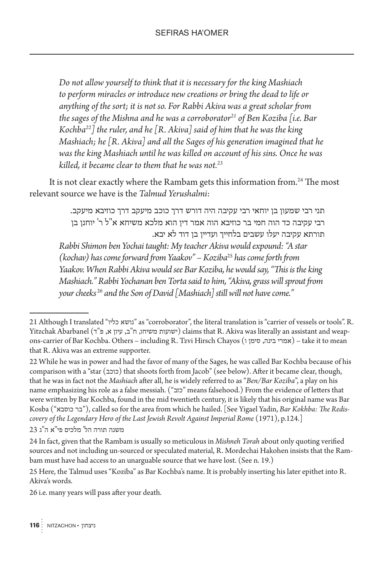*Do not allow yourself to think that it is necessary for the king Mashiach to perform miracles or introduce new creations or bring the dead to life or anything of the sort; it is not so. For Rabbi Akiva was a great scholar from the sages of the Mishna and he was a corroborator21 of Ben Koziba [i.e. Bar Kochba22] the ruler, and he [R. Akiva] said of him that he was the king Mashiach; he [R. Akiva] and all the Sages of his generation imagined that he was the king Mashiach until he was killed on account of his sins. Once he was killed, it became clear to them that he was not.23*

It is not clear exactly where the Rambam gets this information from.<sup>24</sup> The most relevant source we have is the *Talmud Yerushalmi*:

תני רבי שמעון בן יוחאי רבי עקיבה היה דורש דרך כוכב מיעקב דרך כוזיבא מיעקב. רבי עקיבה כד הוה חמי בר כוזיבא הוה אמר דין הוא מלכא משיחא א"ל ר' יוחנן בן תורתא עקיבה יעלו עשבים בלחייך ועדיין בן דוד לא יבא. *Rabbi Shimon ben Yochai taught: My teacher Akiva would expound: "A star (kochav) has come forward from Yaakov" – Koziba*<sup>25</sup> *has come forth from Yaakov. When Rabbi Akiva would see Bar Koziba, he would say, "This is the king Mashiach." Rabbi Yochanan ben Torta said to him, "Akiva, grass will sprout from your cheeks* <sup>26</sup> *and the Son of David [Mashiach] still will not have come."*

<sup>21</sup> Although I translated "כליו נושא "as "corroborator", the literal translation is "carrier of vessels or tools". R. Yitzchak Abarbanel (ד"פ ,א עיון ,ב"ח ,משיחו ישועות (claims that R. Akiva was literally an assistant and weapons-carrier of Bar Kochba. Others – including R. Tzvi Hirsch Chayos (ו סימן ,בינה אמרי – (take it to mean that R. Akiva was an extreme supporter.

<sup>22</sup> While he was in power and had the favor of many of the Sages, he was called Bar Kochba because of his comparison with a "star (כוכב (that shoots forth from Jacob" (see below). After it became clear, though, that he was in fact not the *Mashiach* after all, he is widely referred to as "*Ben/Bar Koziba*", a play on his name emphasizing his role as a false messiah. ("כזב "means falsehood.) From the evidence of letters that were written by Bar Kochba, found in the mid twentieth century, it is likely that his original name was Bar Kosba ("בר כוסבא"), called so for the area from which he hailed. [See Yigael Yadin, *Bar Kokhba: The Rediscovery of the Legendary Hero of the Last Jewish Revolt Against Imperial Rome* (1971), p.124.]

משנה תורה הל' מלכים פי"א ה"ג 23

<sup>24</sup> In fact, given that the Rambam is usually so meticulous in *Mishneh Torah* about only quoting verified sources and not including un-sourced or speculated material, R. Mordechai Hakohen insists that the Rambam must have had access to an unarguable source that we have lost. (See n. 19.)

<sup>25</sup> Here, the Talmud uses "Koziba" as Bar Kochba's name. It is probably inserting his later epithet into R. Akiva's words.

<sup>26</sup> i.e. many years will pass after your death.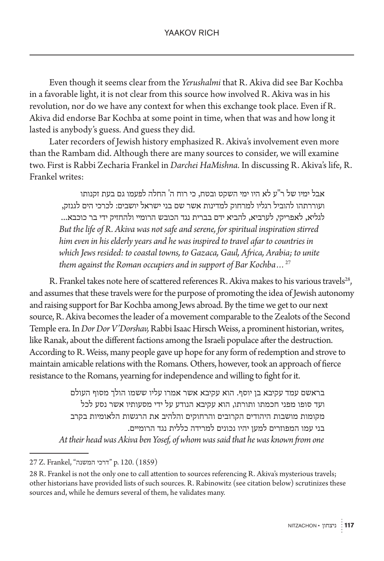Even though it seems clear from the *Yerushalmi* that R. Akiva did see Bar Kochba in a favorable light, it is not clear from this source how involved R. Akiva was in his revolution, nor do we have any context for when this exchange took place. Even if R. Akiva did endorse Bar Kochba at some point in time, when that was and how long it lasted is anybody's guess. And guess they did.

Later recorders of Jewish history emphasized R. Akiva's involvement even more than the Rambam did. Although there are many sources to consider, we will examine two. First is Rabbi Zecharia Frankel in *Darchei HaMishna.* In discussing R. Akiva's life, R. Frankel writes:

אבל ימיו של ר"ע לא היו ימי השקט ובטח, כי רוח ה' החלה לפעמו גם בעת זקנותו ועוררתהו להוביל רגליו למרחוק למדינות אשר שם בני ישראל יושבים: לכרכי הים לגנזק, לגליא, לאפריקי, לערביא, להביא ידם בברית נגד הכובש הרומיי ולהחזיק ידי בר כוכבא... *But the life of R. Akiva was not safe and serene, for spiritual inspiration stirred him even in his elderly years and he was inspired to travel afar to countries in which Jews resided: to coastal towns, to Gazaca, Gaul, Africa, Arabia; to unite them against the Roman occupiers and in support of Bar Kochba…*<sup>27</sup>

R. Frankel takes note here of scattered references R. Akiva makes to his various travels<sup>28</sup>, and assumes that these travels were for the purpose of promoting the idea of Jewish autonomy and raising support for Bar Kochba among Jews abroad. By the time we get to our next source, R. Akiva becomes the leader of a movement comparable to the Zealots of the Second Temple era. In *Dor Dor V'Dorshav,* Rabbi Isaac Hirsch Weiss, a prominent historian, writes, like Ranak, about the different factions among the Israeli populace after the destruction. According to R. Weiss, many people gave up hope for any form of redemption and strove to maintain amicable relations with the Romans. Others, however, took an approach of fierce resistance to the Romans, yearning for independence and willing to fight for it.

בראשם עמד עקיבא בן יוסף. הוא עקיבא אשר אמרו עליו ששמו הולך מסוף העולם ועד סופו מפני חכמתו ותורתו, הוא עקיבא הנודע על ידי מסעותיו אשר נסע לכל מקומות מושבות היהודים הקרובים והרחוקים והלהיב את הרגשות הלאומיות בקרב בני עמו המפוזרים למען יהיו נכונים למרידה כללית נגד הרומיים. *At their head was Akiva ben Yosef, of whom was said that he was known from one* 

<sup>27</sup> Z. Frankel, "המשנה דרכי "p. 120. (1859)

<sup>28</sup> R. Frankel is not the only one to call attention to sources referencing R. Akiva's mysterious travels; other historians have provided lists of such sources. R. Rabinowitz (see citation below) scrutinizes these sources and, while he demurs several of them, he validates many.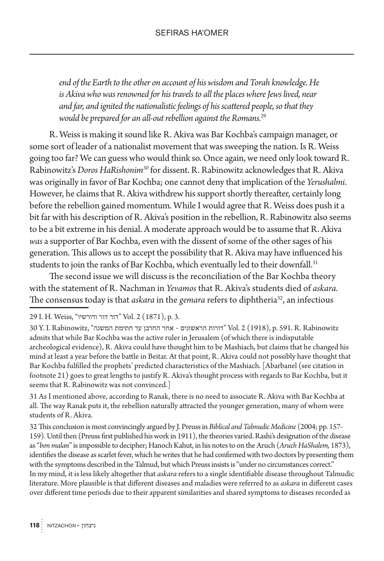*end of the Earth to the other on account of his wisdom and Torah knowledge. He is Akiva who was renowned for his travels to all the places where Jews lived, near and far, and ignited the nationalistic feelings of his scattered people, so that they would be prepared for an all-out rebellion against the Romans.*<sup>29</sup>

R. Weiss is making it sound like R. Akiva was Bar Kochba's campaign manager, or some sort of leader of a nationalist movement that was sweeping the nation. Is R. Weiss going too far? We can guess who would think so. Once again, we need only look toward R. Rabinowitz's *Doros HaRishonim30* for dissent. R. Rabinowitz acknowledges that R. Akiva was originally in favor of Bar Kochba; one cannot deny that implication of the *Yerushalmi*. However, he claims that R. Akiva withdrew his support shortly thereafter, certainly long before the rebellion gained momentum. While I would agree that R. Weiss does push it a bit far with his description of R. Akiva's position in the rebellion, R. Rabinowitz also seems to be a bit extreme in his denial. A moderate approach would be to assume that R. Akiva *was* a supporter of Bar Kochba, even with the dissent of some of the other sages of his generation. This allows us to accept the possibility that R. Akiva may have influenced his students to join the ranks of Bar Kochba, which eventually led to their downfall.<sup>31</sup>

The second issue we will discuss is the reconciliation of the Bar Kochba theory with the statement of R. Nachman in *Yevamos* that R. Akiva's students died of *askara.* The consensus today is that *askara* in the *gemara* refers to diphtheria<sup>32</sup>, an infectious

31 As I mentioned above, according to Ranak, there is no need to associate R. Akiva with Bar Kochba at all. The way Ranak puts it, the rebellion naturally attracted the younger generation, many of whom were students of R. Akiva.

32 This conclusion is most convincingly argued by J. Preuss in *Biblical and Talmudic Medicine* (2004; pp. 157- 159). Until then (Preuss first published his work in 1911), the theories varied. Rashi's designation of the disease as "*bon malan*" is impossible to decipher; Hanoch Kahut, in his notes to on the Aruch (*Aruch HaShalem,* 1873), identifies the disease as scarlet fever, which he writes that he had confirmed with two doctors by presenting them with the symptoms described in the Talmud, but which Preuss insists is "under no circumstances correct." In my mind, it is less likely altogether that *askara* refers to a single identifiable disease throughout Talmudic literature. More plausible is that different diseases and maladies were referred to as *askara* in different cases over different time periods due to their apparent similarities and shared symptoms to diseases recorded as

<sup>29</sup> I. H. Weiss, "דור דור ודורשיו" Vol. 2 (1871), p. 3.

 $R$  1918), דורות הראשונים - אחר החרבן עד חתימת המשנה" Vol. 2  $(1918)$ , p. 591. R. Rabinowitz admits that while Bar Kochba was the active ruler in Jerusalem (of which there is indisputable archeological evidence), R. Akiva could have thought him to be Mashiach, but claims that he changed his mind at least a year before the battle in Beitar. At that point, R. Akiva could not possibly have thought that Bar Kochba fulfilled the prophets' predicted characteristics of the Mashiach. [Abarbanel (see citation in footnote 21) goes to great lengths to justify R. Akiva's thought process with regards to Bar Kochba, but it seems that R. Rabinowitz was not convinced.]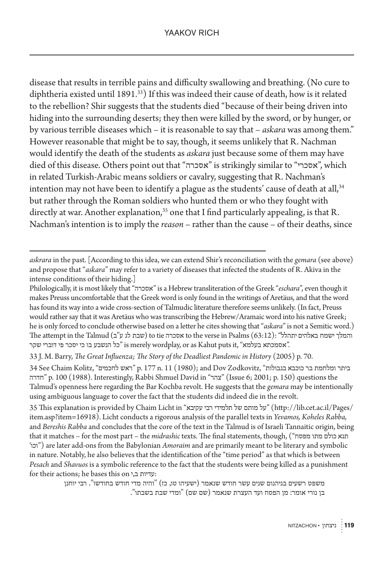disease that results in terrible pains and difficulty swallowing and breathing. (No cure to diphtheria existed until 1891.<sup>33</sup>) If this was indeed their cause of death, how is it related to the rebellion? Shir suggests that the students died "because of their being driven into hiding into the surrounding deserts; they then were killed by the sword, or by hunger, or by various terrible diseases which – it is reasonable to say that – *askara* was among them." However reasonable that might be to say, though, it seems unlikely that R. Nachman would identify the death of the students as *askara* just because some of them may have died of this disease. Others point out that "אסכרה "is strikingly similar to "אסכרי", which in related Turkish-Arabic means soldiers or cavalry, suggesting that R. Nachman's intention may not have been to identify a plague as the students' cause of death at all,<sup>34</sup> but rather through the Roman soldiers who hunted them or who they fought with directly at war. Another explanation,<sup>35</sup> one that I find particularly appealing, is that R. Nachman's intention is to imply the *reason* – rather than the cause – of their deaths, since

משפט רשעים בגיהנום שנים עשר חודש שנאמר (ישעיהו טו, כז) "והיה מדי חודש בחודשו". רבי יוחנן בן נורי אומר: מן הפסח ועד העצרת שנאמר (שם שם) "ומדי שבת בשבתו".

*askrara* in the past. [According to this idea, we can extend Shir's reconciliation with the *gemara* (see above) and propose that "*askara*" may refer to a variety of diseases that infected the students of R. Akiva in the intense conditions of their hiding.]

Philologically, it is most likely that "אסכרה "is a Hebrew transliteration of the Greek "*eschara*", even though it makes Preuss uncomfortable that the Greek word is only found in the writings of Aretäus, and that the word has found its way into a wide cross-section of Talmudic literature therefore seems unlikely. (In fact, Preuss would rather say that it was Aretäus who was transcribing the Hebrew/Aramaic word into his native Greek; he is only forced to conclude otherwise based on a letter he cites showing that "*askara*" is not a Semitic word.) The attempt in the Talmud (שבת לג ע"ב) to tie אסכרה to the verse in Psalms (63:12): "יהמלך ישמח באלהים יתהלל "אסמכתא בעלמא" is merely wordplay, or as Kahut puts it, "אסמכתא בעלמא".

<sup>33</sup> J. M. Barry, *The Great Influenza; The Story of the Deadliest Pandemic in History* (2005) p. 70.

<sup>34</sup> See Chaim Kolitz, "האש לחכמים p. 177 n. 11 (1980); and Dov Zodkovitz, "ביתר ומלחמת בר כוכבא בגבולות חדרה "p. 100 (1988). Interestingly, Rabbi Shmuel David in "צהר) "Issue 6; 2001; p. 150) questions the Talmud's openness here regarding the Bar Kochba revolt. He suggests that the *gemara* may be intentionally using ambiguous language to cover the fact that the students did indeed die in the revolt.

<sup>35</sup> This explanation is provided by Chaim Licht in "עקיבא רבי תלמידי של מותם על) "http://lib.cet.ac.il/Pages/ item.asp?item=16918). Licht conducts a rigorous analysis of the parallel texts in *Yevamos, Koheles Rabba,*  and *Bereshis Rabba* and concludes that the core of the text in the Talmud is of Israeli Tannaitic origin, being that it matches – for the most part – the *midrashic* texts. The final statements, though, ("מפסח מתו כולם תנא "וכו") are later add-ons from the Babylonian *Amoraim* and are primarily meant to be literary and symbolic in nature. Notably, he also believes that the identification of the "time period" as that which is between *Pesach* and *Shavuos* is a symbolic reference to the fact that the students were being killed as a punishment for their actions; he bases this on י,ב עדיות: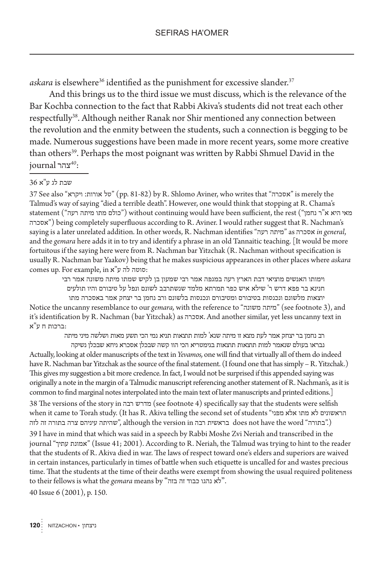askara is elsewhere<sup>36</sup> identified as the punishment for excessive slander.<sup>37</sup>

And this brings us to the third issue we must discuss, which is the relevance of the Bar Kochba connection to the fact that Rabbi Akiva's students did not treat each other respectfully<sup>38</sup>. Although neither Ranak nor Shir mentioned any connection between the revolution and the enmity between the students, such a connection is begging to be made. Numerous suggestions have been made in more recent years, some more creative than others<sup>39</sup>. Perhaps the most poignant was written by Rabbi Shmuel David in the *<sup>40</sup>*:צהר journal

#### שבת לג ע"א 36

37 See also "ויקרא :אורות טל) "pp. 81-82) by R. Shlomo Aviner, who writes that "אסכרה "is merely the Talmud's way of saying "died a terrible death". However, one would think that stopping at R. Chama's מאי היא א"ר נחמן") rest the ,sufficient been have would continuing without") כולם מתו מיתה רעה") statement אסכרה ("being completely superfluous according to R. Aviner. I would rather suggest that R. Nachman's saying is a later unrelated addition. In other words, R. Nachman identifies "רעה מיתה "as אסכרה *in general*, and the *gemara* here adds it in to try and identify a phrase in an old Tannaitic teaching. [It would be more fortuitous if the saying here were from R. Nachman bar Yitzchak (R. Nachman without specification is usually R. Nachman bar Yaakov) being that he makes suspicious appearances in other places where *askara* comes up. For example, in א"ע לה סוטה:

וימותו האנשים מוציאי דבת הארץ רעה במגפה אמר רבי שמעון בן לקיש שמתו מיתה משונה אמר רבי חנינא בר פפא דרש ר' שילא איש כפר תמרתא מלמד שנשתרבב לשונם ונפל על טיבורם והיו תולעים

יוצאות מלשונם ונכנסות בטיבורם ומטיבורם ונכנסות בלשונם ורב נחמן בר יצחק אמר באסכרה מתו Notice the uncanny resemblance to our *gemara,* with the reference to "משונה מיתה) "see footnote 3), and it's identification by R. Nachman (bar Yitzchak) as אסכרה. And another similar, yet less uncanny text in :ברכות ח ע"א

רב נחמן בר יצחק אמר לעת מצא זו מיתה שנא' למות תוצאות תניא נמי הכי תשע מאות ושלשה מיני מיתה

נבראו בעולם שנאמר למות תוצאות תוצאות בגימטריא הכי הוו קשה שבכלן אסכרא ניחא שבכלן נשיקה Actually, looking at older manuscripts of the text in *Yevamos,* one will find that virtually all of them do indeed have R. Nachman bar Yitzchak as the source of the final statement. (I found one that has simply – R. Yitzchak.) This gives my suggestion a bit more credence. In fact, I would not be surprised if this appended saying was originally a note in the margin of a Talmudic manuscript referencing another statement of R. Nachman's, as it is common to find marginal notes interpolated into the main text of later manuscripts and printed editions.]

38 The versions of the story in רבה מדרש) see footnote 4) specifically say that the students were selfish when it came to Torah study. (It has R. Akiva telling the second set of students "מפני אלא מתו לא הראשונים בתורה" does not have the word בראשית רבה in version in כלאשית רבה בתורה זה לזה"). בתורה בתורה של הה 39 I have in mind that which was said in a speech by Rabbi Moshe Zvi Neriah and transcribed in the journal "עתיך אמונת) "Issue 41; 2001). According to R. Neriah, the Talmud was trying to hint to the reader that the students of R. Akiva died in war. The laws of respect toward one's elders and superiors are waived in certain instances, particularly in times of battle when such etiquette is uncalled for and wastes precious time. That the students at the time of their deaths were exempt from showing the usual required politeness to their fellows is what the *gemara* means by "בזה זה כבוד נהגו לא".

40 Issue 6 (2001), p. 150.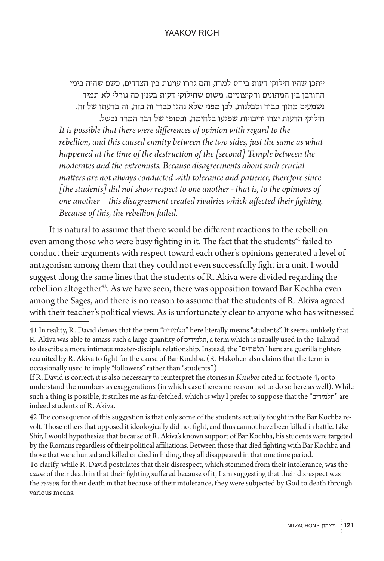ייתכן שהיו חילוקי דעות ביחס למרד, והם גררו עוינות בין הצדדים, כשם שהיה בימי החורבן בין המתונים והקיצוניים. משום שחילוקי דעות בענין כה גורלי לא תמיד נשמעים מתוך כבוד וסבלנות, לכן מפני שלא נהגו כבוד זה בזה, זה בדעתו של זה, חילוקי הדעות יצרו יריבויות שפגעו בלחימה, ובסופו של דבר המרד נכשל. *It is possible that there were differences of opinion with regard to the rebellion, and this caused enmity between the two sides, just the same as what happened at the time of the destruction of the [second] Temple between the moderates and the extremists. Because disagreements about such crucial matters are not always conducted with tolerance and patience, therefore since [the students] did not show respect to one another - that is, to the opinions of one another – this disagreement created rivalries which affected their fighting. Because of this, the rebellion failed.*

It is natural to assume that there would be different reactions to the rebellion even among those who were busy fighting in it. The fact that the students<sup>41</sup> failed to conduct their arguments with respect toward each other's opinions generated a level of antagonism among them that they could not even successfully fight in a unit. I would suggest along the same lines that the students of R. Akiva were divided regarding the rebellion altogether<sup>42</sup>. As we have seen, there was opposition toward Bar Kochba even among the Sages, and there is no reason to assume that the students of R. Akiva agreed with their teacher's political views. As is unfortunately clear to anyone who has witnessed

<sup>41</sup> In reality, R. David denies that the term "תלמידים "here literally means "students". It seems unlikely that R. Akiva was able to amass such a large quantity of תלמידים, a term which is usually used in the Talmud to describe a more intimate master-disciple relationship. Instead, the "תלמידים "here are guerilla fighters recruited by R. Akiva to fight for the cause of Bar Kochba. (R. Hakohen also claims that the term is occasionally used to imply "followers" rather than "students".)

If R. David is correct, it is also necessary to reinterpret the stories in *Kesubos* cited in footnote 4, or to understand the numbers as exaggerations (in which case there's no reason not to do so here as well). While such a thing is possible, it strikes me as far-fetched, which is why I prefer to suppose that the "תלמידים "are indeed students of R. Akiva.

<sup>42</sup> The consequence of this suggestion is that only some of the students actually fought in the Bar Kochba revolt. Those others that opposed it ideologically did not fight, and thus cannot have been killed in battle. Like Shir, I would hypothesize that because of R. Akiva's known support of Bar Kochba, his students were targeted by the Romans regardless of their political affiliations. Between those that died fighting with Bar Kochba and those that were hunted and killed or died in hiding, they all disappeared in that one time period. To clarify, while R. David postulates that their disrespect, which stemmed from their intolerance, was the *cause* of their death in that their fighting suffered because of it, I am suggesting that their disrespect was the *reason* for their death in that because of their intolerance, they were subjected by God to death through various means.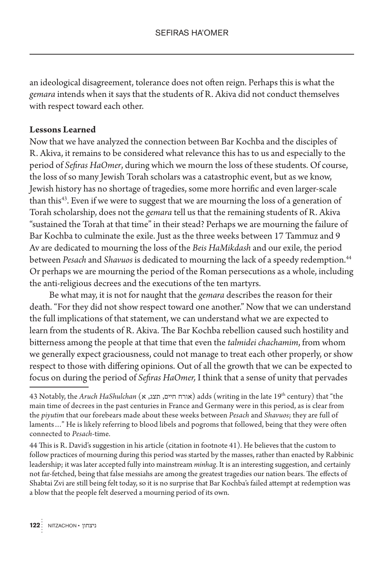an ideological disagreement, tolerance does not often reign. Perhaps this is what the *gemara* intends when it says that the students of R. Akiva did not conduct themselves with respect toward each other.

## **Lessons Learned**

Now that we have analyzed the connection between Bar Kochba and the disciples of R. Akiva, it remains to be considered what relevance this has to us and especially to the period of *Sefiras HaOmer*, during which we mourn the loss of these students. Of course, the loss of so many Jewish Torah scholars was a catastrophic event, but as we know, Jewish history has no shortage of tragedies, some more horrific and even larger-scale than this<sup>43</sup>. Even if we were to suggest that we are mourning the loss of a generation of Torah scholarship, does not the *gemara* tell us that the remaining students of R. Akiva "sustained the Torah at that time" in their stead? Perhaps we are mourning the failure of Bar Kochba to culminate the exile. Just as the three weeks between 17 Tammuz and 9 Av are dedicated to mourning the loss of the *Beis HaMikdash* and our exile, the period between *Pesach* and *Shavuos* is dedicated to mourning the lack of a speedy redemption.44 Or perhaps we are mourning the period of the Roman persecutions as a whole, including the anti-religious decrees and the executions of the ten martyrs.

Be what may, it is not for naught that the *gemara* describes the reason for their death. "For they did not show respect toward one another." Now that we can understand the full implications of that statement, we can understand what we are expected to learn from the students of R. Akiva. The Bar Kochba rebellion caused such hostility and bitterness among the people at that time that even the *talmidei chachamim*, from whom we generally expect graciousness, could not manage to treat each other properly, or show respect to those with differing opinions. Out of all the growth that we can be expected to focus on during the period of *Sefiras HaOmer,* I think that a sense of unity that pervades

<sup>43</sup> Notably, the *Aruch HaShulchan* (א ,תצג ,חיים אורח (adds (writing in the late 19th century) that "the main time of decrees in the past centuries in France and Germany were in this period, as is clear from the *piyutim* that our forebears made about these weeks between *Pesach* and *Shavuos*; they are full of laments…" He is likely referring to blood libels and pogroms that followed, being that they were often connected to *Pesach*-time.

<sup>44</sup> This is R. David's suggestion in his article (citation in footnote 41). He believes that the custom to follow practices of mourning during this period was started by the masses, rather than enacted by Rabbinic leadership; it was later accepted fully into mainstream *minhag*. It is an interesting suggestion, and certainly not far-fetched, being that false messiahs are among the greatest tragedies our nation bears. The effects of Shabtai Zvi are still being felt today, so it is no surprise that Bar Kochba's failed attempt at redemption was a blow that the people felt deserved a mourning period of its own.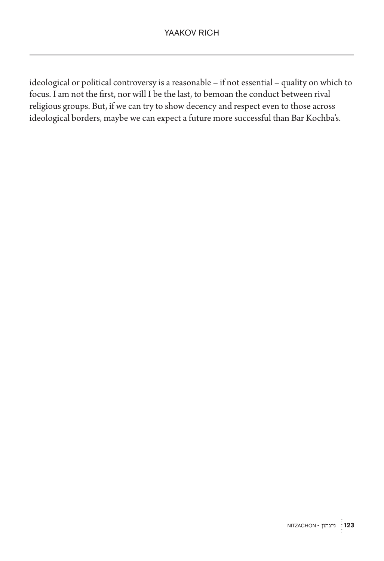ideological or political controversy is a reasonable – if not essential – quality on which to focus. I am not the first, nor will I be the last, to bemoan the conduct between rival religious groups. But, if we can try to show decency and respect even to those across ideological borders, maybe we can expect a future more successful than Bar Kochba's.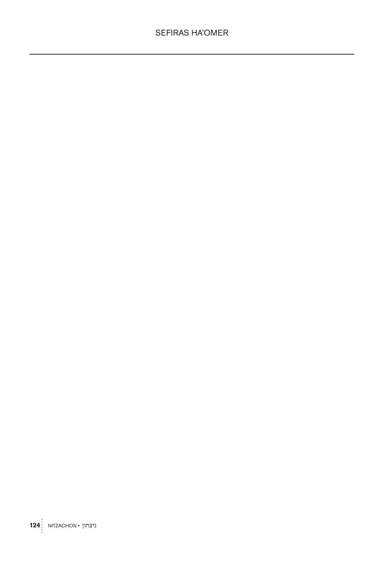### SEFIRAS HA'OMER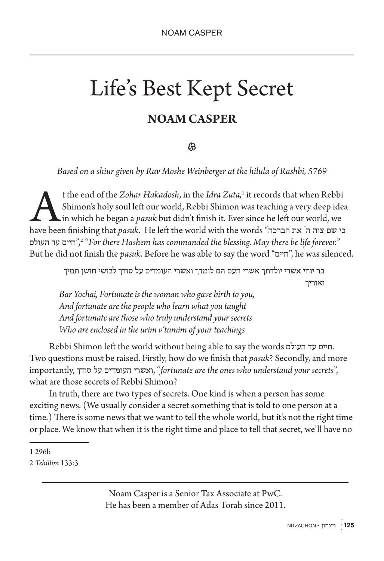## Life's Best Kept Secret

## **NOAM CASPER**

## £ን

*Based on a shiur given by Rav Moshe Weinberger at the hilula of Rashbi, 5769*

t the end of the *Zohar Hakadosh*, in the *Idra Zuta*,<sup>1</sup> it records that when Rebbi Shimon's holy soul left our world, Rebbi Shimon was teaching a very deep idea in which he began a *pasuk* but didn't finish it. Ever sin t the end of the Zohar Hakadosh, in the Idra Zuta,<sup>1</sup> it records that when Rebbi Shimon's holy soul left our world, Rebbi Shimon was teaching a very deep idea in which he began a *pasuk* but didn't finish it. Ever since he left our world, we ,<sup>2</sup>"חיים עד העולם "*For there Hashem has commanded the blessing. May there be life forever.*" But he did not finish the *pasuk*. Before he was able to say the word "חיים", he was silenced.

> בר יוחי אשרי יולדתך אשרי העם הם לומדך ואשרי העומדים על סודך לבושי חושן תמיך ואוריך

*Bar Yochai, Fortunate is the woman who gave birth to you, And fortunate are the people who learn what you taught And fortunate are those who truly understand your secrets Who are enclosed in the urim v'tumim of your teachings*

Rebbi Shimon left the world without being able to say the words העולם עד חיים. Two questions must be raised. Firstly, how do we finish that *pasuk*? Secondly, and more importantly, סודך על העומדים ואשרי," *fortunate are the ones who understand your secrets*", what are those secrets of Rebbi Shimon?

In truth, there are two types of secrets. One kind is when a person has some exciting news. (We usually consider a secret something that is told to one person at a time.) There is some news that we want to tell the whole world, but it's not the right time or place. We know that when it is the right time and place to tell that secret, we'll have no

Noam Casper is a Senior Tax Associate at PwC. He has been a member of Adas Torah since 2011.

<sup>1 296</sup>b

<sup>2</sup> *Tehillim* 133:3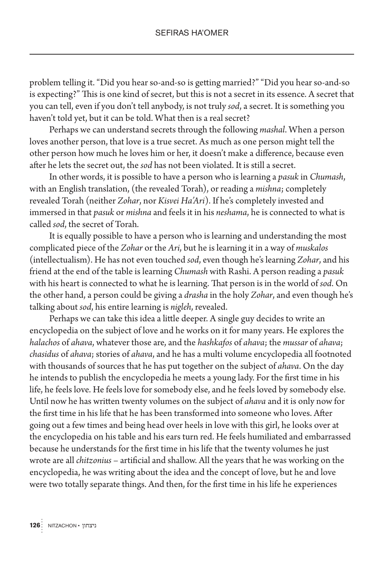problem telling it. "Did you hear so-and-so is getting married?" "Did you hear so-and-so is expecting?" This is one kind of secret, but this is not a secret in its essence. A secret that you can tell, even if you don't tell anybody, is not truly *sod*, a secret. It is something you haven't told yet, but it can be told. What then is a real secret?

Perhaps we can understand secrets through the following *mashal*. When a person loves another person, that love is a true secret. As much as one person might tell the other person how much he loves him or her, it doesn't make a difference, because even after he lets the secret out, the *sod* has not been violated. It is still a secret.

In other words, it is possible to have a person who is learning a *pasuk* in *Chumash*, with an English translation, (the revealed Torah), or reading a *mishna*; completely revealed Torah (neither *Zohar*, nor *Kisvei Ha'Ari*). If he's completely invested and immersed in that *pasuk* or *mishna* and feels it in his *neshama*, he is connected to what is called *sod*, the secret of Torah.

It is equally possible to have a person who is learning and understanding the most complicated piece of the *Zohar* or the *Ari*, but he is learning it in a way of *muskalos* (intellectualism). He has not even touched *sod*, even though he's learning *Zohar*, and his friend at the end of the table is learning *Chumash* with Rashi. A person reading a *pasuk* with his heart is connected to what he is learning. That person is in the world of *sod*. On the other hand, a person could be giving a *drasha* in the holy *Zohar*, and even though he's talking about *sod*, his entire learning is *nigleh*, revealed.

Perhaps we can take this idea a little deeper. A single guy decides to write an encyclopedia on the subject of love and he works on it for many years. He explores the *halachos* of *ahava*, whatever those are, and the *hashkafos* of *ahava*; the *mussar* of *ahava*; *chasidus* of *ahava*; stories of *ahava*, and he has a multi volume encyclopedia all footnoted with thousands of sources that he has put together on the subject of *ahava*. On the day he intends to publish the encyclopedia he meets a young lady. For the first time in his life, he feels love. He feels love for somebody else, and he feels loved by somebody else. Until now he has written twenty volumes on the subject of *ahava* and it is only now for the first time in his life that he has been transformed into someone who loves. After going out a few times and being head over heels in love with this girl, he looks over at the encyclopedia on his table and his ears turn red. He feels humiliated and embarrassed because he understands for the first time in his life that the twenty volumes he just wrote are all *chitzonius* – artificial and shallow. All the years that he was working on the encyclopedia, he was writing about the idea and the concept of love, but he and love were two totally separate things. And then, for the first time in his life he experiences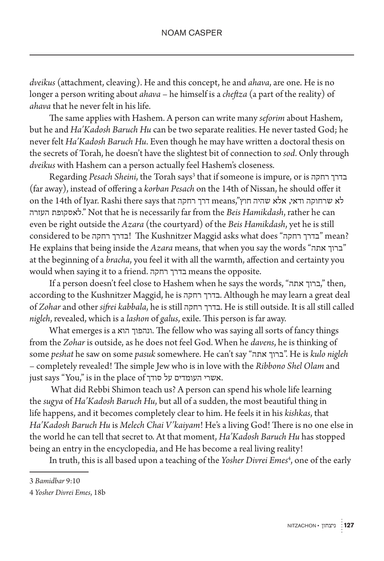*dveikus* (attachment, cleaving). He and this concept, he and *ahava*, are one. He is no longer a person writing about *ahava* – he himself is a *cheftza* (a part of the reality) of *ahava* that he never felt in his life.

The same applies with Hashem. A person can write many *seforim* about Hashem, but he and *Ha'Kadosh Baruch Hu* can be two separate realities. He never tasted God; he never felt *Ha'Kadosh Baruch Hu*. Even though he may have written a doctoral thesis on the secrets of Torah, he doesn't have the slightest bit of connection to *sod*. Only through *dveikus* with Hashem can a person actually feel Hashem's closeness.

Regarding *Pesach Sheini*, the Torah says3 that if someone is impure, or is רחקה בדרך (far away), instead of offering a *korban Pesach* on the 14th of Nissan, he should offer it on the 14th of Iyar. Rashi there says that דרך רחקה דרך חוץ means,"סא שרחוקה ודאי, אלא שהיה חוץ העזרה לאסקופת. "Not that he is necessarily far from the *Beis Hamikdash*, rather he can even be right outside the *Azara* (the courtyard) of the *Beis Hamikdash*, yet he is still considered to be "בדרך רחקה" The Kushnitzer Maggid asks what does "בדרך רחקה" He explains that being inside the *Azara* means, that when you say the words "ברוך אתה" at the beginning of a *bracha*, you feel it with all the warmth, affection and certainty you would when saying it to a friend. רחקה בדרך means the opposite.

If a person doesn't feel close to Hashem when he says the words, "אתה ברוך, "then, according to the Kushnitzer Maggid, he is רחקה בדרך. Although he may learn a great deal of *Zohar* and other *sifrei kabbala*, he is still רחקה בדרך. He is still outside. It is all still called *nigleh*, revealed, which is a *lashon* of *galus*, exile. This person is far away.

What emerges is a הוא ונהפוך. The fellow who was saying all sorts of fancy things from the *Zohar* is outside, as he does not feel God. When he *davens*, he is thinking of some *peshat* he saw on some *pasuk* somewhere. He can't say "אתה ברוך". He is *kulo nigleh* – completely revealed! The simple Jew who is in love with the *Ribbono Shel Olam* and just says "You," is in the place of סודך על העומדים אשרי.

 What did Rebbi Shimon teach us? A person can spend his whole life learning the *sugya* of *Ha'Kadosh Baruch Hu*, but all of a sudden, the most beautiful thing in life happens, and it becomes completely clear to him. He feels it in his *kishkas*, that *Ha'Kadosh Baruch Hu* is *Melech Chai V'kaiyam*! He's a living God! There is no one else in the world he can tell that secret to. At that moment, *Ha'Kadosh Baruch Hu* has stopped being an entry in the encyclopedia, and He has become a real living reality!

In truth, this is all based upon a teaching of the *Yosher Divrei Emes*<sup>4</sup> , one of the early

<sup>3</sup> *Bamidbar* 9:10

<sup>4</sup> *Yosher Divrei Emes*, 18b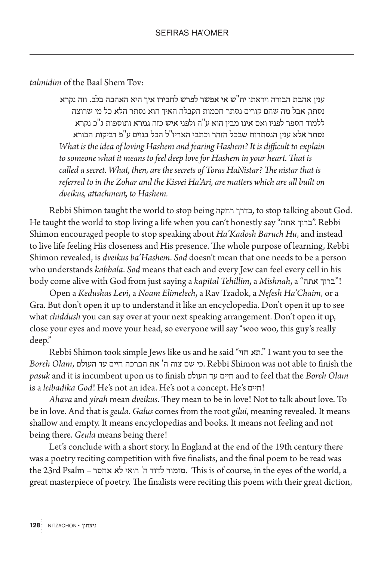*talmidim* of the Baal Shem Tov:

ענין אהבת הבורה ויראתו ית''ש אי אפשר לפרש לחבירו איך היא האהבה בלב. וזה נקרא נסתר, אבל מה שהם קורים נסתר חכמות הקבלה האיך הוא נסתר הלא כל מי שרוצה ללמוד הספר לפניו ואם אינו מבין הוא ע''ה ולפני איש כזה גמרא ותוספות ג''כ נקרא נסתר אלא ענין הנסתרות שבכל הזהר וכתבי האריז''ל הכל בנוים ע''פ דביקות הבורא *What is the idea of loving Hashem and fearing Hashem? It is difficult to explain to someone what it means to feel deep love for Hashem in your heart. That is called a secret. What, then, are the secrets of Toras HaNistar? The nistar that is referred to in the Zohar and the Kisvei Ha'Ari, are matters which are all built on dveikus, attachment, to Hashem.*

Rebbi Shimon taught the world to stop being רחקה בדרך, to stop talking about God. He taught the world to stop living a life when you can't honestly say "אתה ברוך". Rebbi Shimon encouraged people to stop speaking about *Ha'Kadosh Baruch Hu*, and instead to live life feeling His closeness and His presence. The whole purpose of learning, Rebbi Shimon revealed, is *dveikus ba'Hashem*. *Sod* doesn't mean that one needs to be a person who understands *kabbala*. *Sod* means that each and every Jew can feel every cell in his body come alive with God from just saying a *kapital Tehillim*, a *Mishnah*, a "אתה ברוך!"

Open a *Kedushas Levi*, a *Noam Elimelech*, a Rav Tzadok, a *Nefesh Ha'Chaim*, or a Gra. But don't open it up to understand it like an encyclopedia. Don't open it up to see what *chiddush* you can say over at your next speaking arrangement. Don't open it up, close your eyes and move your head, so everyone will say "woo woo, this guy's really deep."

Rebbi Shimon took simple Jews like us and he said "חזא חזי". I want you to see the *Boreh Olam*, העולם עד חיים הברכה את' ה צוה שם כי. Rebbi Shimon was not able to finish the *pasuk* and it is incumbent upon us to finish העולם עד חיים and to feel that the *Boreh Olam*  is a *leibadika God*! He's not an idea. He's not a concept. He's חיים!

*Ahava* and *yirah* mean *dveikus*. They mean to be in love! Not to talk about love. To be in love. And that is *geula*. *Galus* comes from the root *gilui*, meaning revealed. It means shallow and empty. It means encyclopedias and books. It means not feeling and not being there. *Geula* means being there!

Let's conclude with a short story. In England at the end of the 19th century there was a poetry reciting competition with five finalists, and the final poem to be read was the 23rd Psalm – אחסר לא רואי' ה לדוד מזמור. This is of course, in the eyes of the world, a great masterpiece of poetry. The finalists were reciting this poem with their great diction,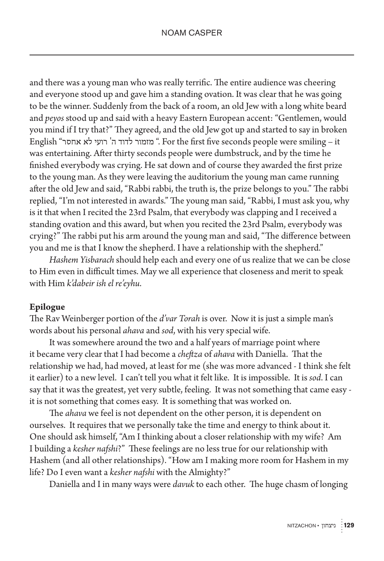and there was a young man who was really terrific. The entire audience was cheering and everyone stood up and gave him a standing ovation. It was clear that he was going to be the winner. Suddenly from the back of a room, an old Jew with a long white beard and *peyos* stood up and said with a heavy Eastern European accent: "Gentlemen, would you mind if I try that?" They agreed, and the old Jew got up and started to say in broken English "אחסר לא רועי' ה לדוד מזמור" . For the first five seconds people were smiling – it was entertaining. After thirty seconds people were dumbstruck, and by the time he finished everybody was crying. He sat down and of course they awarded the first prize to the young man. As they were leaving the auditorium the young man came running after the old Jew and said, "Rabbi rabbi, the truth is, the prize belongs to you." The rabbi replied, "I'm not interested in awards." The young man said, "Rabbi, I must ask you, why is it that when I recited the 23rd Psalm, that everybody was clapping and I received a standing ovation and this award, but when you recited the 23rd Psalm, everybody was crying?" The rabbi put his arm around the young man and said, "The difference between you and me is that I know the shepherd. I have a relationship with the shepherd."

*Hashem Yisbarach* should help each and every one of us realize that we can be close to Him even in difficult times. May we all experience that closeness and merit to speak with Him *k'dabeir ish el re'eyhu*.

#### **Epilogue**

The Rav Weinberger portion of the *d'var Torah* is over. Now it is just a simple man's words about his personal *ahava* and *sod*, with his very special wife.

It was somewhere around the two and a half years of marriage point where it became very clear that I had become a *cheftza* of *ahava* with Daniella. That the relationship we had, had moved, at least for me (she was more advanced - I think she felt it earlier) to a new level. I can't tell you what it felt like. It is impossible. It is *sod*. I can say that it was the greatest, yet very subtle, feeling. It was not something that came easy it is not something that comes easy. It is something that was worked on.

The *ahava* we feel is not dependent on the other person, it is dependent on ourselves. It requires that we personally take the time and energy to think about it. One should ask himself, "Am I thinking about a closer relationship with my wife? Am I building a *kesher nafshi*?" These feelings are no less true for our relationship with Hashem (and all other relationships). "How am I making more room for Hashem in my life? Do I even want a *kesher nafshi* with the Almighty?"

Daniella and I in many ways were *davuk* to each other. The huge chasm of longing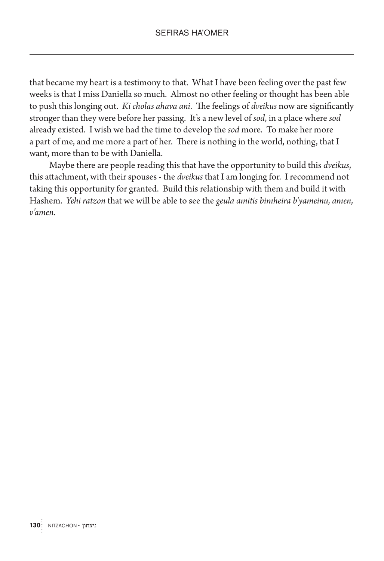that became my heart is a testimony to that. What I have been feeling over the past few weeks is that I miss Daniella so much. Almost no other feeling or thought has been able to push this longing out. *Ki cholas ahava ani*. The feelings of *dveikus* now are significantly stronger than they were before her passing. It's a new level of *sod*, in a place where *sod* already existed. I wish we had the time to develop the *sod* more. To make her more a part of me, and me more a part of her. There is nothing in the world, nothing, that I want, more than to be with Daniella.

Maybe there are people reading this that have the opportunity to build this *dveikus*, this attachment, with their spouses - the *dveikus* that I am longing for. I recommend not taking this opportunity for granted. Build this relationship with them and build it with Hashem. *Yehi ratzon* that we will be able to see the *geula amitis bimheira b'yameinu, amen, v'amen.*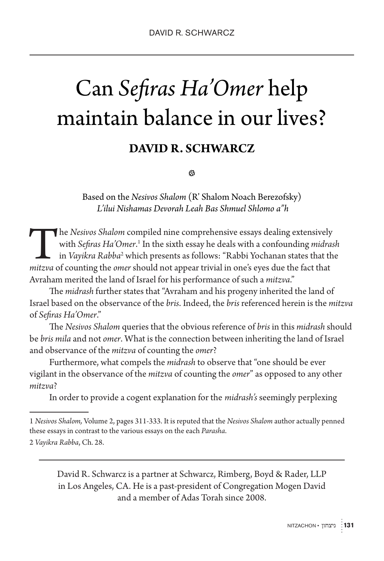## Can *Sefiras Ha'Omer* help maintain balance in our lives?

## **DAVID R. SCHWARCZ**

£ჭ

Based on the *Nesivos Shalom* (R' Shalom Noach Berezofsky) *L'ilui Nishamas Devorah Leah Bas Shmuel Shlomo a"h*

The *Nesivos Shalom* compiled nine comprehensive essays dealing extensively with *Sefiras Ha'Omer*.<sup>1</sup> In the sixth essay he deals with a confounding *midras* in *Vayikra Rabba*<sup>2</sup> which presents as follows: "Rabbi Yochana with *Sefiras Ha'Omer*. 1 In the sixth essay he deals with a confounding *midrash* in *Vayikra Rabba*<sup>2</sup> which presents as follows: "Rabbi Yochanan states that the *mitzva* of counting the *omer* should not appear trivial in one's eyes due the fact that Avraham merited the land of Israel for his performance of such a *mitzva*."

The *midrash* further states that "Avraham and his progeny inherited the land of Israel based on the observance of the *bris*. Indeed, the *bris* referenced herein is the *mitzva* of *Sefiras Ha'Omer*."

The *Nesivos Shalom* queries that the obvious reference of *bris* in this *midrash* should be *bris mila* and not *omer*. What is the connection between inheriting the land of Israel and observance of the *mitzva* of counting the *omer*?

Furthermore, what compels the *midrash* to observe that "one should be ever vigilant in the observance of the *mitzva* of counting the *omer*" as opposed to any other *mitzva*?

In order to provide a cogent explanation for the *midrash's* seemingly perplexing

David R. Schwarcz is a partner at Schwarcz, Rimberg, Boyd & Rader, LLP in Los Angeles, CA. He is a past-president of Congregation Mogen David and a member of Adas Torah since 2008.

<sup>1</sup> *Nesivos Shalom,* Volume 2, pages 311-333. It is reputed that the *Nesivos Shalom* author actually penned these essays in contrast to the various essays on the each *Parasha*. 2 *Vayikra Rabba*, Ch. 28.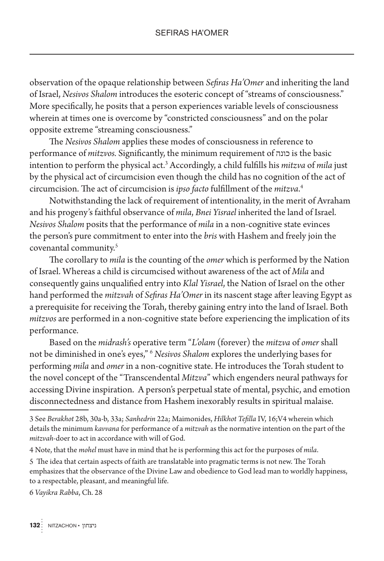observation of the opaque relationship between *Sefiras Ha'Omer* and inheriting the land of Israel, *Nesivos Shalom* introduces the esoteric concept of "streams of consciousness." More specifically, he posits that a person experiences variable levels of consciousness wherein at times one is overcome by "constricted consciousness" and on the polar opposite extreme "streaming consciousness."

The *Nesivos Shalom* applies these modes of consciousness in reference to performance of *mitzvos.* Significantly, the minimum requirement of כונה is the basic intention to perform the physical act.3 Accordingly, a child fulfills his *mitzva* of *mila* just by the physical act of circumcision even though the child has no cognition of the act of circumcision. The act of circumcision is *ipso facto* fulfillment of the *mitzva*. 4

Notwithstanding the lack of requirement of intentionality, in the merit of Avraham and his progeny's faithful observance of *mila*, *Bnei Yisrael* inherited the land of Israel. *Nesivos Shalom* posits that the performance of *mila* in a non-cognitive state evinces the person's pure commitment to enter into the *bris* with Hashem and freely join the covenantal community.5

The corollary to *mila* is the counting of the *omer* which is performed by the Nation of Israel. Whereas a child is circumcised without awareness of the act of *Mila* and consequently gains unqualified entry into *Klal Yisrael*, the Nation of Israel on the other hand performed the *mitzvah* of *Sefiras Ha'Omer* in its nascent stage after leaving Egypt as a prerequisite for receiving the Torah, thereby gaining entry into the land of Israel. Both *mitzvos* are performed in a non-cognitive state before experiencing the implication of its performance.

Based on the *midrash's* operative term "*L'olam* (forever) the *mitzva* of *omer* shall not be diminished in one's eyes," 6 *Nesivos Shalom* explores the underlying bases for performing *mila* and *omer* in a non-cognitive state. He introduces the Torah student to the novel concept of the "Transcendental *Mitzva*" which engenders neural pathways for accessing Divine inspiration. A person's perpetual state of mental, psychic, and emotion disconnectedness and distance from Hashem inexorably results in spiritual malaise.

5 The idea that certain aspects of faith are translatable into pragmatic terms is not new. The Torah emphasizes that the observance of the Divine Law and obedience to God lead man to worldly happiness, to a respectable, pleasant, and meaningful life.

6 *Vayikra Rabba*, Ch. 28

<sup>3</sup> See *Berakhot* 28b, 30a-b, 33a; *Sanhedrin* 22a; Maimonides, *Hilkhot Tefilla* IV, 16;V4 wherein which details the minimum *kavvana* for performance of a *mitzvah* as the normative intention on the part of the *mitzvah*-doer to act in accordance with will of God.

<sup>4</sup> Note, that the *mohel* must have in mind that he is performing this act for the purposes of *mila*.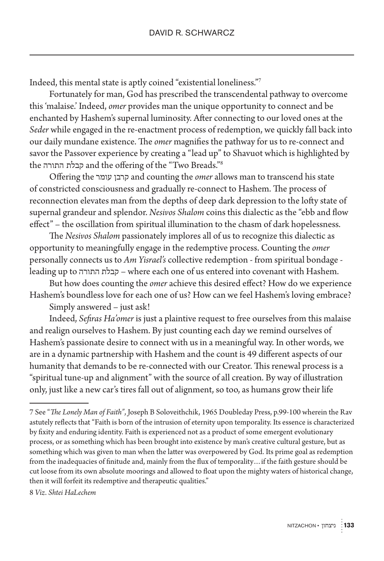Indeed, this mental state is aptly coined "existential loneliness."7

Fortunately for man, God has prescribed the transcendental pathway to overcome this 'malaise.' Indeed, *omer* provides man the unique opportunity to connect and be enchanted by Hashem's supernal luminosity. After connecting to our loved ones at the *Seder* while engaged in the re-enactment process of redemption, we quickly fall back into our daily mundane existence. The *omer* magnifies the pathway for us to re-connect and savor the Passover experience by creating a "lead up" to Shavuot which is highlighted by the התורה קבלת and the offering of the "Two Breads."8

Offering the עומר קרבן and counting the *omer* allows man to transcend his state of constricted consciousness and gradually re-connect to Hashem. The process of reconnection elevates man from the depths of deep dark depression to the lofty state of supernal grandeur and splendor. *Nesivos Shalom* coins this dialectic as the "ebb and flow effect" – the oscillation from spiritual illumination to the chasm of dark hopelessness.

The *Nesivos Shalom* passionately implores all of us to recognize this dialectic as opportunity to meaningfully engage in the redemptive process. Counting the *omer* personally connects us to *Am Yisrael's* collective redemption - from spiritual bondage leading up to התורה קבלת – where each one of us entered into covenant with Hashem.

But how does counting the *omer* achieve this desired effect? How do we experience Hashem's boundless love for each one of us? How can we feel Hashem's loving embrace?

Simply answered – just ask!

Indeed, *Sefiras Ha'omer* is just a plaintive request to free ourselves from this malaise and realign ourselves to Hashem. By just counting each day we remind ourselves of Hashem's passionate desire to connect with us in a meaningful way. In other words, we are in a dynamic partnership with Hashem and the count is 49 different aspects of our humanity that demands to be re-connected with our Creator. This renewal process is a "spiritual tune-up and alignment" with the source of all creation. By way of illustration only, just like a new car's tires fall out of alignment, so too, as humans grow their life

8 *Viz. Shtei HaLechem*

<sup>7</sup> See "*The Lonely Man of Faith"*, Joseph B Soloveithchik, 1965 Doubleday Press, p.99-100 wherein the Rav astutely reflects that "Faith is born of the intrusion of eternity upon temporality. Its essence is characterized by fixity and enduring identity. Faith is experienced not as a product of some emergent evolutionary process, or as something which has been brought into existence by man's creative cultural gesture, but as something which was given to man when the latter was overpowered by God. Its prime goal as redemption from the inadequacies of finitude and, mainly from the flux of temporality... if the faith gesture should be cut loose from its own absolute moorings and allowed to float upon the mighty waters of historical change, then it will forfeit its redemptive and therapeutic qualities."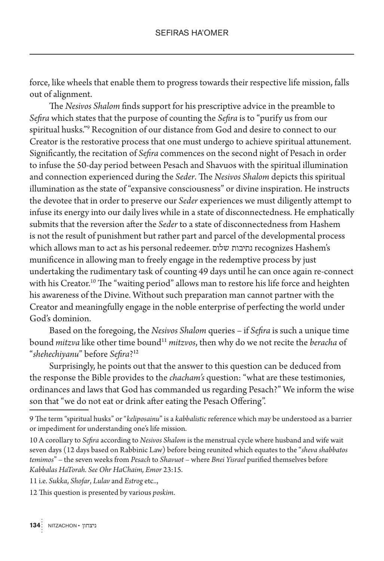force, like wheels that enable them to progress towards their respective life mission, falls out of alignment.

The *Nesivos Shalom* finds support for his prescriptive advice in the preamble to *Sefira* which states that the purpose of counting the *Sefira* is to "purify us from our spiritual husks."9 Recognition of our distance from God and desire to connect to our Creator is the restorative process that one must undergo to achieve spiritual attunement. Significantly, the recitation of *Sefira* commences on the second night of Pesach in order to infuse the 50-day period between Pesach and Shavuos with the spiritual illumination and connection experienced during the *Seder*. The *Nesivos Shalom* depicts this spiritual illumination as the state of "expansive consciousness" or divine inspiration. He instructs the devotee that in order to preserve our *Seder* experiences we must diligently attempt to infuse its energy into our daily lives while in a state of disconnectedness. He emphatically submits that the reversion after the *Seder* to a state of disconnectedness from Hashem is not the result of punishment but rather part and parcel of the developmental process which allows man to act as his personal redeemer. שלום נתיבות recognizes Hashem's munificence in allowing man to freely engage in the redemptive process by just undertaking the rudimentary task of counting 49 days until he can once again re-connect with his Creator.<sup>10</sup> The "waiting period" allows man to restore his life force and heighten his awareness of the Divine. Without such preparation man cannot partner with the Creator and meaningfully engage in the noble enterprise of perfecting the world under God's dominion.

Based on the foregoing, the *Nesivos Shalom* queries – if *Sefira* is such a unique time bound *mitzva* like other time bound<sup>11</sup> *mitzvos*, then why do we not recite the *beracha* of "*shehechiyanu*" before *Sefira*?12

Surprisingly, he points out that the answer to this question can be deduced from the response the Bible provides to the *chacham's* question: "what are these testimonies, ordinances and laws that God has commanded us regarding Pesach?" We inform the wise son that "we do not eat or drink after eating the Pesach Offering".

<sup>9</sup> The term "spiritual husks" or "*keliposainu*" is a *kabbalistic* reference which may be understood as a barrier or impediment for understanding one's life mission.

<sup>10</sup> A corollary to *Sefira* according to *Nesivos Shalom* is the menstrual cycle where husband and wife wait seven days (12 days based on Rabbinic Law) before being reunited which equates to the "*sheva shabbatos temimos*" – the seven weeks from *Pesach* to *Shavuot –* where *Bnei Yisrael* purified themselves before *Kabbalas HaTorah. See Ohr HaChaim, Emor* 23:15.

<sup>11</sup> i.e. *Sukka*, *Shofar*, *Lulav* and *Estrog* etc..,

<sup>12</sup> This question is presented by various *poskim*.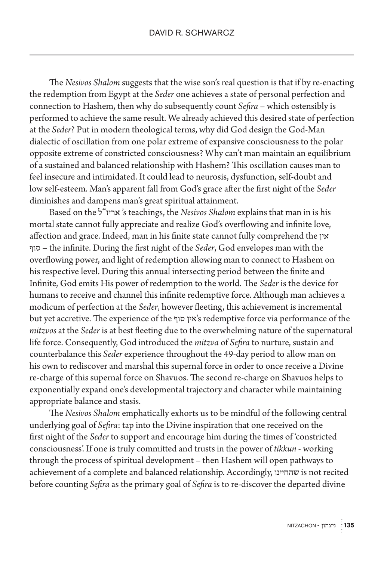The *Nesivos Shalom* suggests that the wise son's real question is that if by re-enacting the redemption from Egypt at the *Seder* one achieves a state of personal perfection and connection to Hashem, then why do subsequently count *Sefira* – which ostensibly is performed to achieve the same result. We already achieved this desired state of perfection at the *Seder*? Put in modern theological terms, why did God design the God-Man dialectic of oscillation from one polar extreme of expansive consciousness to the polar opposite extreme of constricted consciousness? Why can't man maintain an equilibrium of a sustained and balanced relationship with Hashem? This oscillation causes man to feel insecure and intimidated. It could lead to neurosis, dysfunction, self-doubt and low self-esteem. Man's apparent fall from God's grace after the first night of the *Seder* diminishes and dampens man's great spiritual attainment.

Based on the ל"אריז' s teachings, the *Nesivos Shalom* explains that man in is his mortal state cannot fully appreciate and realize God's overflowing and infinite love, affection and grace. Indeed, man in his finite state cannot fully comprehend the אין סוף – the infinite. During the first night of the *Seder*, God envelopes man with the overflowing power, and light of redemption allowing man to connect to Hashem on his respective level. During this annual intersecting period between the finite and Infinite, God emits His power of redemption to the world. The *Seder* is the device for humans to receive and channel this infinite redemptive force. Although man achieves a modicum of perfection at the *Seder*, however fleeting, this achievement is incremental but yet accretive. The experience of the סוף אין's redemptive force via performance of the *mitzvos* at the *Seder* is at best fleeting due to the overwhelming nature of the supernatural life force. Consequently, God introduced the *mitzva* of *Sefira* to nurture, sustain and counterbalance this *Seder* experience throughout the 49-day period to allow man on his own to rediscover and marshal this supernal force in order to once receive a Divine re-charge of this supernal force on Shavuos. The second re-charge on Shavuos helps to exponentially expand one's developmental trajectory and character while maintaining appropriate balance and stasis.

The *Nesivos Shalom* emphatically exhorts us to be mindful of the following central underlying goal of *Sefira*: tap into the Divine inspiration that one received on the first night of the *Seder* to support and encourage him during the times of 'constricted consciousness'. If one is truly committed and trusts in the power of *tikkun* - working through the process of spiritual development – then Hashem will open pathways to achievement of a complete and balanced relationship. Accordingly, שהחיינו is not recited before counting *Sefira* as the primary goal of *Sefira* is to re-discover the departed divine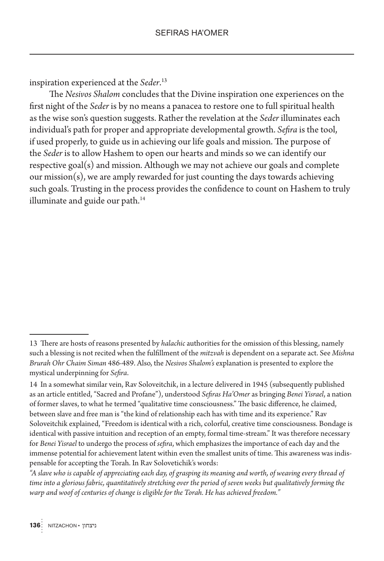inspiration experienced at the *Seder*. 13

The *Nesivos Shalom* concludes that the Divine inspiration one experiences on the first night of the *Seder* is by no means a panacea to restore one to full spiritual health as the wise son's question suggests. Rather the revelation at the *Seder* illuminates each individual's path for proper and appropriate developmental growth. *Sefira* is the tool, if used properly, to guide us in achieving our life goals and mission. The purpose of the *Seder* is to allow Hashem to open our hearts and minds so we can identify our respective goal(s) and mission. Although we may not achieve our goals and complete our mission(s), we are amply rewarded for just counting the days towards achieving such goals. Trusting in the process provides the confidence to count on Hashem to truly illuminate and guide our path.<sup>14</sup>

*"A slave who is capable of appreciating each day, of grasping its meaning and worth, of weaving every thread of time into a glorious fabric, quantitatively stretching over the period of seven weeks but qualitatively forming the warp and woof of centuries of change is eligible for the Torah. He has achieved freedom."*

<sup>13</sup> There are hosts of reasons presented by *halachic* authorities for the omission of this blessing, namely such a blessing is not recited when the fulfillment of the *mitzvah* is dependent on a separate act. See *Mishna Brurah Ohr Chaim Siman* 486-489. Also, the *Nesivos Shalom's* explanation is presented to explore the mystical underpinning for *Sefira*.

<sup>14</sup> In a somewhat similar vein, Rav Soloveitchik, in a lecture delivered in 1945 (subsequently published as an article entitled, "Sacred and Profane"), understood *Sefiras Ha'Omer* as bringing *Benei Yisrael*, a nation of former slaves, to what he termed "qualitative time consciousness." The basic difference, he claimed, between slave and free man is "the kind of relationship each has with time and its experience." Rav Soloveitchik explained, "Freedom is identical with a rich, colorful, creative time consciousness. Bondage is identical with passive intuition and reception of an empty, formal time-stream." It was therefore necessary for *Benei Yisrael* to undergo the process of *sefira*, which emphasizes the importance of each day and the immense potential for achievement latent within even the smallest units of time. This awareness was indispensable for accepting the Torah. In Rav Solovetichik's words: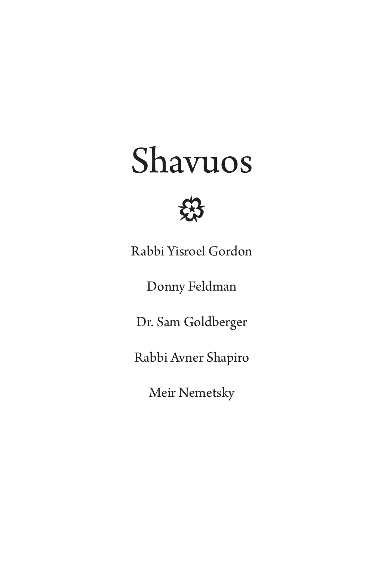# Shavuos



Rabbi Yisroel Gordon

Donny Feldman

Dr. Sam Goldberger

Rabbi Avner Shapiro

Meir Nemetsky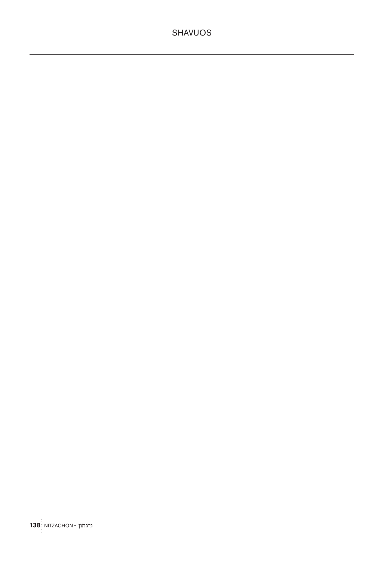

## SHAVUOS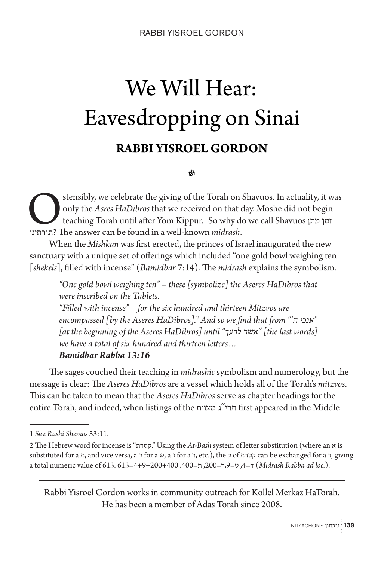## We Will Hear: Eavesdropping on Sinai **RABBI YISROEL GORDON**

£ჭ

Stensibly, we celebrate the giving of the Torah on Shavuos. In actuality, it was only the Asres HaDibros that we received on that day. Moshe did not begin teaching Torah until after Yom Kippur.<sup>1</sup> So why do we call Shavuos only the *Asres HaDibros* that we received on that day. Moshe did not begin teaching Torah until after Yom Kippur.1 So why do we call Shavuos מתן זמן תורתינו ?The answer can be found in a well-known *midrash*.

When the *Mishkan* was first erected, the princes of Israel inaugurated the new sanctuary with a unique set of offerings which included "one gold bowl weighing ten [*shekels*], filled with incense" (*Bamidbar* 7:14). The *midrash* explains the symbolism.

*"One gold bowl weighing ten" – these [symbolize] the Aseres HaDibros that were inscribed on the Tablets. "Filled with incense" – for the six hundred and thirteen Mitzvos are encompassed [by the Aseres HaDibros].2 And so we find that from "'ה אנכי " [at the beginning of the Aseres HaDibros] until "לרעך אשר] "the last words] we have a total of six hundred and thirteen letters… Bamidbar Rabba 13:16*

The sages couched their teaching in *midrashic* symbolism and numerology, but the message is clear: The *Aseres HaDibros* are a vessel which holds all of the Torah's *mitzvos*. This can be taken to mean that the *Aseres HaDibros* serve as chapter headings for the entire Torah, and indeed, when listings of the מצוות ג"תרי first appeared in the Middle

Rabbi Yisroel Gordon works in community outreach for Kollel Merkaz HaTorah. He has been a member of Adas Torah since 2008.

<sup>1</sup> See *Rashi Shemos* 33:11.

<sup>2</sup> The Hebrew word for incense is "קטרת. "Using the *At-Bash* system of letter substitution (where an א is substituted for a ת, and vice versa, a ב for a ש, a ג for a ר, etc.), the ק of קטרת can be exchanged for a ד, giving a total numeric value of 613. 613=4+9+200+400 .400=ת ,200=ר,9=ט ,4=ד) *Midrash Rabba ad loc.*).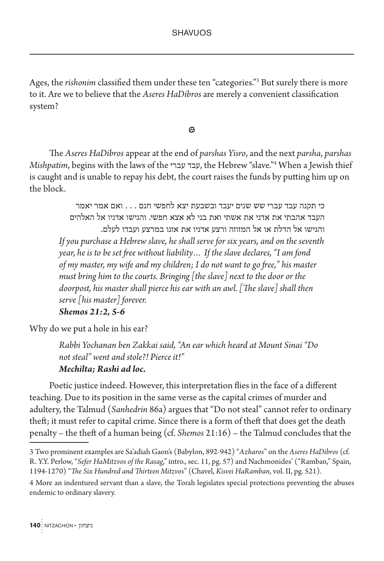Ages, the *rishonim* classified them under these ten "categories."3 But surely there is more to it. Are we to believe that the *Aseres HaDibros* are merely a convenient classification system?

⊕

The *Aseres HaDibros* appear at the end of *parshas Yisro*, and the next *parsha*, *parshas Mishpatim*, begins with the laws of the עברי עבד, the Hebrew "slave."4 When a Jewish thief is caught and is unable to repay his debt, the court raises the funds by putting him up on the block.

כי תקנה עבד עברי שש שנים יעבד ובשבעת יצא לחפשי חנם . . . ואם אמר יאמר העבד אהבתי את אדני את אשתי ואת בני לא אצא חפשי. והגישו אדניו אל האלהים והגישו אל הדלת או אל המזוזה ורצע אדניו את אזנו במרצע ועבדו לעלם. *If you purchase a Hebrew slave, he shall serve for six years, and on the seventh year, he is to be set free without liability… If the slave declares, "I am fond of my master, my wife and my children; I do not want to go free," his master must bring him to the courts. Bringing [the slave] next to the door or the doorpost, his master shall pierce his ear with an awl. [The slave] shall then serve [his master] forever.*

*Shemos 21:2, 5-6* 

Why do we put a hole in his ear?

*Rabbi Yochanan ben Zakkai said, "An ear which heard at Mount Sinai "Do not steal" went and stole?! Pierce it!" Mechilta; Rashi ad loc.*

Poetic justice indeed. However, this interpretation flies in the face of a different teaching. Due to its position in the same verse as the capital crimes of murder and adultery, the Talmud (*Sanhedrin* 86a) argues that "Do not steal" cannot refer to ordinary theft; it must refer to capital crime. Since there is a form of theft that does get the death penalty – the theft of a human being (cf. *Shemos* 21:16) – the Talmud concludes that the

<sup>3</sup> Two prominent examples are Sa'adiah Gaon's (Babylon, 892-942) "*Azharos*" on the *Aseres HaDibros* (cf. R. Y.Y. Perlow, "*Sefer HaMitzvos of the Rasag*," intro., sec. 11, pg. 57) and Nachmonides' ("Ramban," Spain, 1194-1270) "*The Six Hundred and Thirteen Mitzvos*" (Chavel, *Kisvei HaRamban*, vol. II, pg. 521).

<sup>4</sup> More an indentured servant than a slave, the Torah legislates special protections preventing the abuses endemic to ordinary slavery.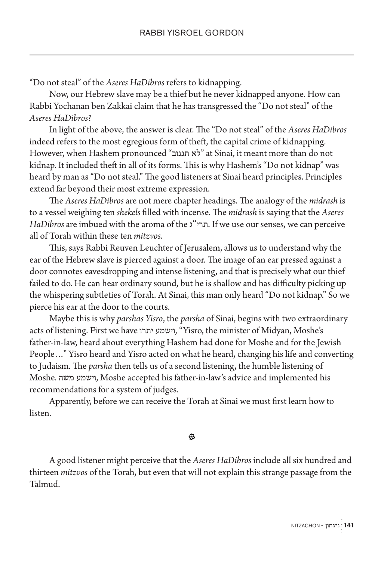"Do not steal" of the *Aseres HaDibros* refers to kidnapping.

Now, our Hebrew slave may be a thief but he never kidnapped anyone. How can Rabbi Yochanan ben Zakkai claim that he has transgressed the "Do not steal" of the *Aseres HaDibros*?

In light of the above, the answer is clear. The "Do not steal" of the *Aseres HaDibros* indeed refers to the most egregious form of theft, the capital crime of kidnapping. However, when Hashem pronounced "תגנוב לא "at Sinai, it meant more than do not kidnap. It included theft in all of its forms. This is why Hashem's "Do not kidnap" was heard by man as "Do not steal." The good listeners at Sinai heard principles. Principles extend far beyond their most extreme expression.

The *Aseres HaDibros* are not mere chapter headings. The analogy of the *midrash* is to a vessel weighing ten *shekels* filled with incense. The *midrash* is saying that the *Aseres HaDibros* are imbued with the aroma of the ג"תרי. If we use our senses, we can perceive all of Torah within these ten *mitzvos*.

This, says Rabbi Reuven Leuchter of Jerusalem, allows us to understand why the ear of the Hebrew slave is pierced against a door. The image of an ear pressed against a door connotes eavesdropping and intense listening, and that is precisely what our thief failed to do. He can hear ordinary sound, but he is shallow and has difficulty picking up the whispering subtleties of Torah. At Sinai, this man only heard "Do not kidnap." So we pierce his ear at the door to the courts.

Maybe this is why *parshas Yisro*, the *parsha* of Sinai, begins with two extraordinary acts of listening. First we have יתרו וישמע," Yisro, the minister of Midyan, Moshe's father-in-law, heard about everything Hashem had done for Moshe and for the Jewish People…" Yisro heard and Yisro acted on what he heard, changing his life and converting to Judaism. The *parsha* then tells us of a second listening, the humble listening of Moshe. משה וישמע, Moshe accepted his father-in-law's advice and implemented his recommendations for a system of judges.

Apparently, before we can receive the Torah at Sinai we must first learn how to listen.

扮

A good listener might perceive that the *Aseres HaDibros* include all six hundred and thirteen *mitzvos* of the Torah, but even that will not explain this strange passage from the Talmud.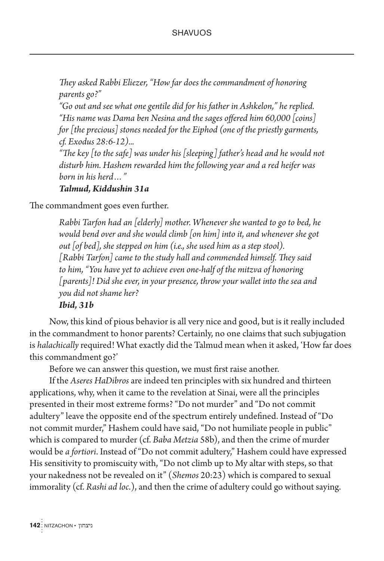*They asked Rabbi Eliezer, "How far does the commandment of honoring parents go?"* 

*"Go out and see what one gentile did for his father in Ashkelon," he replied. "His name was Dama ben Nesina and the sages offered him 60,000 [coins] for [the precious] stones needed for the Eiphod (one of the priestly garments, cf. Exodus 28:6-12)...* 

*"The key [to the safe] was under his [sleeping] father's head and he would not disturb him. Hashem rewarded him the following year and a red heifer was born in his herd…"*

### *Talmud, Kiddushin 31a*

The commandment goes even further.

*Rabbi Tarfon had an [elderly] mother. Whenever she wanted to go to bed, he would bend over and she would climb [on him] into it, and whenever she got out [of bed], she stepped on him (i.e., she used him as a step stool). [Rabbi Tarfon] came to the study hall and commended himself. They said to him, "You have yet to achieve even one-half of the mitzva of honoring [parents]! Did she ever, in your presence, throw your wallet into the sea and you did not shame her?*

*Ibid, 31b*

Now, this kind of pious behavior is all very nice and good, but is it really included in the commandment to honor parents? Certainly, no one claims that such subjugation is *halachically* required! What exactly did the Talmud mean when it asked, 'How far does this commandment go?'

Before we can answer this question, we must first raise another.

If the *Aseres HaDibros* are indeed ten principles with six hundred and thirteen applications, why, when it came to the revelation at Sinai, were all the principles presented in their most extreme forms? "Do not murder" and "Do not commit adultery" leave the opposite end of the spectrum entirely undefined. Instead of "Do not commit murder," Hashem could have said, "Do not humiliate people in public" which is compared to murder (cf. *Baba Metzia* 58b), and then the crime of murder would be *a fortiori*. Instead of "Do not commit adultery," Hashem could have expressed His sensitivity to promiscuity with, "Do not climb up to My altar with steps, so that your nakedness not be revealed on it" (*Shemos* 20:23) which is compared to sexual immorality (cf. *Rashi ad loc*.), and then the crime of adultery could go without saying.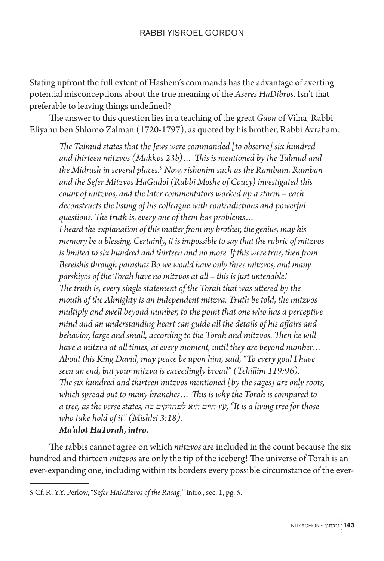Stating upfront the full extent of Hashem's commands has the advantage of averting potential misconceptions about the true meaning of the *Aseres HaDibros*. Isn't that preferable to leaving things undefined?

The answer to this question lies in a teaching of the great *Gaon* of Vilna, Rabbi Eliyahu ben Shlomo Zalman (1720-1797), as quoted by his brother, Rabbi Avraham.

*The Talmud states that the Jews were commanded [to observe] six hundred and thirteen mitzvos (Makkos 23b)… This is mentioned by the Talmud and the Midrash in several places.5 Now, rishonim such as the Rambam, Ramban and the Sefer Mitzvos HaGadol (Rabbi Moshe of Coucy) investigated this count of mitzvos, and the later commentators worked up a storm – each deconstructs the listing of his colleague with contradictions and powerful questions. The truth is, every one of them has problems… I heard the explanation of this matter from my brother, the genius, may his memory be a blessing. Certainly, it is impossible to say that the rubric of mitzvos*  is limited to six hundred and thirteen and no more. If this were true, then from *Bereishis through parashas Bo we would have only three mitzvos, and many parshiyos of the Torah have no mitzvos at all – this is just untenable! The truth is, every single statement of the Torah that was uttered by the mouth of the Almighty is an independent mitzva. Truth be told, the mitzvos multiply and swell beyond number, to the point that one who has a perceptive mind and an understanding heart can guide all the details of his affairs and behavior, large and small, according to the Torah and mitzvos. Then he will have a mitzva at all times, at every moment, until they are beyond number… About this King David, may peace be upon him, said, "To every goal I have seen an end, but your mitzva is exceedingly broad" (Tehillim 119:96). The six hundred and thirteen mitzvos mentioned [by the sages] are only roots, which spread out to many branches… This is why the Torah is compared to a tree, as the verse states, בה למחזיקים היא חיים עץ," It is a living tree for those who take hold of it" (Mishlei 3:18).* 

## *Ma'alot HaTorah, intro.*

The rabbis cannot agree on which *mitzvos* are included in the count because the six hundred and thirteen *mitzvos* are only the tip of the iceberg! The universe of Torah is an ever-expanding one, including within its borders every possible circumstance of the ever-

<sup>5</sup> Cf. R. Y.Y. Perlow, "Se*fer HaMitzvos of the Rasag,*" intro., sec. 1, pg. 5.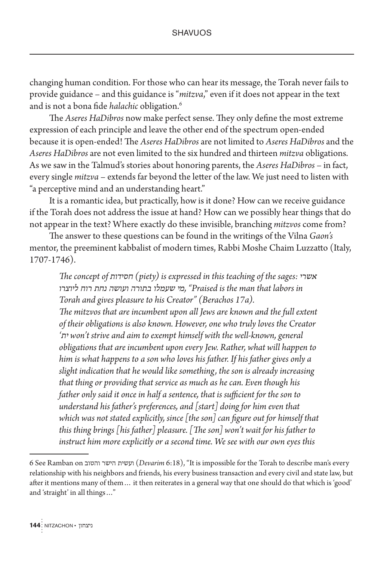changing human condition. For those who can hear its message, the Torah never fails to provide guidance – and this guidance is "*mitzva*," even if it does not appear in the text and is not a bona fide *halachic* obligation.6

The *Aseres HaDibros* now make perfect sense. They only define the most extreme expression of each principle and leave the other end of the spectrum open-ended because it is open-ended! The *Aseres HaDibros* are not limited to *Aseres HaDibros* and the *Aseres HaDibros* are not even limited to the six hundred and thirteen *mitzva* obligations. As we saw in the Talmud's stories about honoring parents, the *Aseres HaDibros* – in fact, every single *mitzva* – extends far beyond the letter of the law. We just need to listen with "a perceptive mind and an understanding heart."

It is a romantic idea, but practically, how is it done? How can we receive guidance if the Torah does not address the issue at hand? How can we possibly hear things that do not appear in the text? Where exactly do these invisible, branching *mitzvos* come from?

The answer to these questions can be found in the writings of the Vilna *Gaon's* mentor, the preeminent kabbalist of modern times, Rabbi Moshe Chaim Luzzatto (Italy, 1707-1746).

*The concept of חסידות) piety) is expressed in this teaching of the sages: אשרי in labors that man the is Praised ",מי שעמלו בתורה ועושה נחת רוח ליוצרו Torah and gives pleasure to his Creator" (Berachos 17a). The mitzvos that are incumbent upon all Jews are known and the full extent of their obligations is also known. However, one who truly loves the Creator 'ית won't strive and aim to exempt himself with the well-known, general obligations that are incumbent upon every Jew. Rather, what will happen to him is what happens to a son who loves his father. If his father gives only a slight indication that he would like something, the son is already increasing that thing or providing that service as much as he can. Even though his father only said it once in half a sentence, that is sufficient for the son to understand his father's preferences, and [start] doing for him even that which was not stated explicitly, since [the son] can figure out for himself that this thing brings [his father] pleasure. [The son] won't wait for his father to instruct him more explicitly or a second time. We see with our own eyes this* 

<sup>6</sup> See Ramban on והטוב הישר ועשית) *Devarim* 6:18), "It is impossible for the Torah to describe man's every relationship with his neighbors and friends, his every business transaction and every civil and state law, but after it mentions many of them… it then reiterates in a general way that one should do that which is 'good' and 'straight' in all things…"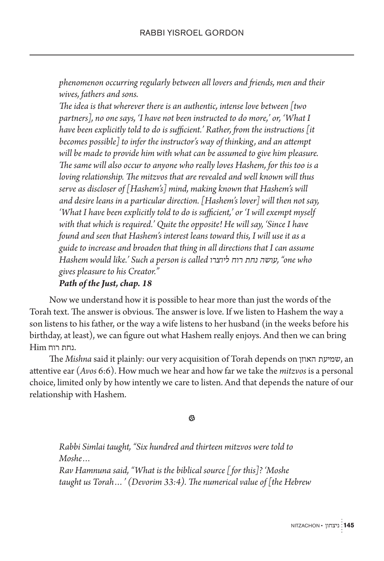*phenomenon occurring regularly between all lovers and friends, men and their wives, fathers and sons.*

*The idea is that wherever there is an authentic, intense love between [two partners], no one says, 'I have not been instructed to do more,' or, 'What I have been explicitly told to do is sufficient.' Rather, from the instructions [it becomes possible] to infer the instructor's way of thinking, and an attempt will be made to provide him with what can be assumed to give him pleasure. The same will also occur to anyone who really loves Hashem, for this too is a loving relationship. The mitzvos that are revealed and well known will thus serve as discloser of [Hashem's] mind, making known that Hashem's will and desire leans in a particular direction. [Hashem's lover] will then not say, 'What I have been explicitly told to do is sufficient,' or 'I will exempt myself with that which is required.' Quite the opposite! He will say, 'Since I have found and seen that Hashem's interest leans toward this, I will use it as a guide to increase and broaden that thing in all directions that I can assume Hashem would like.' Such a person is called ליוצרו רוח נחת עושה," one who gives pleasure to his Creator."* 

#### *Path of the Just, chap. 18*

Now we understand how it is possible to hear more than just the words of the Torah text. The answer is obvious. The answer is love. If we listen to Hashem the way a son listens to his father, or the way a wife listens to her husband (in the weeks before his birthday, at least), we can figure out what Hashem really enjoys. And then we can bring .נחת רוח Him

The *Mishna* said it plainly: our very acquisition of Torah depends on האוזן שמיעת, an attentive ear (*Avos* 6:6). How much we hear and how far we take the *mitzvos* is a personal choice, limited only by how intently we care to listen. And that depends the nature of our relationship with Hashem.

#### ይት

*Rabbi Simlai taught, "Six hundred and thirteen mitzvos were told to Moshe… Rav Hamnuna said, "What is the biblical source [for this]? 'Moshe taught us Torah…' (Devorim 33:4). The numerical value of [the Hebrew*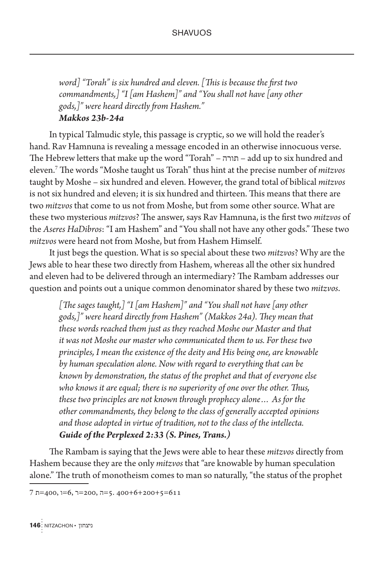*word] "Torah" is six hundred and eleven. [This is because the first two commandments,] "I [am Hashem]" and "You shall not have [any other gods,]" were heard directly from Hashem." Makkos 23b-24a*

In typical Talmudic style, this passage is cryptic, so we will hold the reader's hand. Rav Hamnuna is revealing a message encoded in an otherwise innocuous verse. The Hebrew letters that make up the word "Torah" – תורה – add up to six hundred and eleven.7 The words "Moshe taught us Torah" thus hint at the precise number of *mitzvos* taught by Moshe – six hundred and eleven. However, the grand total of biblical *mitzvos* is not six hundred and eleven; it is six hundred and thirteen. This means that there are two *mitzvos* that come to us not from Moshe, but from some other source. What are these two mysterious *mitzvos*? The answer, says Rav Hamnuna, is the first two *mitzvos* of the *Aseres HaDibros*: "I am Hashem" and "You shall not have any other gods." These two *mitzvos* were heard not from Moshe, but from Hashem Himself.

It just begs the question. What is so special about these two *mitzvos*? Why are the Jews able to hear these two directly from Hashem, whereas all the other six hundred and eleven had to be delivered through an intermediary? The Rambam addresses our question and points out a unique common denominator shared by these two *mitzvos*.

*[The sages taught,] "I [am Hashem]" and "You shall not have [any other gods,]" were heard directly from Hashem" (Makkos 24a). They mean that these words reached them just as they reached Moshe our Master and that it was not Moshe our master who communicated them to us. For these two principles, I mean the existence of the deity and His being one, are knowable by human speculation alone. Now with regard to everything that can be known by demonstration, the status of the prophet and that of everyone else who knows it are equal; there is no superiority of one over the other. Thus, these two principles are not known through prophecy alone… As for the other commandments, they belong to the class of generally accepted opinions and those adopted in virtue of tradition, not to the class of the intellecta. Guide of the Perplexed 2:33 (S. Pines, Trans.)* 

The Rambam is saying that the Jews were able to hear these *mitzvos* directly from Hashem because they are the only *mitzvos* that "are knowable by human speculation alone." The truth of monotheism comes to man so naturally, "the status of the prophet

<sup>611=400+6+200+5 5.=</sup>ה 200,=ר 6,=ו 400,=ת 7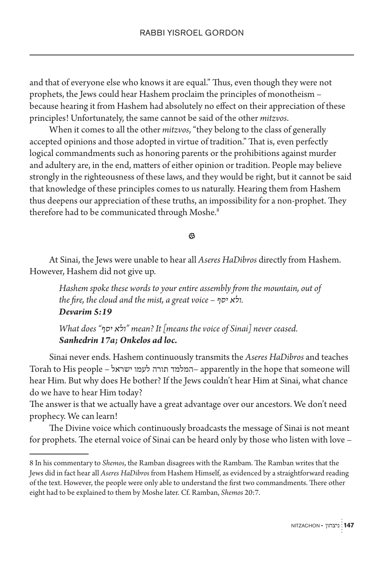and that of everyone else who knows it are equal." Thus, even though they were not prophets, the Jews could hear Hashem proclaim the principles of monotheism – because hearing it from Hashem had absolutely no effect on their appreciation of these principles! Unfortunately, the same cannot be said of the other *mitzvos*.

When it comes to all the other *mitzvos*, "they belong to the class of generally accepted opinions and those adopted in virtue of tradition." That is, even perfectly logical commandments such as honoring parents or the prohibitions against murder and adultery are, in the end, matters of either opinion or tradition. People may believe strongly in the righteousness of these laws, and they would be right, but it cannot be said that knowledge of these principles comes to us naturally. Hearing them from Hashem thus deepens our appreciation of these truths, an impossibility for a non-prophet. They therefore had to be communicated through Moshe.<sup>8</sup>

#### ይት

At Sinai, the Jews were unable to hear all *Aseres HaDibros* directly from Hashem. However, Hashem did not give up.

*Hashem spoke these words to your entire assembly from the mountain, out of the fire, the cloud and the mist, a great voice – יסף ולא. Devarim 5:19*

*What does "יסף ולא "mean? It [means the voice of Sinai] never ceased. Sanhedrin 17a; Onkelos ad loc.*

Sinai never ends. Hashem continuously transmits the *Aseres HaDibros* and teaches Torah to His people – ישראל לעמו תורה המלמד –apparently in the hope that someone will hear Him. But why does He bother? If the Jews couldn't hear Him at Sinai, what chance do we have to hear Him today?

The answer is that we actually have a great advantage over our ancestors. We don't need prophecy. We can learn!

The Divine voice which continuously broadcasts the message of Sinai is not meant for prophets. The eternal voice of Sinai can be heard only by those who listen with love –

<sup>8</sup> In his commentary to *Shemos*, the Ramban disagrees with the Rambam. The Ramban writes that the Jews did in fact hear all *Aseres HaDibros* from Hashem Himself, as evidenced by a straightforward reading of the text. However, the people were only able to understand the first two commandments. There other eight had to be explained to them by Moshe later. Cf. Ramban, *Shemos* 20:7.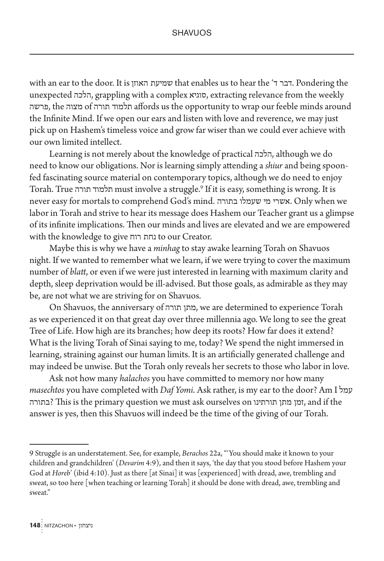#### SHAVUOS

with an ear to the door. It is האוזן שמיעת that enables us to hear the 'ד דבר. Pondering the unexpected הלכה, grappling with a complex סוגיא, extracting relevance from the weekly פרשה, the מצוה of תורה תלמוד affords us the opportunity to wrap our feeble minds around the Infinite Mind. If we open our ears and listen with love and reverence, we may just pick up on Hashem's timeless voice and grow far wiser than we could ever achieve with our own limited intellect.

Learning is not merely about the knowledge of practical הלכה, although we do need to know our obligations. Nor is learning simply attending a *shiur* and being spoonfed fascinating source material on contemporary topics, although we do need to enjoy Torah. True תורה תלמוד must involve a struggle.9 If it is easy, something is wrong. It is never easy for mortals to comprehend God's mind. בתורה שעמלו מי אשרי. Only when we labor in Torah and strive to hear its message does Hashem our Teacher grant us a glimpse of its infinite implications. Then our minds and lives are elevated and we are empowered with the knowledge to give רוח נחת to our Creator.

Maybe this is why we have a *minhag* to stay awake learning Torah on Shavuos night. If we wanted to remember what we learn, if we were trying to cover the maximum number of *blatt*, or even if we were just interested in learning with maximum clarity and depth, sleep deprivation would be ill-advised. But those goals, as admirable as they may be, are not what we are striving for on Shavuos.

On Shavuos, the anniversary of תורה מתן, we are determined to experience Torah as we experienced it on that great day over three millennia ago. We long to see the great Tree of Life. How high are its branches; how deep its roots? How far does it extend? What is the living Torah of Sinai saying to me, today? We spend the night immersed in learning, straining against our human limits. It is an artificially generated challenge and may indeed be unwise. But the Torah only reveals her secrets to those who labor in love.

Ask not how many *halachos* you have committed to memory nor how many *masechtos* you have completed with *Daf Yomi*. Ask rather, is my ear to the door? Am I עמל בתורה ?This is the primary question we must ask ourselves on תמן מתן תורתינו, and if the answer is yes, then this Shavuos will indeed be the time of the giving of our Torah.

<sup>9</sup> Struggle is an understatement. See, for example, *Berachos* 22a, "'You should make it known to your children and grandchildren' (*Devarim* 4:9), and then it says, 'the day that you stood before Hashem your God at *Horeb*' (ibid 4:10). Just as there [at Sinai] it was [experienced] with dread, awe, trembling and sweat, so too here [when teaching or learning Torah] it should be done with dread, awe, trembling and sweat."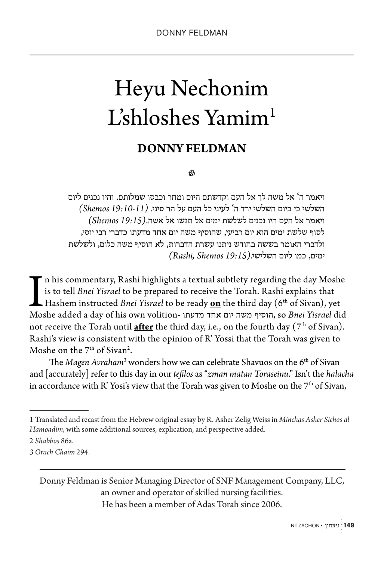# Heyu Nechonim  $L$ 'shloshes Yamim<sup>1</sup>

### **DONNY FELDMAN**

£ჭ

ויאמר ה' אל משה לך אל העם וקדשתם היום ומחר וכבסו שמלותם. והיו נכנים ליום השלשי כי ביום השלשי ירד ה' לעיני כל העם על הר סיני. *)19:10-11 Shemos)* ויאמר אל העם היו נכנים לשלשת ימים אל תגשו אל אשה.*)19:15 Shemos)* לסוף שלשת ימים הוא יום רביעי, שהוסיף משה יום אחד מדעתו כדברי רבי יוסי, ולדברי האומר בששה בחודש ניתנו עשרת הדברות, לא הוסיף משה כלום, ולשלשת ימים, כמו ליום השלישי.*)19:15 Shemos ,Rashi)*

n his commentary, Rashi highlights a textual subtlety regarding the day Moshe<br>is to tell *Bnei Yisrael* to be prepared to receive the Torah. Rashi explains that<br>Hashem instructed *Bnei Yisrael* to be ready <u>on</u> the third n his commentary, Rashi highlights a textual subtlety regarding the day Moshe is to tell *Bnei Yisrael* to be prepared to receive the Torah. Rashi explains that  $\Box$  Hashem instructed *Bnei Yisrael* to be ready  $\underline{\mathbf{on}}$  the third day (6<sup>th</sup> of Sivan), yet not receive the Torah until **after** the third day, i.e., on the fourth day  $(7<sup>th</sup>$  of Sivan). Rashi's view is consistent with the opinion of R' Yossi that the Torah was given to Moshe on the  $7<sup>th</sup>$  of Sivan<sup>2</sup>.

The *Magen Avraham*<sup>3</sup> wonders how we can celebrate Shavuos on the 6<sup>th</sup> of Sivan and [accurately] refer to this day in our *tefilos* as "*zman matan Toraseinu*." Isn't the *halacha* in accordance with R' Yosi's view that the Torah was given to Moshe on the  $7<sup>th</sup>$  of Sivan,

Donny Feldman is Senior Managing Director of SNF Management Company, LLC, an owner and operator of skilled nursing facilities. He has been a member of Adas Torah since 2006.

<sup>1</sup> Translated and recast from the Hebrew original essay by R. Asher Zelig Weiss in *Minchas Asher Sichos al Hamoadim,* with some additional sources, explication, and perspective added.

<sup>2</sup> *Shabbos* 86a.

*<sup>3</sup> Orach Chaim* 294.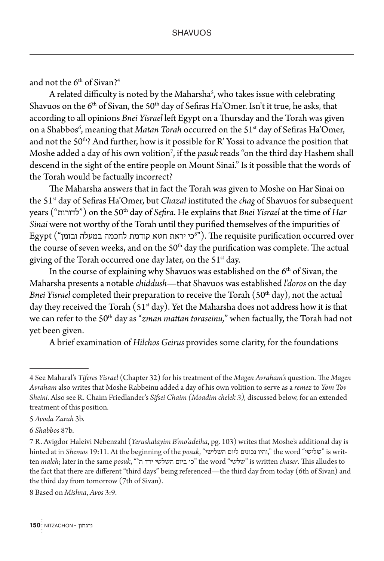and not the  $6<sup>th</sup>$  of Sivan?<sup>4</sup>

A related difficulty is noted by the Maharsha<sup>5</sup>, who takes issue with celebrating Shavuos on the  $6<sup>th</sup>$  of Sivan, the 50<sup>th</sup> day of Sefiras Ha'Omer. Isn't it true, he asks, that according to all opinions *Bnei Yisrael* left Egypt on a Thursday and the Torah was given on a Shabbos<sup>6</sup>, meaning that *Matan Torah* occurred on the 51<sup>st</sup> day of Sefiras Ha'Omer, and not the  $50<sup>th</sup>$ ? And further, how is it possible for R' Yossi to advance the position that Moshe added a day of his own volition<sup>7</sup>, if the *pasuk* reads "on the third day Hashem shall descend in the sight of the entire people on Mount Sinai." Is it possible that the words of the Torah would be factually incorrect?

The Maharsha answers that in fact the Torah was given to Moshe on Har Sinai on the 51st day of Sefiras Ha'Omer, but *Chazal* instituted the *chag* of Shavuos for subsequent years ("לדורות ("on the 50th day of *Sefira*. He explains that *Bnei Yisrael* at the time of *Har Sinai* were not worthy of the Torah until they purified themselves of the impurities of <sup>8</sup>כי יראת חטא קודמת לחכמה במעלה ובזמן") Egypt "). The requisite purification occurred over the course of seven weeks, and on the  $50<sup>th</sup>$  day the purification was complete. The actual giving of the Torah occurred one day later, on the  $51<sup>st</sup>$  day.

In the course of explaining why Shavuos was established on the  $6<sup>th</sup>$  of Sivan, the Maharsha presents a notable *chiddush*—that Shavuos was established *l'doros* on the day *Bnei Yisrael completed their preparation to receive the Torah (50<sup>th</sup> day), not the actual* day they received the Torah  $(51<sup>st</sup> \, \text{day})$ . Yet the Maharsha does not address how it is that we can refer to the 50<sup>th</sup> day as "*zman mattan toraseinu,*" when factually, the Torah had not yet been given.

A brief examination of *Hilchos Geirus* provides some clarity, for the foundations

5 *Avoda Zarah* 3b.

8 Based on *Mishna*, *Avos* 3:9.

<sup>4</sup> See Maharal's *Tiferes Yisrael* (Chapter 32) for his treatment of the *Magen Avraham's* question. The *Magen Avraham* also writes that Moshe Rabbeinu added a day of his own volition to serve as a *remez* to *Yom Tov Sheini*. Also see R. Chaim Friedlander's *Sifsei Chaim (Moadim chelek 3),* discussed below, for an extended treatment of this position.

<sup>6</sup> *Shabbos* 87b.

<sup>7</sup> R. Avigdor Haleivi Nebenzahl (*Yerushalayim B'mo'adeiha*, pg. 103) writes that Moshe's additional day is hinted at in *Shemos* 19:11. At the beginning of the *posuk*, "השלישי ליום נכונים והיו, "the word "שלישי "is written *maleh*; later in the same *posuk*, "ד'ה ירד השלשי ביום כי "the word "שלשי "is written *chaser*. This alludes to the fact that there are different "third days" being referenced—the third day from today (6th of Sivan) and the third day from tomorrow (7th of Sivan).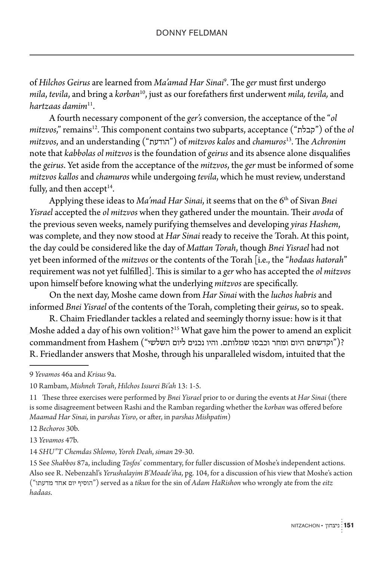of *Hilchos Geirus* are learned from *Ma'amad Har Sinai*<sup>9</sup> . The *ger* must first undergo *mila*, *tevila*, and bring a *korban*10, just as our forefathers first underwent *mila, tevila,* and *hartzaas damim*11.

A fourth necessary component of the *ger's* conversion, the acceptance of the "*ol mitzvos*," remains12. This component contains two subparts, acceptance ("קבלת ("of the *ol mitzvos*, and an understanding ("הודעת ("of *mitzvos kalos* and *chamuros*13. The *Achronim* note that *kabbolas ol mitzvos* is the foundation of *geirus* and its absence alone disqualifies the *geirus*. Yet aside from the acceptance of the *mitzvos*, the *ger* must be informed of some *mitzvos kallos* and *chamuros* while undergoing *tevila*, which he must review, understand fully, and then  $accept<sup>14</sup>$ .

Applying these ideas to *Ma'mad Har Sinai*, it seems that on the 6th of Sivan *Bnei Yisrael* accepted the *ol mitzvos* when they gathered under the mountain. Their *avoda* of the previous seven weeks, namely purifying themselves and developing *yiras Hashem*, was complete, and they now stood at *Har Sinai* ready to receive the Torah. At this point, the day could be considered like the day of *Mattan Torah*, though *Bnei Yisrael* had not yet been informed of the *mitzvos* or the contents of the Torah [i.e., the "*hodaas hatorah*" requirement was not yet fulfilled]. This is similar to a *ger* who has accepted the *ol mitzvos*  upon himself before knowing what the underlying *mitzvos* are specifically.

On the next day, Moshe came down from *Har Sinai* with the *luchos habris* and informed *Bnei Yisrael* of the contents of the Torah, completing their *geirus*, so to speak.

R. Chaim Friedlander tackles a related and seemingly thorny issue: how is it that Moshe added a day of his own volition?15 What gave him the power to amend an explicit ?("וקדשתם היום ומחר וכבסו שמלותם. והיו נכנים ליום השלשי") Hashem from commandment R. Friedlander answers that Moshe, through his unparalleled wisdom, intuited that the

<sup>9</sup> *Yevamos* 46a and *Krisus* 9a.

<sup>10</sup> Rambam, *Mishneh Torah*, *Hilchos Issurei Bi'ah* 13: 1-5.

<sup>11</sup> These three exercises were performed by *Bnei Yisrael* prior to or during the events at *Har Sinai* (there is some disagreement between Rashi and the Ramban regarding whether the *korban* was offered before *Maamad Har Sinai,* in *parshas Yisro*, or after, in *parshas Mishpatim*)

<sup>12</sup> *Bechoros* 30b.

<sup>13</sup> *Yevamos* 47b.

<sup>14</sup> *SHU"T Chemdas Shlomo*, *Yoreh Deah*, *siman* 29-30.

<sup>15</sup> See *Shabbos* 87a, including *Tosfos*' commentary, for fuller discussion of Moshe's independent actions. Also see R. Nebenzahl's *Yerushalayim B'Moade'iha*, pg. 104, for a discussion of his view that Moshe's action ("מדעתו אחד יום הוסיף ("served as a *tikun* for the sin of *Adam HaRishon* who wrongly ate from the *eitz hadaas*.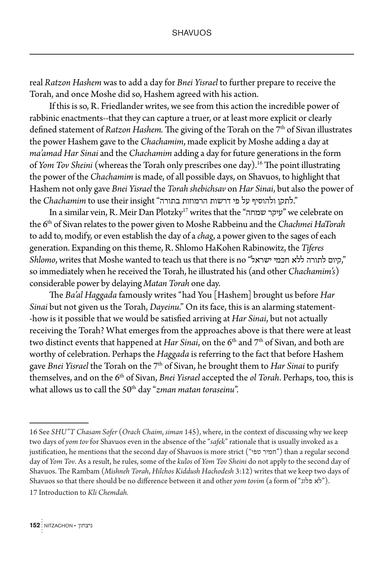real *Ratzon Hashem* was to add a day for *Bnei Yisrael* to further prepare to receive the Torah, and once Moshe did so, Hashem agreed with his action.

If this is so, R. Friedlander writes, we see from this action the incredible power of rabbinic enactments--that they can capture a truer, or at least more explicit or clearly defined statement of *Ratzon Hashem*. The giving of the Torah on the 7<sup>th</sup> of Sivan illustrates the power Hashem gave to the *Chachamim*, made explicit by Moshe adding a day at *ma'amad Har Sinai* and the *Chachamim* adding a day for future generations in the form of *Yom Tov Sheini* (whereas the Torah only prescribes one day).16 The point illustrating the power of the *Chachamim* is made, of all possible days, on Shavuos, to highlight that Hashem not only gave *Bnei Yisrael* the *Torah shebichsav* on *Har Sinai*, but also the power of ".לתקן ולהוסיף על פי דרשות הרמוזות בתורה" insight their use to *Chachamim* the

In a similar vein, R. Meir Dan Plotzky17 writes that the "שמחה עיקר "we celebrate on the 6th of Sivan relates to the power given to Moshe Rabbeinu and the *Chachmei HaTorah*  to add to, modify, or even establish the day of a *chag*, a power given to the sages of each generation. Expanding on this theme, R. Shlomo HaKohen Rabinowitz, the *Tiferes Shlomo*, writes that Moshe wanted to teach us that there is no "ישראל חכמי ללא לתורה קיום, " so immediately when he received the Torah, he illustrated his (and other *Chachamim's*) considerable power by delaying *Matan Torah* one day.

The *Ba'al Haggada* famously writes "had You [Hashem] brought us before *Har Sinai* but not given us the Torah, *Dayeinu*." On its face, this is an alarming statement- -how is it possible that we would be satisfied arriving at *Har Sinai*, but not actually receiving the Torah? What emerges from the approaches above is that there were at least two distinct events that happened at *Har Sinai*, on the 6<sup>th</sup> and 7<sup>th</sup> of Sivan, and both are worthy of celebration. Perhaps the *Haggada* is referring to the fact that before Hashem gave *Bnei Yisrael* the Torah on the 7<sup>th</sup> of Sivan, he brought them to *Har Sinai* to purify themselves, and on the 6th of Sivan, *Bnei Yisrael* accepted the *ol Torah*. Perhaps, too, this is what allows us to call the 50<sup>th</sup> day "*zman matan toraseinu*".

<sup>16</sup> See *SHU"T Chasam Sofer* (*Orach Chaim*, *siman* 145), where, in the context of discussing why we keep two days of *yom tov* for Shavuos even in the absence of the "*safek*" rationale that is usually invoked as a justification, he mentions that the second day of Shavuos is more strict ("חמיר ספי") than a regular second day of *Yom Tov*. As a result, he rules, some of the *kulos* of *Yom Tov Sheini* do not apply to the second day of Shavuos. The Rambam (*Mishneh Torah*, *Hilchos Kiddush Hachodesh* 3:12) writes that we keep two days of Shavuos so that there should be no difference between it and other *yom tovim* (a form of "לא פלוג"). 17 Introduction to *Kli Chemdah.*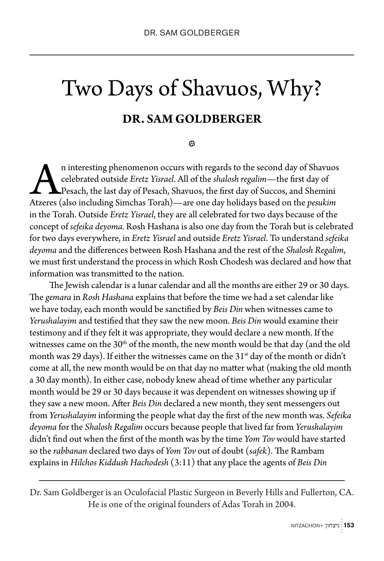# Two Days of Shavuos, Why? **DR. SAM GOLDBERGER**

#### £ჭ

n interesting phenomenon occurs with regards to the second day of Shavuos celebrated outside *Eretz Yisrael*. All of the *shalosh regalim*—the first day of *Pesach*, the last day of *Pesach*, *Shavuos, the first day of Suc* celebrated outside *Eretz Yisrael*. All of the *shalosh regalim*—the first day of Pesach, the last day of Pesach, Shavuos, the first day of Succos, and Shemini in the Torah. Outside *Eretz Yisrael*, they are all celebrated for two days because of the concept of *sefeika deyoma.* Rosh Hashana is also one day from the Torah but is celebrated for two days everywhere, in *Eretz Yisrael* and outside *Eretz Yisrael*. To understand *sefeika deyoma* and the differences between Rosh Hashana and the rest of the *Shalosh Regalim*, we must first understand the process in which Rosh Chodesh was declared and how that information was transmitted to the nation.

The Jewish calendar is a lunar calendar and all the months are either 29 or 30 days. The *gemara* in *Rosh Hashana* explains that before the time we had a set calendar like we have today, each month would be sanctified by *Beis Din* when witnesses came to *Yerushalayim* and testified that they saw the new moon. *Beis Din* would examine their testimony and if they felt it was appropriate, they would declare a new month. If the witnesses came on the  $30<sup>th</sup>$  of the month, the new month would be that day (and the old month was 29 days). If either the witnesses came on the  $31<sup>st</sup>$  day of the month or didn't come at all, the new month would be on that day no matter what (making the old month a 30 day month). In either case, nobody knew ahead of time whether any particular month would be 29 or 30 days because it was dependent on witnesses showing up if they saw a new moon. After *Beis Din* declared a new month, they sent messengers out from *Yerushalayim* informing the people what day the first of the new month was. *Sefeika deyoma* for the *Shalosh Regalim* occurs because people that lived far from *Yerushalayim* didn't find out when the first of the month was by the time *Yom Tov* would have started so the *rabbanan* declared two days of *Yom Tov* out of doubt (*safek*). The Rambam explains in *Hilchos Kiddush Hachodesh* (3:11) that any place the agents of *Beis Din* 

Dr. Sam Goldberger is an Oculofacial Plastic Surgeon in Beverly Hills and Fullerton, CA. He is one of the original founders of Adas Torah in 2004.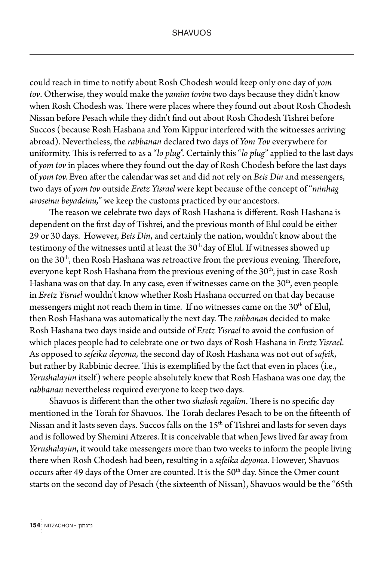could reach in time to notify about Rosh Chodesh would keep only one day of *yom tov*. Otherwise, they would make the *yamim tovim* two days because they didn't know when Rosh Chodesh was. There were places where they found out about Rosh Chodesh Nissan before Pesach while they didn't find out about Rosh Chodesh Tishrei before Succos (because Rosh Hashana and Yom Kippur interfered with the witnesses arriving abroad). Nevertheless, the *rabbanan* declared two days of *Yom Tov* everywhere for uniformity. This is referred to as a "*lo plug*". Certainly this "*lo plug*" applied to the last days of *yom tov* in places where they found out the day of Rosh Chodesh before the last days of *yom tov.* Even after the calendar was set and did not rely on *Beis Din* and messengers, two days of *yom tov* outside *Eretz Yisrael* were kept because of the concept of "*minhag avoseinu beyadeinu,*" we keep the customs practiced by our ancestors.

The reason we celebrate two days of Rosh Hashana is different. Rosh Hashana is dependent on the first day of Tishrei, and the previous month of Elul could be either 29 or 30 days. However, *Beis Din*, and certainly the nation, wouldn't know about the testimony of the witnesses until at least the 30<sup>th</sup> day of Elul. If witnesses showed up on the 30<sup>th</sup>, then Rosh Hashana was retroactive from the previous evening. Therefore, everyone kept Rosh Hashana from the previous evening of the  $30<sup>th</sup>$ , just in case Rosh Hashana was on that day. In any case, even if witnesses came on the  $30<sup>th</sup>$ , even people in *Eretz Yisrael* wouldn't know whether Rosh Hashana occurred on that day because messengers might not reach them in time. If no witnesses came on the 30<sup>th</sup> of Elul, then Rosh Hashana was automatically the next day. The *rabbanan* decided to make Rosh Hashana two days inside and outside of *Eretz Yisrael* to avoid the confusion of which places people had to celebrate one or two days of Rosh Hashana in *Eretz Yisrael*. As opposed to *sefeika deyoma,* the second day of Rosh Hashana was not out of *safeik,* but rather by Rabbinic decree. This is exemplified by the fact that even in places (i.e., *Yerushalayim* itself) where people absolutely knew that Rosh Hashana was one day, the *rabbanan* nevertheless required everyone to keep two days.

Shavuos is different than the other two *shalosh regalim*. There is no specific day mentioned in the Torah for Shavuos. The Torah declares Pesach to be on the fifteenth of Nissan and it lasts seven days. Succos falls on the 15th of Tishrei and lasts for seven days and is followed by Shemini Atzeres. It is conceivable that when Jews lived far away from *Yerushalayim*, it would take messengers more than two weeks to inform the people living there when Rosh Chodesh had been, resulting in a *sefeika deyoma*. However, Shavuos occurs after 49 days of the Omer are counted. It is the 50<sup>th</sup> day. Since the Omer count starts on the second day of Pesach (the sixteenth of Nissan), Shavuos would be the "65th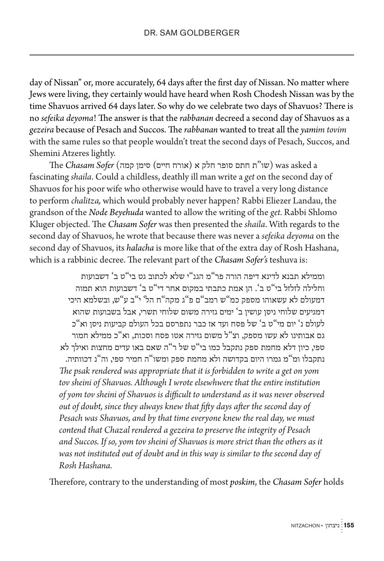day of Nissan" or, more accurately, 64 days after the first day of Nissan. No matter where Jews were living, they certainly would have heard when Rosh Chodesh Nissan was by the time Shavuos arrived 64 days later. So why do we celebrate two days of Shavuos? There is no *sefeika deyoma*! The answer is that the *rabbanan* decreed a second day of Shavuos as a *gezeira* because of Pesach and Succos. The *rabbanan* wanted to treat all the *yamim tovim* with the same rules so that people wouldn't treat the second days of Pesach, Succos, and Shemini Atzeres lightly.

 a asked was) שו"ת חתם סופר חלק א (אורח חיים) סימן קמה) *Sofer Chasam* The fascinating *shaila*. Could a childless, deathly ill man write a *get* on the second day of Shavuos for his poor wife who otherwise would have to travel a very long distance to perform *chalitza,* which would probably never happen? Rabbi Eliezer Landau, the grandson of the *Node Beyehuda* wanted to allow the writing of the *get.* Rabbi Shlomo Kluger objected. The *Chasam Sofer* was then presented the *shaila*. With regards to the second day of Shavuos, he wrote that because there was never a *sefeika deyoma* on the second day of Shavuos, its *halacha* is more like that of the extra day of Rosh Hashana, which is a rabbinic decree. The relevant part of the *Chasam Sofer's* teshuva is:

וממילא תבנא לדינא דיפה הורה פר"מ הגנ"י שלא לכתוב גט בי"ט ב' דשבועות וחלילה לזלזל בי"ט ב'. הן אמת כתבתי במקום אחר די"ט ב' דשבועות הוא תמוה דמעולם לא עשאוהו מספק כמ"ש רמב"ם פ"ג מקה"ח הל' י"ב ע"ש, ובשלמא היכי דמגיעים שלוחי ניסן עושין ב' ימים גזירה משום שלוחי תשרי, אבל בשבועות שהוא לעולם נ' יום מי"ט ב' של פסח ועד אז כבר נתפרסם בכל העולם קביעות ניסן וא"כ גם אבותינו לא עשו מספק, וצ"ל משום גזירה אטו פסח וסכות, וא"כ ממילא חמור טפי, כיון דלא מחמת ספק נתקבל כמו בי"ט של ר"ה שאם באו עדים מחצות ואילך לא נתקבלו ומ"מ גמרו היום בקדושה ולא מחמת ספק ומשו"ה חמיר טפי, וה"נ דכוותיה. *The psak rendered was appropriate that it is forbidden to write a get on yom tov sheini of Shavuos. Although I wrote elsewhwere that the entire institution of yom tov sheini of Shavuos is difficult to understand as it was never observed out of doubt, since they always knew that fifty days after the second day of Pesach was Shavuos, and by that time everyone knew the real day, we must contend that Chazal rendered a gezeira to preserve the integrity of Pesach and Succos. If so, yom tov sheini of Shavuos is more strict than the others as it was not instituted out of doubt and in this way is similar to the second day of Rosh Hashana.*

Therefore, contrary to the understanding of most *poskim*, the *Chasam Sofer* holds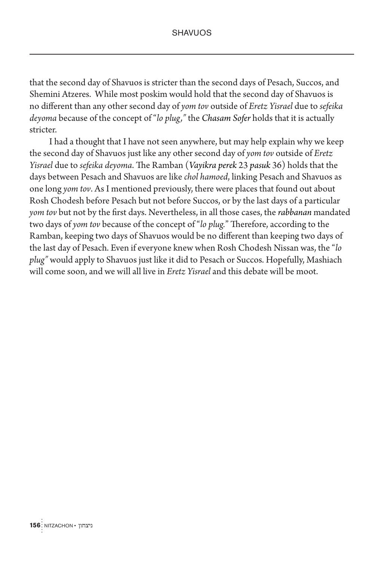that the second day of Shavuos is stricter than the second days of Pesach, Succos, and Shemini Atzeres. While most poskim would hold that the second day of Shavuos is no different than any other second day of *yom tov* outside of *Eretz Yisrael* due to *sefeika deyoma* because of the concept of "*lo plug,"* the *Chasam Sofer* holds that it is actually stricter.

I had a thought that I have not seen anywhere, but may help explain why we keep the second day of Shavuos just like any other second day of *yom tov* outside of *Eretz Yisrael* due to *sefeika deyoma*. The Ramban (*Vayikra perek* 23 *pasuk* 36) holds that the days between Pesach and Shavuos are like *chol hamoed*, linking Pesach and Shavuos as one long *yom tov*. As I mentioned previously, there were places that found out about Rosh Chodesh before Pesach but not before Succos, or by the last days of a particular *yom tov* but not by the first days. Nevertheless, in all those cases, the *rabbanan* mandated two days of *yom tov* because of the concept of "*lo plug.*" Therefore, according to the Ramban, keeping two days of Shavuos would be no different than keeping two days of the last day of Pesach. Even if everyone knew when Rosh Chodesh Nissan was, the "*lo plug"* would apply to Shavuos just like it did to Pesach or Succos. Hopefully, Mashiach will come soon, and we will all live in *Eretz Yisrael* and this debate will be moot.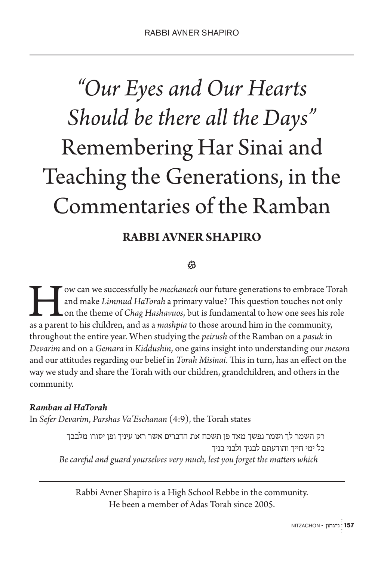# *"Our Eyes and Our Hearts Should be there all the Days"*  Remembering Har Sinai and Teaching the Generations, in the Commentaries of the Ramban

**RABBI AVNER SHAPIRO**

### £β

I ow can we successfully be *mechanech* our future generations to embrace Torah and make *Limmud HaTorah* a primary value? This question touches not only on the theme of *Chag Hashavuos*, but is fundamental to how one sees and make *Limmud HaTorah* a primary value? This question touches not only on the theme of *Chag Hashavuos*, but is fundamental to how one sees his role as a parent to his children, and as a *mashpia* to those around him in the community, throughout the entire year. When studying the *peirush* of the Ramban on a *pasuk* in *Devarim* and on a *Gemara* in *Kiddushin*, one gains insight into understanding our *mesora* and our attitudes regarding our belief in *Torah Misinai*. This in turn, has an effect on the way we study and share the Torah with our children, grandchildren, and others in the community.

#### *Ramban al HaTorah*

In *Sefer Devarim*, *Parshas Va'Eschanan* (4:9), the Torah states

רק השמר לך ושמר נפשך מאד פן תשכח את הדברים אשר ראו עיניך ופן יסורו מלבבך כלֹ ימי חייך והודעתם לבניך ולבני בניך *Be careful and guard yourselves very much, lest you forget the matters which* 

Rabbi Avner Shapiro is a High School Rebbe in the community. He been a member of Adas Torah since 2005.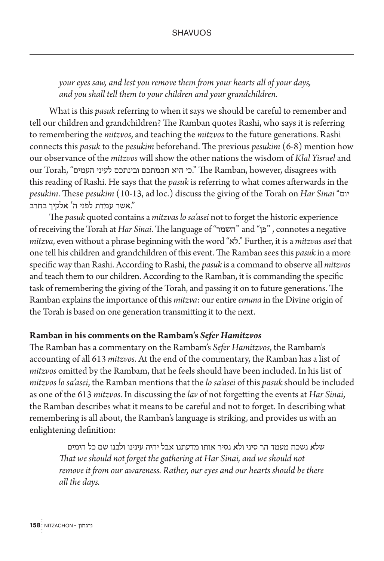*your eyes saw, and lest you remove them from your hearts all of your days, and you shall tell them to your children and your grandchildren.*

What is this *pasuk* referring to when it says we should be careful to remember and tell our children and grandchildren? The Ramban quotes Rashi, who says it is referring to remembering the *mitzvos*, and teaching the *mitzvos* to the future generations. Rashi connects this *pasuk* to the *pesukim* beforehand. The previous *pesukim* (6-8) mention how our observance of the *mitzvos* will show the other nations the wisdom of *Klal Yisrael* and our Torah, "העמים לעיני ובינתכם חכמתכם היא כי. "The Ramban, however, disagrees with this reading of Rashi. He says that the *pasuk* is referring to what comes afterwards in the *pesukim*. These *pesukim* (10-13, ad loc.) discuss the giving of the Torah on *Har Sinai* "יום ".אשר עמדת לפני ה' אלקיך בחרב

The *pasuk* quoted contains a *mitzvas lo sa'asei* not to forget the historic experience of receiving the Torah at *Har Sinai*. The language of "השמר "and "פן ", connotes a negative *mitzva*, even without a phrase beginning with the word "לא. "Further, it is a *mitzvas asei* that one tell his children and grandchildren of this event. The Ramban sees this *pasuk* in a more specific way than Rashi. According to Rashi, the *pasuk* is a command to observe all *mitzvos* and teach them to our children. According to the Ramban, it is commanding the specific task of remembering the giving of the Torah, and passing it on to future generations. The Ramban explains the importance of this *mitzva*: our entire *emuna* in the Divine origin of the Torah is based on one generation transmitting it to the next.

#### **Ramban in his comments on the Rambam's** *Sefer Hamitzvos*

The Ramban has a commentary on the Rambam's *Sefer Hamitzvos*, the Rambam's accounting of all 613 *mitzvos*. At the end of the commentary, the Ramban has a list of *mitzvos* omitted by the Rambam, that he feels should have been included. In his list of *mitzvos lo sa'asei*, the Ramban mentions that the *lo sa'asei* of this *pasuk* should be included as one of the 613 *mitzvos*. In discussing the *lav* of not forgetting the events at *Har Sinai*, the Ramban describes what it means to be careful and not to forget. In describing what remembering is all about, the Ramban's language is striking, and provides us with an enlightening definition:

שלא נשכח מעמד הר סיני ולא נסיר אותו מדעתנו אבל יהיה עינינו ולבנו שם כל הימים *That we should not forget the gathering at Har Sinai, and we should not remove it from our awareness. Rather, our eyes and our hearts should be there all the days.*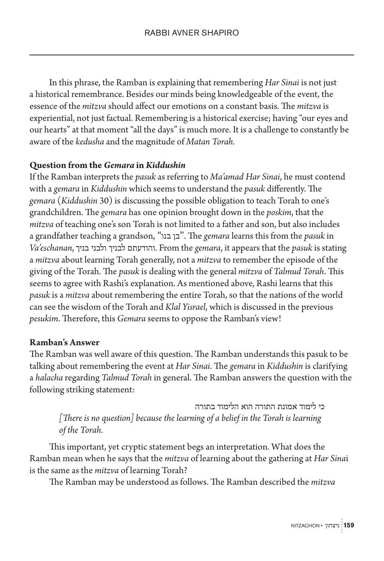In this phrase, the Ramban is explaining that remembering *Har Sinai* is not just a historical remembrance. Besides our minds being knowledgeable of the event, the essence of the *mitzva* should affect our emotions on a constant basis. The *mitzva* is experiential, not just factual. Remembering is a historical exercise; having "our eyes and our hearts" at that moment "all the days" is much more. It is a challenge to constantly be aware of the *kedusha* and the magnitude of *Matan Torah.*

#### **Question from the** *Gemara* **in** *Kiddushin*

If the Ramban interprets the *pasuk* as referring to *Ma'amad Har Sinai*, he must contend with a *gemara* in *Kiddushin* which seems to understand the *pasuk* differently. The *gemara* (*Kiddushin* 30) is discussing the possible obligation to teach Torah to one's grandchildren. The *gemara* has one opinion brought down in the *poskim*, that the *mitzva* of teaching one's son Torah is not limited to a father and son, but also includes a grandfather teaching a grandson, "בנו בן". The *gemara* learns this from the *pasuk* in *Va'eschanan*, בניך ולבני לבניך והודעתם. From the *gemara*, it appears that the *pasuk* is stating a *mitzva* about learning Torah generally, not a *mitzva* to remember the episode of the giving of the Torah. The *pasuk* is dealing with the general *mitzva* of *Talmud Torah*. This seems to agree with Rashi's explanation. As mentioned above, Rashi learns that this *pasuk* is a *mitzva* about remembering the entire Torah, so that the nations of the world can see the wisdom of the Torah and *Klal Yisrael*, which is discussed in the previous *pesukim*. Therefore, this *Gemara* seems to oppose the Ramban's view!

#### **Ramban's Answer**

The Ramban was well aware of this question. The Ramban understands this pasuk to be talking about remembering the event at *Har Sinai*. The *gemara* in *Kiddushin* is clarifying a *halacha* regarding *Talmud Torah* in general. The Ramban answers the question with the following striking statement:

כי לימוד אמונת התורה הוא הלימוד בתורה *[There is no question] because the learning of a belief in the Torah is learning of the Torah.*

This important, yet cryptic statement begs an interpretation. What does the Ramban mean when he says that the *mitzva* of learning about the gathering at *Har Sina*i is the same as the *mitzva* of learning Torah?

The Ramban may be understood as follows. The Ramban described the *mitzva*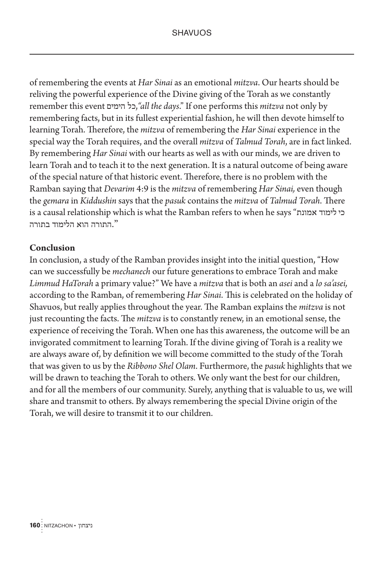of remembering the events at *Har Sinai* as an emotional *mitzva*. Our hearts should be reliving the powerful experience of the Divine giving of the Torah as we constantly remember this event הימים כל,*"all the days*." If one performs this *mitzva* not only by remembering facts, but in its fullest experiential fashion, he will then devote himself to learning Torah. Therefore, the *mitzva* of remembering the *Har Sinai* experience in the special way the Torah requires, and the overall *mitzva* of *Talmud Torah*, are in fact linked. By remembering *Har Sinai* with our hearts as well as with our minds, we are driven to learn Torah and to teach it to the next generation. It is a natural outcome of being aware of the special nature of that historic event. Therefore, there is no problem with the Ramban saying that *Devarim* 4:9 is the *mitzva* of remembering *Har Sinai,* even though the *gemara* in *Kiddushin* says that the *pasuk* contains the *mitzva* of *Talmud Torah*. There is a causal relationship which is what the Ramban refers to when he says "אמונת כילימוד ".התורה הוא הלימוד בתורה

#### **Conclusion**

In conclusion, a study of the Ramban provides insight into the initial question, "How can we successfully be *mechanech* our future generations to embrace Torah and make *Limmud HaTorah* a primary value?" We have a *mitzva* that is both an *asei* and a *lo sa'asei,*  according to the Ramban, of remembering *Har Sinai*. This is celebrated on the holiday of Shavuos, but really applies throughout the year. The Ramban explains the *mitzva* is not just recounting the facts. The *mitzva* is to constantly renew, in an emotional sense, the experience of receiving the Torah. When one has this awareness, the outcome will be an invigorated commitment to learning Torah. If the divine giving of Torah is a reality we are always aware of, by definition we will become committed to the study of the Torah that was given to us by the *Ribbono Shel Olam*. Furthermore, the *pasuk* highlights that we will be drawn to teaching the Torah to others. We only want the best for our children, and for all the members of our community. Surely, anything that is valuable to us, we will share and transmit to others. By always remembering the special Divine origin of the Torah, we will desire to transmit it to our children.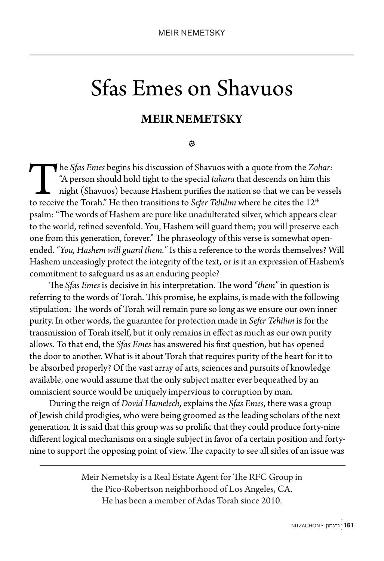## Sfas Emes on Shavuos

### **MEIR NEMETSKY**

#### •

The *Sfas Emes* begins his discussion of Shavuos with a quote from the *Zohar:* "A person should hold tight to the special *tahara* that descends on him this night (Shavuos) because Hashem purifies the nation so that we can be vessels to receive the Torah." He then transitions to *Sefer Tehilim* where he cites the 12<sup>th</sup> psalm: "The words of Hashem are pure like unadulterated silver, which appears clear to the world, refined sevenfold. You, Hashem will guard them; you will preserve each one from this generation, forever." The phraseology of this verse is somewhat openended. *"You, Hashem will guard them."* Is this a reference to the words themselves? Will Hashem unceasingly protect the integrity of the text, or is it an expression of Hashem's commitment to safeguard us as an enduring people?

The *Sfas Emes* is decisive in his interpretation. The word *"them"* in question is referring to the words of Torah. This promise, he explains, is made with the following stipulation: The words of Torah will remain pure so long as we ensure our own inner purity. In other words, the guarantee for protection made in *Sefer Tehilim* is for the transmission of Torah itself, but it only remains in effect as much as our own purity allows. To that end, the *Sfas Emes* has answered his first question, but has opened the door to another. What is it about Torah that requires purity of the heart for it to be absorbed properly? Of the vast array of arts, sciences and pursuits of knowledge available, one would assume that the only subject matter ever bequeathed by an omniscient source would be uniquely impervious to corruption by man.

During the reign of *Dovid Hamelech*, explains the *Sfas Emes*, there was a group of Jewish child prodigies, who were being groomed as the leading scholars of the next generation. It is said that this group was so prolific that they could produce forty-nine different logical mechanisms on a single subject in favor of a certain position and fortynine to support the opposing point of view. The capacity to see all sides of an issue was

> Meir Nemetsky is a Real Estate Agent for The RFC Group in the Pico-Robertson neighborhood of Los Angeles, CA. He has been a member of Adas Torah since 2010.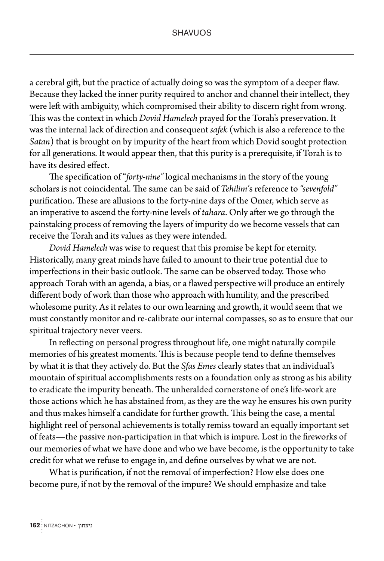#### SHAVUOS

a cerebral gift, but the practice of actually doing so was the symptom of a deeper flaw. Because they lacked the inner purity required to anchor and channel their intellect, they were left with ambiguity, which compromised their ability to discern right from wrong. This was the context in which *Dovid Hamelech* prayed for the Torah's preservation. It was the internal lack of direction and consequent *safek* (which is also a reference to the *Satan*) that is brought on by impurity of the heart from which Dovid sought protection for all generations. It would appear then, that this purity is a prerequisite, if Torah is to have its desired effect.

The specification of "*forty-nine"* logical mechanisms in the story of the young scholars is not coincidental. The same can be said of *Tehilim'*s reference to *"sevenfold"*  purification. These are allusions to the forty-nine days of the Omer, which serve as an imperative to ascend the forty-nine levels of *tahara*. Only after we go through the painstaking process of removing the layers of impurity do we become vessels that can receive the Torah and its values as they were intended.

*Dovid Hamelech* was wise to request that this promise be kept for eternity. Historically, many great minds have failed to amount to their true potential due to imperfections in their basic outlook. The same can be observed today. Those who approach Torah with an agenda, a bias, or a flawed perspective will produce an entirely different body of work than those who approach with humility, and the prescribed wholesome purity. As it relates to our own learning and growth, it would seem that we must constantly monitor and re-calibrate our internal compasses, so as to ensure that our spiritual trajectory never veers.

In reflecting on personal progress throughout life, one might naturally compile memories of his greatest moments. This is because people tend to define themselves by what it is that they actively do. But the *Sfas Emes* clearly states that an individual's mountain of spiritual accomplishments rests on a foundation only as strong as his ability to eradicate the impurity beneath. The unheralded cornerstone of one's life-work are those actions which he has abstained from, as they are the way he ensures his own purity and thus makes himself a candidate for further growth. This being the case, a mental highlight reel of personal achievements is totally remiss toward an equally important set of feats—the passive non-participation in that which is impure. Lost in the fireworks of our memories of what we have done and who we have become, is the opportunity to take credit for what we refuse to engage in, and define ourselves by what we are not.

What is purification, if not the removal of imperfection? How else does one become pure, if not by the removal of the impure? We should emphasize and take